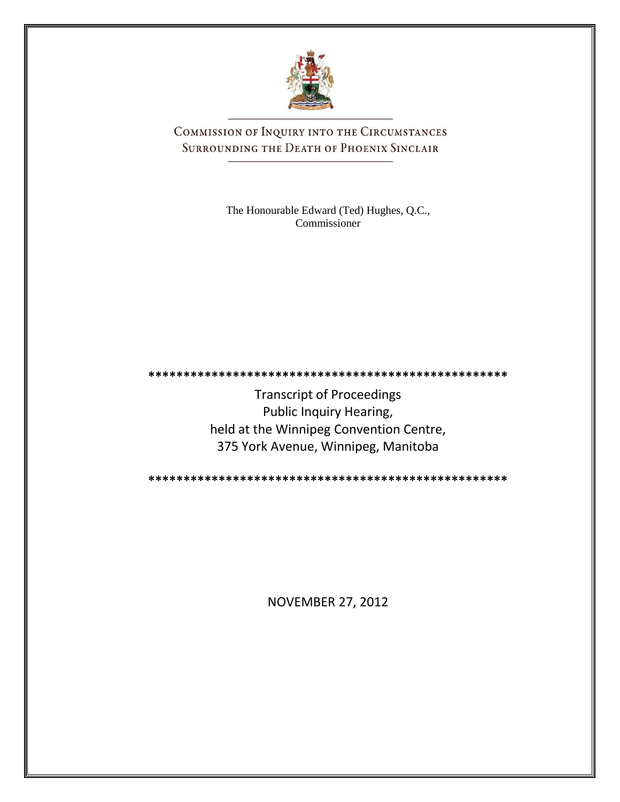

COMMISSION OF INQUIRY INTO THE CIRCUMSTANCES SURROUNDING THE DEATH OF PHOENIX SINCLAIR

> The Honourable Edward (Ted) Hughes, Q.C., Commissioner

Transcript of Proceedings Public Inquiry Hearing, held at the Winnipeg Convention Centre, 375 York Avenue, Winnipeg, Manitoba

**\*\*\*\*\*\*\*\*\*\*\*\*\*\*\*\*\*\*\*\*\*\*\*\*\*\*\*\*\*\*\*\*\*\*\*\*\*\*\*\*\*\*\*\*\*\*\*\*\*\*\***

**\*\*\*\*\*\*\*\*\*\*\*\*\*\*\*\*\*\*\*\*\*\*\*\*\*\*\*\*\*\*\*\*\*\*\*\*\*\*\*\*\*\*\*\*\*\*\*\*\*\*\***

NOVEMBER 27, 2012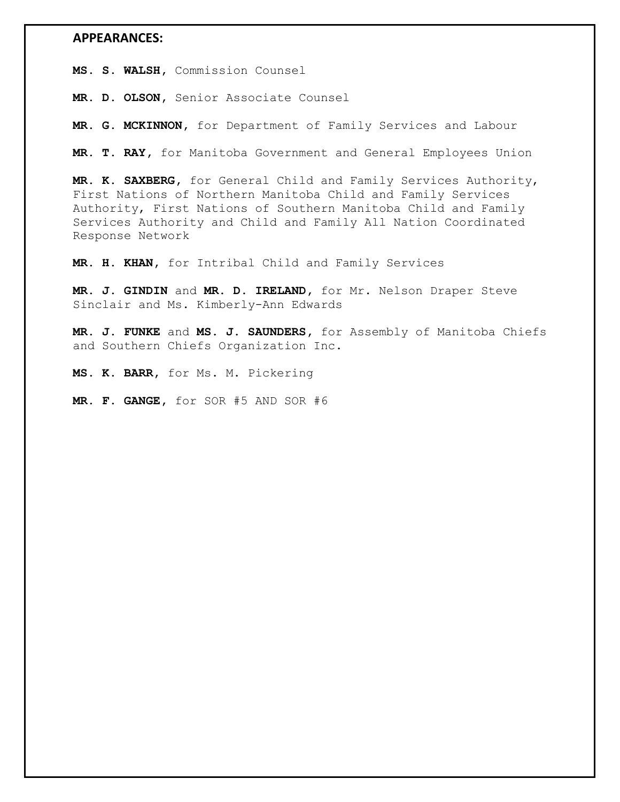## **APPEARANCES:**

**MS. S. WALSH,** Commission Counsel

**MR. D. OLSON,** Senior Associate Counsel

**MR. G. MCKINNON,** for Department of Family Services and Labour

**MR. T. RAY,** for Manitoba Government and General Employees Union

**MR. K. SAXBERG,** for General Child and Family Services Authority, First Nations of Northern Manitoba Child and Family Services Authority, First Nations of Southern Manitoba Child and Family Services Authority and Child and Family All Nation Coordinated Response Network

**MR. H. KHAN,** for Intribal Child and Family Services

**MR. J. GINDIN** and **MR. D. IRELAND,** for Mr. Nelson Draper Steve Sinclair and Ms. Kimberly-Ann Edwards

**MR. J. FUNKE** and **MS. J. SAUNDERS,** for Assembly of Manitoba Chiefs and Southern Chiefs Organization Inc.

**MS. K. BARR,** for Ms. M. Pickering

**MR. F. GANGE,** for SOR #5 AND SOR #6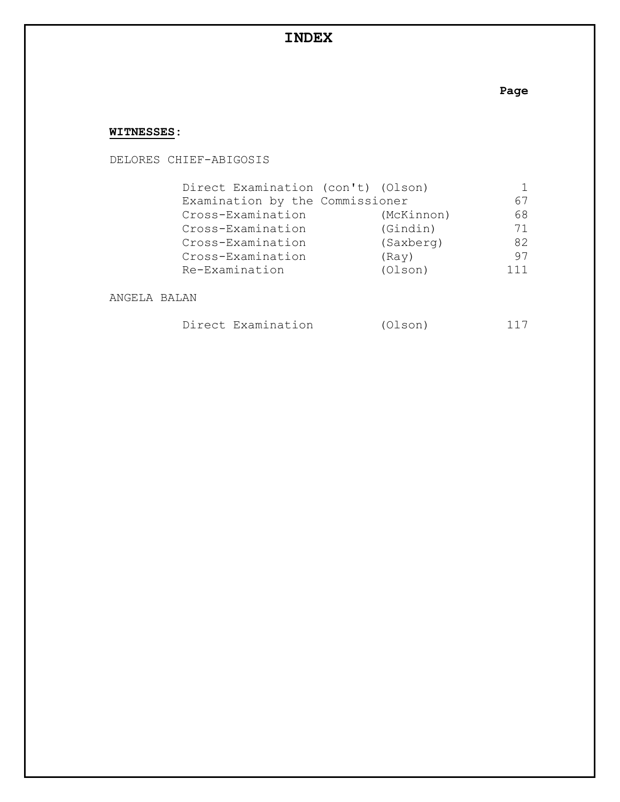# **INDEX**

# **Page**

# **WITNESSES:**

DELORES CHIEF-ABIGOSIS

| Direct Examination (con't) (Olson) |            |     |
|------------------------------------|------------|-----|
| Examination by the Commissioner    |            | 67  |
| Cross-Examination                  | (McKinnon) | 68  |
| Cross-Examination                  | (Gindin)   | 71  |
| Cross-Examination                  | (Saxberg)  | 82  |
| Cross-Examination                  | (Ray)      | 97  |
| Re-Examination                     | (Olson)    | 111 |

ANGELA BALAN

|  | Direct Examination | (Olson) | 117 |
|--|--------------------|---------|-----|
|--|--------------------|---------|-----|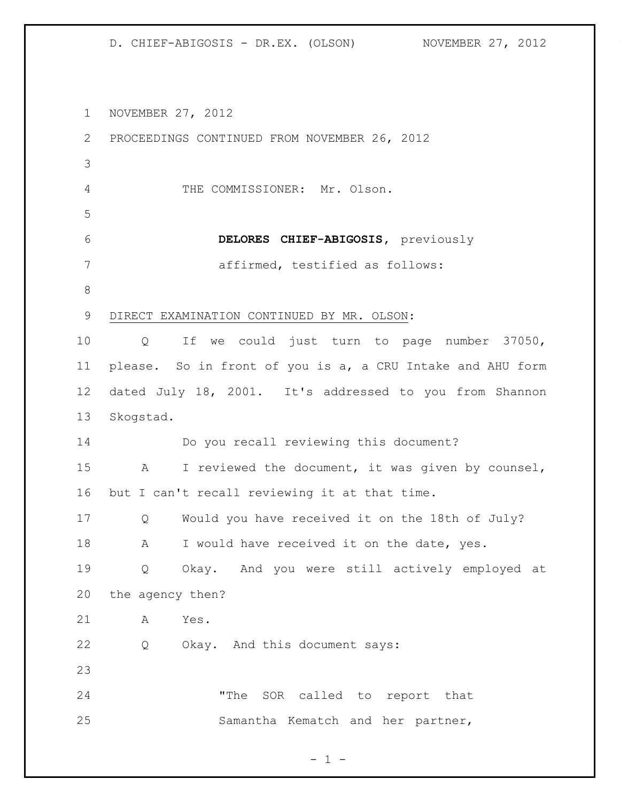NOVEMBER 27, 2012 PROCEEDINGS CONTINUED FROM NOVEMBER 26, 2012 THE COMMISSIONER: Mr. Olson. **DELORES CHIEF-ABIGOSIS,** previously affirmed, testified as follows: DIRECT EXAMINATION CONTINUED BY MR. OLSON: Q If we could just turn to page number 37050, please. So in front of you is a, a CRU Intake and AHU form dated July 18, 2001. It's addressed to you from Shannon Skogstad. Do you recall reviewing this document? A I reviewed the document, it was given by counsel, but I can't recall reviewing it at that time. Q Would you have received it on the 18th of July? 18 A I would have received it on the date, yes. Q Okay. And you were still actively employed at

 the agency then? A Yes.

Q Okay. And this document says:

 "The SOR called to report that Samantha Kematch and her partner,

 $- 1 -$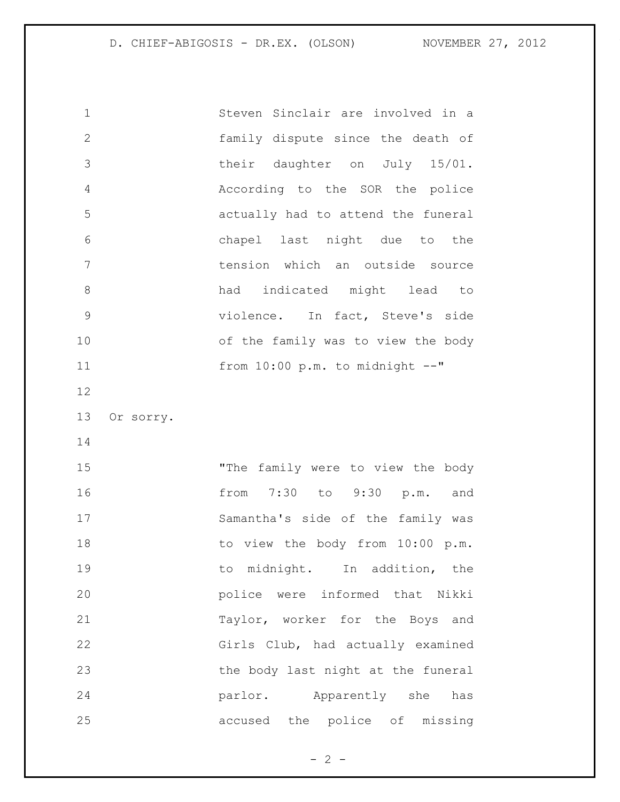Steven Sinclair are involved in a family dispute since the death of their daughter on July 15/01. According to the SOR the police actually had to attend the funeral chapel last night due to the tension which an outside source had indicated might lead to violence. In fact, Steve's side of the family was to view the body from 10:00 p.m. to midnight --" Or sorry. "The family were to view the body from 7:30 to 9:30 p.m. and Samantha's side of the family was 18 to view the body from 10:00 p.m. 19 to midnight. In addition, the police were informed that Nikki Taylor, worker for the Boys and Girls Club, had actually examined the body last night at the funeral **parlor.** Apparently she has

 $- 2 -$ 

accused the police of missing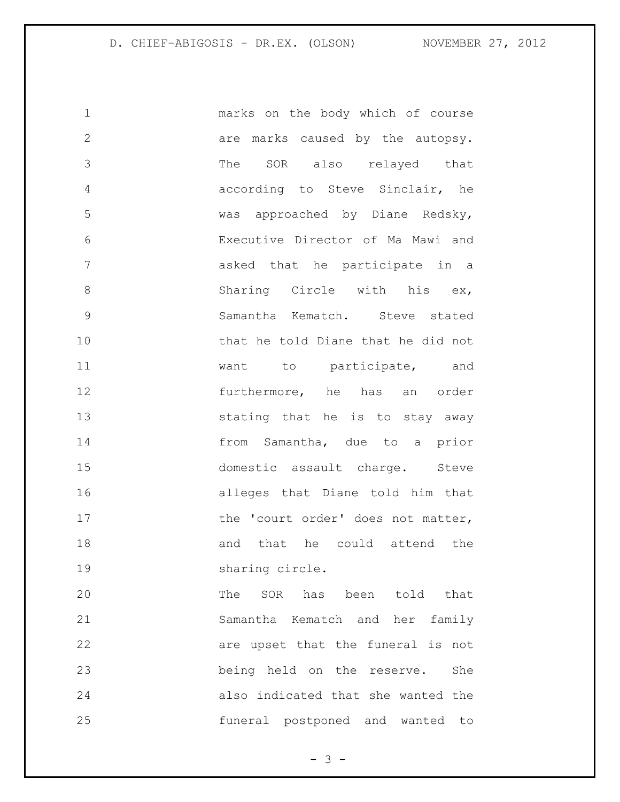marks on the body which of course 2 are marks caused by the autopsy. The SOR also relayed that according to Steve Sinclair, he was approached by Diane Redsky, Executive Director of Ma Mawi and asked that he participate in a 8 Sharing Circle with his ex, Samantha Kematch. Steve stated that he told Diane that he did not want to participate, and furthermore, he has an order stating that he is to stay away from Samantha, due to a prior domestic assault charge. Steve alleges that Diane told him that 17 the 'court order' does not matter, 18 and that he could attend the 19 sharing circle. The SOR has been told that

 Samantha Kematch and her family 22 are upset that the funeral is not being held on the reserve. She also indicated that she wanted the funeral postponed and wanted to

- 3 -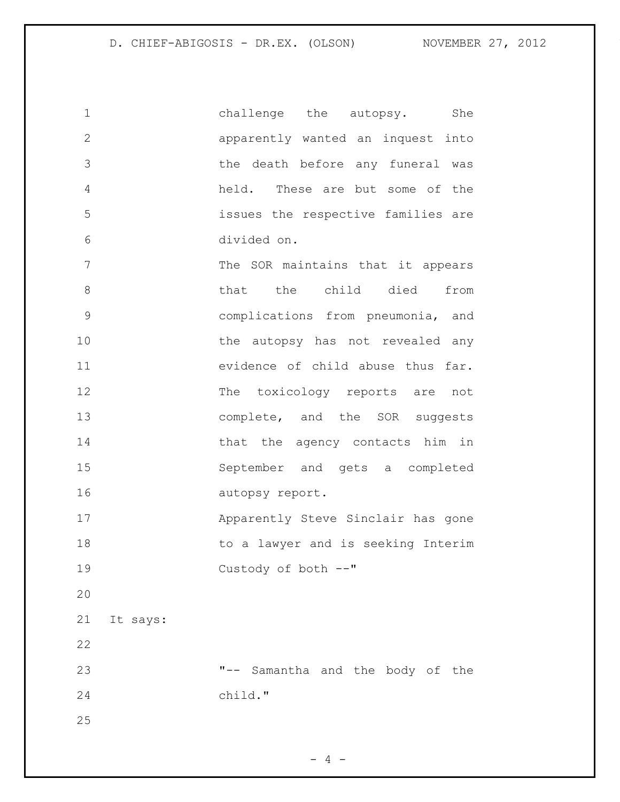| $\mathbf 1$    | She<br>challenge the autopsy.      |
|----------------|------------------------------------|
| $\mathbf{2}$   | apparently wanted an inquest into  |
| 3              | the death before any funeral was   |
| 4              | held. These are but some of the    |
| 5              | issues the respective families are |
| 6              | divided on.                        |
| 7              | The SOR maintains that it appears  |
| 8              | that the child died from           |
| $\mathcal{G}$  | complications from pneumonia, and  |
| 10             | the autopsy has not revealed any   |
| 11             | evidence of child abuse thus far.  |
| 12             | The toxicology reports are not     |
| 13             | complete, and the SOR suggests     |
| 14             | that the agency contacts him in    |
| 15             | September and gets a completed     |
| 16             | autopsy report.                    |
| 17             | Apparently Steve Sinclair has gone |
| 18             | to a lawyer and is seeking Interim |
| 19             | Custody of both --"                |
| 20             |                                    |
| 21<br>It says: |                                    |
| 22             |                                    |
| 23             | "-- Samantha and the body of the   |
| 24             | child."                            |
| 25             |                                    |
|                |                                    |

- 4 -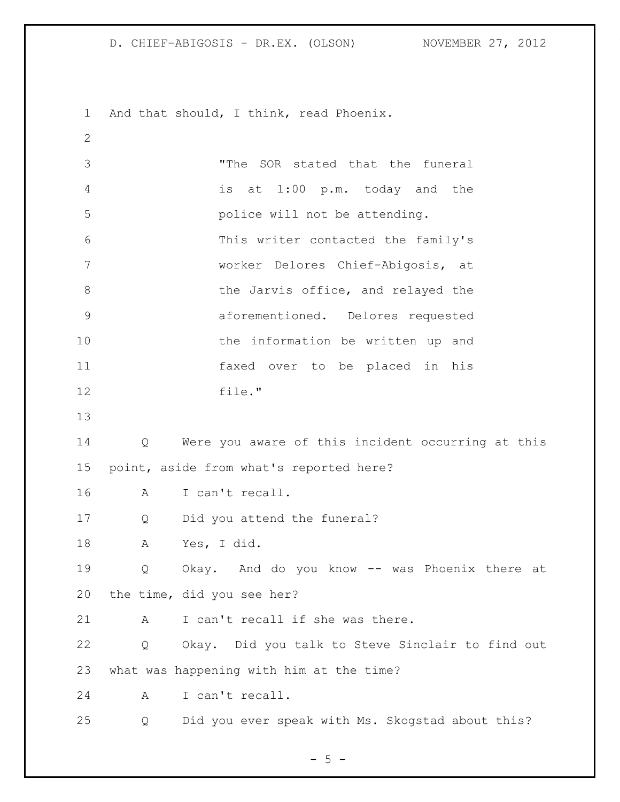And that should, I think, read Phoenix. "The SOR stated that the funeral is at 1:00 p.m. today and the police will not be attending. This writer contacted the family's worker Delores Chief-Abigosis, at 8 the Jarvis office, and relayed the aforementioned. Delores requested the information be written up and faxed over to be placed in his file." Q Were you aware of this incident occurring at this point, aside from what's reported here? A I can't recall. Q Did you attend the funeral? A Yes, I did. Q Okay. And do you know -- was Phoenix there at the time, did you see her? 21 A I can't recall if she was there. Q Okay. Did you talk to Steve Sinclair to find out what was happening with him at the time? A I can't recall. Q Did you ever speak with Ms. Skogstad about this?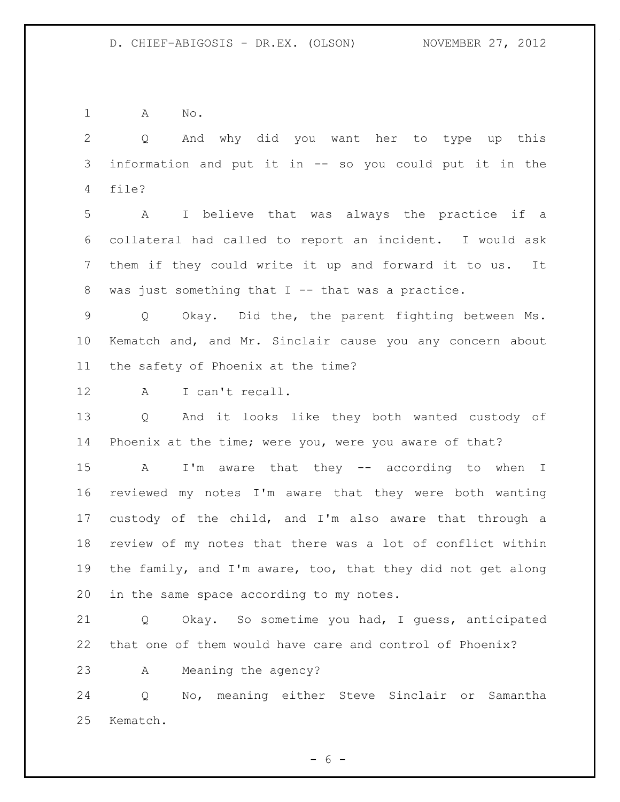A No.

 Q And why did you want her to type up this information and put it in -- so you could put it in the file?

 A I believe that was always the practice if a collateral had called to report an incident. I would ask them if they could write it up and forward it to us. It 8 was just something that I -- that was a practice.

 Q Okay. Did the, the parent fighting between Ms. Kematch and, and Mr. Sinclair cause you any concern about the safety of Phoenix at the time?

A I can't recall.

 Q And it looks like they both wanted custody of Phoenix at the time; were you, were you aware of that?

 A I'm aware that they -- according to when I reviewed my notes I'm aware that they were both wanting custody of the child, and I'm also aware that through a review of my notes that there was a lot of conflict within the family, and I'm aware, too, that they did not get along in the same space according to my notes.

 Q Okay. So sometime you had, I guess, anticipated that one of them would have care and control of Phoenix?

A Meaning the agency?

 Q No, meaning either Steve Sinclair or Samantha Kematch.

 $- 6 -$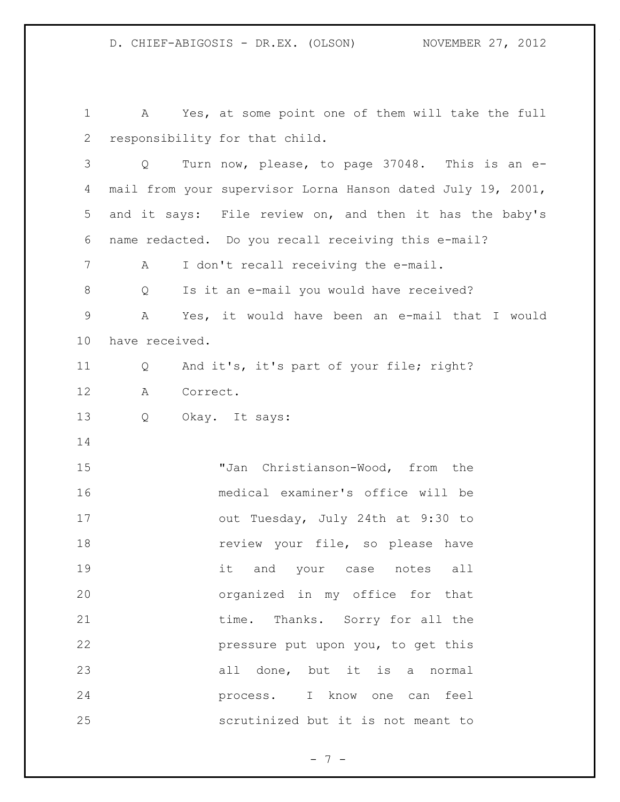A Yes, at some point one of them will take the full responsibility for that child. Q Turn now, please, to page 37048. This is an e- mail from your supervisor Lorna Hanson dated July 19, 2001, and it says: File review on, and then it has the baby's name redacted. Do you recall receiving this e-mail? A I don't recall receiving the e-mail. 8 Q Is it an e-mail you would have received? A Yes, it would have been an e-mail that I would have received. Q And it's, it's part of your file; right? A Correct. Q Okay. It says: "Jan Christianson-Wood, from the medical examiner's office will be out Tuesday, July 24th at 9:30 to **review** your file, so please have it and your case notes all organized in my office for that 21 time. Thanks. Sorry for all the pressure put upon you, to get this all done, but it is a normal process. I know one can feel scrutinized but it is not meant to

- 7 -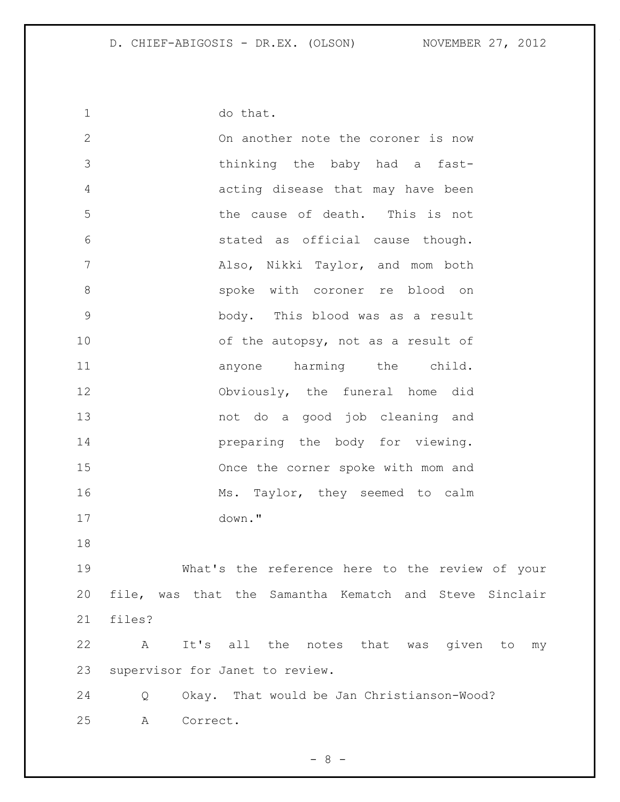do that. On another note the coroner is now thinking the baby had a fast- acting disease that may have been the cause of death. This is not stated as official cause though. Also, Nikki Taylor, and mom both spoke with coroner re blood on body. This blood was as a result 10 of the autopsy, not as a result of 11 anyone harming the child. Obviously, the funeral home did not do a good job cleaning and **preparing the body for viewing.**  Once the corner spoke with mom and 16 Ms. Taylor, they seemed to calm down." What's the reference here to the review of your file, was that the Samantha Kematch and Steve Sinclair files? A It's all the notes that was given to my supervisor for Janet to review. Q Okay. That would be Jan Christianson-Wood? A Correct.

 $- 8 -$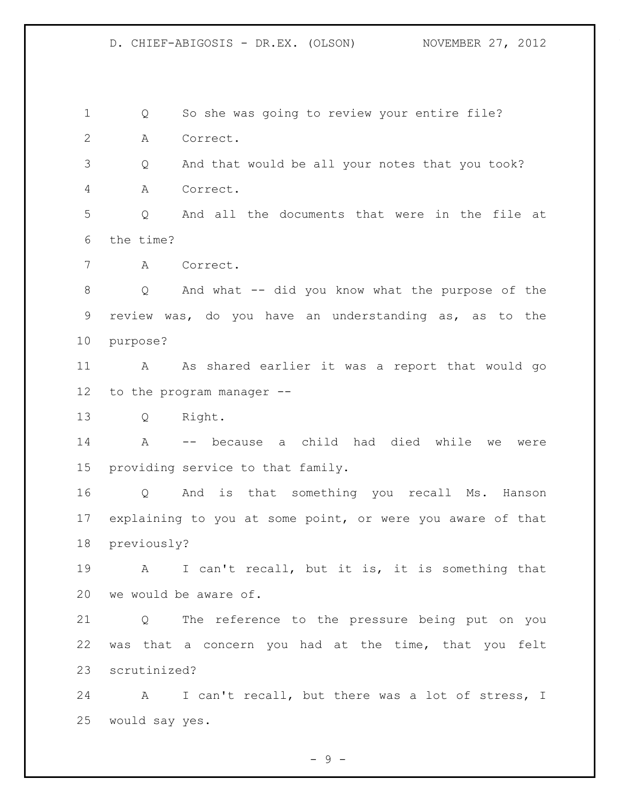Q So she was going to review your entire file? A Correct.

 Q And that would be all your notes that you took? A Correct.

 Q And all the documents that were in the file at the time?

A Correct.

 Q And what -- did you know what the purpose of the review was, do you have an understanding as, as to the purpose?

 A As shared earlier it was a report that would go to the program manager --

Q Right.

 A -- because a child had died while we were providing service to that family.

 Q And is that something you recall Ms. Hanson explaining to you at some point, or were you aware of that previously?

 A I can't recall, but it is, it is something that we would be aware of.

 Q The reference to the pressure being put on you was that a concern you had at the time, that you felt scrutinized?

 A I can't recall, but there was a lot of stress, I would say yes.

 $-9 -$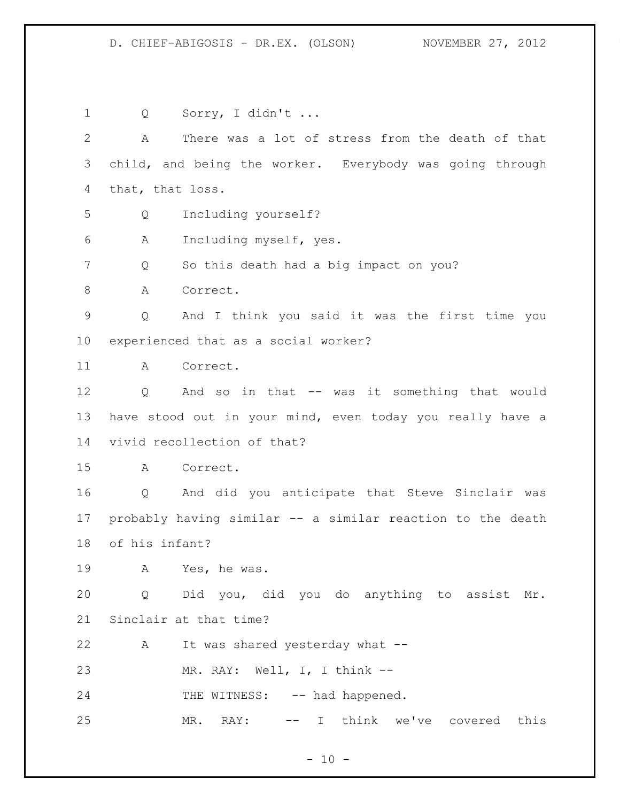Q Sorry, I didn't ... A There was a lot of stress from the death of that child, and being the worker. Everybody was going through that, that loss. Q Including yourself? A Including myself, yes. Q So this death had a big impact on you? 8 A Correct. Q And I think you said it was the first time you experienced that as a social worker? A Correct. Q And so in that -- was it something that would have stood out in your mind, even today you really have a vivid recollection of that? A Correct. Q And did you anticipate that Steve Sinclair was probably having similar -- a similar reaction to the death of his infant? A Yes, he was. Q Did you, did you do anything to assist Mr. Sinclair at that time? A It was shared yesterday what -- MR. RAY: Well, I, I think -- 24 THE WITNESS: -- had happened. MR. RAY: -- I think we've covered this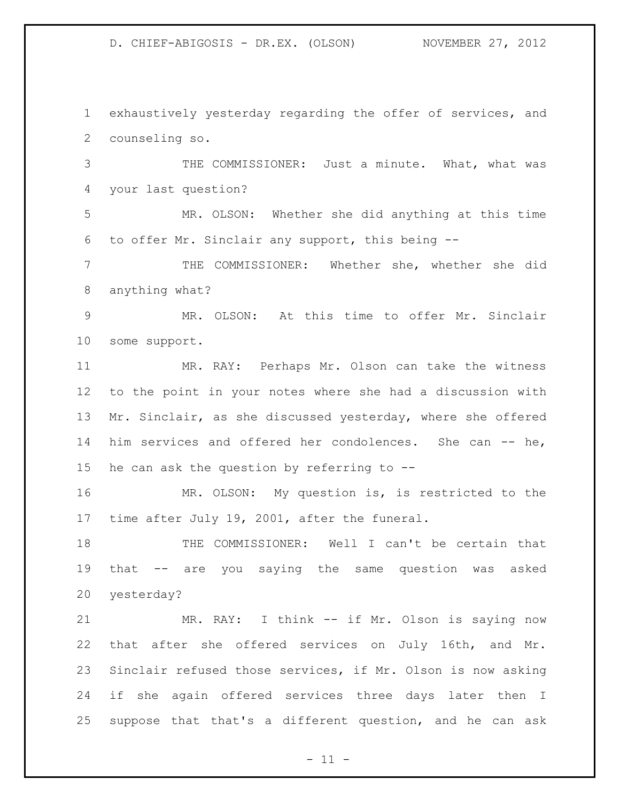exhaustively yesterday regarding the offer of services, and counseling so.

 THE COMMISSIONER: Just a minute. What, what was your last question?

 MR. OLSON: Whether she did anything at this time to offer Mr. Sinclair any support, this being --

 THE COMMISSIONER: Whether she, whether she did anything what?

 MR. OLSON: At this time to offer Mr. Sinclair some support.

 MR. RAY: Perhaps Mr. Olson can take the witness to the point in your notes where she had a discussion with 13 Mr. Sinclair, as she discussed yesterday, where she offered 14 him services and offered her condolences. She can -- he, 15 he can ask the question by referring to  $-$ -

 MR. OLSON: My question is, is restricted to the time after July 19, 2001, after the funeral.

 THE COMMISSIONER: Well I can't be certain that that -- are you saying the same question was asked yesterday?

 MR. RAY: I think -- if Mr. Olson is saying now that after she offered services on July 16th, and Mr. Sinclair refused those services, if Mr. Olson is now asking if she again offered services three days later then I suppose that that's a different question, and he can ask

 $-11 -$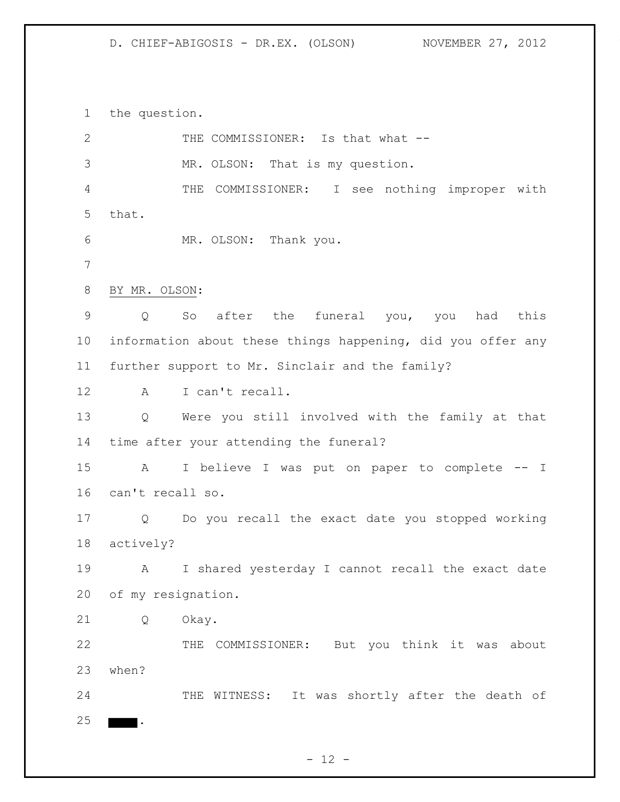the question.

| $\mathbf{2}$   |                    | THE COMMISSIONER: Is that what --                           |  |
|----------------|--------------------|-------------------------------------------------------------|--|
| 3              |                    | MR. OLSON: That is my question.                             |  |
| 4              |                    | THE COMMISSIONER: I see nothing improper with               |  |
| 5              | that.              |                                                             |  |
| 6              |                    | MR. OLSON: Thank you.                                       |  |
| $7\phantom{.}$ |                    |                                                             |  |
| 8              | BY MR. OLSON:      |                                                             |  |
| 9              | Q                  | So after the funeral you, you had this                      |  |
| 10             |                    | information about these things happening, did you offer any |  |
| 11             |                    | further support to Mr. Sinclair and the family?             |  |
| 12             | $\mathbb A$        | I can't recall.                                             |  |
| 13             | $Q \qquad \qquad$  | Were you still involved with the family at that             |  |
| 14             |                    | time after your attending the funeral?                      |  |
| 15             | A                  | I believe I was put on paper to complete -- I               |  |
| 16             | can't recall so.   |                                                             |  |
| 17             | Q                  | Do you recall the exact date you stopped working            |  |
| 18             | actively?          |                                                             |  |
| 19             | A                  | I shared yesterday I cannot recall the exact date           |  |
| 20             | of my resignation. |                                                             |  |
| 21             | Q                  | Okay.                                                       |  |
| 22             |                    | COMMISSIONER: But you think it was about<br>THE             |  |
| 23             | when?              |                                                             |  |
| 24             |                    | THE WITNESS: It was shortly after the death of              |  |
| 25             |                    |                                                             |  |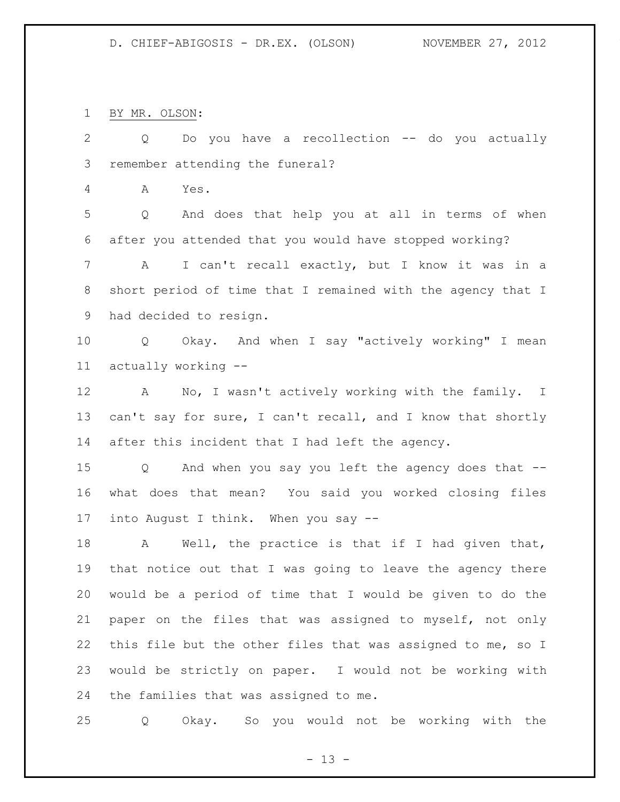BY MR. OLSON:

 Q Do you have a recollection -- do you actually remember attending the funeral? A Yes. Q And does that help you at all in terms of when after you attended that you would have stopped working? A I can't recall exactly, but I know it was in a short period of time that I remained with the agency that I had decided to resign. Q Okay. And when I say "actively working" I mean actually working -- A No, I wasn't actively working with the family. I 13 can't say for sure, I can't recall, and I know that shortly after this incident that I had left the agency. Q And when you say you left the agency does that -- what does that mean? You said you worked closing files into August I think. When you say -- 18 A Well, the practice is that if I had given that, that notice out that I was going to leave the agency there would be a period of time that I would be given to do the paper on the files that was assigned to myself, not only this file but the other files that was assigned to me, so I would be strictly on paper. I would not be working with the families that was assigned to me.

Q Okay. So you would not be working with the

 $- 13 -$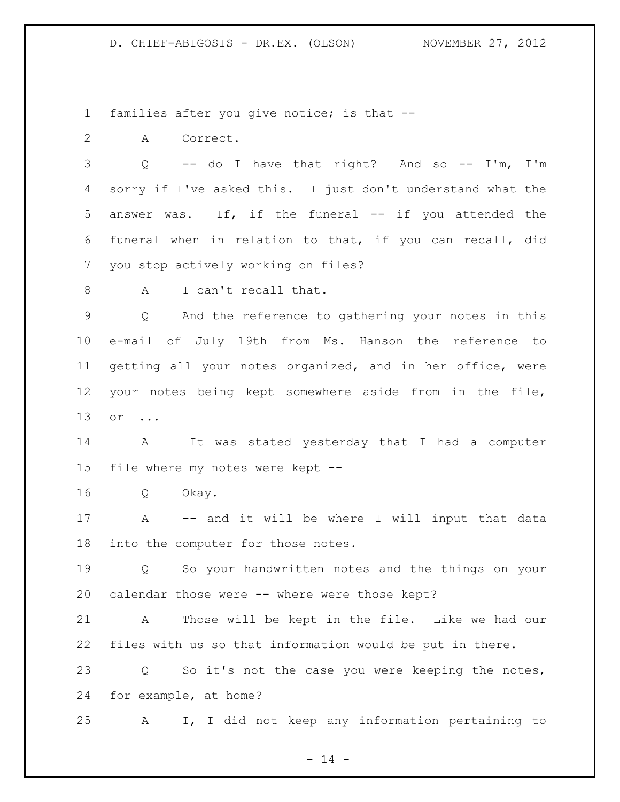families after you give notice; is that --

A Correct.

 Q -- do I have that right? And so -- I'm, I'm sorry if I've asked this. I just don't understand what the answer was. If, if the funeral -- if you attended the funeral when in relation to that, if you can recall, did you stop actively working on files?

8 A I can't recall that.

 Q And the reference to gathering your notes in this e-mail of July 19th from Ms. Hanson the reference to getting all your notes organized, and in her office, were your notes being kept somewhere aside from in the file, or ...

 A It was stated yesterday that I had a computer file where my notes were kept --

Q Okay.

 A -- and it will be where I will input that data into the computer for those notes.

 Q So your handwritten notes and the things on your calendar those were -- where were those kept?

 A Those will be kept in the file. Like we had our files with us so that information would be put in there.

 Q So it's not the case you were keeping the notes, for example, at home?

A I, I did not keep any information pertaining to

 $- 14 -$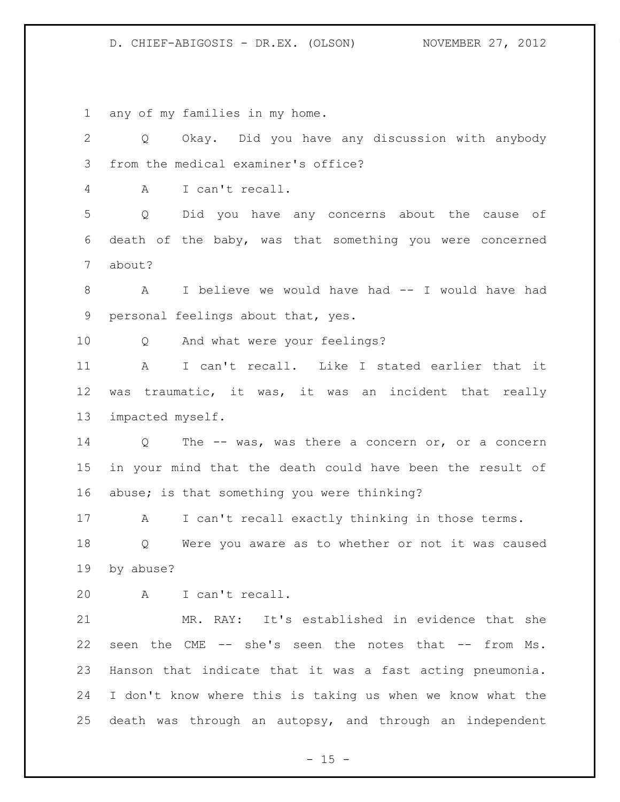any of my families in my home.

 Q Okay. Did you have any discussion with anybody from the medical examiner's office? A I can't recall. Q Did you have any concerns about the cause of death of the baby, was that something you were concerned about? A I believe we would have had -- I would have had personal feelings about that, yes. Q And what were your feelings? A I can't recall. Like I stated earlier that it was traumatic, it was, it was an incident that really impacted myself. Q The -- was, was there a concern or, or a concern in your mind that the death could have been the result of abuse; is that something you were thinking? A I can't recall exactly thinking in those terms. Q Were you aware as to whether or not it was caused by abuse? A I can't recall. MR. RAY: It's established in evidence that she seen the CME -- she's seen the notes that -- from Ms. Hanson that indicate that it was a fast acting pneumonia. I don't know where this is taking us when we know what the death was through an autopsy, and through an independent

 $- 15 -$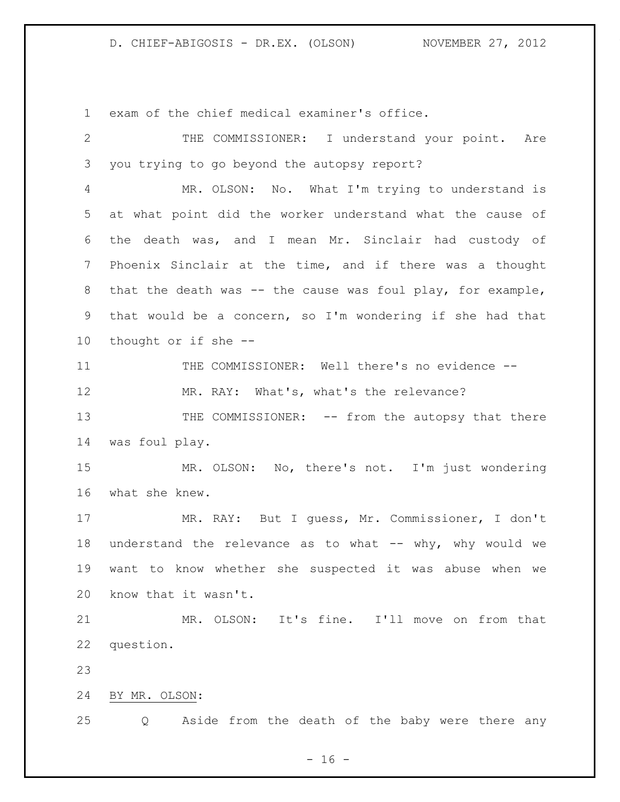exam of the chief medical examiner's office.

 THE COMMISSIONER: I understand your point. Are you trying to go beyond the autopsy report? MR. OLSON: No. What I'm trying to understand is at what point did the worker understand what the cause of the death was, and I mean Mr. Sinclair had custody of Phoenix Sinclair at the time, and if there was a thought that the death was -- the cause was foul play, for example, that would be a concern, so I'm wondering if she had that thought or if she -- THE COMMISSIONER: Well there's no evidence -- 12 MR. RAY: What's, what's the relevance? 13 THE COMMISSIONER: -- from the autopsy that there was foul play. MR. OLSON: No, there's not. I'm just wondering what she knew. MR. RAY: But I guess, Mr. Commissioner, I don't 18 understand the relevance as to what -- why, why would we want to know whether she suspected it was abuse when we know that it wasn't. MR. OLSON: It's fine. I'll move on from that question. BY MR. OLSON: Q Aside from the death of the baby were there any

 $- 16 -$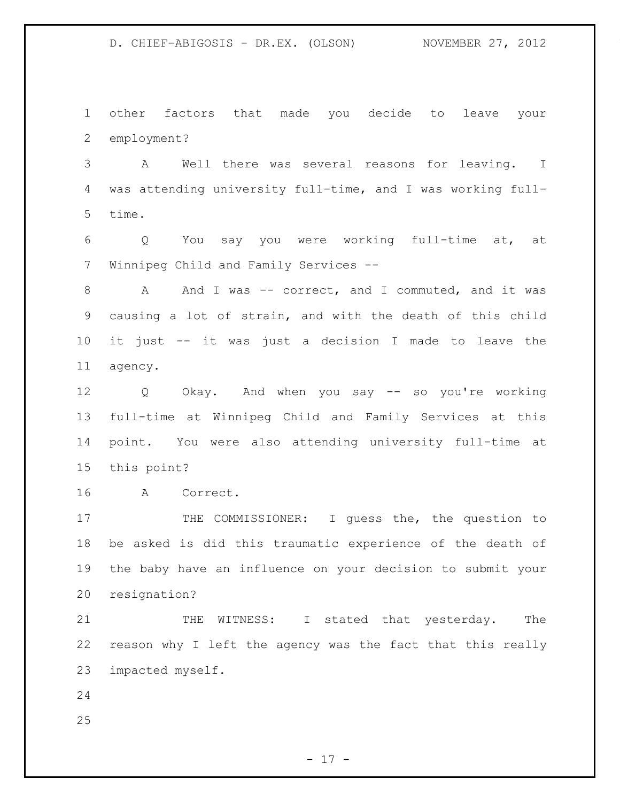other factors that made you decide to leave your employment?

 A Well there was several reasons for leaving. I was attending university full-time, and I was working full-time.

 Q You say you were working full-time at, at Winnipeg Child and Family Services --

8 A And I was -- correct, and I commuted, and it was causing a lot of strain, and with the death of this child it just -- it was just a decision I made to leave the agency.

 Q Okay. And when you say -- so you're working full-time at Winnipeg Child and Family Services at this point. You were also attending university full-time at this point?

A Correct.

17 THE COMMISSIONER: I guess the, the question to be asked is did this traumatic experience of the death of the baby have an influence on your decision to submit your resignation?

21 THE WITNESS: I stated that yesterday. The reason why I left the agency was the fact that this really impacted myself.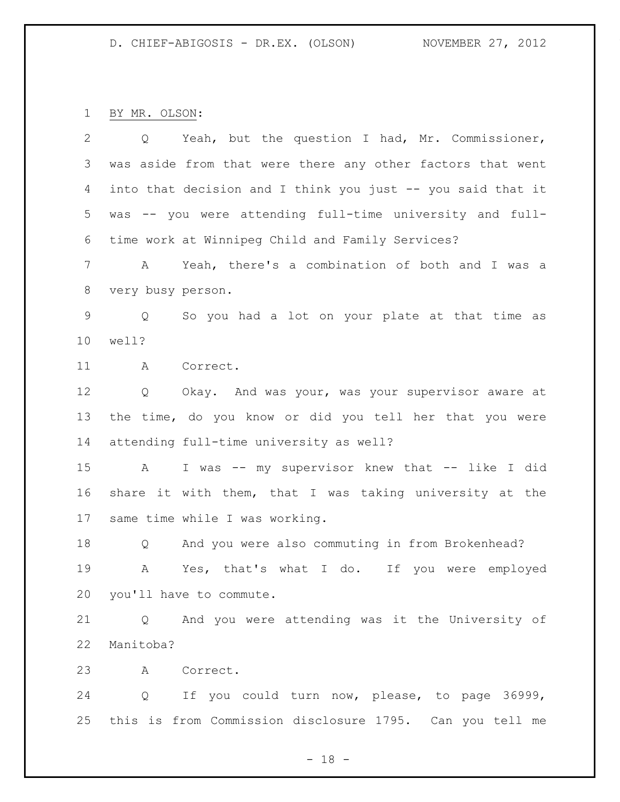BY MR. OLSON:

| $\overline{2}$  |                   | Q Yeah, but the question I had, Mr. Commissioner,           |
|-----------------|-------------------|-------------------------------------------------------------|
| 3               |                   | was aside from that were there any other factors that went  |
| $\overline{4}$  |                   | into that decision and I think you just -- you said that it |
| 5               |                   | was -- you were attending full-time university and full-    |
| 6               |                   | time work at Winnipeg Child and Family Services?            |
| 7               |                   | A Yeah, there's a combination of both and I was a           |
| 8               | very busy person. |                                                             |
| $\mathsf 9$     | Q                 | So you had a lot on your plate at that time as              |
| 10              | well?             |                                                             |
| 11              | A                 | Correct.                                                    |
| 12              | Q                 | Okay. And was your, was your supervisor aware at            |
| 13              |                   | the time, do you know or did you tell her that you were     |
| 14              |                   | attending full-time university as well?                     |
| 15              | $\mathbf{A}$      | I was -- my supervisor knew that -- like I did              |
| 16              |                   | share it with them, that I was taking university at the     |
| 17              |                   | same time while I was working.                              |
| 18              | $\mathsf{Q}$      | And you were also commuting in from Brokenhead?             |
| 19              | A                 | Yes, that's what I do. If you were employed                 |
|                 |                   | 20 you'll have to commute.                                  |
| 21              |                   | Q And you were attending was it the University of           |
| 22<br>Manitoba? |                   |                                                             |
| 23              |                   | A Correct.                                                  |
| 24              |                   | Q If you could turn now, please, to page 36999,             |
| 25              |                   | this is from Commission disclosure 1795. Can you tell me    |

- 18 -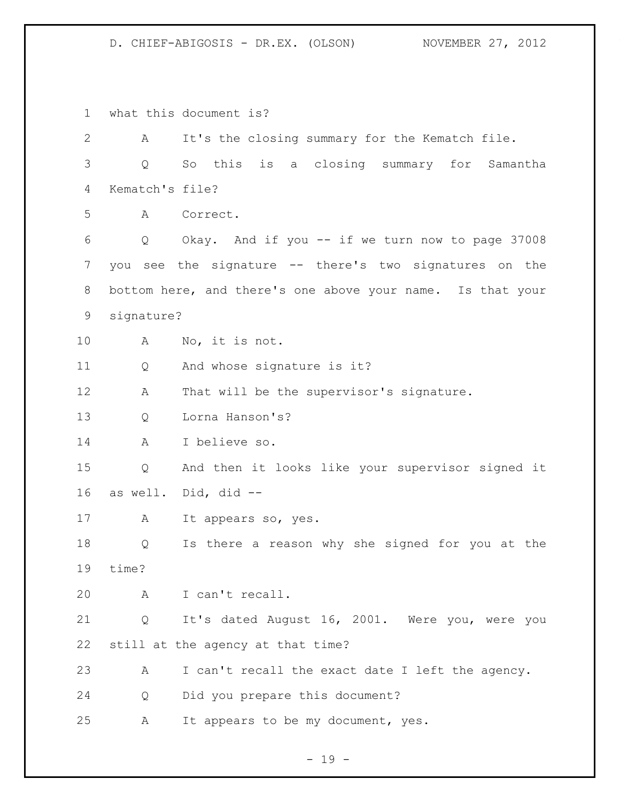what this document is? A It's the closing summary for the Kematch file. Q So this is a closing summary for Samantha Kematch's file? A Correct. Q Okay. And if you -- if we turn now to page 37008 you see the signature -- there's two signatures on the bottom here, and there's one above your name. Is that your signature? A No, it is not. Q And whose signature is it? A That will be the supervisor's signature. Q Lorna Hanson's? A I believe so. Q And then it looks like your supervisor signed it as well. Did, did -- 17 A It appears so, yes. Q Is there a reason why she signed for you at the time? A I can't recall. Q It's dated August 16, 2001. Were you, were you still at the agency at that time? A I can't recall the exact date I left the agency. Q Did you prepare this document? A It appears to be my document, yes.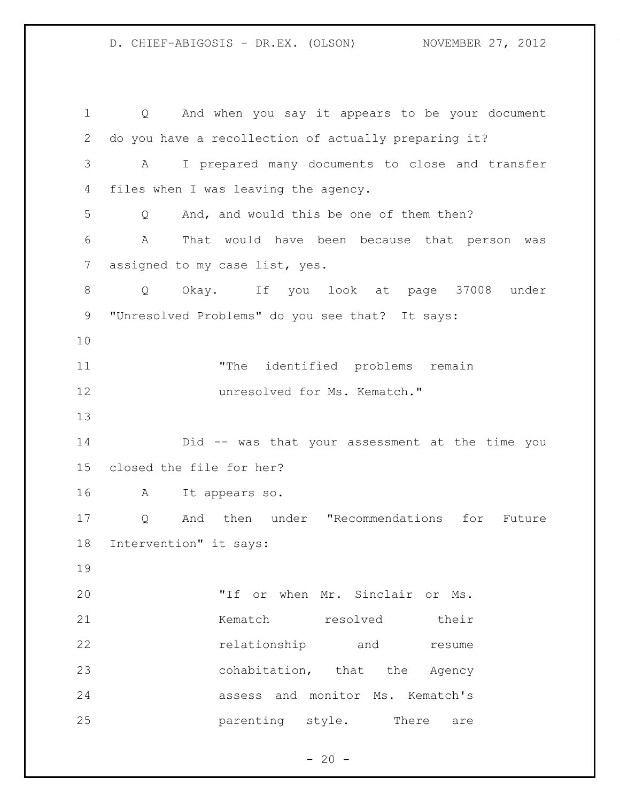Q And when you say it appears to be your document do you have a recollection of actually preparing it? A I prepared many documents to close and transfer files when I was leaving the agency. Q And, and would this be one of them then? A That would have been because that person was 7 assigned to my case list, yes. Q Okay. If you look at page 37008 under "Unresolved Problems" do you see that? It says: "The identified problems remain **unresolved for Ms. Kematch."**  Did -- was that your assessment at the time you closed the file for her? A It appears so. Q And then under "Recommendations for Future Intervention" it says: "If or when Mr. Sinclair or Ms. 21 Kematch resolved their **relationship** and resume cohabitation, that the Agency assess and monitor Ms. Kematch's **parenting** style. There are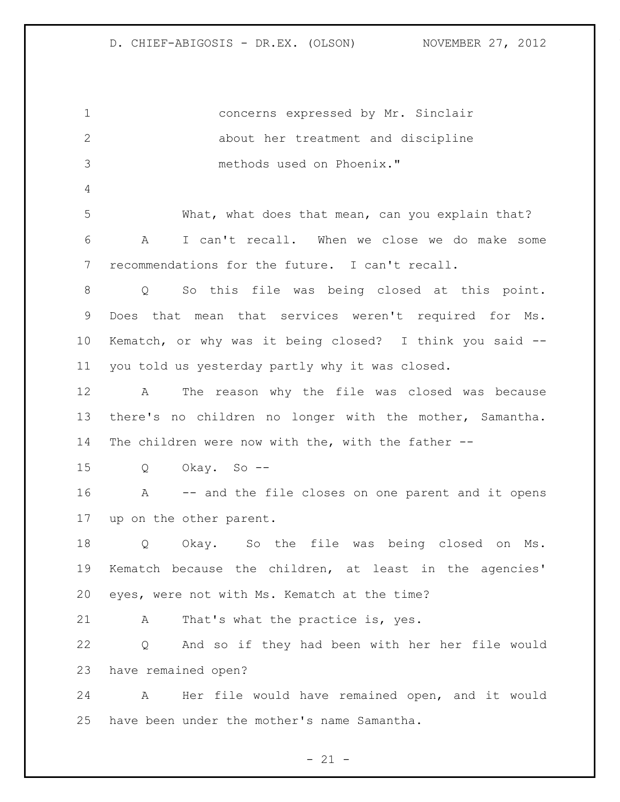concerns expressed by Mr. Sinclair about her treatment and discipline methods used on Phoenix." 5 What, what does that mean, can you explain that? A I can't recall. When we close we do make some recommendations for the future. I can't recall. Q So this file was being closed at this point. Does that mean that services weren't required for Ms. Kematch, or why was it being closed? I think you said -- you told us yesterday partly why it was closed. A The reason why the file was closed was because there's no children no longer with the mother, Samantha. The children were now with the, with the father -- Q Okay. So -- A -- and the file closes on one parent and it opens up on the other parent. Q Okay. So the file was being closed on Ms. Kematch because the children, at least in the agencies' eyes, were not with Ms. Kematch at the time? A That's what the practice is, yes. Q And so if they had been with her her file would have remained open? A Her file would have remained open, and it would have been under the mother's name Samantha.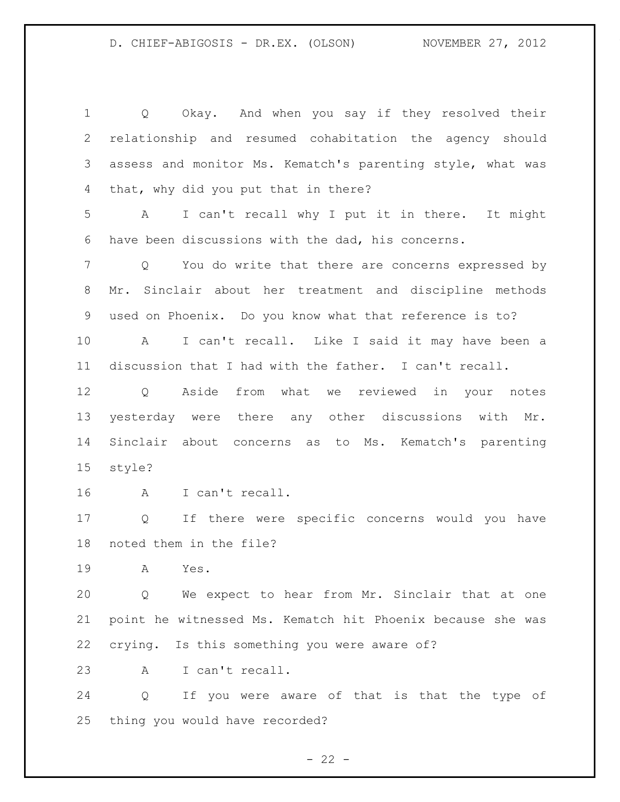Q Okay. And when you say if they resolved their relationship and resumed cohabitation the agency should assess and monitor Ms. Kematch's parenting style, what was that, why did you put that in there? A I can't recall why I put it in there. It might have been discussions with the dad, his concerns. Q You do write that there are concerns expressed by Mr. Sinclair about her treatment and discipline methods used on Phoenix. Do you know what that reference is to? A I can't recall. Like I said it may have been a discussion that I had with the father. I can't recall. Q Aside from what we reviewed in your notes yesterday were there any other discussions with Mr. Sinclair about concerns as to Ms. Kematch's parenting style? A I can't recall. Q If there were specific concerns would you have noted them in the file? A Yes. Q We expect to hear from Mr. Sinclair that at one point he witnessed Ms. Kematch hit Phoenix because she was crying. Is this something you were aware of? A I can't recall. Q If you were aware of that is that the type of thing you would have recorded?

 $- 22 -$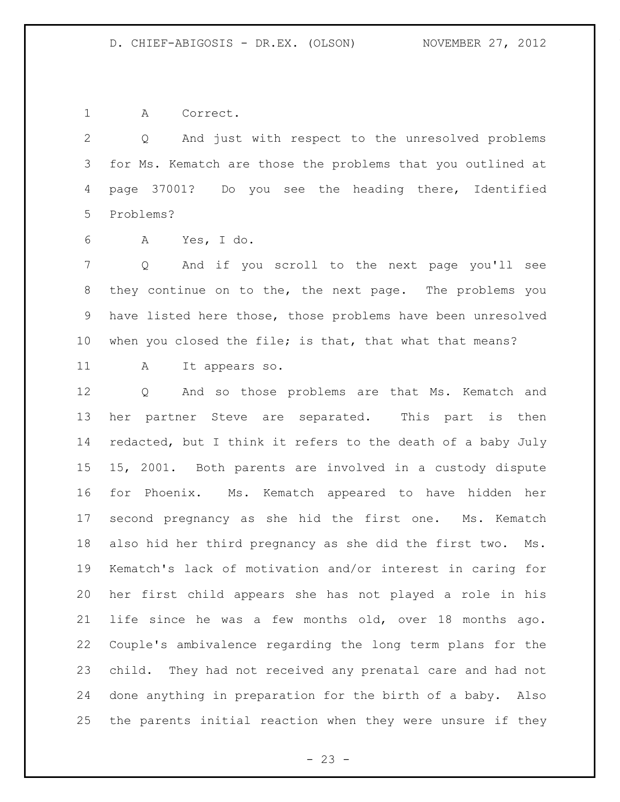A Correct.

 Q And just with respect to the unresolved problems for Ms. Kematch are those the problems that you outlined at page 37001? Do you see the heading there, Identified Problems?

A Yes, I do.

 Q And if you scroll to the next page you'll see they continue on to the, the next page. The problems you have listed here those, those problems have been unresolved when you closed the file; is that, that what that means?

A It appears so.

 Q And so those problems are that Ms. Kematch and her partner Steve are separated. This part is then redacted, but I think it refers to the death of a baby July 15, 2001. Both parents are involved in a custody dispute for Phoenix. Ms. Kematch appeared to have hidden her second pregnancy as she hid the first one. Ms. Kematch also hid her third pregnancy as she did the first two. Ms. Kematch's lack of motivation and/or interest in caring for her first child appears she has not played a role in his life since he was a few months old, over 18 months ago. Couple's ambivalence regarding the long term plans for the child. They had not received any prenatal care and had not done anything in preparation for the birth of a baby. Also the parents initial reaction when they were unsure if they

 $- 23 -$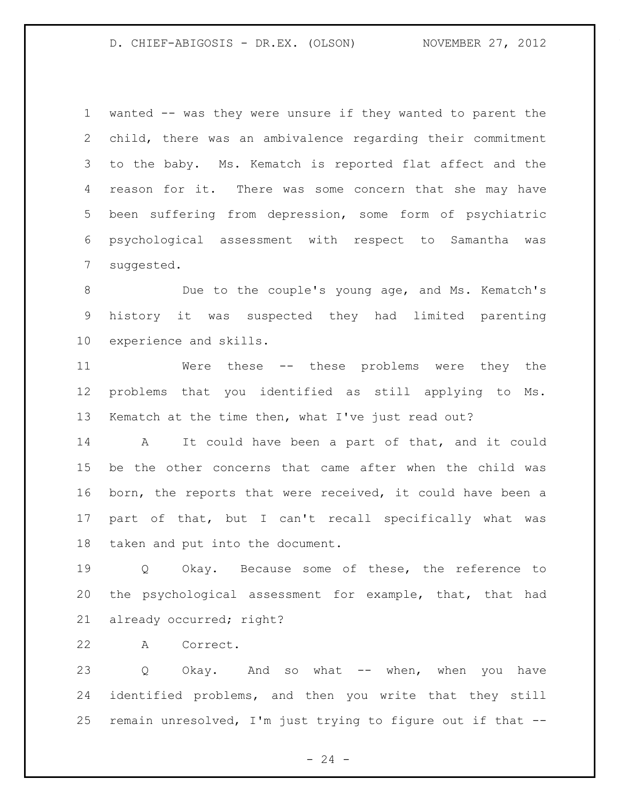wanted -- was they were unsure if they wanted to parent the child, there was an ambivalence regarding their commitment to the baby. Ms. Kematch is reported flat affect and the 4 reason for it. There was some concern that she may have been suffering from depression, some form of psychiatric psychological assessment with respect to Samantha was suggested.

 Due to the couple's young age, and Ms. Kematch's history it was suspected they had limited parenting experience and skills.

 Were these -- these problems were they the problems that you identified as still applying to Ms. Kematch at the time then, what I've just read out?

 A It could have been a part of that, and it could be the other concerns that came after when the child was born, the reports that were received, it could have been a part of that, but I can't recall specifically what was taken and put into the document.

 Q Okay. Because some of these, the reference to the psychological assessment for example, that, that had already occurred; right?

A Correct.

 Q Okay. And so what -- when, when you have identified problems, and then you write that they still remain unresolved, I'm just trying to figure out if that --

 $- 24 -$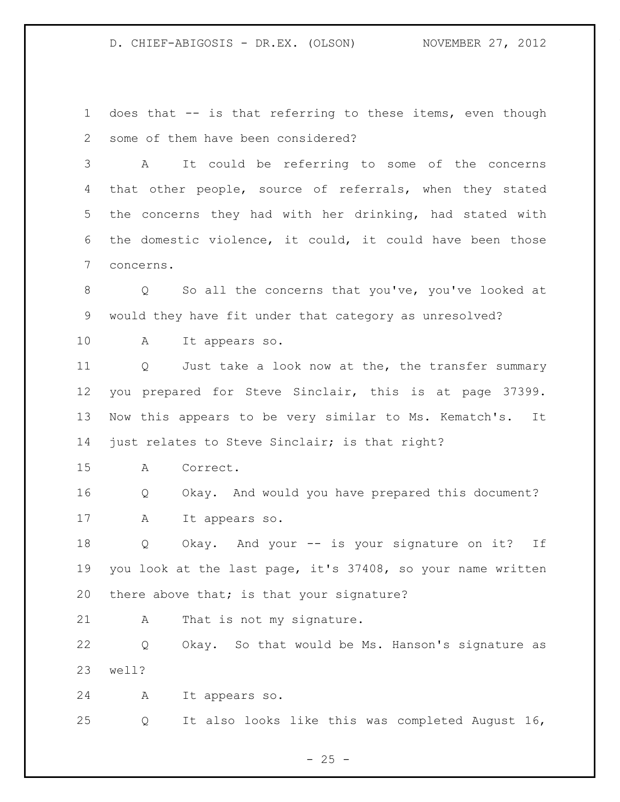does that -- is that referring to these items, even though some of them have been considered?

 A It could be referring to some of the concerns that other people, source of referrals, when they stated the concerns they had with her drinking, had stated with the domestic violence, it could, it could have been those concerns.

8 Q So all the concerns that you've, you've looked at would they have fit under that category as unresolved?

A It appears so.

 Q Just take a look now at the, the transfer summary you prepared for Steve Sinclair, this is at page 37399. Now this appears to be very similar to Ms. Kematch's. It just relates to Steve Sinclair; is that right?

A Correct.

 Q Okay. And would you have prepared this document? A It appears so.

 Q Okay. And your -- is your signature on it? If you look at the last page, it's 37408, so your name written 20 there above that; is that your signature?

21 A That is not my signature.

 Q Okay. So that would be Ms. Hanson's signature as well?

A It appears so.

Q It also looks like this was completed August 16,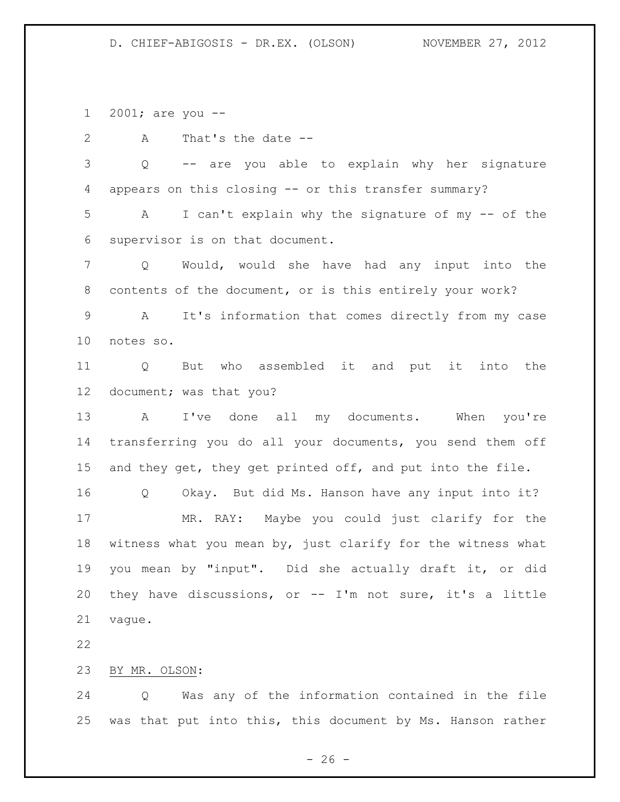2001; are you --

A That's the date --

 Q -- are you able to explain why her signature appears on this closing -- or this transfer summary? A I can't explain why the signature of my -- of the supervisor is on that document. Q Would, would she have had any input into the contents of the document, or is this entirely your work? A It's information that comes directly from my case notes so. Q But who assembled it and put it into the document; was that you? A I've done all my documents. When you're transferring you do all your documents, you send them off 15 and they get, they get printed off, and put into the file. Q Okay. But did Ms. Hanson have any input into it? MR. RAY: Maybe you could just clarify for the witness what you mean by, just clarify for the witness what you mean by "input". Did she actually draft it, or did they have discussions, or -- I'm not sure, it's a little vague.

BY MR. OLSON:

 Q Was any of the information contained in the file was that put into this, this document by Ms. Hanson rather

 $- 26 -$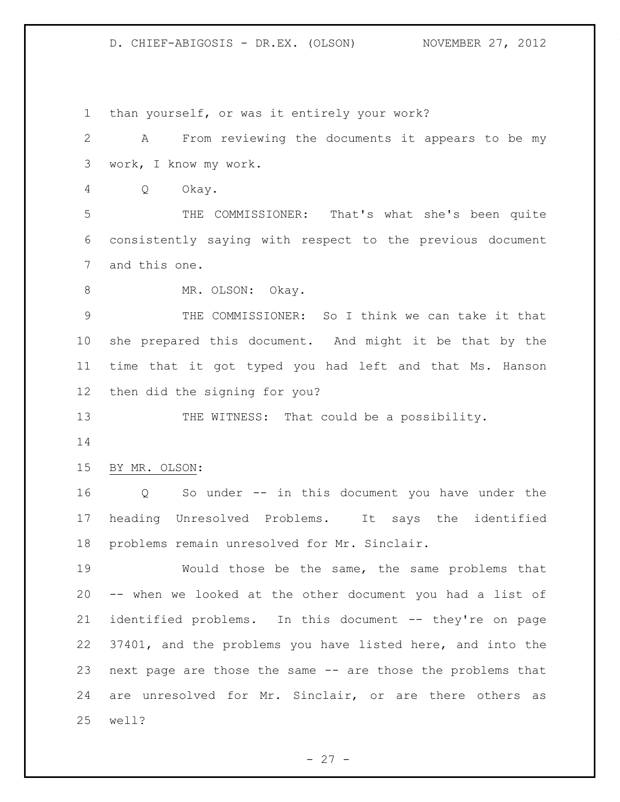than yourself, or was it entirely your work? A From reviewing the documents it appears to be my work, I know my work. Q Okay. THE COMMISSIONER: That's what she's been quite consistently saying with respect to the previous document and this one. 8 MR. OLSON: Okay. THE COMMISSIONER: So I think we can take it that she prepared this document. And might it be that by the time that it got typed you had left and that Ms. Hanson then did the signing for you? 13 THE WITNESS: That could be a possibility. BY MR. OLSON: Q So under -- in this document you have under the heading Unresolved Problems. It says the identified problems remain unresolved for Mr. Sinclair. Would those be the same, the same problems that -- when we looked at the other document you had a list of identified problems. In this document -- they're on page 37401, and the problems you have listed here, and into the next page are those the same -- are those the problems that are unresolved for Mr. Sinclair, or are there others as well?

 $- 27 -$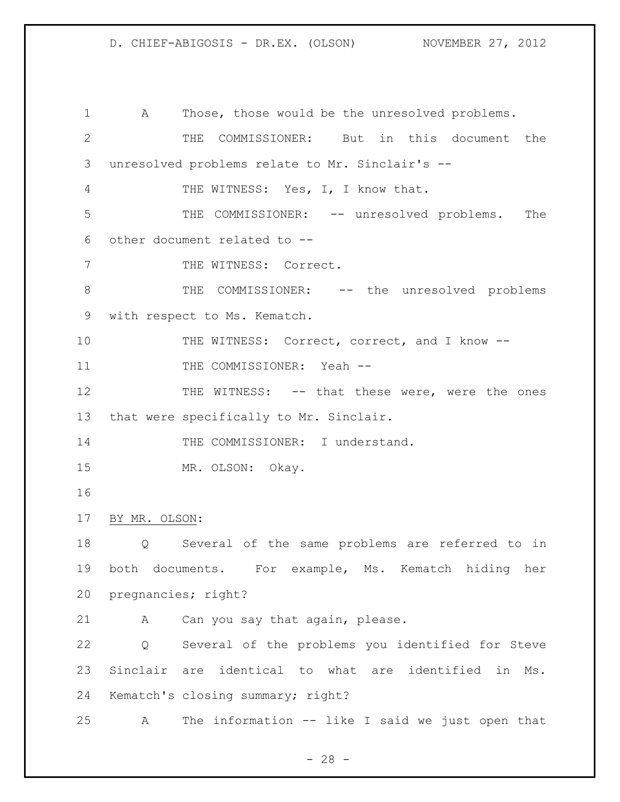A Those, those would be the unresolved problems. THE COMMISSIONER: But in this document the unresolved problems relate to Mr. Sinclair's -- THE WITNESS: Yes, I, I know that. THE COMMISSIONER: -- unresolved problems. The other document related to -- 7 THE WITNESS: Correct. 8 THE COMMISSIONER: -- the unresolved problems with respect to Ms. Kematch. 10 THE WITNESS: Correct, correct, and I know --11 THE COMMISSIONER: Yeah --12 THE WITNESS: -- that these were, were the ones that were specifically to Mr. Sinclair. 14 THE COMMISSIONER: I understand. MR. OLSON: Okay. BY MR. OLSON: Q Several of the same problems are referred to in both documents. For example, Ms. Kematch hiding her pregnancies; right? A Can you say that again, please. Q Several of the problems you identified for Steve Sinclair are identical to what are identified in Ms. Kematch's closing summary; right? A The information -- like I said we just open that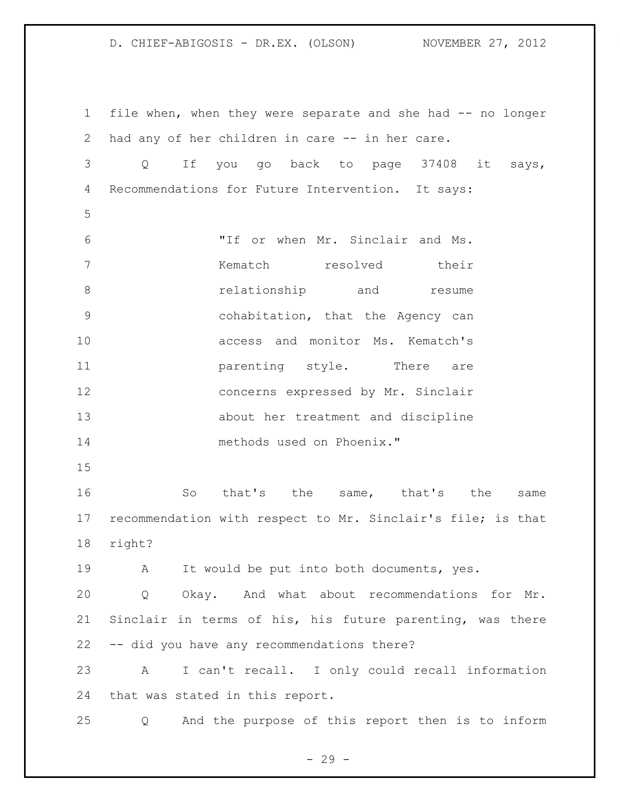file when, when they were separate and she had -- no longer had any of her children in care -- in her care. Q If you go back to page 37408 it says, Recommendations for Future Intervention. It says: "If or when Mr. Sinclair and Ms. Kematch resolved their **8** *relationship* and *resume*  cohabitation, that the Agency can access and monitor Ms. Kematch's **parenting style.** There are concerns expressed by Mr. Sinclair about her treatment and discipline methods used on Phoenix." 16 So that's the same, that's the same recommendation with respect to Mr. Sinclair's file; is that right? A It would be put into both documents, yes. Q Okay. And what about recommendations for Mr. Sinclair in terms of his, his future parenting, was there -- did you have any recommendations there? A I can't recall. I only could recall information that was stated in this report. Q And the purpose of this report then is to inform

 $-29 -$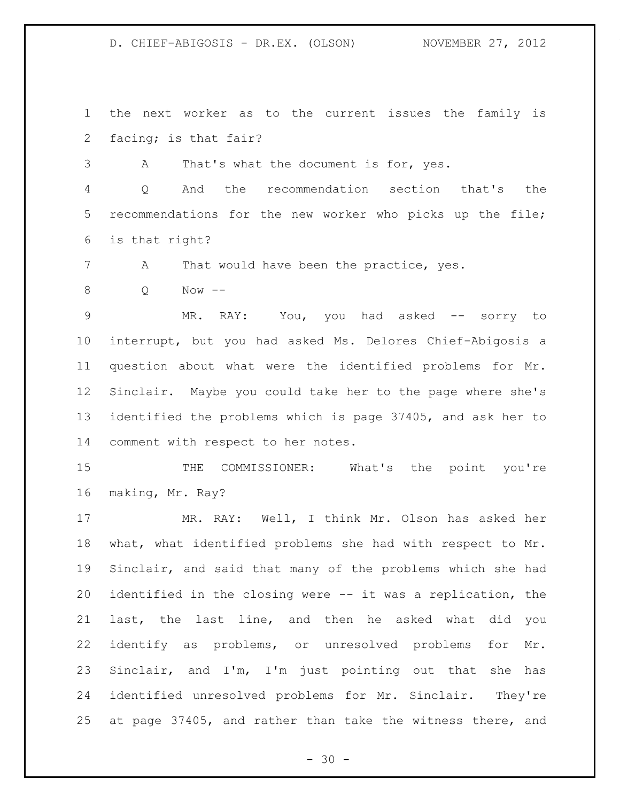the next worker as to the current issues the family is facing; is that fair?

A That's what the document is for, yes.

 Q And the recommendation section that's the recommendations for the new worker who picks up the file; is that right?

7 A That would have been the practice, yes.

Q Now --

9 MR. RAY: You, you had asked -- sorry to interrupt, but you had asked Ms. Delores Chief-Abigosis a question about what were the identified problems for Mr. Sinclair. Maybe you could take her to the page where she's identified the problems which is page 37405, and ask her to comment with respect to her notes.

15 THE COMMISSIONER: What's the point you're making, Mr. Ray?

 MR. RAY: Well, I think Mr. Olson has asked her what, what identified problems she had with respect to Mr. Sinclair, and said that many of the problems which she had identified in the closing were -- it was a replication, the last, the last line, and then he asked what did you identify as problems, or unresolved problems for Mr. Sinclair, and I'm, I'm just pointing out that she has identified unresolved problems for Mr. Sinclair. They're at page 37405, and rather than take the witness there, and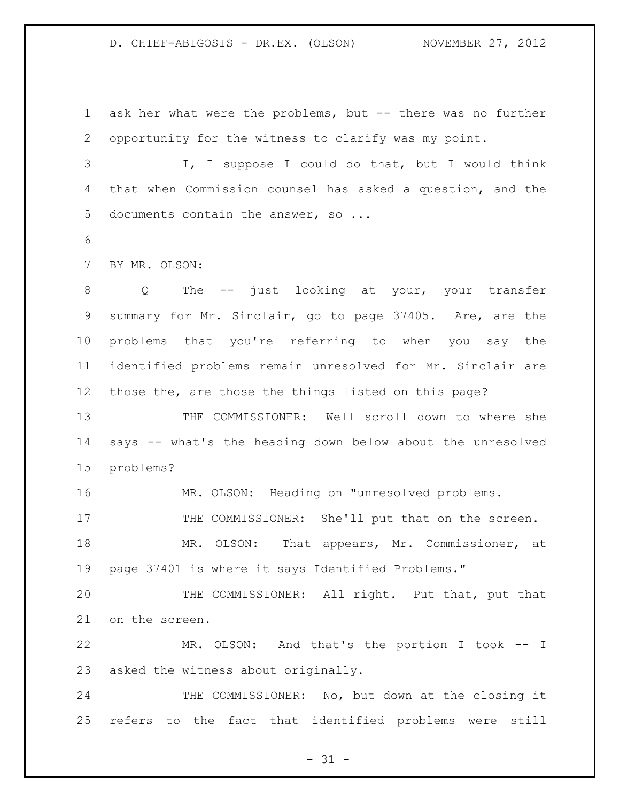ask her what were the problems, but -- there was no further opportunity for the witness to clarify was my point.

 I, I suppose I could do that, but I would think that when Commission counsel has asked a question, and the 5 documents contain the answer, so ...

#### BY MR. OLSON:

8 Q The -- just looking at your, your transfer summary for Mr. Sinclair, go to page 37405. Are, are the problems that you're referring to when you say the identified problems remain unresolved for Mr. Sinclair are those the, are those the things listed on this page?

 THE COMMISSIONER: Well scroll down to where she says -- what's the heading down below about the unresolved problems?

MR. OLSON: Heading on "unresolved problems.

17 THE COMMISSIONER: She'll put that on the screen.

 MR. OLSON: That appears, Mr. Commissioner, at page 37401 is where it says Identified Problems."

 THE COMMISSIONER: All right. Put that, put that on the screen.

 MR. OLSON: And that's the portion I took -- I asked the witness about originally.

24 THE COMMISSIONER: No, but down at the closing it refers to the fact that identified problems were still

 $- 31 -$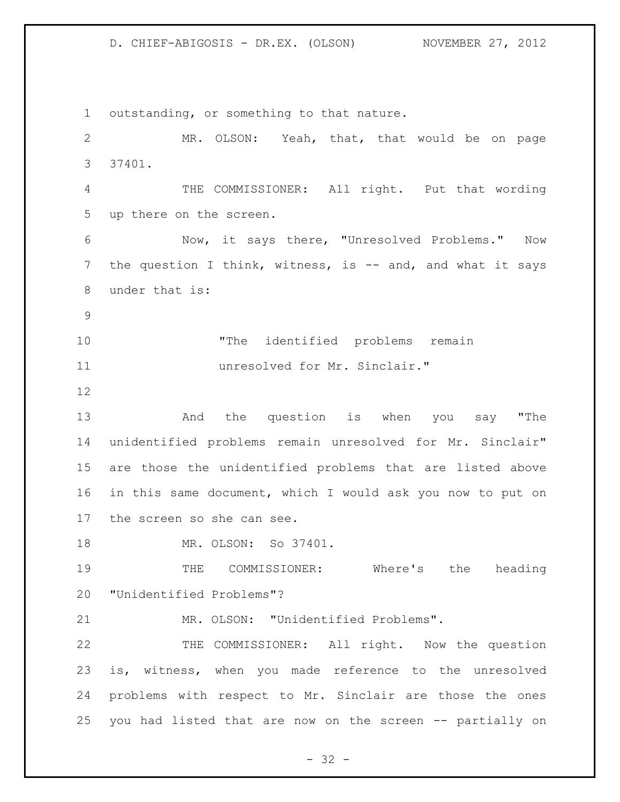outstanding, or something to that nature. MR. OLSON: Yeah, that, that would be on page 37401. THE COMMISSIONER: All right. Put that wording up there on the screen. Now, it says there, "Unresolved Problems." Now 7 the question I think, witness, is -- and, and what it says under that is: "The identified problems remain unresolved for Mr. Sinclair." And the question is when you say "The unidentified problems remain unresolved for Mr. Sinclair" are those the unidentified problems that are listed above in this same document, which I would ask you now to put on the screen so she can see. MR. OLSON: So 37401. THE COMMISSIONER: Where's the heading "Unidentified Problems"? MR. OLSON: "Unidentified Problems". THE COMMISSIONER: All right. Now the question is, witness, when you made reference to the unresolved problems with respect to Mr. Sinclair are those the ones you had listed that are now on the screen -- partially on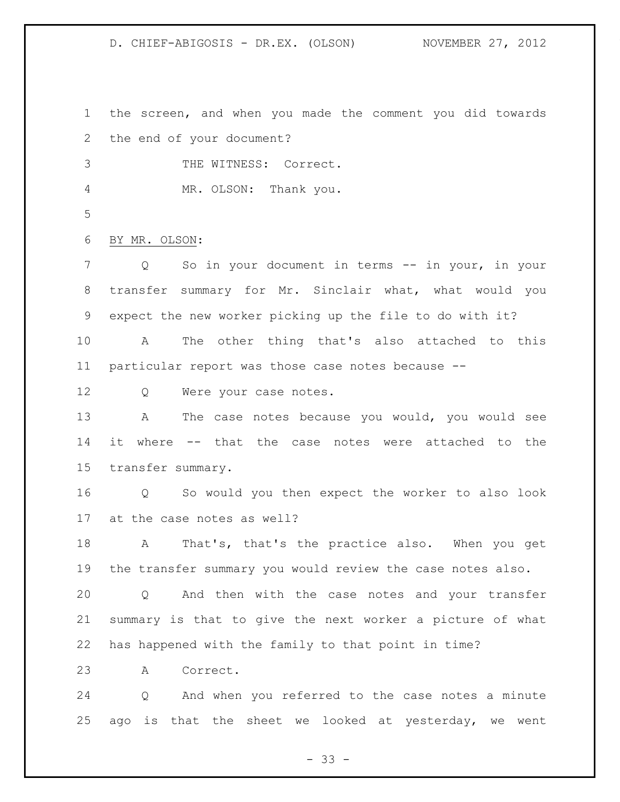the screen, and when you made the comment you did towards the end of your document?

THE WITNESS: Correct.

MR. OLSON: Thank you.

BY MR. OLSON:

 Q So in your document in terms -- in your, in your transfer summary for Mr. Sinclair what, what would you expect the new worker picking up the file to do with it?

 A The other thing that's also attached to this particular report was those case notes because --

12 Q Were your case notes.

 A The case notes because you would, you would see it where -- that the case notes were attached to the transfer summary.

 Q So would you then expect the worker to also look at the case notes as well?

 A That's, that's the practice also. When you get the transfer summary you would review the case notes also.

 Q And then with the case notes and your transfer summary is that to give the next worker a picture of what has happened with the family to that point in time?

A Correct.

 Q And when you referred to the case notes a minute ago is that the sheet we looked at yesterday, we went

 $- 33 -$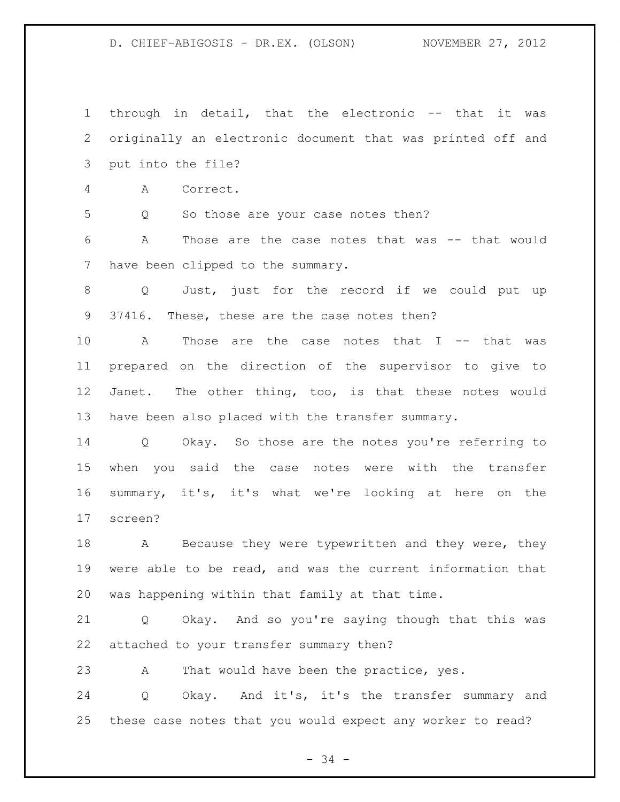through in detail, that the electronic -- that it was originally an electronic document that was printed off and put into the file? A Correct. Q So those are your case notes then? A Those are the case notes that was -- that would have been clipped to the summary. Q Just, just for the record if we could put up 37416. These, these are the case notes then? A Those are the case notes that I -- that was prepared on the direction of the supervisor to give to Janet. The other thing, too, is that these notes would have been also placed with the transfer summary. Q Okay. So those are the notes you're referring to when you said the case notes were with the transfer summary, it's, it's what we're looking at here on the screen? 18 A Because they were typewritten and they were, they were able to be read, and was the current information that was happening within that family at that time. Q Okay. And so you're saying though that this was attached to your transfer summary then? 23 A That would have been the practice, yes. Q Okay. And it's, it's the transfer summary and these case notes that you would expect any worker to read?

- 34 -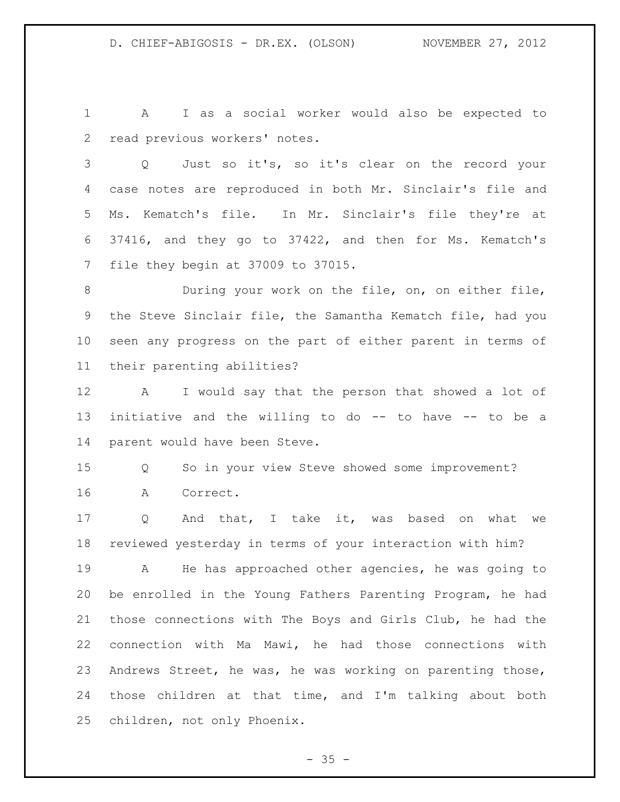A I as a social worker would also be expected to read previous workers' notes.

 Q Just so it's, so it's clear on the record your case notes are reproduced in both Mr. Sinclair's file and Ms. Kematch's file. In Mr. Sinclair's file they're at 37416, and they go to 37422, and then for Ms. Kematch's file they begin at 37009 to 37015.

 During your work on the file, on, on either file, the Steve Sinclair file, the Samantha Kematch file, had you seen any progress on the part of either parent in terms of their parenting abilities?

 A I would say that the person that showed a lot of initiative and the willing to do -- to have -- to be a parent would have been Steve.

 Q So in your view Steve showed some improvement? A Correct.

 Q And that, I take it, was based on what we reviewed yesterday in terms of your interaction with him?

 A He has approached other agencies, he was going to be enrolled in the Young Fathers Parenting Program, he had those connections with The Boys and Girls Club, he had the connection with Ma Mawi, he had those connections with Andrews Street, he was, he was working on parenting those, those children at that time, and I'm talking about both children, not only Phoenix.

 $- 35 -$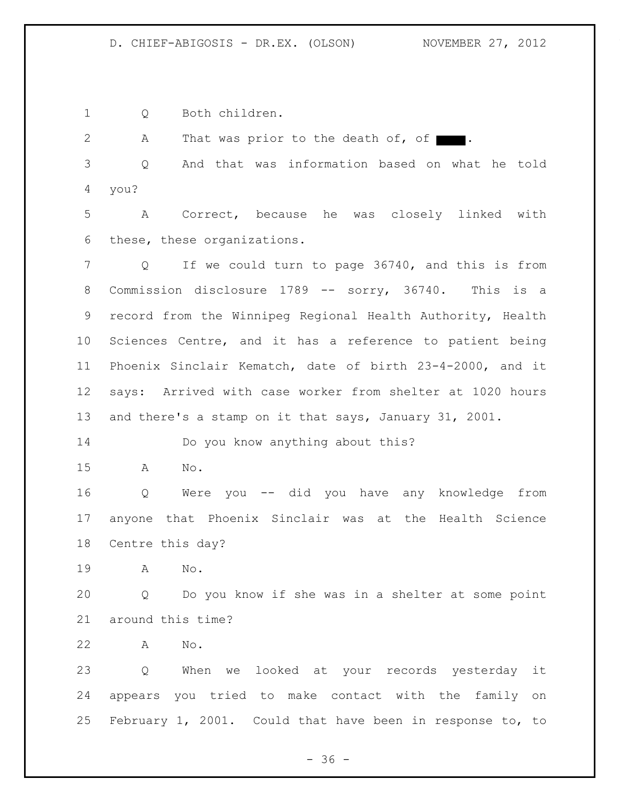Q Both children.

2 A That was prior to the death of, of  $\blacksquare$ .

 Q And that was information based on what he told you?

 A Correct, because he was closely linked with these, these organizations.

 Q If we could turn to page 36740, and this is from Commission disclosure 1789 -- sorry, 36740. This is a record from the Winnipeg Regional Health Authority, Health Sciences Centre, and it has a reference to patient being Phoenix Sinclair Kematch, date of birth 23-4-2000, and it says: Arrived with case worker from shelter at 1020 hours and there's a stamp on it that says, January 31, 2001.

14 Do you know anything about this?

A No.

 Q Were you -- did you have any knowledge from anyone that Phoenix Sinclair was at the Health Science Centre this day?

A No.

 Q Do you know if she was in a shelter at some point around this time?

A No.

 Q When we looked at your records yesterday it appears you tried to make contact with the family on February 1, 2001. Could that have been in response to, to

 $- 36 -$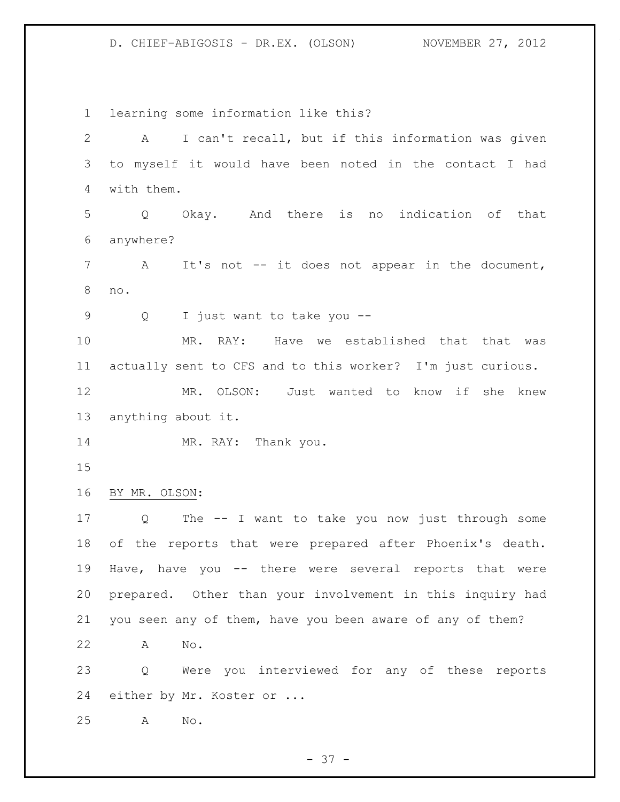learning some information like this? A I can't recall, but if this information was given to myself it would have been noted in the contact I had with them. Q Okay. And there is no indication of that anywhere? A It's not -- it does not appear in the document, no. Q I just want to take you -- MR. RAY: Have we established that that was actually sent to CFS and to this worker? I'm just curious. MR. OLSON: Just wanted to know if she knew anything about it. 14 MR. RAY: Thank you. BY MR. OLSON: Q The -- I want to take you now just through some of the reports that were prepared after Phoenix's death. Have, have you -- there were several reports that were prepared. Other than your involvement in this inquiry had you seen any of them, have you been aware of any of them? A No. Q Were you interviewed for any of these reports either by Mr. Koster or ... A No.

 $- 37 -$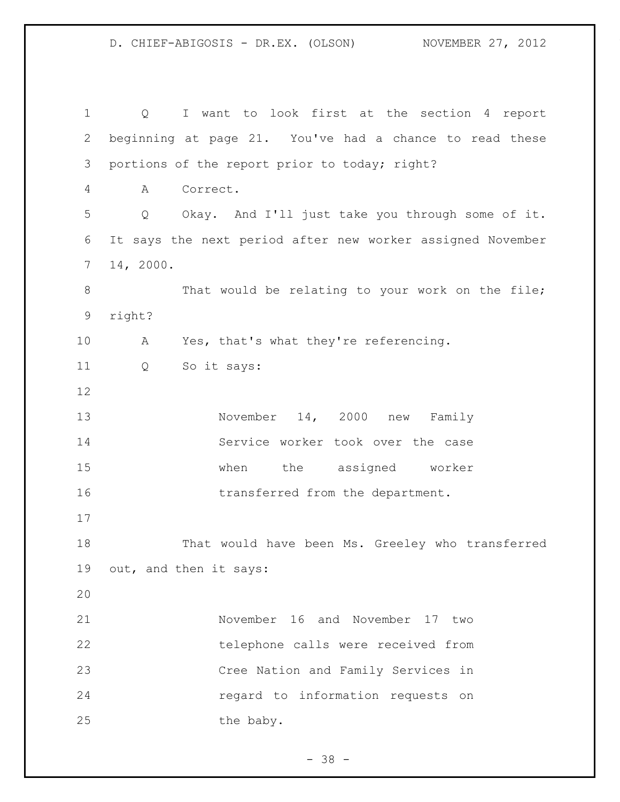Q I want to look first at the section 4 report beginning at page 21. You've had a chance to read these portions of the report prior to today; right? A Correct. Q Okay. And I'll just take you through some of it. It says the next period after new worker assigned November 14, 2000. 8 That would be relating to your work on the file; right? A Yes, that's what they're referencing. Q So it says: 13 November 14, 2000 new Family Service worker took over the case when the assigned worker 16 transferred from the department. That would have been Ms. Greeley who transferred out, and then it says: November 16 and November 17 two telephone calls were received from Cree Nation and Family Services in regard to information requests on 25 the baby.

 $- 38 -$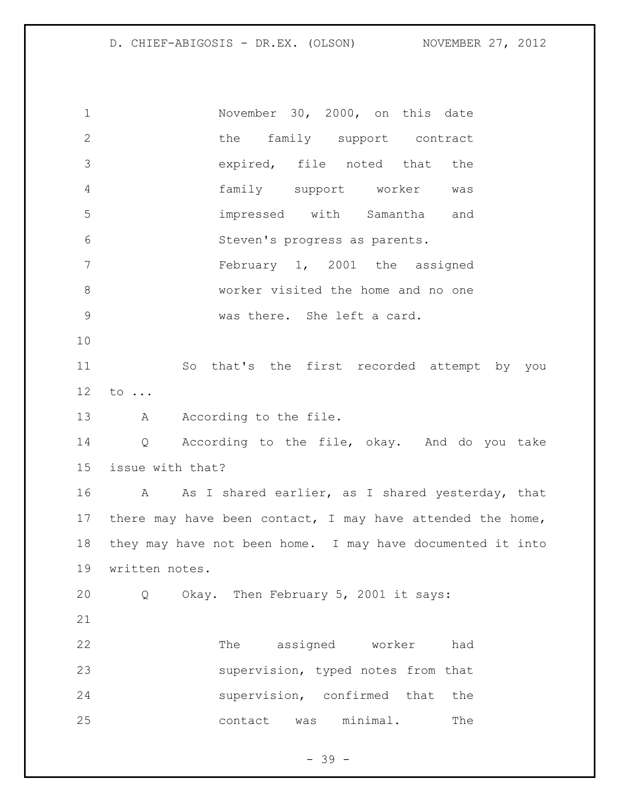November 30, 2000, on this date 2 the family support contract expired, file noted that the family support worker was impressed with Samantha and Steven's progress as parents. February 1, 2001 the assigned worker visited the home and no one was there. She left a card. So that's the first recorded attempt by you to ... 13 A According to the file. Q According to the file, okay. And do you take issue with that? A As I shared earlier, as I shared yesterday, that 17 there may have been contact, I may have attended the home, they may have not been home. I may have documented it into written notes. Q Okay. Then February 5, 2001 it says: The assigned worker had supervision, typed notes from that supervision, confirmed that the 25 contact was minimal. The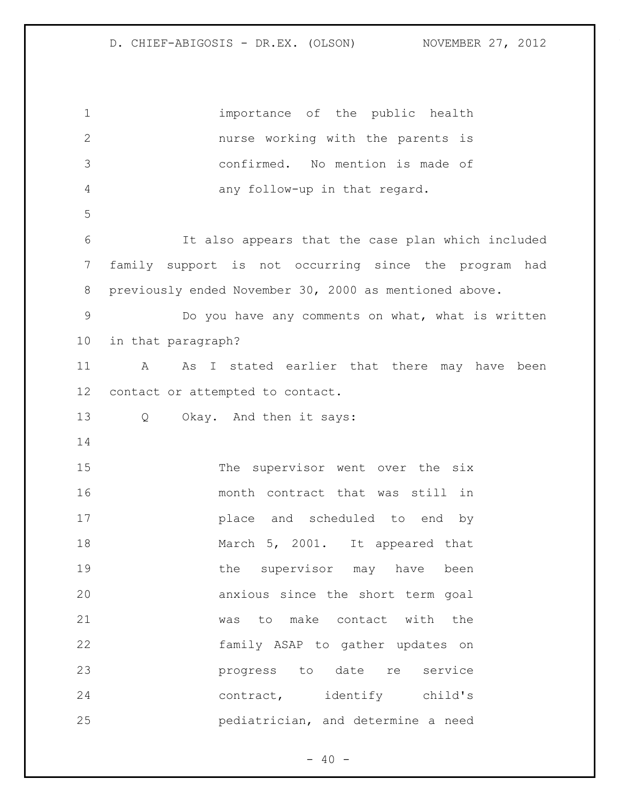importance of the public health nurse working with the parents is confirmed. No mention is made of any follow-up in that regard. It also appears that the case plan which included family support is not occurring since the program had previously ended November 30, 2000 as mentioned above. Do you have any comments on what, what is written in that paragraph? A As I stated earlier that there may have been contact or attempted to contact. Q Okay. And then it says: 15 The supervisor went over the six month contract that was still in place and scheduled to end by March 5, 2001. It appeared that 19 the supervisor may have been anxious since the short term goal was to make contact with the family ASAP to gather updates on progress to date re service 24 contract, identify child's pediatrician, and determine a need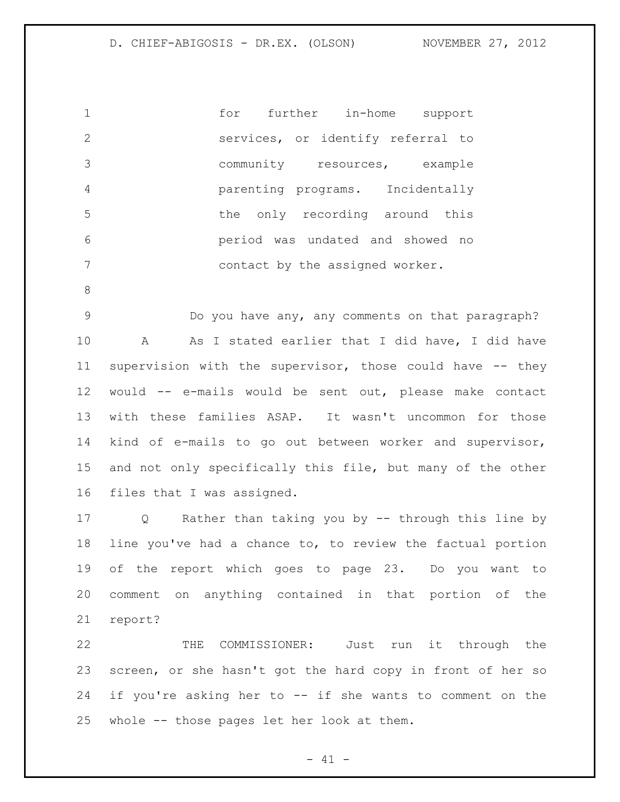for further in-home support services, or identify referral to community resources, example parenting programs. Incidentally the only recording around this period was undated and showed no contact by the assigned worker.

 Do you have any, any comments on that paragraph? A As I stated earlier that I did have, I did have supervision with the supervisor, those could have -- they would -- e-mails would be sent out, please make contact with these families ASAP. It wasn't uncommon for those kind of e-mails to go out between worker and supervisor, and not only specifically this file, but many of the other files that I was assigned.

 Q Rather than taking you by -- through this line by line you've had a chance to, to review the factual portion of the report which goes to page 23. Do you want to comment on anything contained in that portion of the report?

 THE COMMISSIONER: Just run it through the screen, or she hasn't got the hard copy in front of her so if you're asking her to -- if she wants to comment on the whole -- those pages let her look at them.

 $- 41 -$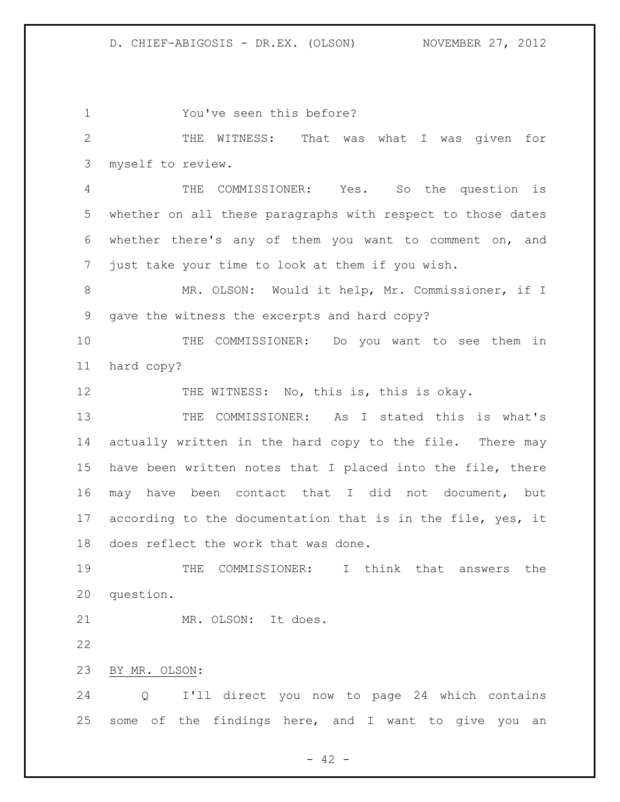You've seen this before? THE WITNESS: That was what I was given for myself to review. THE COMMISSIONER: Yes. So the question is whether on all these paragraphs with respect to those dates whether there's any of them you want to comment on, and just take your time to look at them if you wish. MR. OLSON: Would it help, Mr. Commissioner, if I gave the witness the excerpts and hard copy? THE COMMISSIONER: Do you want to see them in hard copy? 12 THE WITNESS: No, this is, this is okay. THE COMMISSIONER: As I stated this is what's actually written in the hard copy to the file. There may have been written notes that I placed into the file, there may have been contact that I did not document, but 17 according to the documentation that is in the file, yes, it does reflect the work that was done. THE COMMISSIONER: I think that answers the question. MR. OLSON: It does. BY MR. OLSON: Q I'll direct you now to page 24 which contains some of the findings here, and I want to give you an

 $- 42 -$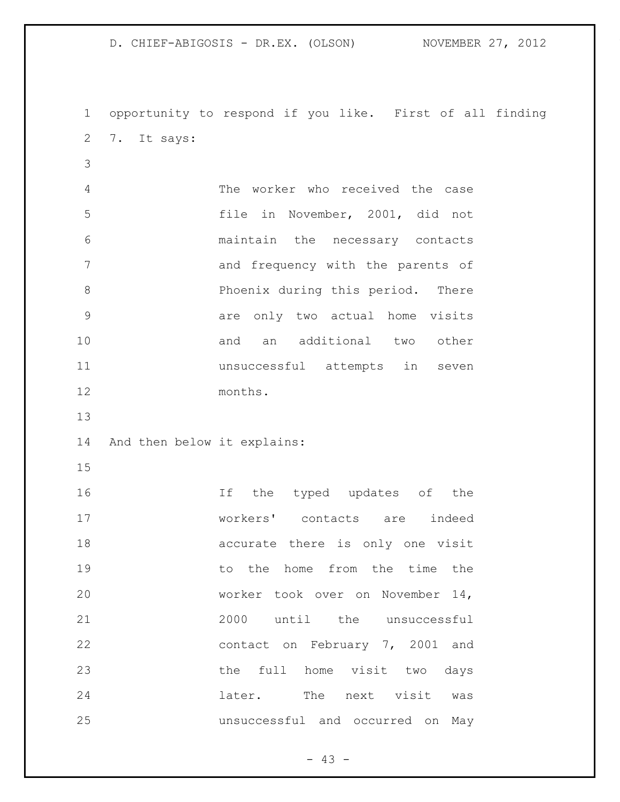D. CHIEF-ABIGOSIS - DR.EX. (OLSON) NOVEMBER 27, 2012 opportunity to respond if you like. First of all finding 7. It says: The worker who received the case file in November, 2001, did not maintain the necessary contacts and frequency with the parents of Phoenix during this period. There are only two actual home visits 10 and an additional two other unsuccessful attempts in seven months. And then below it explains: 16 16 If the typed updates of the workers' contacts are indeed accurate there is only one visit 19 to the home from the time the

 worker took over on November 14, 2000 until the unsuccessful contact on February 7, 2001 and the full home visit two days later. The next visit was unsuccessful and occurred on May

 $- 43 -$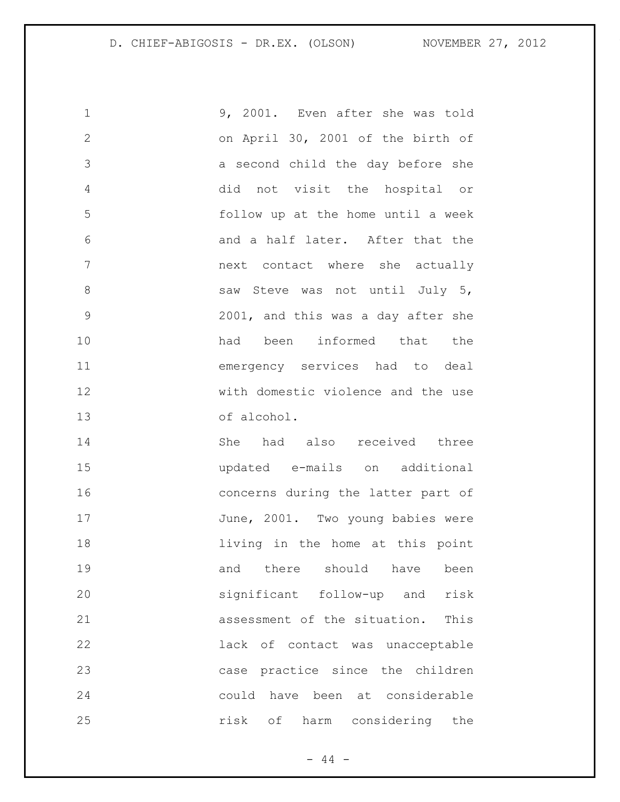9, 2001. Even after she was told on April 30, 2001 of the birth of a second child the day before she did not visit the hospital or follow up at the home until a week and a half later. After that the next contact where she actually 8 Saw Steve was not until July 5, 2001, and this was a day after she 10 had been informed that the emergency services had to deal with domestic violence and the use of alcohol.

 She had also received three updated e-mails on additional concerns during the latter part of 17 June, 2001. Two young babies were **living in the home at this point** 19 and there should have been significant follow-up and risk assessment of the situation. This lack of contact was unacceptable case practice since the children could have been at considerable risk of harm considering the

 $-44 -$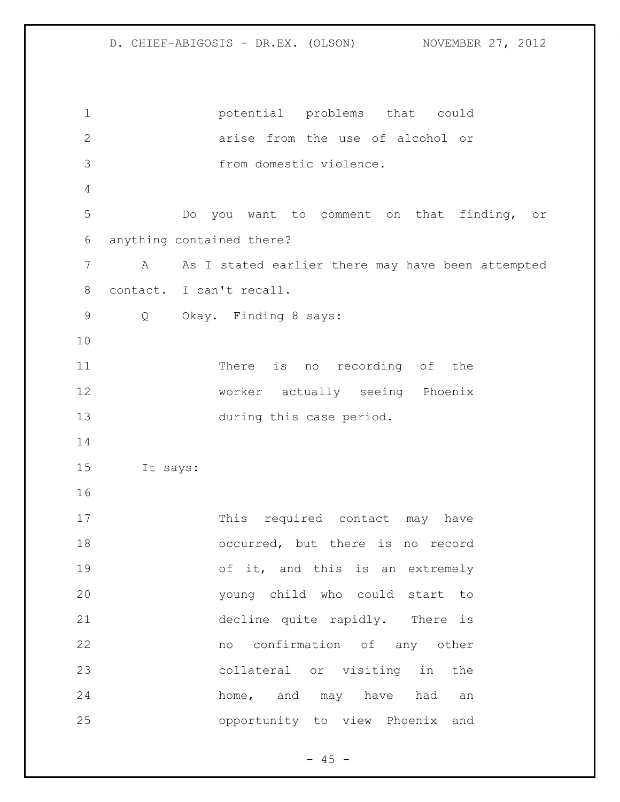potential problems that could arise from the use of alcohol or from domestic violence. Do you want to comment on that finding, or anything contained there? A As I stated earlier there may have been attempted contact. I can't recall. Q Okay. Finding 8 says: There is no recording of the worker actually seeing Phoenix during this case period. It says: 17 This required contact may have occurred, but there is no record of it, and this is an extremely young child who could start to decline quite rapidly. There is no confirmation of any other collateral or visiting in the home, and may have had an opportunity to view Phoenix and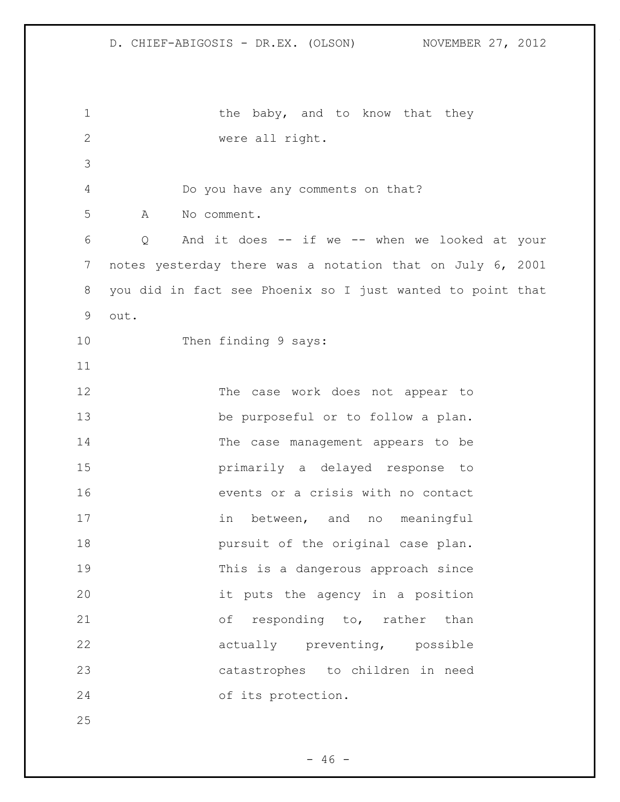1 the baby, and to know that they were all right. Do you have any comments on that? A No comment. Q And it does -- if we -- when we looked at your notes yesterday there was a notation that on July 6, 2001 you did in fact see Phoenix so I just wanted to point that out. 10 Then finding 9 says: The case work does not appear to be purposeful or to follow a plan. The case management appears to be primarily a delayed response to events or a crisis with no contact 17 in between, and no meaningful **pursuit of the original case plan.**  This is a dangerous approach since it puts the agency in a position 21 of responding to, rather than actually preventing, possible catastrophes to children in need of its protection.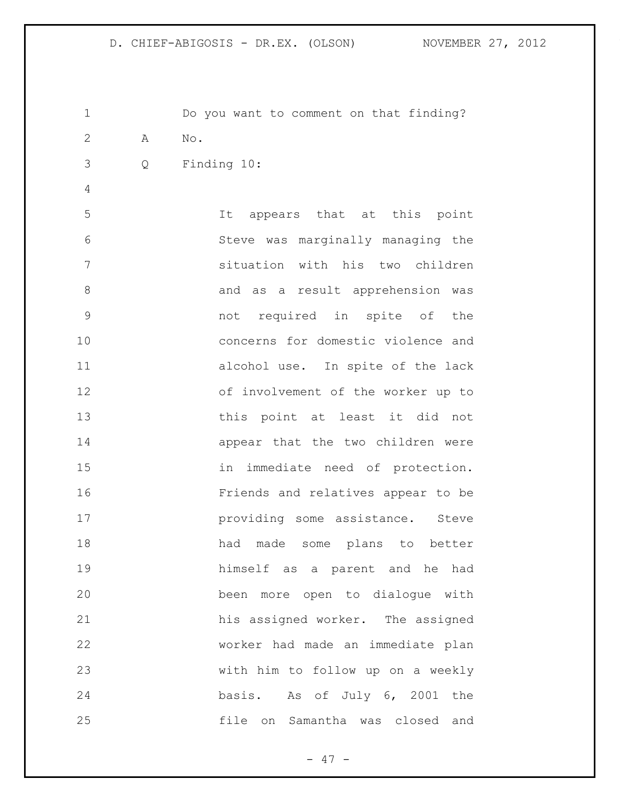Do you want to comment on that finding? A No. Q Finding 10: It appears that at this point Steve was marginally managing the situation with his two children 8 and as a result apprehension was not required in spite of the concerns for domestic violence and alcohol use. In spite of the lack of involvement of the worker up to this point at least it did not appear that the two children were in immediate need of protection. Friends and relatives appear to be **providing some assistance.** Steve 18 had made some plans to better himself as a parent and he had been more open to dialogue with his assigned worker. The assigned worker had made an immediate plan with him to follow up on a weekly basis. As of July 6, 2001 the file on Samantha was closed and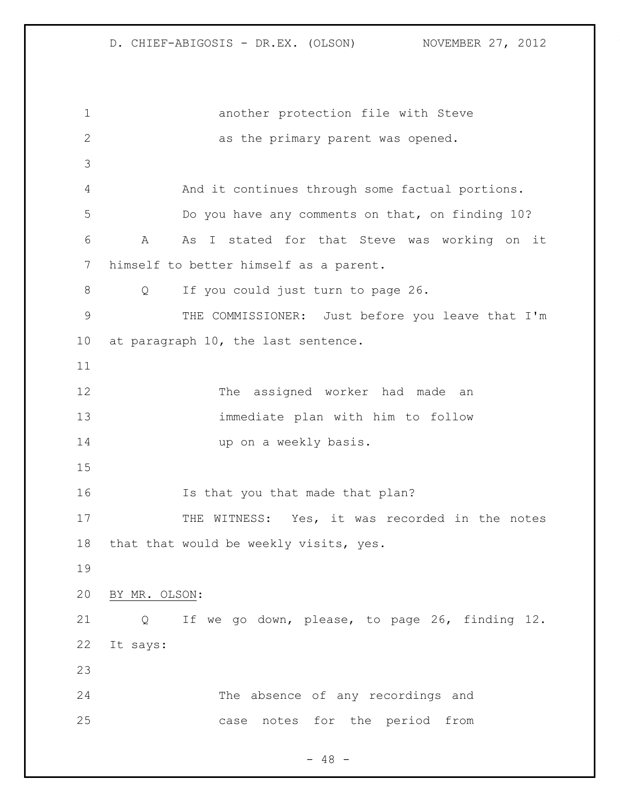another protection file with Steve as the primary parent was opened. And it continues through some factual portions. Do you have any comments on that, on finding 10? A As I stated for that Steve was working on it himself to better himself as a parent. Q If you could just turn to page 26. THE COMMISSIONER: Just before you leave that I'm at paragraph 10, the last sentence. The assigned worker had made an immediate plan with him to follow 14 up on a weekly basis. Is that you that made that plan? 17 THE WITNESS: Yes, it was recorded in the notes that that would be weekly visits, yes. BY MR. OLSON: Q If we go down, please, to page 26, finding 12. It says: The absence of any recordings and case notes for the period from

 $- 48 -$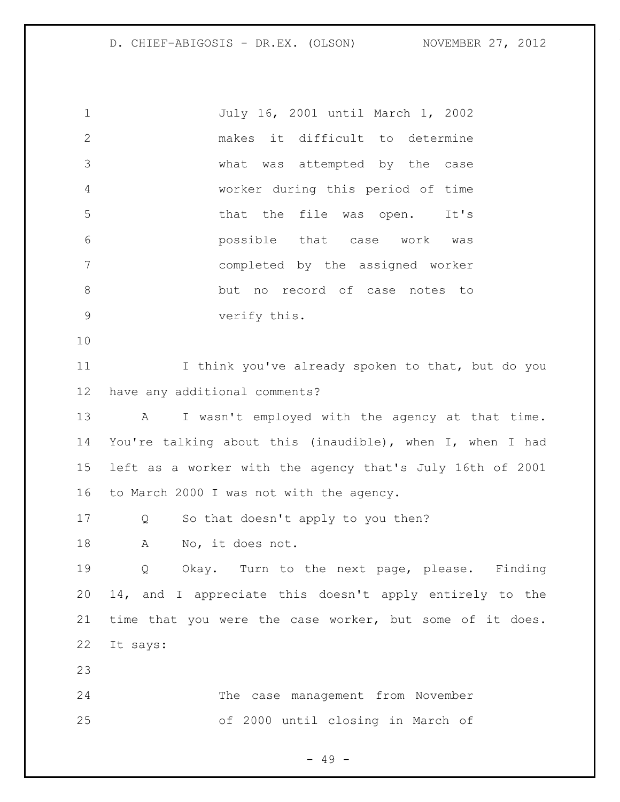July 16, 2001 until March 1, 2002 makes it difficult to determine what was attempted by the case worker during this period of time that the file was open. It's possible that case work was completed by the assigned worker but no record of case notes to verify this. I think you've already spoken to that, but do you have any additional comments? 13 A I wasn't employed with the agency at that time. You're talking about this (inaudible), when I, when I had left as a worker with the agency that's July 16th of 2001 to March 2000 I was not with the agency. Q So that doesn't apply to you then? A No, it does not. Q Okay. Turn to the next page, please. Finding 14, and I appreciate this doesn't apply entirely to the time that you were the case worker, but some of it does. It says: The case management from November of 2000 until closing in March of

- 49 -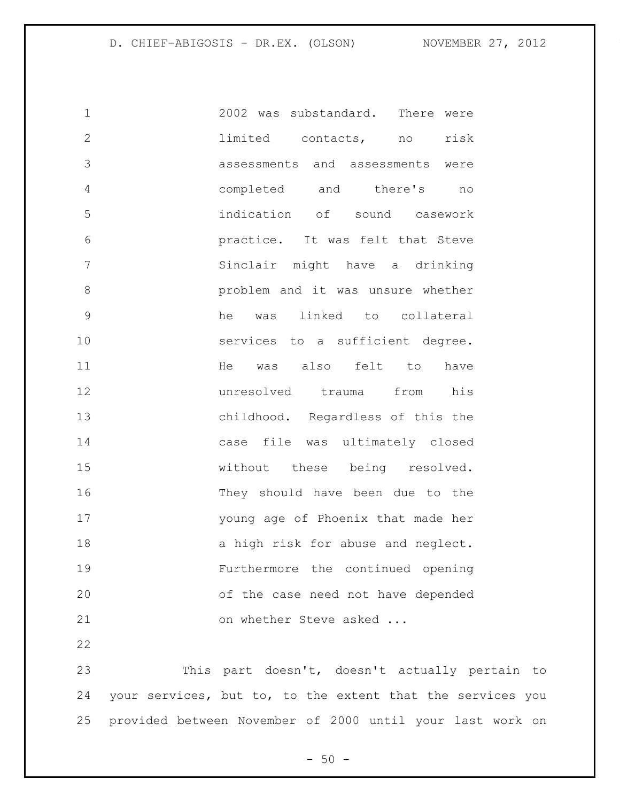2002 was substandard. There were limited contacts, no risk assessments and assessments were completed and there's no indication of sound casework practice. It was felt that Steve Sinclair might have a drinking problem and it was unsure whether he was linked to collateral 10 services to a sufficient degree. 11 He was also felt to have unresolved trauma from his childhood. Regardless of this the case file was ultimately closed without these being resolved. They should have been due to the young age of Phoenix that made her 18 a high risk for abuse and neglect. Furthermore the continued opening of the case need not have depended 21 on whether Steve asked ... 

 This part doesn't, doesn't actually pertain to your services, but to, to the extent that the services you provided between November of 2000 until your last work on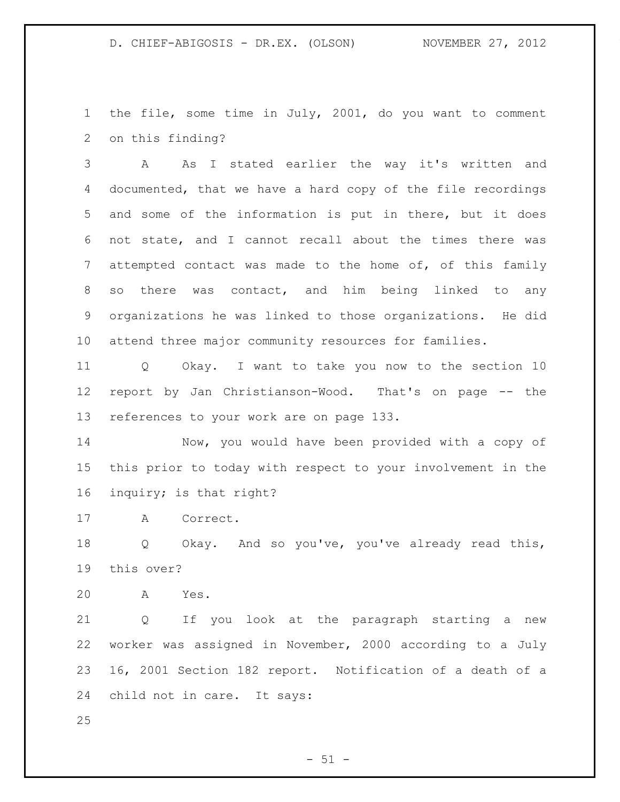the file, some time in July, 2001, do you want to comment on this finding?

 A As I stated earlier the way it's written and documented, that we have a hard copy of the file recordings and some of the information is put in there, but it does not state, and I cannot recall about the times there was attempted contact was made to the home of, of this family so there was contact, and him being linked to any organizations he was linked to those organizations. He did attend three major community resources for families.

 Q Okay. I want to take you now to the section 10 report by Jan Christianson-Wood. That's on page -- the references to your work are on page 133.

 Now, you would have been provided with a copy of this prior to today with respect to your involvement in the inquiry; is that right?

A Correct.

 Q Okay. And so you've, you've already read this, this over?

A Yes.

 Q If you look at the paragraph starting a new worker was assigned in November, 2000 according to a July 16, 2001 Section 182 report. Notification of a death of a child not in care. It says:

 $-51 -$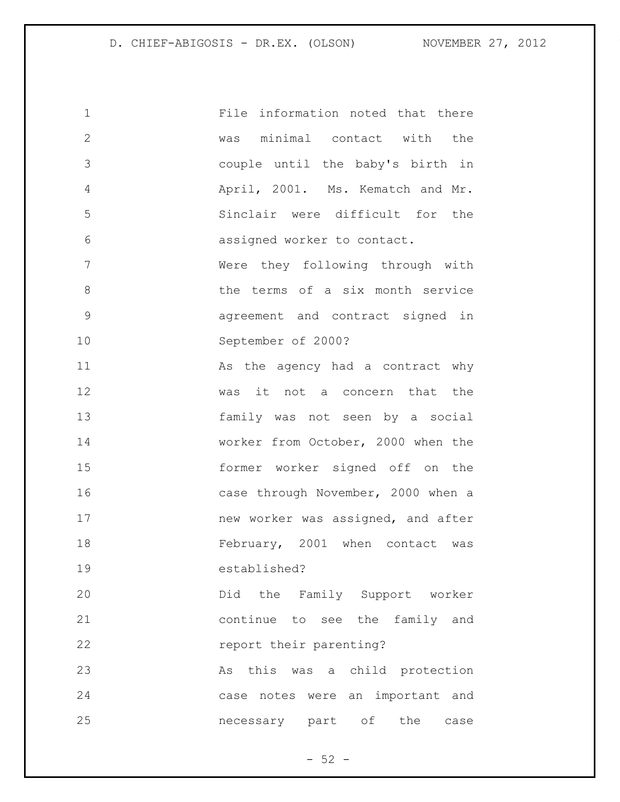| $\mathbf 1$    | File information noted that there  |
|----------------|------------------------------------|
| $\overline{2}$ | was minimal contact with the       |
| 3              | couple until the baby's birth in   |
| $\overline{4}$ | April, 2001. Ms. Kematch and Mr.   |
| 5              | Sinclair were difficult for the    |
| 6              | assigned worker to contact.        |
| 7              | Were they following through with   |
| 8              | the terms of a six month service   |
| $\mathcal{G}$  | agreement and contract signed in   |
| 10             | September of 2000?                 |
| 11             | As the agency had a contract why   |
| 12             | was it not a concern that the      |
| 13             | family was not seen by a social    |
| 14             | worker from October, 2000 when the |
| 15             | former worker signed off on the    |
| 16             | case through November, 2000 when a |
| 17             | new worker was assigned, and after |
| 18             | February, 2001 when contact was    |
| 19             | established?                       |
| 20             | Did the Family Support worker      |
| 21             | continue to see the family and     |
| 22             | report their parenting?            |
| 23             | this was a child protection<br>As  |
| 24             | case notes were an important and   |
| 25             | necessary part of the<br>case      |

- 52 -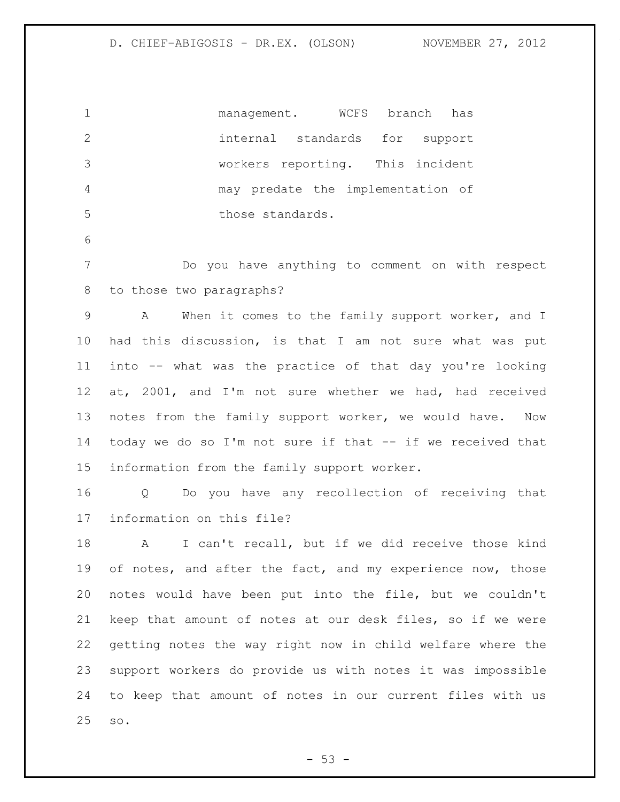management. WCFS branch has internal standards for support workers reporting. This incident may predate the implementation of 5 those standards.

 Do you have anything to comment on with respect to those two paragraphs?

 A When it comes to the family support worker, and I had this discussion, is that I am not sure what was put into -- what was the practice of that day you're looking at, 2001, and I'm not sure whether we had, had received notes from the family support worker, we would have. Now today we do so I'm not sure if that -- if we received that information from the family support worker.

 Q Do you have any recollection of receiving that information on this file?

 A I can't recall, but if we did receive those kind 19 of notes, and after the fact, and my experience now, those notes would have been put into the file, but we couldn't keep that amount of notes at our desk files, so if we were getting notes the way right now in child welfare where the support workers do provide us with notes it was impossible to keep that amount of notes in our current files with us so.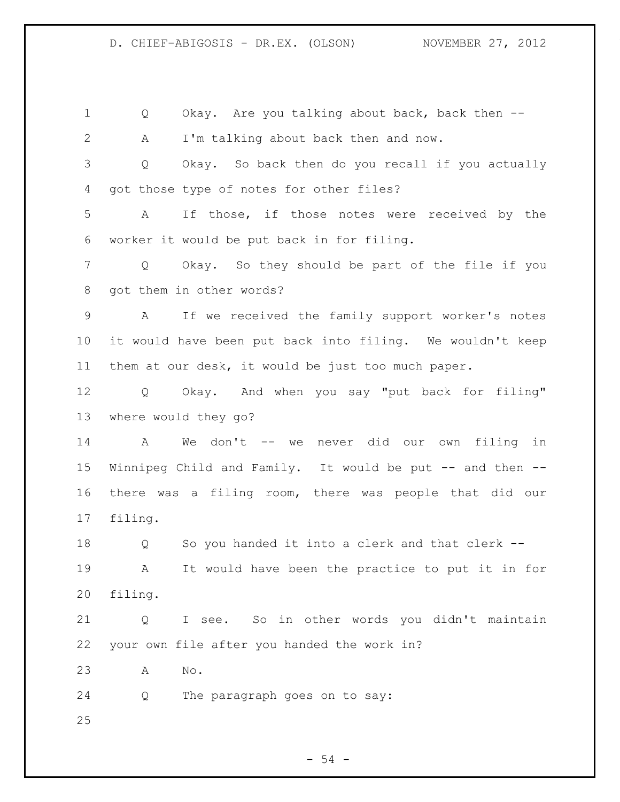1 O Okay. Are you talking about back, back then -- A I'm talking about back then and now. Q Okay. So back then do you recall if you actually got those type of notes for other files? A If those, if those notes were received by the worker it would be put back in for filing. Q Okay. So they should be part of the file if you got them in other words? A If we received the family support worker's notes it would have been put back into filing. We wouldn't keep them at our desk, it would be just too much paper. Q Okay. And when you say "put back for filing" where would they go? A We don't -- we never did our own filing in Winnipeg Child and Family. It would be put -- and then -- there was a filing room, there was people that did our filing. Q So you handed it into a clerk and that clerk -- A It would have been the practice to put it in for filing. Q I see. So in other words you didn't maintain your own file after you handed the work in? A No. Q The paragraph goes on to say: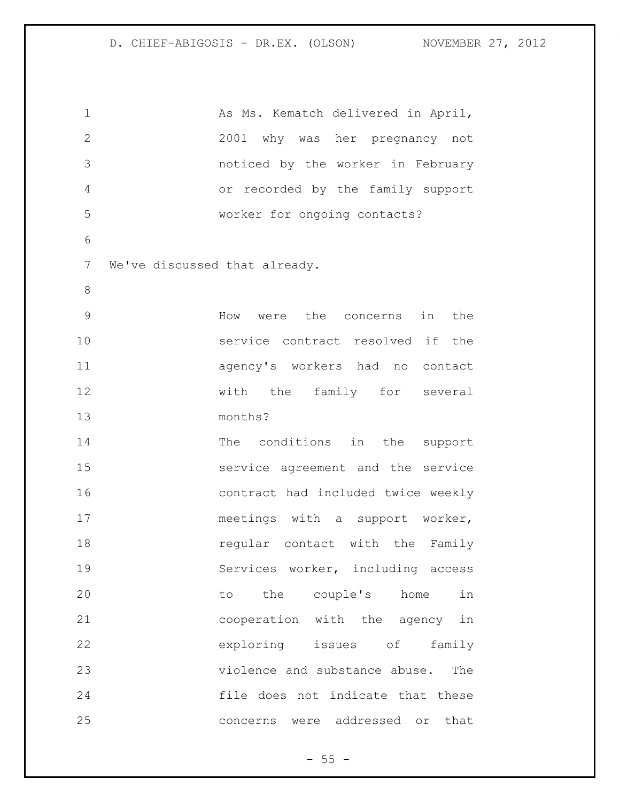1 As Ms. Kematch delivered in April, 2001 why was her pregnancy not noticed by the worker in February or recorded by the family support worker for ongoing contacts? We've discussed that already. How were the concerns in the service contract resolved if the agency's workers had no contact 12 with the family for several months? 14 The conditions in the support service agreement and the service contract had included twice weekly 17 meetings with a support worker, **18** regular contact with the Family Services worker, including access to the couple's home in cooperation with the agency in exploring issues of family violence and substance abuse. The file does not indicate that these concerns were addressed or that

 $- 55 -$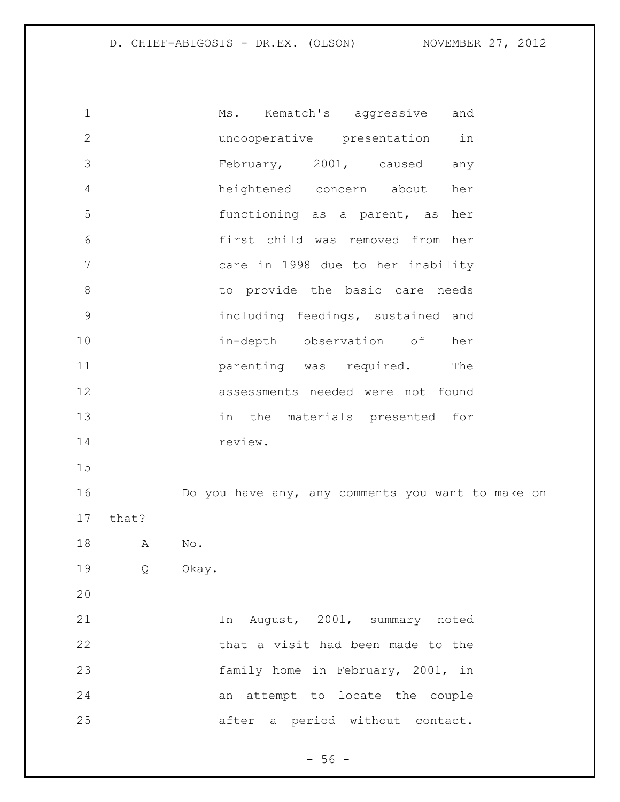| $\mathbf 1$  |       | Ms. Kematch's aggressive and                      |
|--------------|-------|---------------------------------------------------|
| $\mathbf{2}$ |       | uncooperative presentation<br>in                  |
| 3            |       | February, 2001, caused<br>any                     |
| 4            |       | heightened concern about<br>her                   |
| 5            |       | functioning as a parent, as her                   |
| 6            |       | first child was removed from her                  |
| 7            |       | care in 1998 due to her inability                 |
| $8\,$        |       | to provide the basic care needs                   |
| $\mathsf 9$  |       | including feedings, sustained and                 |
| 10           |       | in-depth observation of<br>her                    |
| 11           |       | parenting was required.<br>The                    |
| 12           |       | assessments needed were not found                 |
| 13           |       | in the materials presented for                    |
| 14           |       | review.                                           |
| 15           |       |                                                   |
| 16           |       | Do you have any, any comments you want to make on |
| 17           | that? |                                                   |
| 18           | A     | No.                                               |
| 19           |       | Q Okay.                                           |
| 20           |       |                                                   |
| 21           |       | In August, 2001, summary noted                    |
| 22           |       | that a visit had been made to the                 |
| 23           |       | family home in February, 2001, in                 |
| 24           |       | an attempt to locate the couple                   |
| 25           |       | after a period without contact.                   |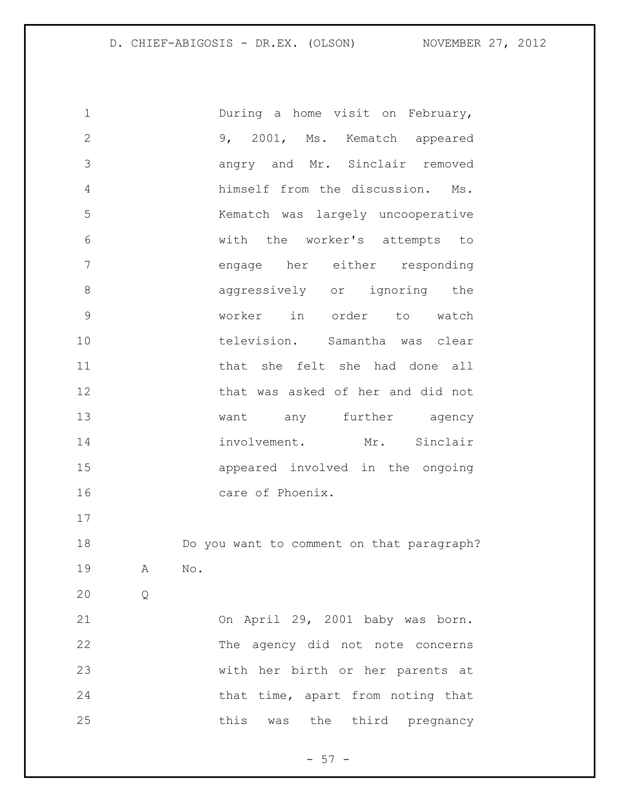1 During a home visit on February, 9, 2001, Ms. Kematch appeared angry and Mr. Sinclair removed himself from the discussion. Ms. Kematch was largely uncooperative with the worker's attempts to engage her either responding **aggressively** or ignoring the worker in order to watch television. Samantha was clear 11 11 that she felt she had done all that was asked of her and did not 13 want any further agency 14 involvement. Mr. Sinclair appeared involved in the ongoing 16 care of Phoenix. Do you want to comment on that paragraph? A No. Q On April 29, 2001 baby was born. The agency did not note concerns with her birth or her parents at 24 that time, apart from noting that 25 this was the third pregnancy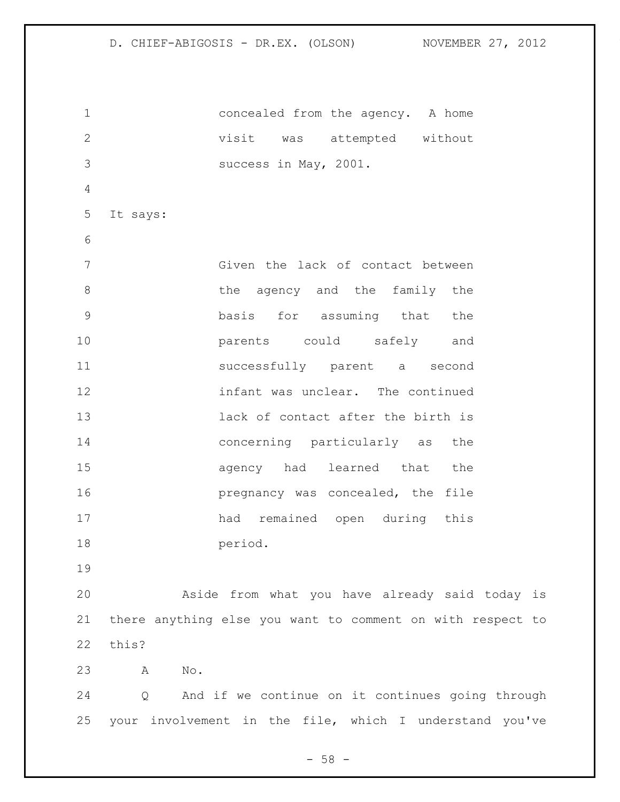concealed from the agency. A home visit was attempted without success in May, 2001. It says: Given the lack of contact between 8 b the agency and the family the basis for assuming that the parents could safely and successfully parent a second infant was unclear. The continued lack of contact after the birth is concerning particularly as the agency had learned that the **pregnancy was concealed**, the file had remained open during this period. Aside from what you have already said today is there anything else you want to comment on with respect to this? A No. Q And if we continue on it continues going through your involvement in the file, which I understand you've

 $-58 -$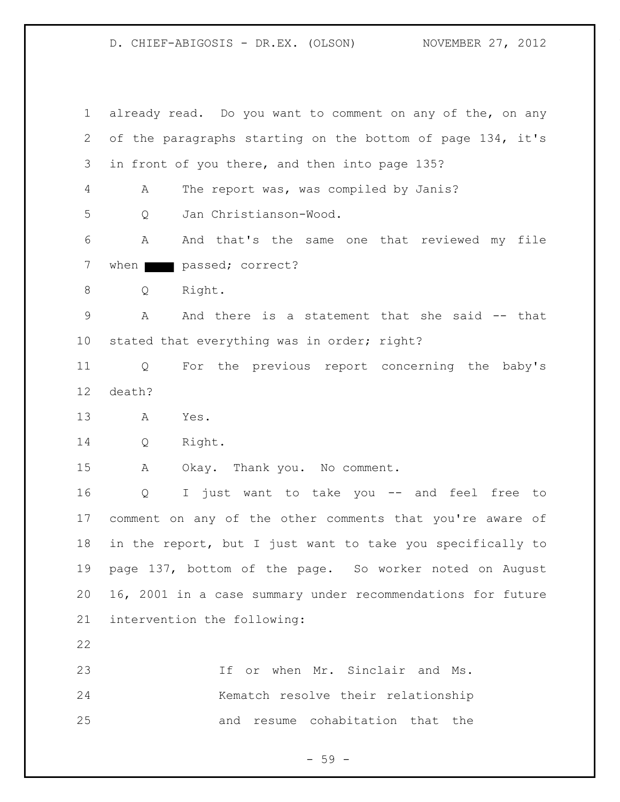already read. Do you want to comment on any of the, on any of the paragraphs starting on the bottom of page 134, it's in front of you there, and then into page 135? A The report was, was compiled by Janis? Q Jan Christianson-Wood. A And that's the same one that reviewed my file 7 when passed; correct? Q Right. A And there is a statement that she said -- that stated that everything was in order; right? Q For the previous report concerning the baby's death? A Yes. Q Right. A Okay. Thank you. No comment. Q I just want to take you -- and feel free to comment on any of the other comments that you're aware of in the report, but I just want to take you specifically to page 137, bottom of the page. So worker noted on August 16, 2001 in a case summary under recommendations for future intervention the following: If or when Mr. Sinclair and Ms. Kematch resolve their relationship and resume cohabitation that the

 $-59 -$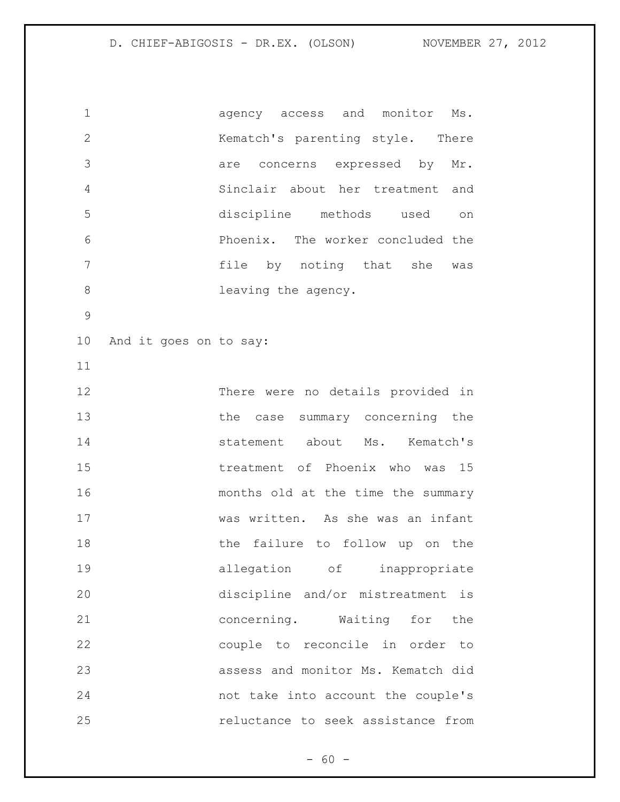agency access and monitor Ms. Kematch's parenting style. There are concerns expressed by Mr. Sinclair about her treatment and discipline methods used on Phoenix. The worker concluded the 7 file by noting that she was 8 leaving the agency. And it goes on to say: There were no details provided in 13 the case summary concerning the statement about Ms. Kematch's treatment of Phoenix who was 15 months old at the time the summary was written. As she was an infant 18 the failure to follow up on the allegation of inappropriate discipline and/or mistreatment is concerning. Waiting for the couple to reconcile in order to assess and monitor Ms. Kematch did not take into account the couple's reluctance to seek assistance from

 $- 60 -$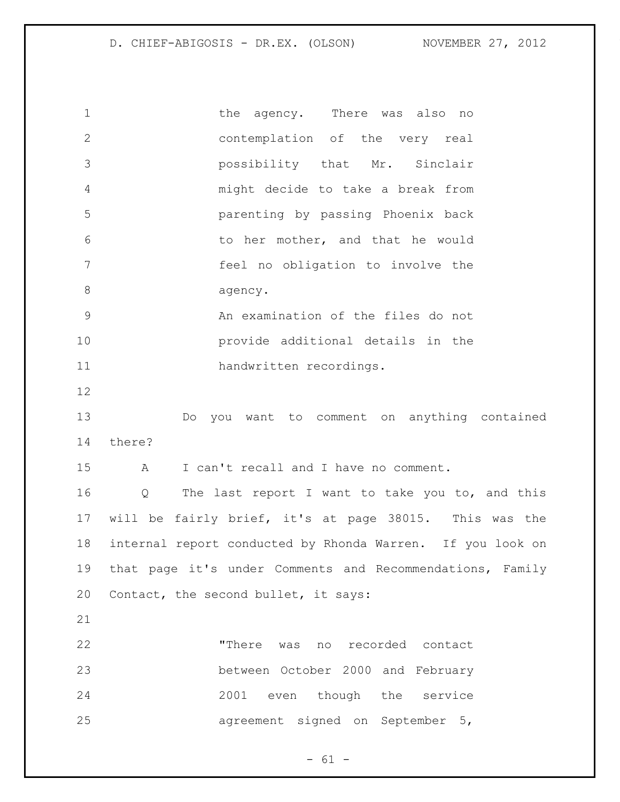1 the agency. There was also no contemplation of the very real possibility that Mr. Sinclair might decide to take a break from parenting by passing Phoenix back to her mother, and that he would feel no obligation to involve the 8 agency. An examination of the files do not provide additional details in the handwritten recordings. Do you want to comment on anything contained there? A I can't recall and I have no comment. Q The last report I want to take you to, and this will be fairly brief, it's at page 38015. This was the internal report conducted by Rhonda Warren. If you look on that page it's under Comments and Recommendations, Family Contact, the second bullet, it says: "There was no recorded contact between October 2000 and February 2001 even though the service agreement signed on September 5,

 $- 61 -$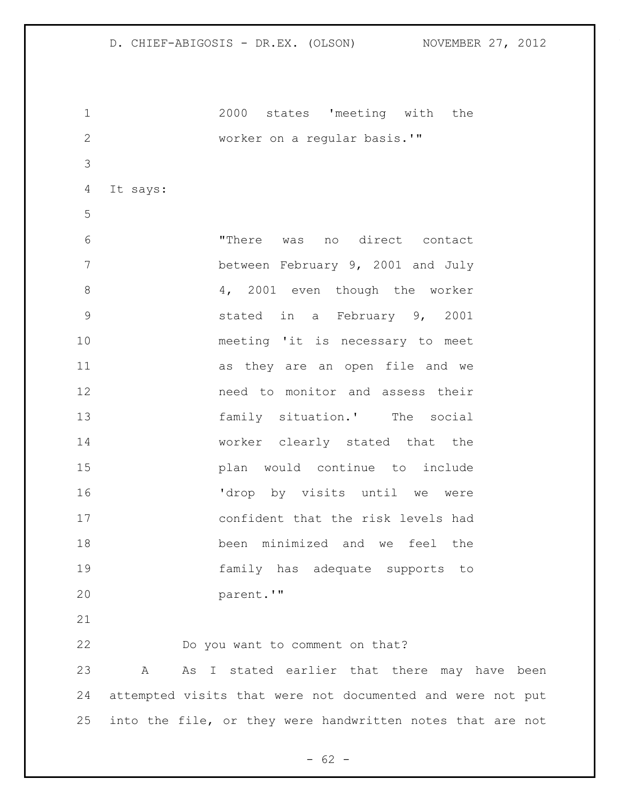2000 states 'meeting with the worker on a regular basis.'" It says: "There was no direct contact between February 9, 2001 and July 8 4, 2001 even though the worker stated in a February 9, 2001 meeting 'it is necessary to meet as they are an open file and we need to monitor and assess their family situation.' The social worker clearly stated that the plan would continue to include 'drop by visits until we were confident that the risk levels had been minimized and we feel the family has adequate supports to parent.'" Do you want to comment on that?

 A As I stated earlier that there may have been attempted visits that were not documented and were not put into the file, or they were handwritten notes that are not

 $- 62 -$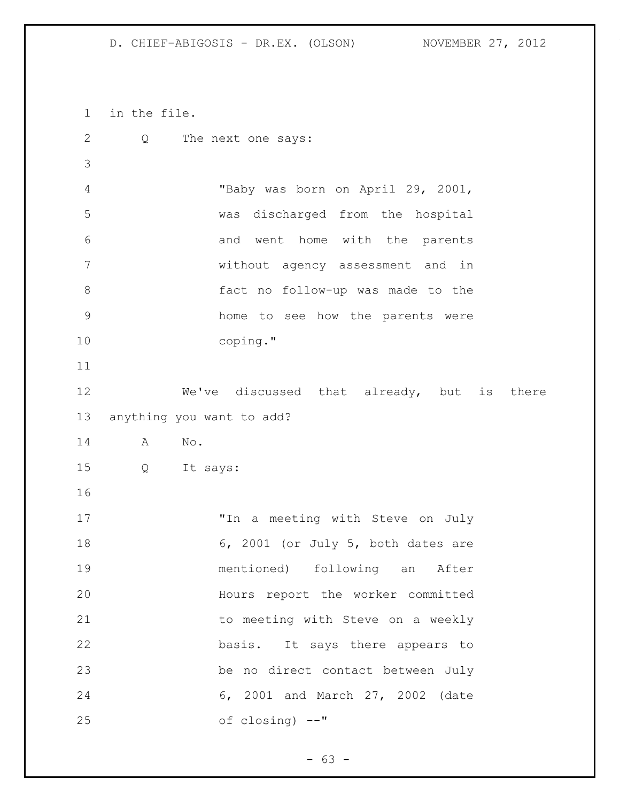in the file. Q The next one says: "Baby was born on April 29, 2001, was discharged from the hospital and went home with the parents without agency assessment and in fact no follow-up was made to the home to see how the parents were coping." We've discussed that already, but is there anything you want to add? A No. Q It says: "In a meeting with Steve on July 18 6, 2001 (or July 5, both dates are mentioned) following an After Hours report the worker committed 21 to meeting with Steve on a weekly basis. It says there appears to be no direct contact between July 6, 2001 and March 27, 2002 (date of closing) --"

- 63 -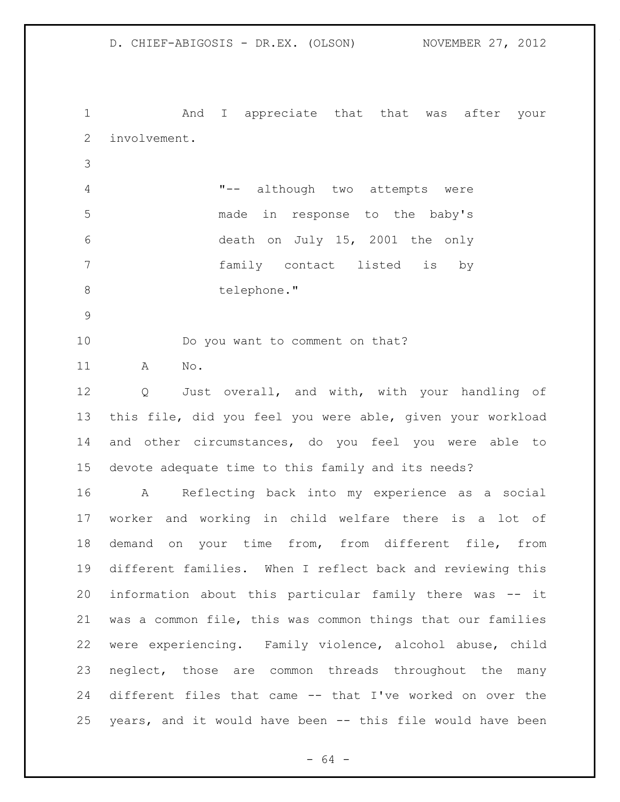And I appreciate that that was after your involvement. "-- although two attempts were made in response to the baby's death on July 15, 2001 the only family contact listed is by 8 telephone." Do you want to comment on that? A No.

 Q Just overall, and with, with your handling of this file, did you feel you were able, given your workload and other circumstances, do you feel you were able to devote adequate time to this family and its needs?

 A Reflecting back into my experience as a social worker and working in child welfare there is a lot of demand on your time from, from different file, from different families. When I reflect back and reviewing this information about this particular family there was -- it was a common file, this was common things that our families were experiencing. Family violence, alcohol abuse, child neglect, those are common threads throughout the many different files that came -- that I've worked on over the years, and it would have been -- this file would have been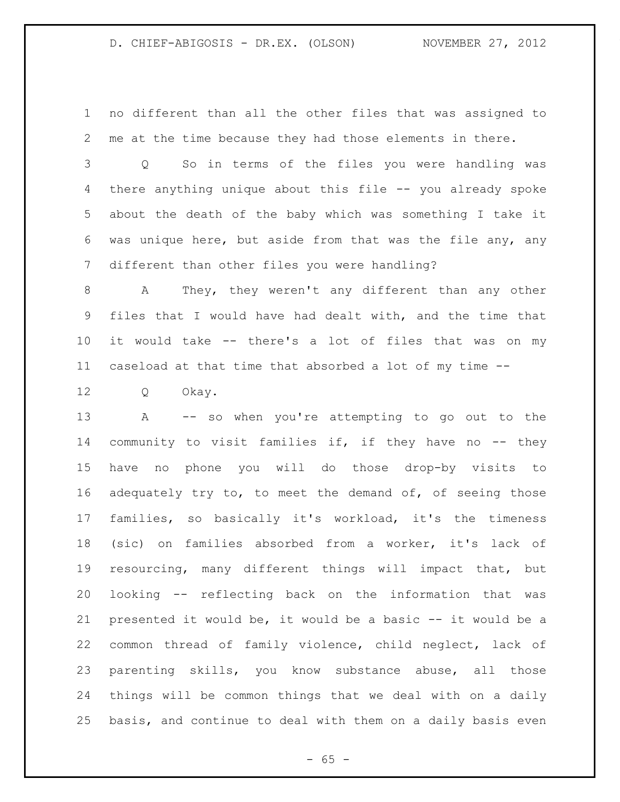no different than all the other files that was assigned to me at the time because they had those elements in there.

 Q So in terms of the files you were handling was there anything unique about this file -- you already spoke about the death of the baby which was something I take it was unique here, but aside from that was the file any, any different than other files you were handling?

 A They, they weren't any different than any other files that I would have had dealt with, and the time that it would take -- there's a lot of files that was on my caseload at that time that absorbed a lot of my time --

Q Okay.

 A -- so when you're attempting to go out to the 14 community to visit families if, if they have no -- they have no phone you will do those drop-by visits to adequately try to, to meet the demand of, of seeing those families, so basically it's workload, it's the timeness (sic) on families absorbed from a worker, it's lack of resourcing, many different things will impact that, but looking -- reflecting back on the information that was presented it would be, it would be a basic -- it would be a common thread of family violence, child neglect, lack of parenting skills, you know substance abuse, all those things will be common things that we deal with on a daily basis, and continue to deal with them on a daily basis even

 $- 65 -$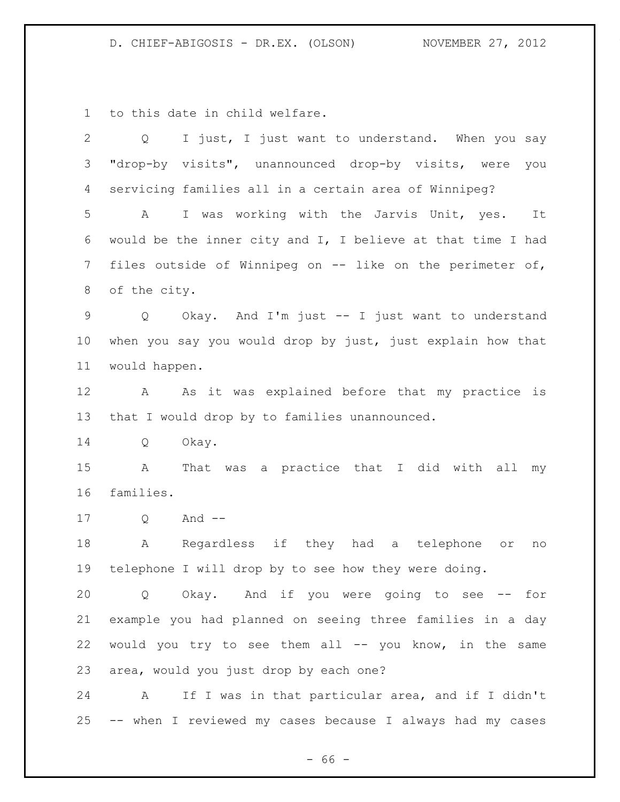to this date in child welfare.

| $\overline{2}$  | I just, I just want to understand. When you say<br>Q            |
|-----------------|-----------------------------------------------------------------|
| 3               | "drop-by visits", unannounced drop-by visits, were<br>you       |
| 4               | servicing families all in a certain area of Winnipeg?           |
| 5               | I was working with the Jarvis Unit, yes.<br>A<br>It             |
| 6               | would be the inner city and I, I believe at that time I had     |
| $7\phantom{.}$  | files outside of Winnipeg on -- like on the perimeter of,       |
| 8               | of the city.                                                    |
| 9               | Okay. And I'm just -- I just want to understand<br>Q            |
| 10 <sub>o</sub> | when you say you would drop by just, just explain how that      |
| 11              | would happen.                                                   |
| 12              | As it was explained before that my practice is<br>A             |
| 13              | that I would drop by to families unannounced.                   |
| 14              | Okay.<br>Q                                                      |
| 15              | That was a practice that I did with<br>all<br>A<br>my           |
| 16              | families.                                                       |
| 17              | And $--$<br>Q                                                   |
| 18              | Regardless if they had a telephone<br>A<br>O <sub>T</sub><br>no |
| 19              | telephone I will drop by to see how they were doing.            |
| 20              | Okay. And if you were going to see -- for<br>Q                  |
| 21              | example you had planned on seeing three families in a day       |
| 22              | would you try to see them all -- you know, in the same          |
| 23              | area, would you just drop by each one?                          |
| 24              | If I was in that particular area, and if I didn't<br>A          |
| 25              | -- when I reviewed my cases because I always had my cases       |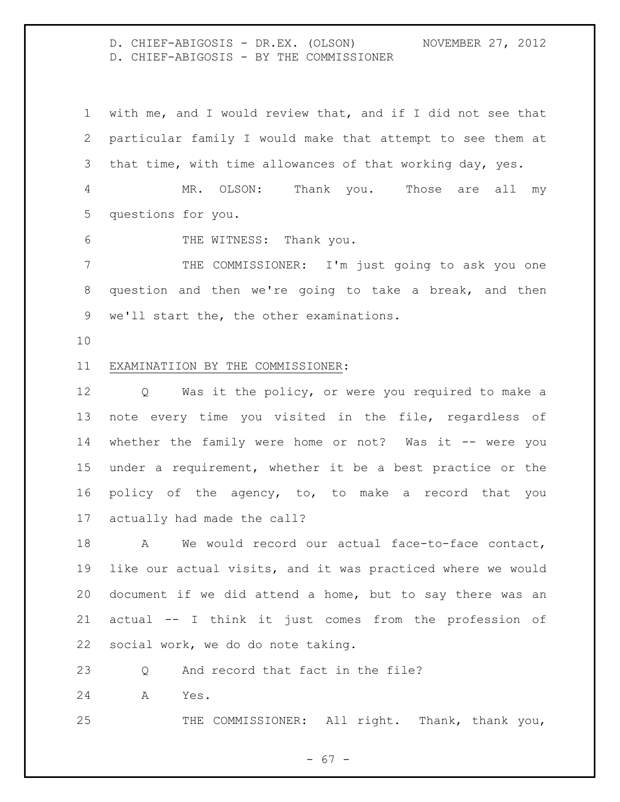D. CHIEF-ABIGOSIS - DR.EX. (OLSON) NOVEMBER 27, 2012 D. CHIEF-ABIGOSIS - BY THE COMMISSIONER

 with me, and I would review that, and if I did not see that particular family I would make that attempt to see them at that time, with time allowances of that working day, yes. MR. OLSON: Thank you. Those are all my

questions for you.

6 THE WITNESS: Thank you.

 THE COMMISSIONER: I'm just going to ask you one question and then we're going to take a break, and then we'll start the, the other examinations.

#### EXAMINATIION BY THE COMMISSIONER:

 Q Was it the policy, or were you required to make a note every time you visited in the file, regardless of 14 whether the family were home or not? Was it -- were you under a requirement, whether it be a best practice or the policy of the agency, to, to make a record that you actually had made the call?

 A We would record our actual face-to-face contact, like our actual visits, and it was practiced where we would document if we did attend a home, but to say there was an actual -- I think it just comes from the profession of social work, we do do note taking.

Q And record that fact in the file?

A Yes.

25 THE COMMISSIONER: All right. Thank, thank you,

- 67 -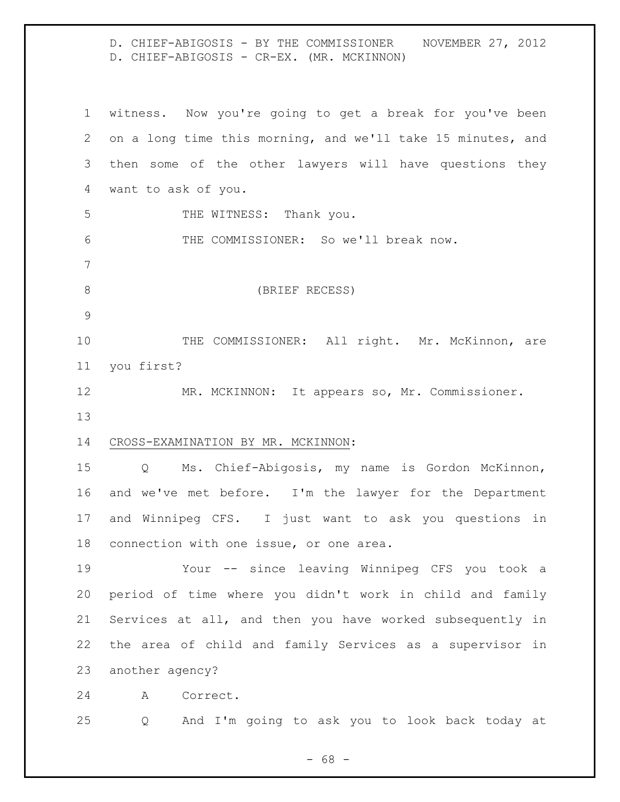D. CHIEF-ABIGOSIS - BY THE COMMISSIONER NOVEMBER 27, 2012 D. CHIEF-ABIGOSIS - CR-EX. (MR. MCKINNON)

 witness. Now you're going to get a break for you've been on a long time this morning, and we'll take 15 minutes, and then some of the other lawyers will have questions they want to ask of you. 5 THE WITNESS: Thank you. THE COMMISSIONER: So we'll break now. (BRIEF RECESS) 10 THE COMMISSIONER: All right. Mr. McKinnon, are you first? MR. MCKINNON: It appears so, Mr. Commissioner. CROSS-EXAMINATION BY MR. MCKINNON: Q Ms. Chief-Abigosis, my name is Gordon McKinnon, and we've met before. I'm the lawyer for the Department and Winnipeg CFS. I just want to ask you questions in connection with one issue, or one area. Your -- since leaving Winnipeg CFS you took a period of time where you didn't work in child and family Services at all, and then you have worked subsequently in the area of child and family Services as a supervisor in another agency? A Correct. Q And I'm going to ask you to look back today at

- 68 -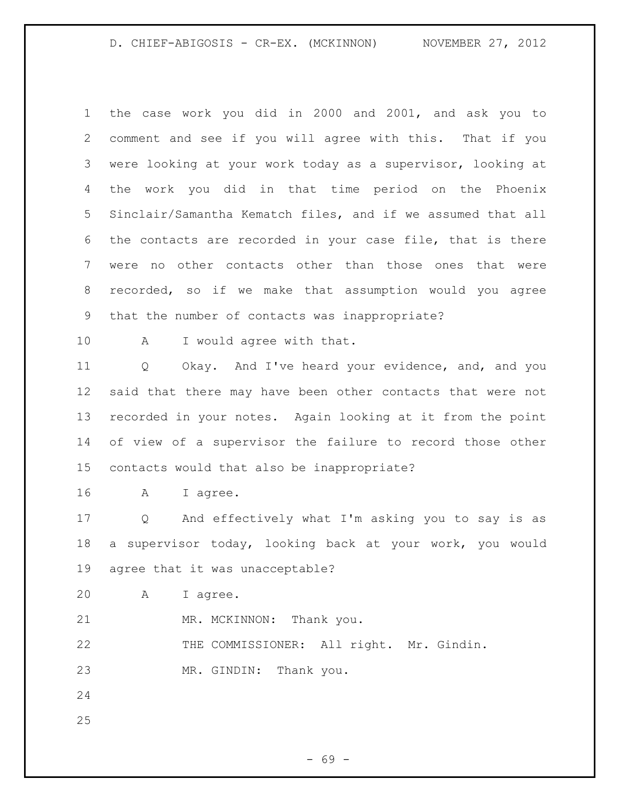the case work you did in 2000 and 2001, and ask you to comment and see if you will agree with this. That if you were looking at your work today as a supervisor, looking at the work you did in that time period on the Phoenix Sinclair/Samantha Kematch files, and if we assumed that all the contacts are recorded in your case file, that is there were no other contacts other than those ones that were recorded, so if we make that assumption would you agree that the number of contacts was inappropriate?

10 A I would agree with that.

 Q Okay. And I've heard your evidence, and, and you said that there may have been other contacts that were not recorded in your notes. Again looking at it from the point of view of a supervisor the failure to record those other contacts would that also be inappropriate?

A I agree.

 Q And effectively what I'm asking you to say is as a supervisor today, looking back at your work, you would agree that it was unacceptable?

A I agree.

21 MR. MCKINNON: Thank you.

THE COMMISSIONER: All right. Mr. Gindin.

MR. GINDIN: Thank you.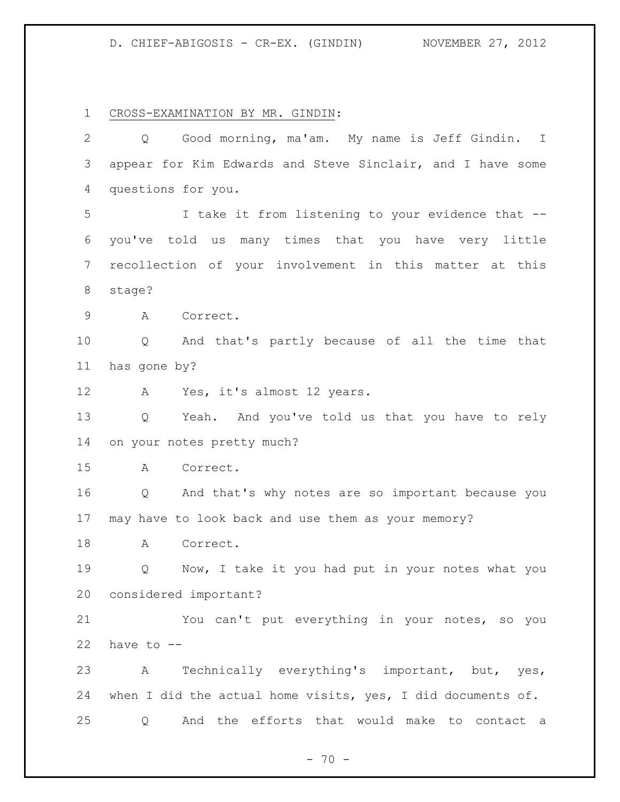CROSS-EXAMINATION BY MR. GINDIN:

| $\overline{2}$ | Good morning, ma'am. My name is Jeff Gindin. I<br>Q         |
|----------------|-------------------------------------------------------------|
| 3              | appear for Kim Edwards and Steve Sinclair, and I have some  |
| 4              | questions for you.                                          |
| 5              | I take it from listening to your evidence that --           |
| 6              | you've told us many times that you have very little         |
| $7\phantom{.}$ | recollection of your involvement in this matter at this     |
| 8              | stage?                                                      |
| 9              | Correct.<br>A                                               |
| 10             | Q And that's partly because of all the time that            |
| 11             | has gone by?                                                |
| 12             | Yes, it's almost 12 years.<br>A                             |
| 13             | Yeah. And you've told us that you have to rely<br>Q         |
| 14             | on your notes pretty much?                                  |
| 15             | Correct.<br>A                                               |
| 16             | Q And that's why notes are so important because you         |
| 17             | may have to look back and use them as your memory?          |
| 18             | Correct.<br>A                                               |
| 19             | Now, I take it you had put in your notes what you<br>Q      |
| 20             | considered important?                                       |
| 21             | You can't put everything in your notes, so you              |
| 22             | have to --                                                  |
| 23             | Technically everything's important, but, yes,<br>A          |
| 24             | when I did the actual home visits, yes, I did documents of. |
| 25             | And the efforts that would make to contact a<br>Q           |

- 70 -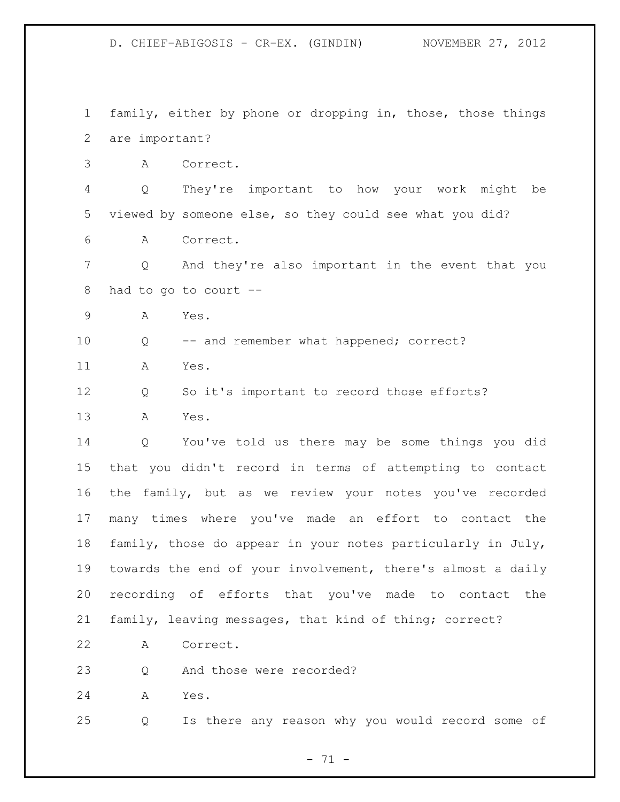family, either by phone or dropping in, those, those things are important?

A Correct.

 Q They're important to how your work might be viewed by someone else, so they could see what you did?

A Correct.

 Q And they're also important in the event that you had to go to court --

A Yes.

Q -- and remember what happened; correct?

A Yes.

Q So it's important to record those efforts?

A Yes.

 Q You've told us there may be some things you did that you didn't record in terms of attempting to contact the family, but as we review your notes you've recorded many times where you've made an effort to contact the family, those do appear in your notes particularly in July, towards the end of your involvement, there's almost a daily recording of efforts that you've made to contact the family, leaving messages, that kind of thing; correct?

A Correct.

Q And those were recorded?

A Yes.

Q Is there any reason why you would record some of

- 71 -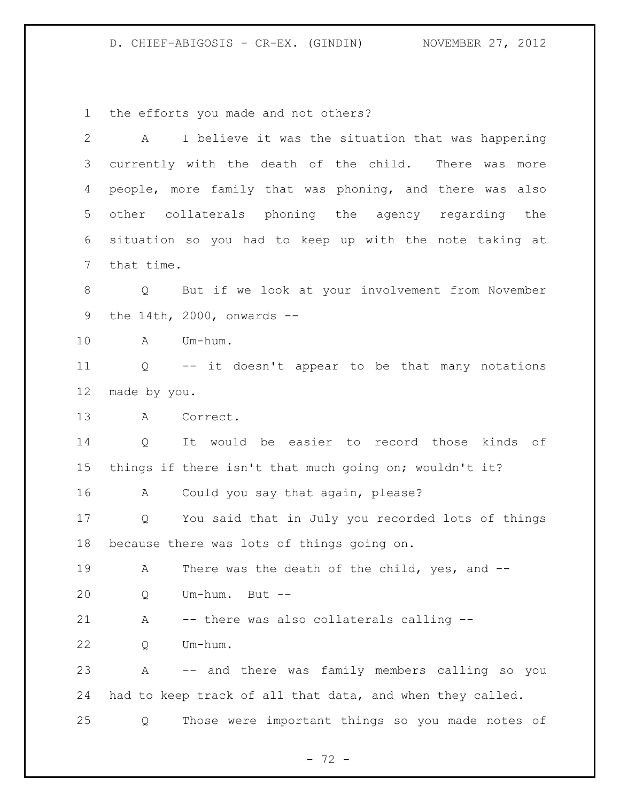the efforts you made and not others?

| $\overline{2}$ | A                 | I believe it was the situation that was happening         |
|----------------|-------------------|-----------------------------------------------------------|
| 3              |                   | currently with the death of the child. There was<br>more  |
| 4              |                   | people, more family that was phoning, and there was also  |
| 5              |                   | other collaterals phoning the agency regarding the        |
| 6              |                   | situation so you had to keep up with the note taking at   |
| $\overline{7}$ | that time.        |                                                           |
| $\,8\,$        | $Q \qquad \qquad$ | But if we look at your involvement from November          |
| 9              |                   | the 14th, 2000, onwards $-$                               |
| 10             | A                 | Um-hum.                                                   |
| 11             |                   | Q -- it doesn't appear to be that many notations          |
| 12             | made by you.      |                                                           |
| 13             | A                 | Correct.                                                  |
| 14             | Q                 | It would be easier to record those kinds of               |
| 15             |                   | things if there isn't that much going on; wouldn't it?    |
| 16             | A                 | Could you say that again, please?                         |
| 17             | $Q \qquad \qquad$ | You said that in July you recorded lots of things         |
| 18             |                   | because there was lots of things going on.                |
| 19             | A                 | There was the death of the child, yes, and --             |
| 20             | Q                 | Um-hum. But --                                            |
| 21             | Α                 | -- there was also collaterals calling --                  |
| 22             | Q                 | Um-hum.                                                   |
| 23             | Α                 | -- and there was family members calling so you            |
| 24             |                   | had to keep track of all that data, and when they called. |
| 25             | Q                 | Those were important things so you made notes of          |

- 72 -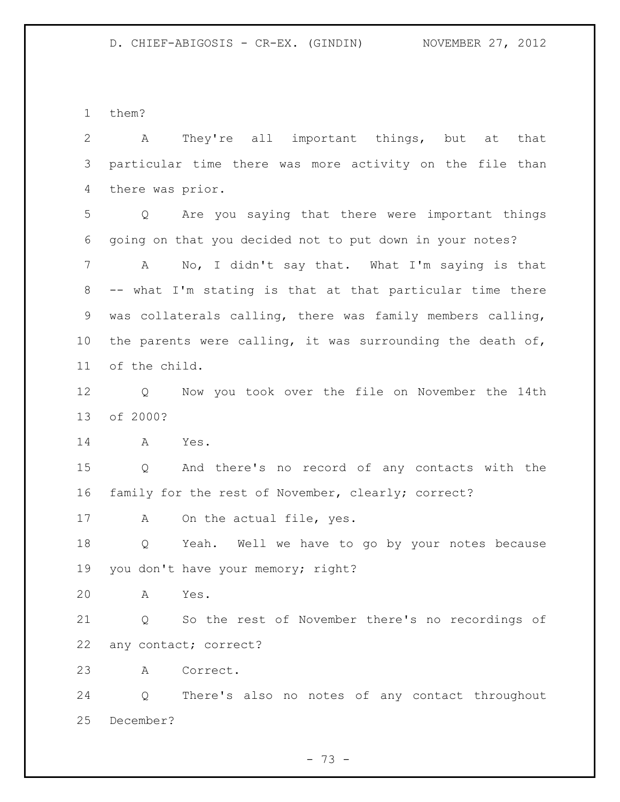them?

 A They're all important things, but at that particular time there was more activity on the file than there was prior. Q Are you saying that there were important things going on that you decided not to put down in your notes? A No, I didn't say that. What I'm saying is that -- what I'm stating is that at that particular time there was collaterals calling, there was family members calling, the parents were calling, it was surrounding the death of, of the child. Q Now you took over the file on November the 14th of 2000? A Yes. Q And there's no record of any contacts with the family for the rest of November, clearly; correct? 17 A On the actual file, yes. Q Yeah. Well we have to go by your notes because you don't have your memory; right? A Yes. Q So the rest of November there's no recordings of any contact; correct? A Correct. Q There's also no notes of any contact throughout December?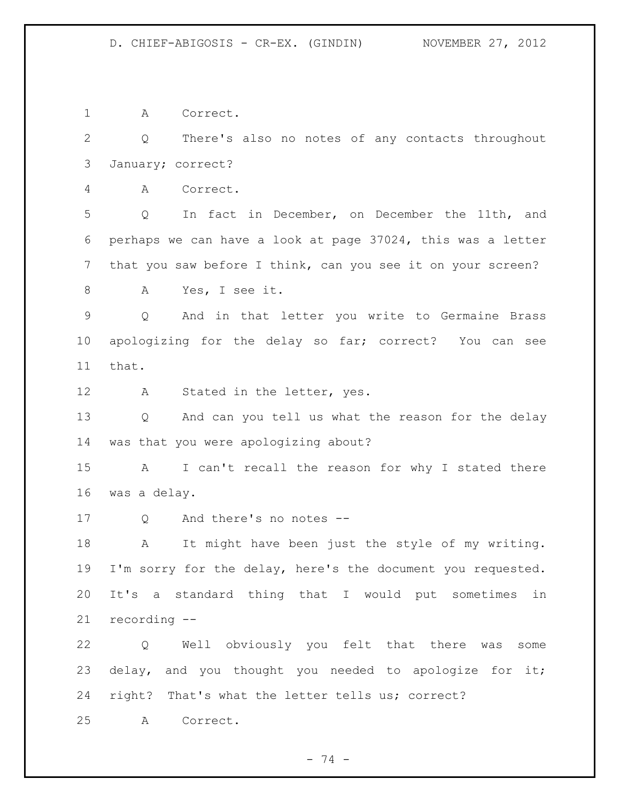A Correct.

 Q There's also no notes of any contacts throughout January; correct?

A Correct.

 Q In fact in December, on December the 11th, and perhaps we can have a look at page 37024, this was a letter that you saw before I think, can you see it on your screen?

A Yes, I see it.

 Q And in that letter you write to Germaine Brass apologizing for the delay so far; correct? You can see that.

12 A Stated in the letter, yes.

 Q And can you tell us what the reason for the delay was that you were apologizing about?

 A I can't recall the reason for why I stated there was a delay.

Q And there's no notes --

 A It might have been just the style of my writing. 19 I'm sorry for the delay, here's the document you requested. It's a standard thing that I would put sometimes in recording --

 Q Well obviously you felt that there was some 23 delay, and you thought you needed to apologize for it; right? That's what the letter tells us; correct?

A Correct.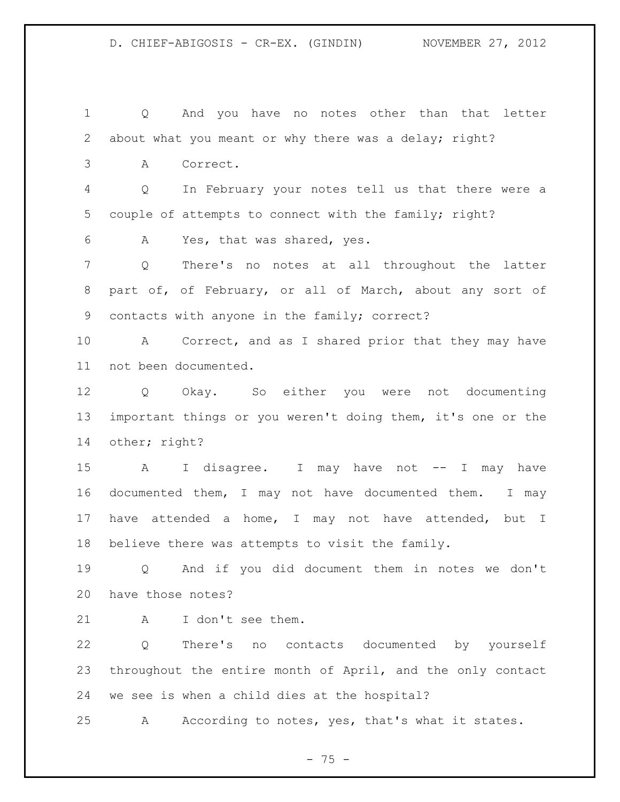Q And you have no notes other than that letter 2 about what you meant or why there was a delay; right? A Correct. Q In February your notes tell us that there were a couple of attempts to connect with the family; right? A Yes, that was shared, yes. Q There's no notes at all throughout the latter part of, of February, or all of March, about any sort of contacts with anyone in the family; correct? A Correct, and as I shared prior that they may have not been documented. Q Okay. So either you were not documenting important things or you weren't doing them, it's one or the other; right? A I disagree. I may have not -- I may have documented them, I may not have documented them. I may have attended a home, I may not have attended, but I believe there was attempts to visit the family. Q And if you did document them in notes we don't have those notes? A I don't see them. Q There's no contacts documented by yourself throughout the entire month of April, and the only contact we see is when a child dies at the hospital?

A According to notes, yes, that's what it states.

- 75 -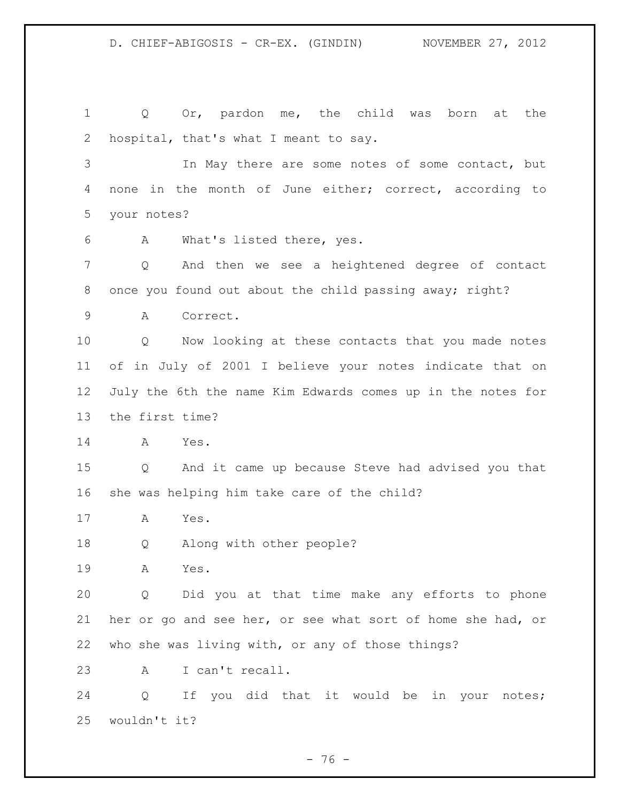1 Q Or, pardon me, the child was born at the hospital, that's what I meant to say. In May there are some notes of some contact, but none in the month of June either; correct, according to your notes? A What's listed there, yes. Q And then we see a heightened degree of contact once you found out about the child passing away; right? A Correct. Q Now looking at these contacts that you made notes of in July of 2001 I believe your notes indicate that on July the 6th the name Kim Edwards comes up in the notes for the first time? A Yes. Q And it came up because Steve had advised you that she was helping him take care of the child? A Yes. Q Along with other people? A Yes. Q Did you at that time make any efforts to phone her or go and see her, or see what sort of home she had, or who she was living with, or any of those things? A I can't recall. Q If you did that it would be in your notes; wouldn't it?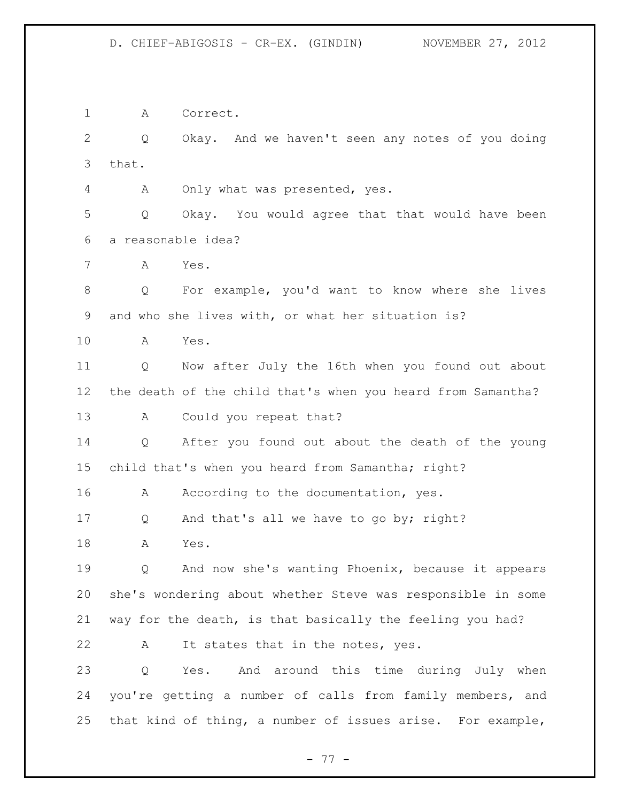A Correct.

 Q Okay. And we haven't seen any notes of you doing that.

A Only what was presented, yes.

 Q Okay. You would agree that that would have been a reasonable idea?

A Yes.

 Q For example, you'd want to know where she lives and who she lives with, or what her situation is?

A Yes.

 Q Now after July the 16th when you found out about the death of the child that's when you heard from Samantha?

13 A Could you repeat that?

 Q After you found out about the death of the young child that's when you heard from Samantha; right?

16 A According to the documentation, yes.

Q And that's all we have to go by; right?

A Yes.

 Q And now she's wanting Phoenix, because it appears she's wondering about whether Steve was responsible in some way for the death, is that basically the feeling you had?

22 A It states that in the notes, yes.

 Q Yes. And around this time during July when you're getting a number of calls from family members, and that kind of thing, a number of issues arise. For example,

- 77 -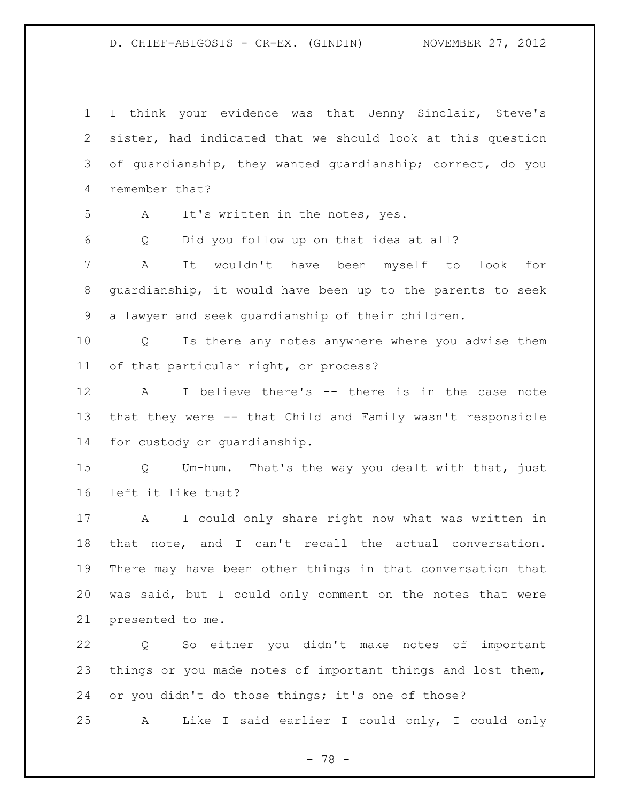I think your evidence was that Jenny Sinclair, Steve's sister, had indicated that we should look at this question of guardianship, they wanted guardianship; correct, do you remember that? A It's written in the notes, yes. Q Did you follow up on that idea at all? A It wouldn't have been myself to look for guardianship, it would have been up to the parents to seek a lawyer and seek guardianship of their children. Q Is there any notes anywhere where you advise them of that particular right, or process? A I believe there's -- there is in the case note that they were -- that Child and Family wasn't responsible for custody or guardianship. Q Um-hum. That's the way you dealt with that, just left it like that? A I could only share right now what was written in that note, and I can't recall the actual conversation. There may have been other things in that conversation that was said, but I could only comment on the notes that were presented to me. Q So either you didn't make notes of important things or you made notes of important things and lost them, or you didn't do those things; it's one of those? A Like I said earlier I could only, I could only

- 78 -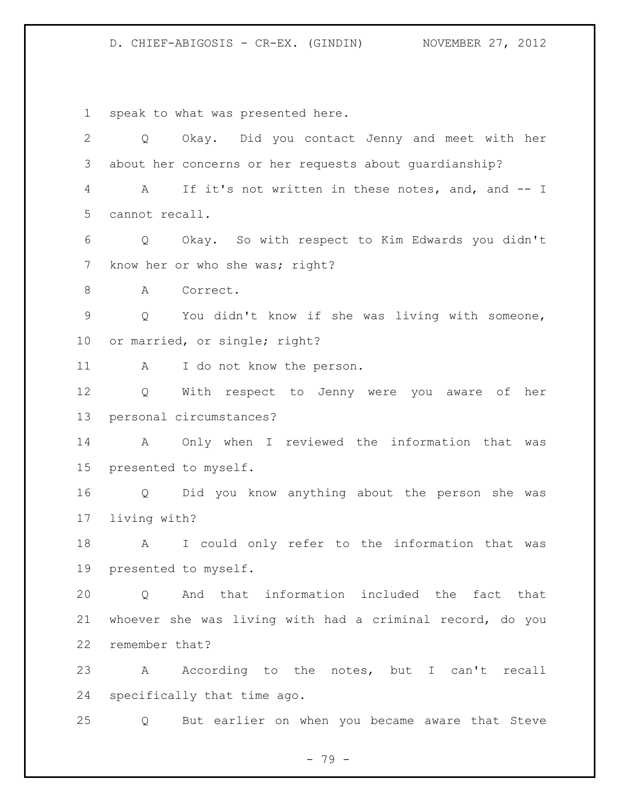speak to what was presented here.

 Q Okay. Did you contact Jenny and meet with her about her concerns or her requests about guardianship? A If it's not written in these notes, and, and -- I cannot recall. Q Okay. So with respect to Kim Edwards you didn't 7 know her or who she was; right? 8 A Correct. Q You didn't know if she was living with someone, or married, or single; right? 11 A I do not know the person. Q With respect to Jenny were you aware of her personal circumstances? A Only when I reviewed the information that was presented to myself. Q Did you know anything about the person she was living with? A I could only refer to the information that was presented to myself. Q And that information included the fact that whoever she was living with had a criminal record, do you remember that? A According to the notes, but I can't recall specifically that time ago. Q But earlier on when you became aware that Steve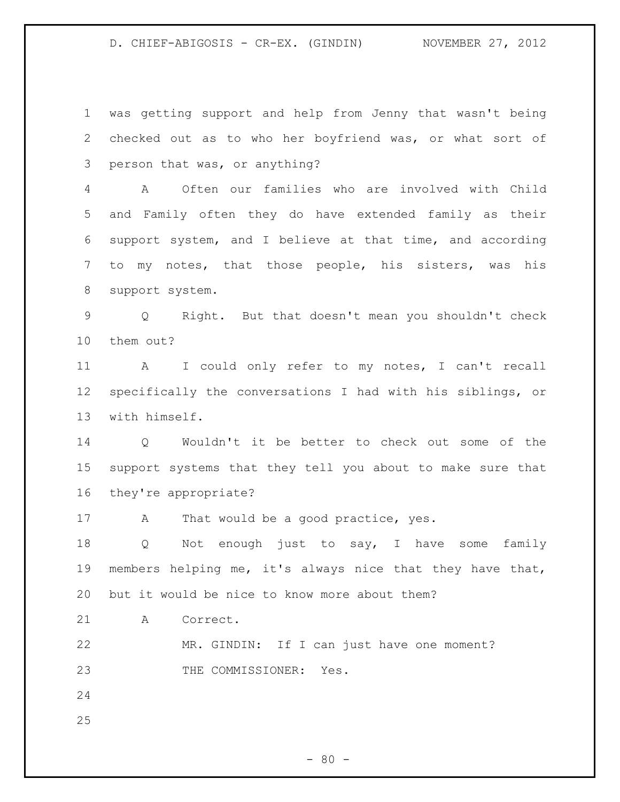was getting support and help from Jenny that wasn't being checked out as to who her boyfriend was, or what sort of person that was, or anything? A Often our families who are involved with Child and Family often they do have extended family as their support system, and I believe at that time, and according to my notes, that those people, his sisters, was his support system. Q Right. But that doesn't mean you shouldn't check them out? A I could only refer to my notes, I can't recall specifically the conversations I had with his siblings, or with himself. Q Wouldn't it be better to check out some of the support systems that they tell you about to make sure that they're appropriate? 17 A That would be a good practice, yes. Q Not enough just to say, I have some family members helping me, it's always nice that they have that, but it would be nice to know more about them? A Correct. MR. GINDIN: If I can just have one moment? 23 THE COMMISSIONER: Yes.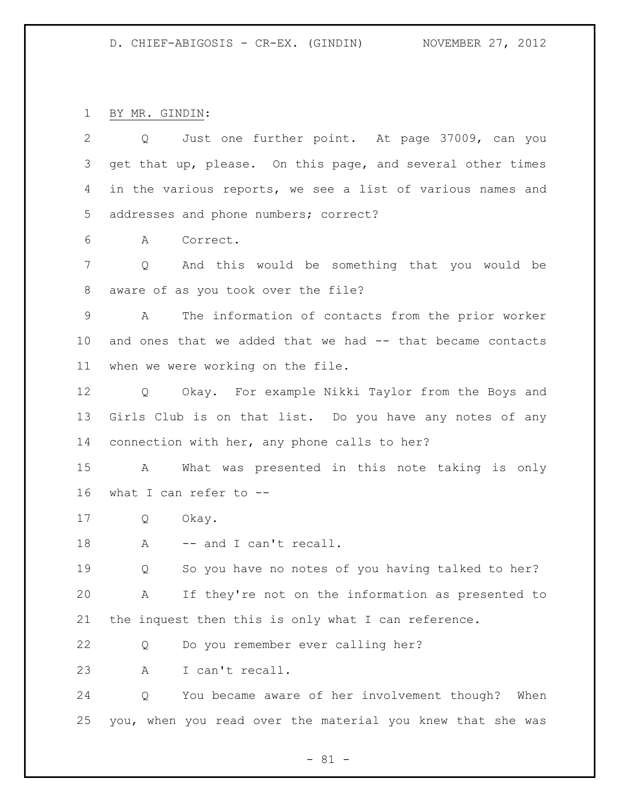BY MR. GINDIN:

| $\overline{2}$ | Q Just one further point. At page 37009, can you               |
|----------------|----------------------------------------------------------------|
| 3              | get that up, please. On this page, and several other times     |
| 4              | in the various reports, we see a list of various names and     |
| 5              | addresses and phone numbers; correct?                          |
| 6              | Correct.<br>A                                                  |
| 7              | And this would be something that you would be<br>Q             |
| 8              | aware of as you took over the file?                            |
| 9              | The information of contacts from the prior worker<br>Α         |
| $10 \,$        | and ones that we added that we had -- that became contacts     |
| 11             | when we were working on the file.                              |
| 12             | Q Okay. For example Nikki Taylor from the Boys and             |
| 13             | Girls Club is on that list. Do you have any notes of any       |
| 14             | connection with her, any phone calls to her?                   |
| 15             | What was presented in this note taking is only<br>$\mathbf{A}$ |
| 16             | what I can refer to --                                         |
| 17             | Okay.<br>Q                                                     |
| 18             | -- and I can't recall.<br>A                                    |
| 19             | So you have no notes of you having talked to her?<br>Q         |
| 20             | If they're not on the information as presented to<br>A         |
| 21             | the inquest then this is only what I can reference.            |
| 22             | Do you remember ever calling her?<br>Q                         |
| 23             | I can't recall.<br>A                                           |
| 24             | You became aware of her involvement though? When<br>Q          |
| 25             | you, when you read over the material you knew that she was     |

- 81 -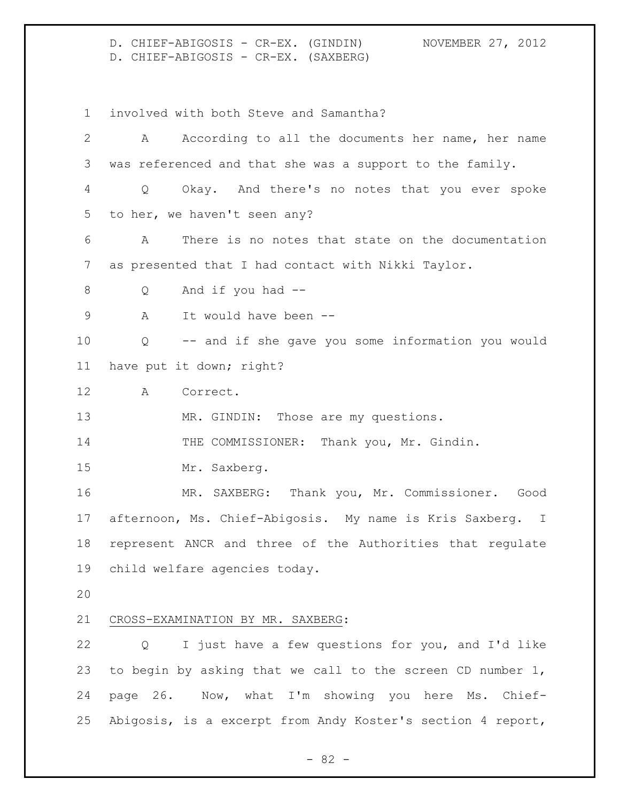D. CHIEF-ABIGOSIS - CR-EX. (GINDIN) NOVEMBER 27, 2012 D. CHIEF-ABIGOSIS - CR-EX. (SAXBERG)

involved with both Steve and Samantha?

 A According to all the documents her name, her name was referenced and that she was a support to the family. Q Okay. And there's no notes that you ever spoke to her, we haven't seen any? A There is no notes that state on the documentation as presented that I had contact with Nikki Taylor. Q And if you had -- 9 A It would have been -- Q -- and if she gave you some information you would have put it down; right? A Correct. 13 MR. GINDIN: Those are my questions. 14 THE COMMISSIONER: Thank you, Mr. Gindin. Mr. Saxberg. MR. SAXBERG: Thank you, Mr. Commissioner. Good afternoon, Ms. Chief-Abigosis. My name is Kris Saxberg. I represent ANCR and three of the Authorities that regulate child welfare agencies today. CROSS-EXAMINATION BY MR. SAXBERG: Q I just have a few questions for you, and I'd like to begin by asking that we call to the screen CD number 1, page 26. Now, what I'm showing you here Ms. Chief-Abigosis, is a excerpt from Andy Koster's section 4 report,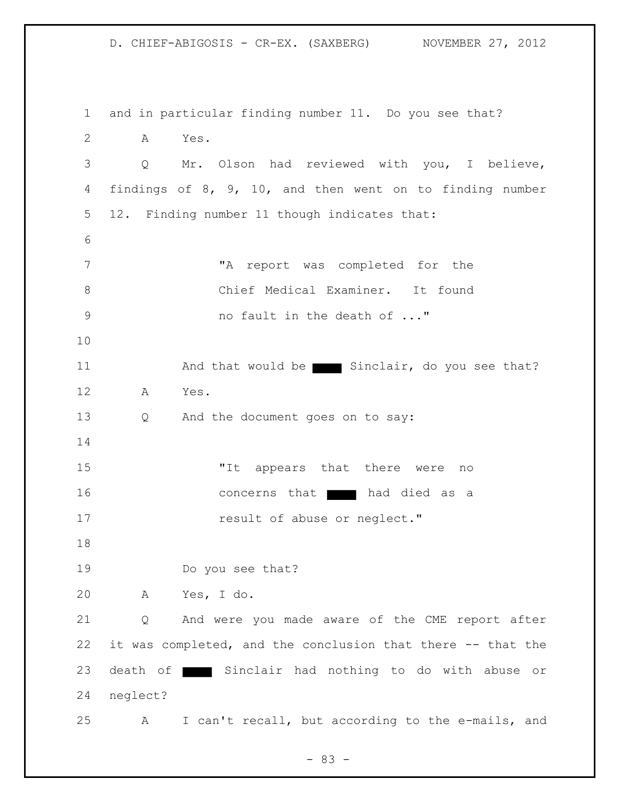D. CHIEF-ABIGOSIS - CR-EX. (SAXBERG) NOVEMBER 27, 2012 and in particular finding number 11. Do you see that? A Yes. Q Mr. Olson had reviewed with you, I believe, findings of 8, 9, 10, and then went on to finding number 12. Finding number 11 though indicates that: "A report was completed for the Chief Medical Examiner. It found 9 mo fault in the death of ..." 11 And that would be Sinclair, do you see that? A Yes. 13 Q And the document goes on to say: "It appears that there were no 16 concerns that had died as a **result of abuse or neglect."**  19 Do you see that? A Yes, I do. Q And were you made aware of the CME report after it was completed, and the conclusion that there -- that the 23 death of Sinclair had nothing to do with abuse or neglect? A I can't recall, but according to the e-mails, and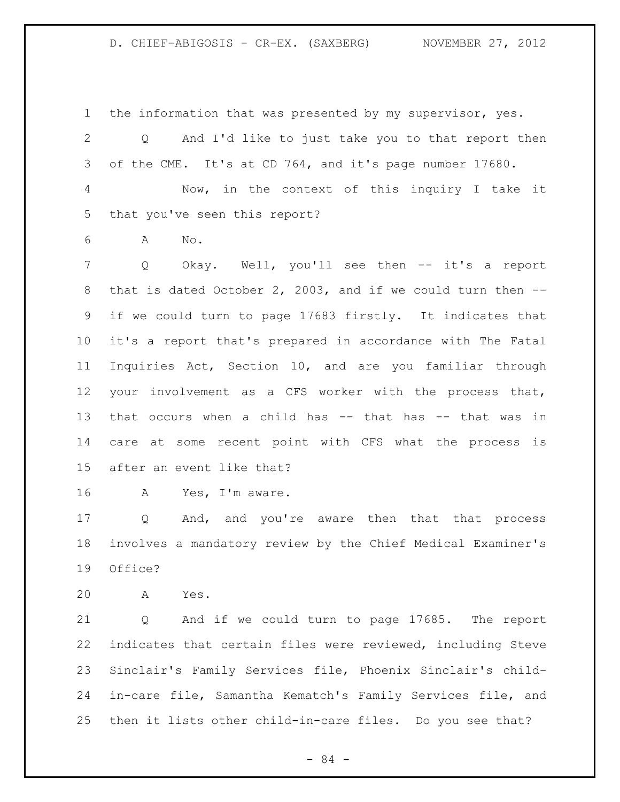the information that was presented by my supervisor, yes. Q And I'd like to just take you to that report then of the CME. It's at CD 764, and it's page number 17680. Now, in the context of this inquiry I take it that you've seen this report? A No. Q Okay. Well, you'll see then -- it's a report that is dated October 2, 2003, and if we could turn then -- if we could turn to page 17683 firstly. It indicates that it's a report that's prepared in accordance with The Fatal Inquiries Act, Section 10, and are you familiar through your involvement as a CFS worker with the process that, that occurs when a child has -- that has -- that was in care at some recent point with CFS what the process is after an event like that? A Yes, I'm aware.

17 Q And, and you're aware then that that process involves a mandatory review by the Chief Medical Examiner's Office?

A Yes.

 Q And if we could turn to page 17685. The report indicates that certain files were reviewed, including Steve Sinclair's Family Services file, Phoenix Sinclair's child- in-care file, Samantha Kematch's Family Services file, and then it lists other child-in-care files. Do you see that?

- 84 -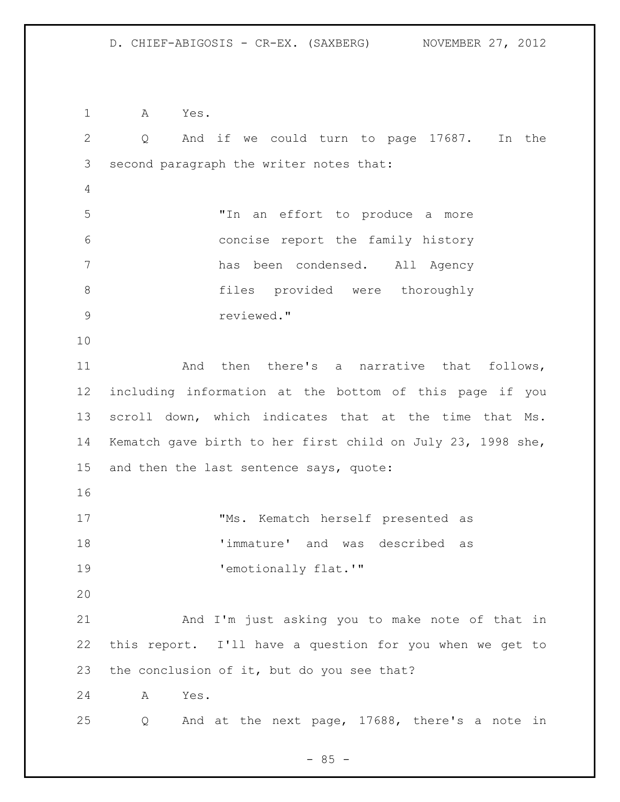A Yes. Q And if we could turn to page 17687. In the second paragraph the writer notes that: "In an effort to produce a more concise report the family history has been condensed. All Agency files provided were thoroughly reviewed." And then there's a narrative that follows, including information at the bottom of this page if you scroll down, which indicates that at the time that Ms. Kematch gave birth to her first child on July 23, 1998 she, and then the last sentence says, quote: "Ms. Kematch herself presented as 'immature' and was described as 19 Temotionally flat.'" And I'm just asking you to make note of that in this report. I'll have a question for you when we get to the conclusion of it, but do you see that? A Yes. Q And at the next page, 17688, there's a note in

 $- 85 -$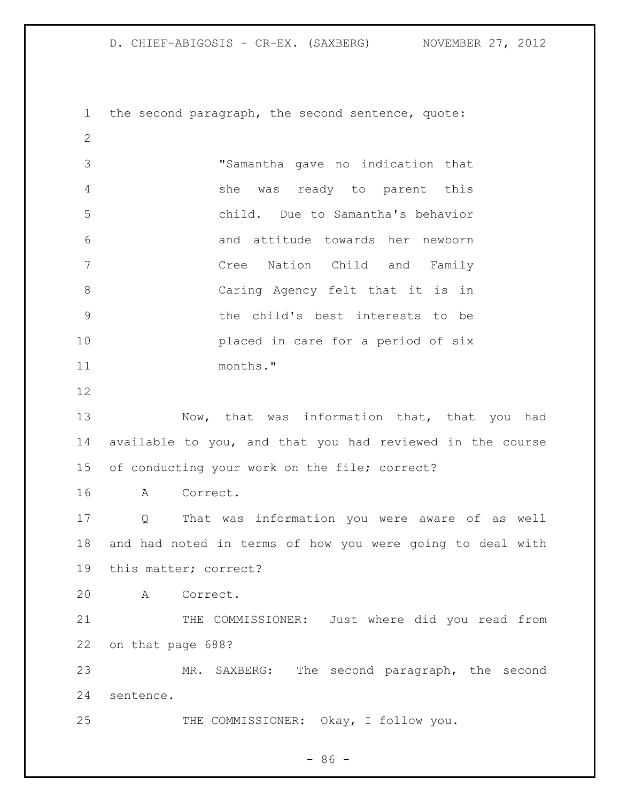| NOVEMBER 27, 2012<br>D. CHIEF-ABIGOSIS - CR-EX. (SAXBERG) |  |
|-----------------------------------------------------------|--|
|-----------------------------------------------------------|--|

 the second paragraph, the second sentence, quote: "Samantha gave no indication that she was ready to parent this child. Due to Samantha's behavior and attitude towards her newborn Cree Nation Child and Family Caring Agency felt that it is in the child's best interests to be placed in care for a period of six months." 13 Now, that was information that, that you had available to you, and that you had reviewed in the course of conducting your work on the file; correct? A Correct. Q That was information you were aware of as well and had noted in terms of how you were going to deal with this matter; correct? A Correct. 21 THE COMMISSIONER: Just where did you read from on that page 688? MR. SAXBERG: The second paragraph, the second sentence. THE COMMISSIONER: Okay, I follow you.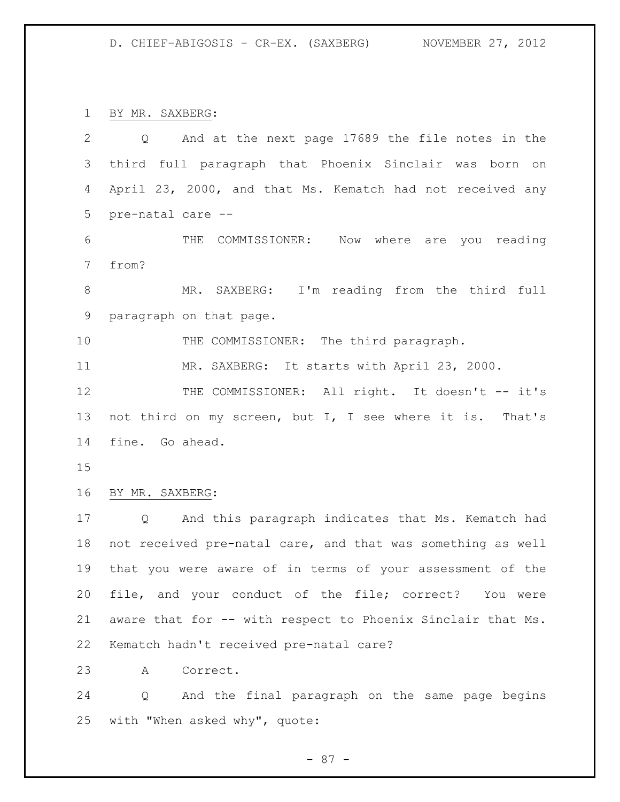BY MR. SAXBERG:

| $\mathbf{2}$ | Q And at the next page 17689 the file notes in the          |
|--------------|-------------------------------------------------------------|
| 3            | third full paragraph that Phoenix Sinclair was born on      |
| 4            | April 23, 2000, and that Ms. Kematch had not received any   |
| 5            | pre-natal care --                                           |
| 6            | THE COMMISSIONER: Now where are you reading                 |
| 7            | from?                                                       |
| $\,8\,$      | MR. SAXBERG: I'm reading from the third full                |
| 9            | paragraph on that page.                                     |
| 10           | THE COMMISSIONER: The third paragraph.                      |
| 11           | MR. SAXBERG: It starts with April 23, 2000.                 |
| 12           | THE COMMISSIONER: All right. It doesn't -- it's             |
| 13           | not third on my screen, but I, I see where it is. That's    |
| 14           | fine. Go ahead.                                             |
| 15           |                                                             |
| 16           | BY MR. SAXBERG:                                             |
| 17           | And this paragraph indicates that Ms. Kematch had<br>Q      |
| 18           | not received pre-natal care, and that was something as well |
| 19           | that you were aware of in terms of your assessment of the   |
| 20           | file, and your conduct of the file; correct? You were       |
| 21           | aware that for -- with respect to Phoenix Sinclair that Ms. |
| 22           | Kematch hadn't received pre-natal care?                     |
| 23           | Correct.<br>A                                               |
| 24           | Q And the final paragraph on the same page begins           |
| 25           | with "When asked why", quote:                               |

- 87 -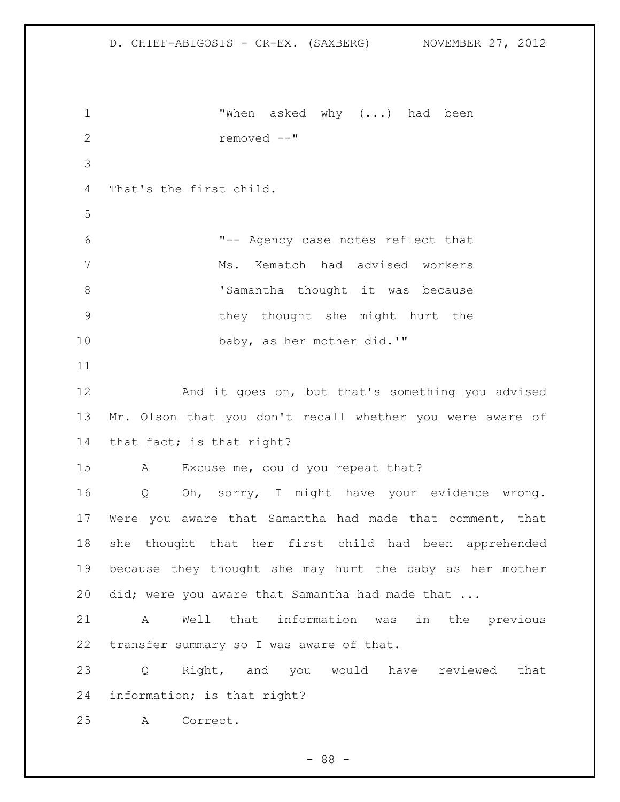```
1 "When asked why (...) had been
2 removed --"
3
4 That's the first child.
5
6 "-- Agency case notes reflect that 
7 Ms. Kematch had advised workers 
8 Samantha thought it was because
9 they thought she might hurt the 
10 baby, as her mother did.'"
11
12 And it goes on, but that's something you advised 
13 Mr. Olson that you don't recall whether you were aware of 
14 that fact; is that right?
15 A Excuse me, could you repeat that?
16 Q Oh, sorry, I might have your evidence wrong. 
17 Were you aware that Samantha had made that comment, that 
18 she thought that her first child had been apprehended 
19 because they thought she may hurt the baby as her mother 
20 did; were you aware that Samantha had made that ...
21 A Well that information was in the previous 
22 transfer summary so I was aware of that.
23 Q Right, and you would have reviewed that 
24 information; is that right?
25 A Correct.
```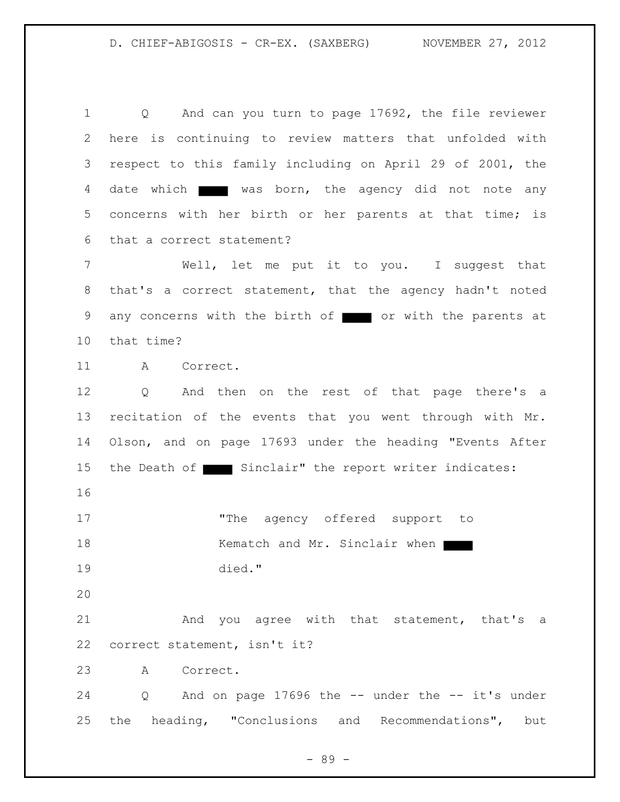Q And can you turn to page 17692, the file reviewer here is continuing to review matters that unfolded with respect to this family including on April 29 of 2001, the 4 date which was born, the agency did not note any concerns with her birth or her parents at that time; is that a correct statement?

7 Well, let me put it to you. I suggest that that's a correct statement, that the agency hadn't noted 9 any concerns with the birth of or with the parents at that time?

A Correct.

 Q And then on the rest of that page there's a recitation of the events that you went through with Mr. Olson, and on page 17693 under the heading "Events After 15 the Death of Sinclair" the report writer indicates:

17 The agency offered support to 18 Kematch and Mr. Sinclair when died."

21 And you agree with that statement, that's a correct statement, isn't it?

A Correct.

 Q And on page 17696 the -- under the -- it's under the heading, "Conclusions and Recommendations", but

- 89 -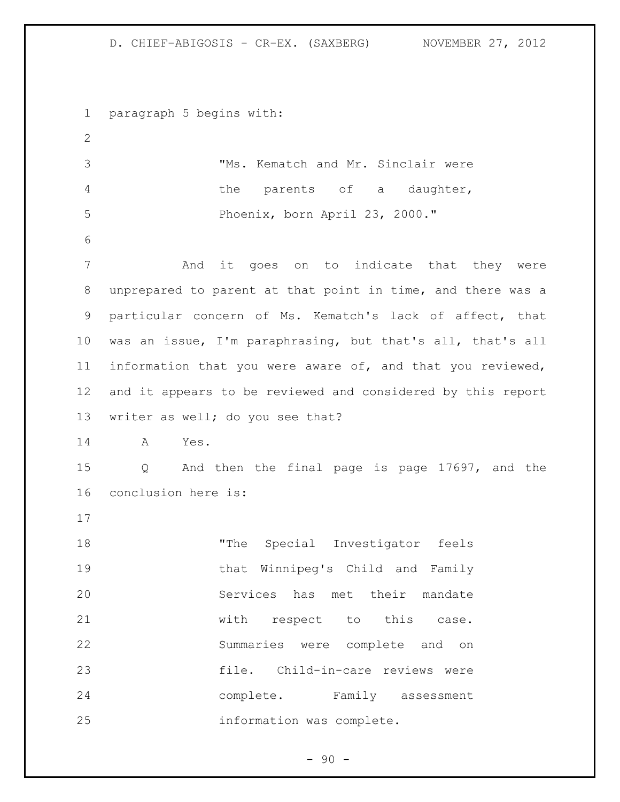paragraph 5 begins with: "Ms. Kematch and Mr. Sinclair were the parents of a daughter, Phoenix, born April 23, 2000." And it goes on to indicate that they were unprepared to parent at that point in time, and there was a particular concern of Ms. Kematch's lack of affect, that was an issue, I'm paraphrasing, but that's all, that's all information that you were aware of, and that you reviewed, and it appears to be reviewed and considered by this report writer as well; do you see that? A Yes. Q And then the final page is page 17697, and the conclusion here is: "The Special Investigator feels that Winnipeg's Child and Family Services has met their mandate 21 with respect to this case. Summaries were complete and on file. Child-in-care reviews were complete. Family assessment information was complete.

 $-90 -$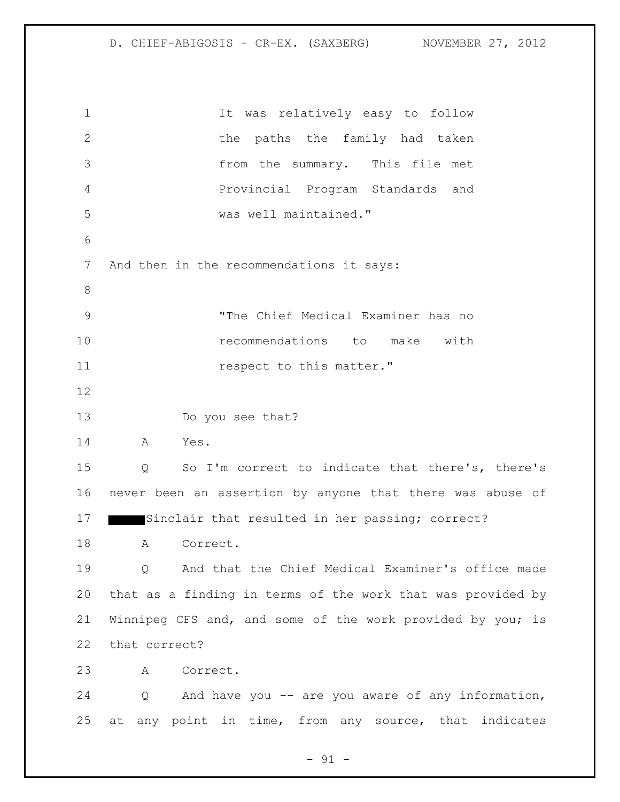It was relatively easy to follow 2 the paths the family had taken from the summary. This file met Provincial Program Standards and was well maintained." And then in the recommendations it says: "The Chief Medical Examiner has no recommendations to make with **respect to this matter."**  13 Do you see that? A Yes. Q So I'm correct to indicate that there's, there's never been an assertion by anyone that there was abuse of 17 Sinclair that resulted in her passing; correct? A Correct. Q And that the Chief Medical Examiner's office made that as a finding in terms of the work that was provided by Winnipeg CFS and, and some of the work provided by you; is that correct? A Correct. Q And have you -- are you aware of any information, at any point in time, from any source, that indicates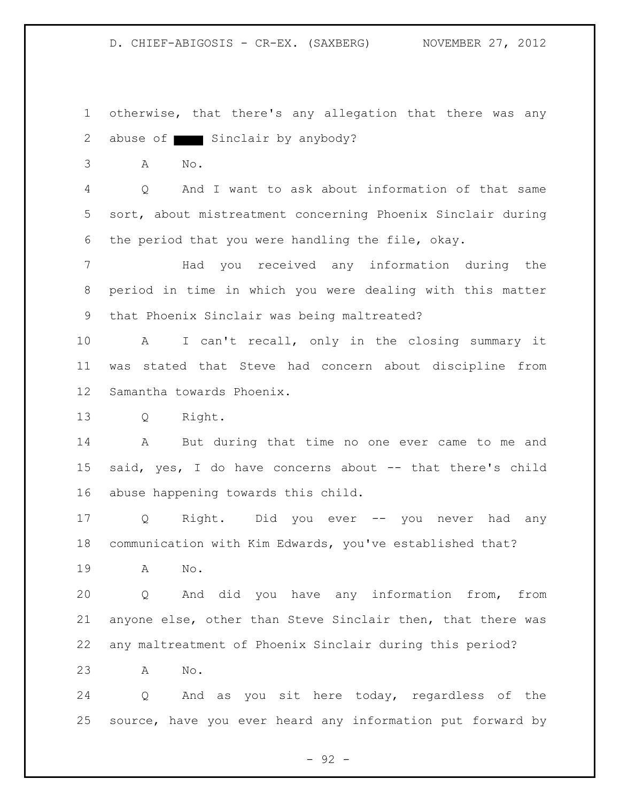otherwise, that there's any allegation that there was any 2 abuse of Sinclair by anybody?

A No.

 Q And I want to ask about information of that same sort, about mistreatment concerning Phoenix Sinclair during the period that you were handling the file, okay.

7 Had you received any information during the period in time in which you were dealing with this matter that Phoenix Sinclair was being maltreated?

 A I can't recall, only in the closing summary it was stated that Steve had concern about discipline from Samantha towards Phoenix.

Q Right.

 A But during that time no one ever came to me and said, yes, I do have concerns about -- that there's child abuse happening towards this child.

 Q Right. Did you ever -- you never had any communication with Kim Edwards, you've established that?

A No.

 Q And did you have any information from, from anyone else, other than Steve Sinclair then, that there was any maltreatment of Phoenix Sinclair during this period?

A No.

 Q And as you sit here today, regardless of the source, have you ever heard any information put forward by

- 92 -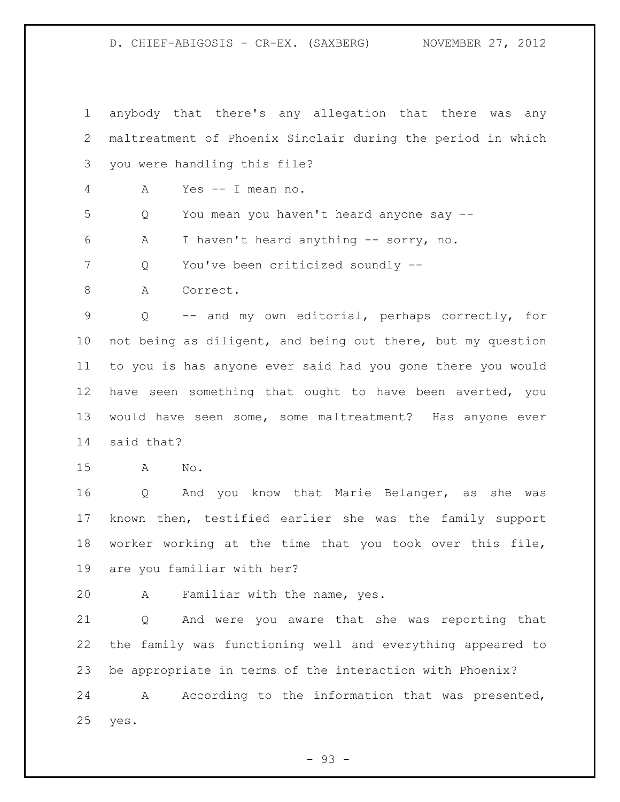anybody that there's any allegation that there was any maltreatment of Phoenix Sinclair during the period in which you were handling this file?

A Yes -- I mean no.

Q You mean you haven't heard anyone say --

A I haven't heard anything -- sorry, no.

Q You've been criticized soundly --

8 A Correct.

 Q -- and my own editorial, perhaps correctly, for not being as diligent, and being out there, but my question to you is has anyone ever said had you gone there you would have seen something that ought to have been averted, you would have seen some, some maltreatment? Has anyone ever said that?

A No.

 Q And you know that Marie Belanger, as she was known then, testified earlier she was the family support worker working at the time that you took over this file, are you familiar with her?

A Familiar with the name, yes.

 Q And were you aware that she was reporting that the family was functioning well and everything appeared to be appropriate in terms of the interaction with Phoenix?

 A According to the information that was presented, yes.

 $-93 -$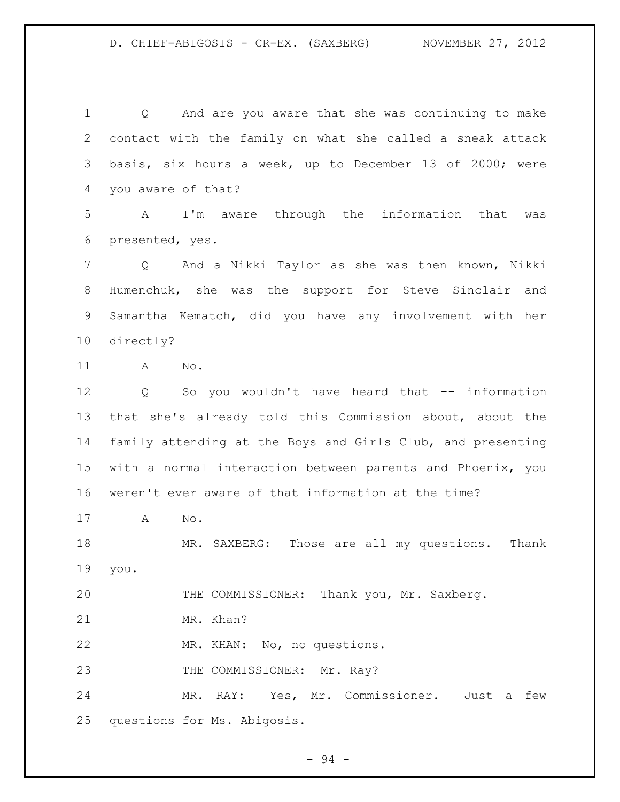Q And are you aware that she was continuing to make contact with the family on what she called a sneak attack basis, six hours a week, up to December 13 of 2000; were you aware of that? A I'm aware through the information that was presented, yes. Q And a Nikki Taylor as she was then known, Nikki Humenchuk, she was the support for Steve Sinclair and Samantha Kematch, did you have any involvement with her directly? A No. Q So you wouldn't have heard that -- information that she's already told this Commission about, about the family attending at the Boys and Girls Club, and presenting with a normal interaction between parents and Phoenix, you weren't ever aware of that information at the time? A No. MR. SAXBERG: Those are all my questions. Thank you. THE COMMISSIONER: Thank you, Mr. Saxberg. MR. Khan? MR. KHAN: No, no questions. 23 THE COMMISSIONER: Mr. Ray? MR. RAY: Yes, Mr. Commissioner. Just a few

questions for Ms. Abigosis.

 $-94 -$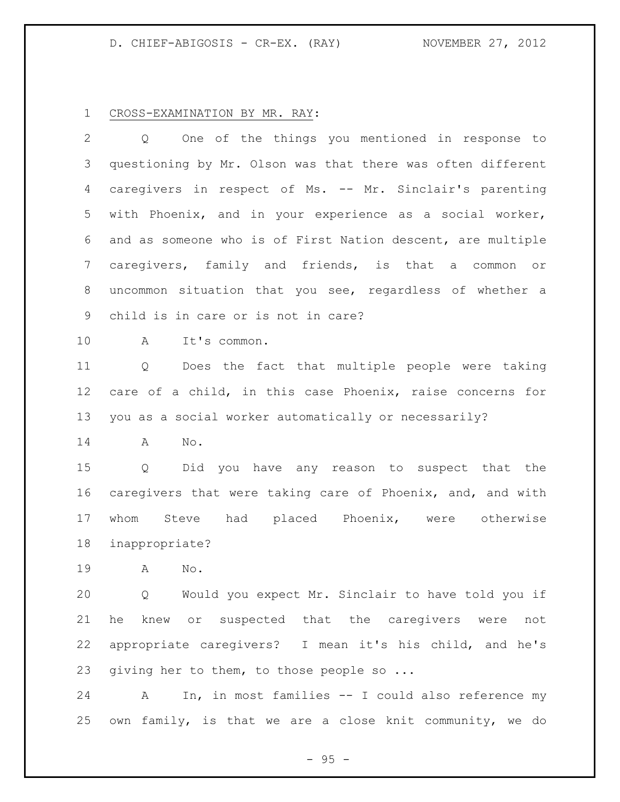#### CROSS-EXAMINATION BY MR. RAY:

 Q One of the things you mentioned in response to questioning by Mr. Olson was that there was often different caregivers in respect of Ms. -- Mr. Sinclair's parenting with Phoenix, and in your experience as a social worker, and as someone who is of First Nation descent, are multiple caregivers, family and friends, is that a common or uncommon situation that you see, regardless of whether a child is in care or is not in care?

A It's common.

 Q Does the fact that multiple people were taking care of a child, in this case Phoenix, raise concerns for you as a social worker automatically or necessarily?

A No.

 Q Did you have any reason to suspect that the caregivers that were taking care of Phoenix, and, and with whom Steve had placed Phoenix, were otherwise inappropriate?

A No.

 Q Would you expect Mr. Sinclair to have told you if he knew or suspected that the caregivers were not appropriate caregivers? I mean it's his child, and he's 23 giving her to them, to those people so ...

 A In, in most families -- I could also reference my own family, is that we are a close knit community, we do

 $- 95 -$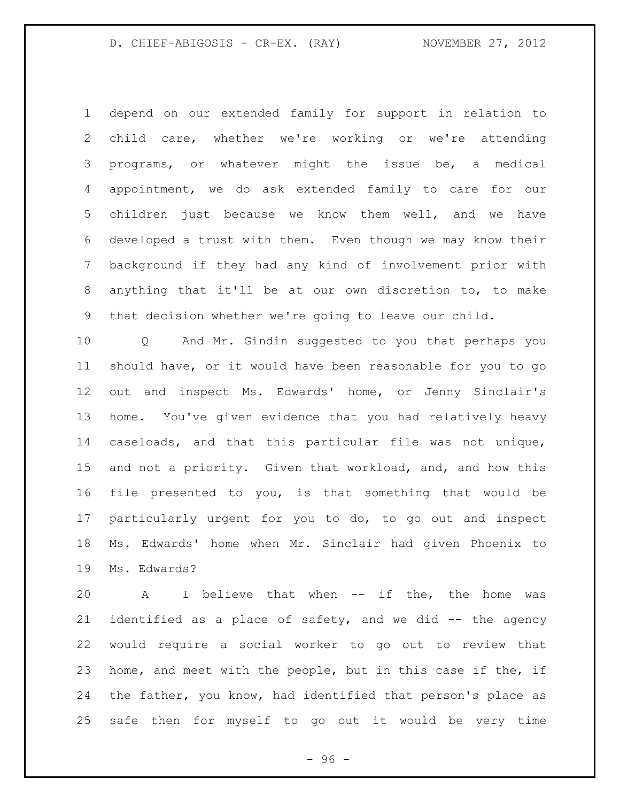depend on our extended family for support in relation to child care, whether we're working or we're attending programs, or whatever might the issue be, a medical appointment, we do ask extended family to care for our children just because we know them well, and we have developed a trust with them. Even though we may know their background if they had any kind of involvement prior with anything that it'll be at our own discretion to, to make that decision whether we're going to leave our child.

 Q And Mr. Gindin suggested to you that perhaps you should have, or it would have been reasonable for you to go out and inspect Ms. Edwards' home, or Jenny Sinclair's home. You've given evidence that you had relatively heavy caseloads, and that this particular file was not unique, and not a priority. Given that workload, and, and how this file presented to you, is that something that would be particularly urgent for you to do, to go out and inspect Ms. Edwards' home when Mr. Sinclair had given Phoenix to Ms. Edwards?

 A I believe that when -- if the, the home was identified as a place of safety, and we did -- the agency would require a social worker to go out to review that home, and meet with the people, but in this case if the, if the father, you know, had identified that person's place as safe then for myself to go out it would be very time

 $-96 -$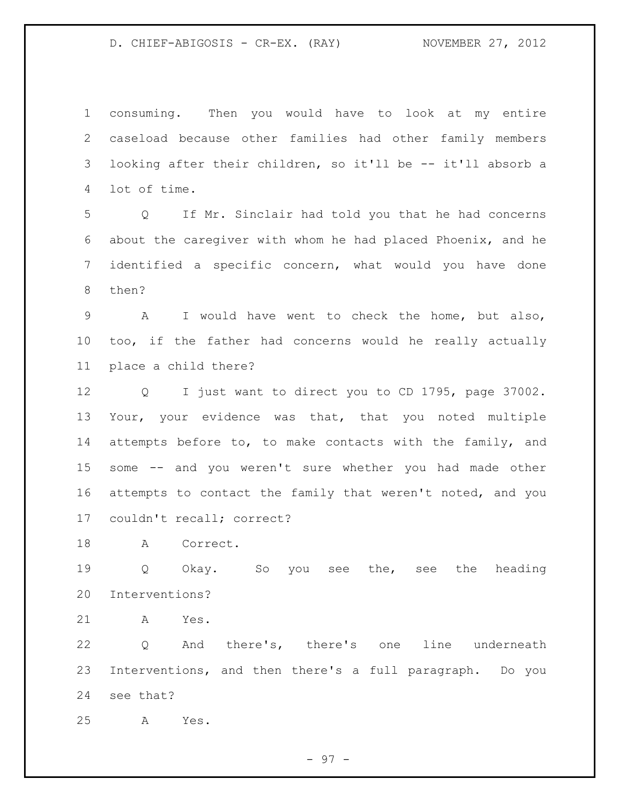consuming. Then you would have to look at my entire caseload because other families had other family members looking after their children, so it'll be -- it'll absorb a lot of time.

 Q If Mr. Sinclair had told you that he had concerns about the caregiver with whom he had placed Phoenix, and he identified a specific concern, what would you have done then?

 A I would have went to check the home, but also, too, if the father had concerns would he really actually place a child there?

 Q I just want to direct you to CD 1795, page 37002. Your, your evidence was that, that you noted multiple attempts before to, to make contacts with the family, and some -- and you weren't sure whether you had made other attempts to contact the family that weren't noted, and you couldn't recall; correct?

A Correct.

 Q Okay. So you see the, see the heading Interventions?

A Yes.

 Q And there's, there's one line underneath Interventions, and then there's a full paragraph. Do you see that?

A Yes.

- 97 -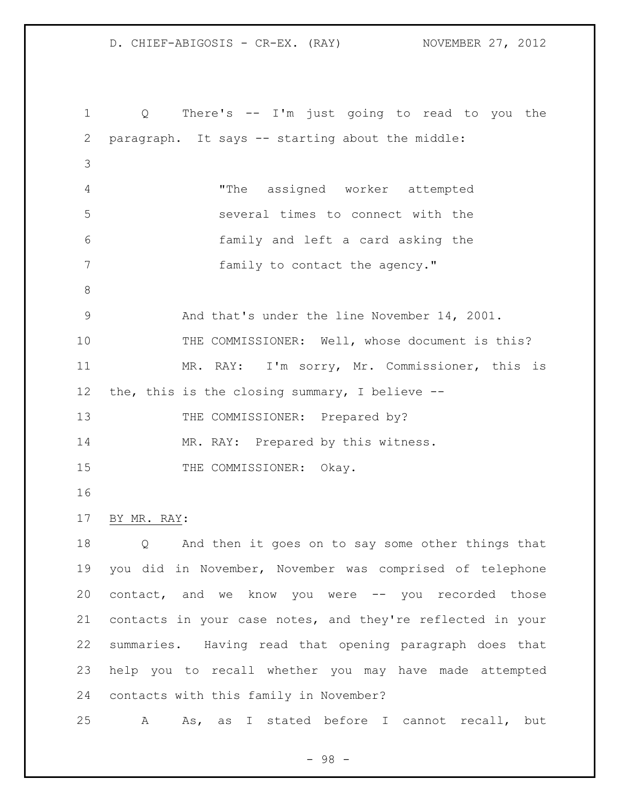Q There's -- I'm just going to read to you the paragraph. It says -- starting about the middle: "The assigned worker attempted several times to connect with the family and left a card asking the **family** to contact the agency." And that's under the line November 14, 2001. 10 THE COMMISSIONER: Well, whose document is this? MR. RAY: I'm sorry, Mr. Commissioner, this is the, this is the closing summary, I believe -- 13 THE COMMISSIONER: Prepared by? 14 MR. RAY: Prepared by this witness. 15 THE COMMISSIONER: Okay. BY MR. RAY: Q And then it goes on to say some other things that you did in November, November was comprised of telephone contact, and we know you were -- you recorded those contacts in your case notes, and they're reflected in your summaries. Having read that opening paragraph does that help you to recall whether you may have made attempted contacts with this family in November? A As, as I stated before I cannot recall, but

- 98 -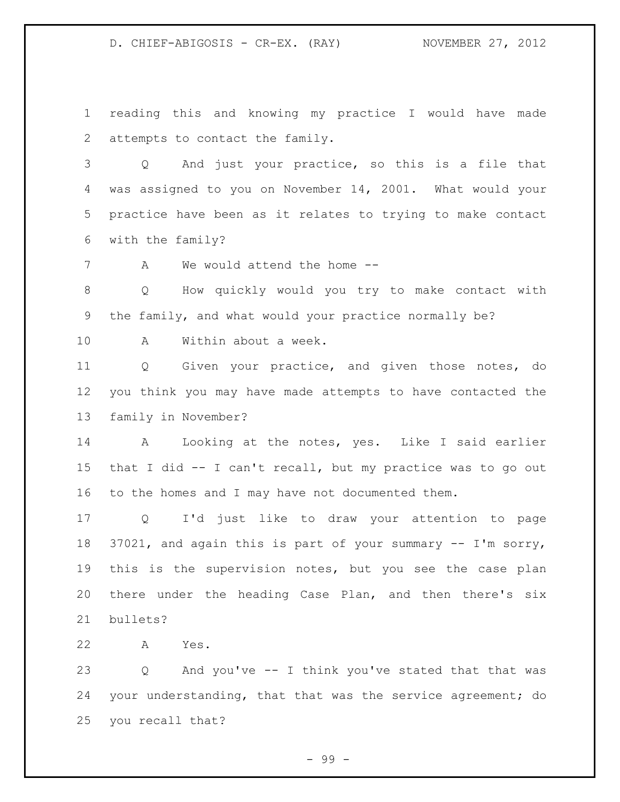reading this and knowing my practice I would have made attempts to contact the family.

 Q And just your practice, so this is a file that was assigned to you on November 14, 2001. What would your practice have been as it relates to trying to make contact with the family?

A We would attend the home --

 Q How quickly would you try to make contact with the family, and what would your practice normally be?

A Within about a week.

 Q Given your practice, and given those notes, do you think you may have made attempts to have contacted the family in November?

 A Looking at the notes, yes. Like I said earlier that I did -- I can't recall, but my practice was to go out to the homes and I may have not documented them.

 Q I'd just like to draw your attention to page 37021, and again this is part of your summary -- I'm sorry, this is the supervision notes, but you see the case plan there under the heading Case Plan, and then there's six bullets?

A Yes.

 Q And you've -- I think you've stated that that was your understanding, that that was the service agreement; do you recall that?

- 99 -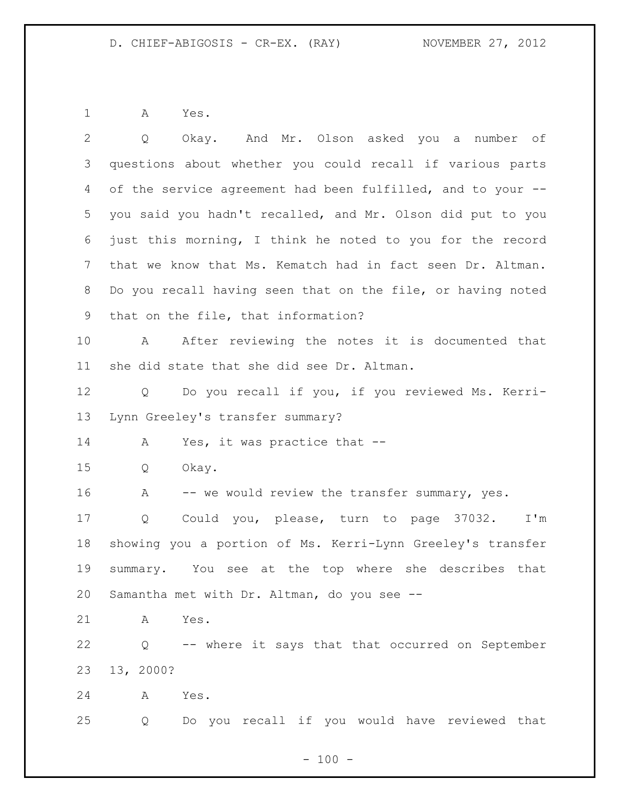A Yes.

| $\overline{2}$ | Okay. And Mr. Olson asked you a number of<br>Q                        |
|----------------|-----------------------------------------------------------------------|
| 3              | questions about whether you could recall if various parts             |
| 4              | of the service agreement had been fulfilled, and to your --           |
| 5              | you said you hadn't recalled, and Mr. Olson did put to you            |
| 6              | just this morning, I think he noted to you for the record             |
| $7\phantom{.}$ | that we know that Ms. Kematch had in fact seen Dr. Altman.            |
| 8              | Do you recall having seen that on the file, or having noted           |
| 9              | that on the file, that information?                                   |
| 10             | After reviewing the notes it is documented that<br>A                  |
| 11             | she did state that she did see Dr. Altman.                            |
| 12             | Do you recall if you, if you reviewed Ms. Kerri-<br>Q                 |
| 13             | Lynn Greeley's transfer summary?                                      |
| 14             | Yes, it was practice that --<br>A                                     |
| 15             | Okay.<br>Q                                                            |
| 16             | -- we would review the transfer summary, yes.<br>A                    |
| 17             | Could you, please, turn to page 37032. I'm<br>Q                       |
| 18             | showing you a portion of Ms. Kerri-Lynn Greeley's transfer            |
| 19             | summary. You see at the top where she describes that                  |
| 20             | Samantha met with Dr. Altman, do you see --                           |
| 21             | Yes.<br>A                                                             |
| 22             | -- where it says that that occurred on September<br>$Q \qquad \qquad$ |
| 23             | 13, 2000?                                                             |
| 24             | A<br>Yes.                                                             |
| 25             | Do you recall if you would have reviewed that<br>Q                    |

- 100 -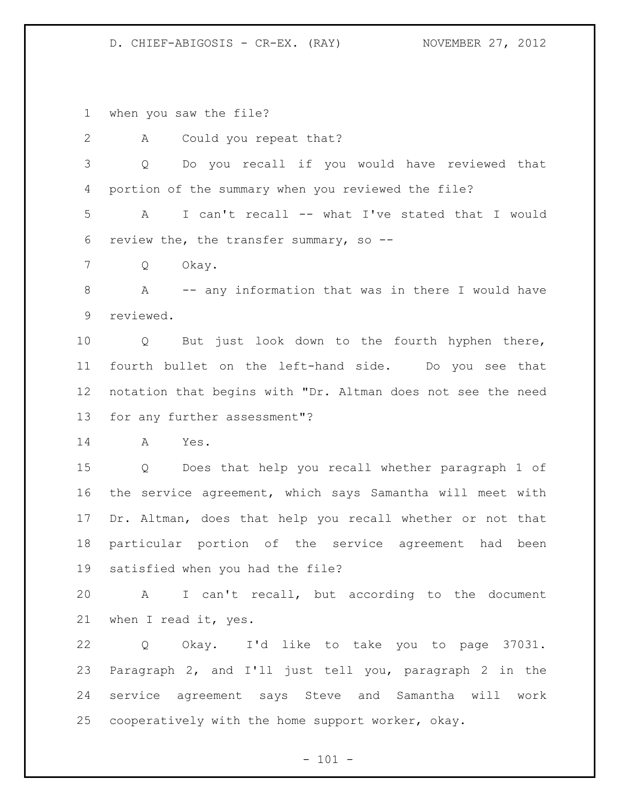when you saw the file?

 A Could you repeat that? Q Do you recall if you would have reviewed that portion of the summary when you reviewed the file? A I can't recall -- what I've stated that I would review the, the transfer summary, so -- Q Okay. A -- any information that was in there I would have reviewed. Q But just look down to the fourth hyphen there, fourth bullet on the left-hand side. Do you see that notation that begins with "Dr. Altman does not see the need for any further assessment"? A Yes. Q Does that help you recall whether paragraph 1 of the service agreement, which says Samantha will meet with Dr. Altman, does that help you recall whether or not that particular portion of the service agreement had been satisfied when you had the file? A I can't recall, but according to the document when I read it, yes. Q Okay. I'd like to take you to page 37031. Paragraph 2, and I'll just tell you, paragraph 2 in the service agreement says Steve and Samantha will work cooperatively with the home support worker, okay.

 $- 101 -$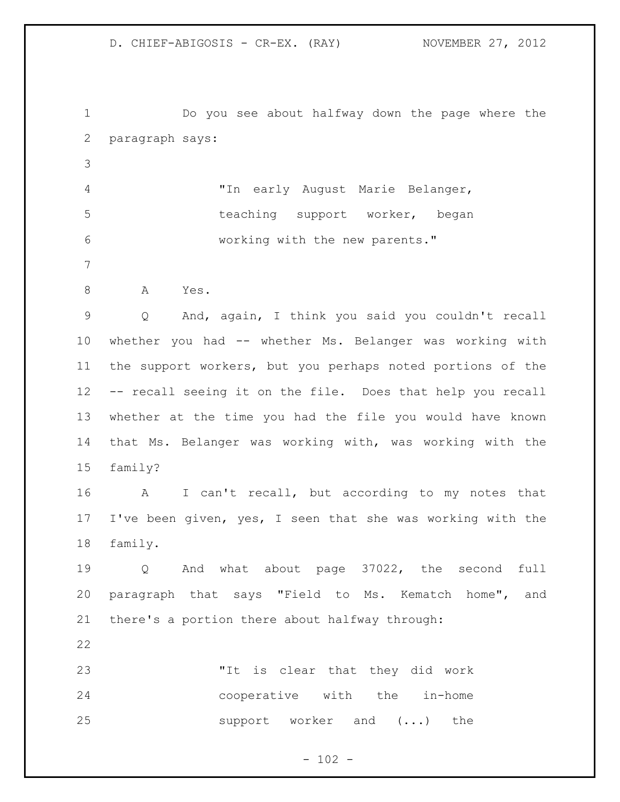Do you see about halfway down the page where the paragraph says: "In early August Marie Belanger, 5 teaching support worker, began working with the new parents." 8 A Yes. Q And, again, I think you said you couldn't recall whether you had -- whether Ms. Belanger was working with the support workers, but you perhaps noted portions of the -- recall seeing it on the file. Does that help you recall whether at the time you had the file you would have known that Ms. Belanger was working with, was working with the family? A I can't recall, but according to my notes that I've been given, yes, I seen that she was working with the family. Q And what about page 37022, the second full paragraph that says "Field to Ms. Kematch home", and there's a portion there about halfway through: "It is clear that they did work cooperative with the in-home 25 support worker and  $(\ldots)$  the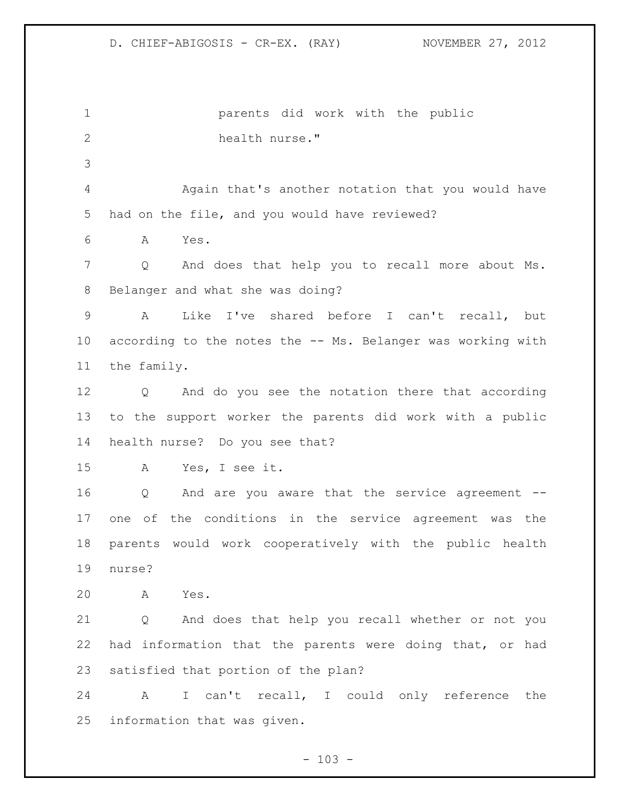parents did work with the public health nurse." Again that's another notation that you would have had on the file, and you would have reviewed? A Yes. Q And does that help you to recall more about Ms. Belanger and what she was doing? A Like I've shared before I can't recall, but according to the notes the -- Ms. Belanger was working with the family. Q And do you see the notation there that according to the support worker the parents did work with a public health nurse? Do you see that? A Yes, I see it. Q And are you aware that the service agreement -- one of the conditions in the service agreement was the parents would work cooperatively with the public health nurse? A Yes. Q And does that help you recall whether or not you had information that the parents were doing that, or had satisfied that portion of the plan? A I can't recall, I could only reference the information that was given.

 $- 103 -$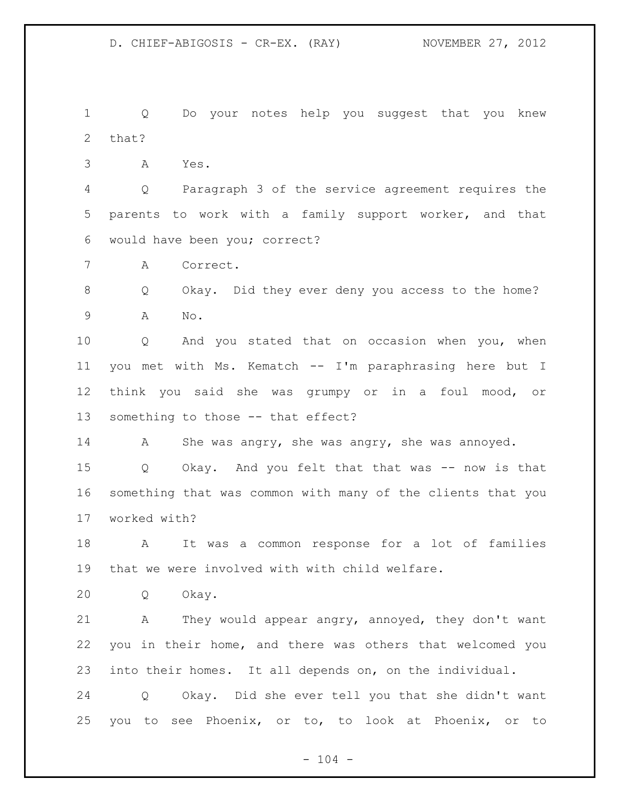Q Do your notes help you suggest that you knew that?

A Yes.

 Q Paragraph 3 of the service agreement requires the parents to work with a family support worker, and that would have been you; correct?

A Correct.

 Q Okay. Did they ever deny you access to the home? A No.

 Q And you stated that on occasion when you, when you met with Ms. Kematch -- I'm paraphrasing here but I think you said she was grumpy or in a foul mood, or something to those -- that effect?

A She was angry, she was angry, she was annoyed.

 Q Okay. And you felt that that was -- now is that something that was common with many of the clients that you worked with?

 A It was a common response for a lot of families that we were involved with with child welfare.

Q Okay.

 A They would appear angry, annoyed, they don't want you in their home, and there was others that welcomed you into their homes. It all depends on, on the individual.

 Q Okay. Did she ever tell you that she didn't want you to see Phoenix, or to, to look at Phoenix, or to

 $- 104 -$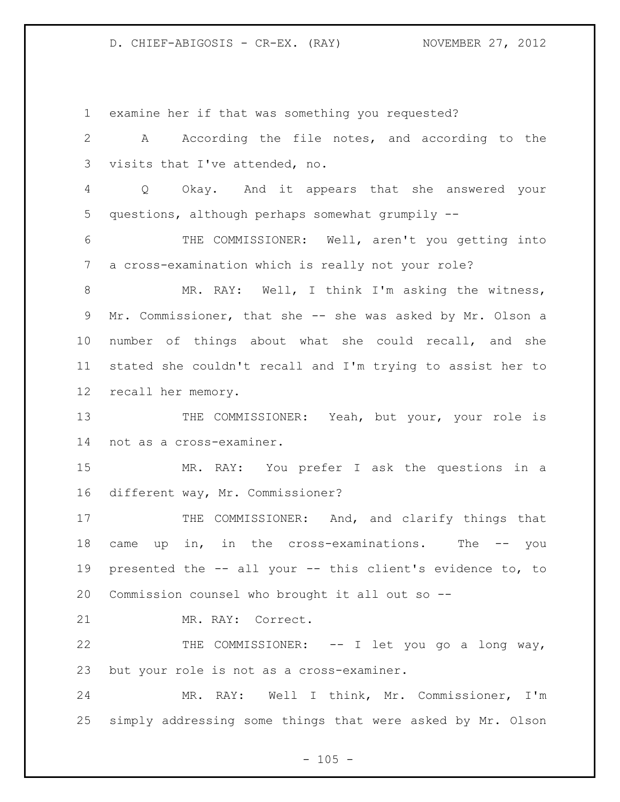examine her if that was something you requested? A According the file notes, and according to the visits that I've attended, no. Q Okay. And it appears that she answered your questions, although perhaps somewhat grumpily -- THE COMMISSIONER: Well, aren't you getting into a cross-examination which is really not your role? MR. RAY: Well, I think I'm asking the witness, Mr. Commissioner, that she -- she was asked by Mr. Olson a number of things about what she could recall, and she stated she couldn't recall and I'm trying to assist her to recall her memory. 13 THE COMMISSIONER: Yeah, but your, your role is not as a cross-examiner. MR. RAY: You prefer I ask the questions in a different way, Mr. Commissioner? 17 THE COMMISSIONER: And, and clarify things that came up in, in the cross-examinations. The -- you presented the -- all your -- this client's evidence to, to Commission counsel who brought it all out so -- MR. RAY: Correct. 22 THE COMMISSIONER: -- I let you go a long way, but your role is not as a cross-examiner. MR. RAY: Well I think, Mr. Commissioner, I'm simply addressing some things that were asked by Mr. Olson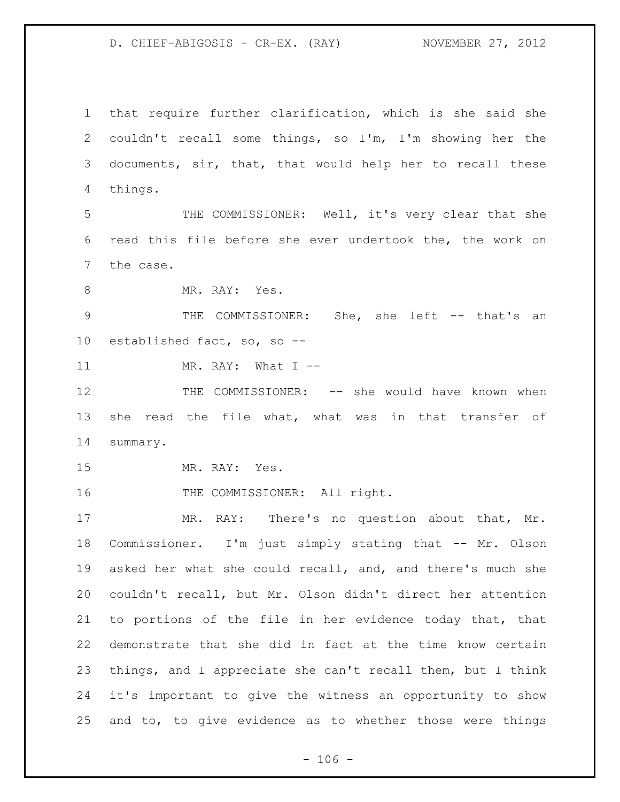that require further clarification, which is she said she couldn't recall some things, so I'm, I'm showing her the documents, sir, that, that would help her to recall these things.

 THE COMMISSIONER: Well, it's very clear that she read this file before she ever undertook the, the work on the case.

8 MR. RAY: Yes.

9 THE COMMISSIONER: She, she left -- that's an established fact, so, so --

11 MR. RAY: What I --

 THE COMMISSIONER: -- she would have known when she read the file what, what was in that transfer of summary.

MR. RAY: Yes.

16 THE COMMISSIONER: All right.

 MR. RAY: There's no question about that, Mr. Commissioner. I'm just simply stating that -- Mr. Olson asked her what she could recall, and, and there's much she couldn't recall, but Mr. Olson didn't direct her attention to portions of the file in her evidence today that, that demonstrate that she did in fact at the time know certain things, and I appreciate she can't recall them, but I think it's important to give the witness an opportunity to show and to, to give evidence as to whether those were things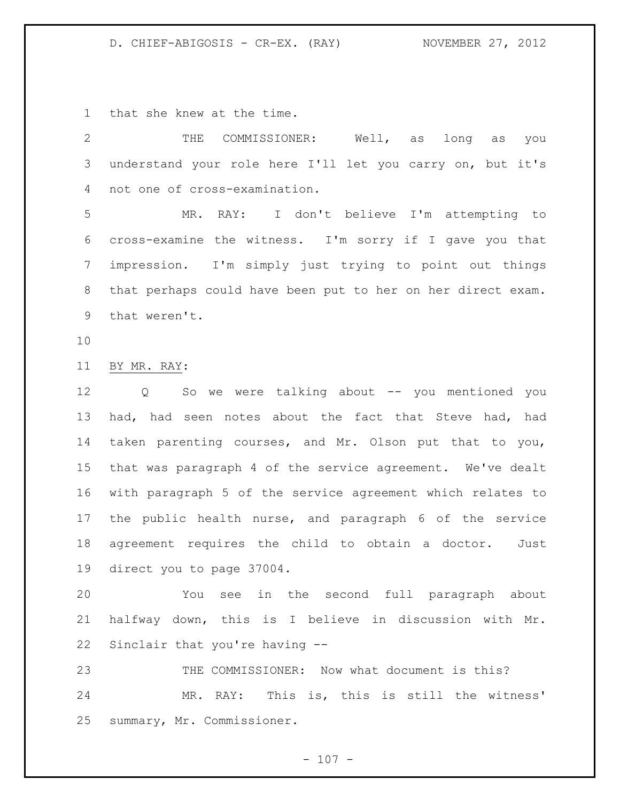that she knew at the time.

 THE COMMISSIONER: Well, as long as you understand your role here I'll let you carry on, but it's not one of cross-examination.

 MR. RAY: I don't believe I'm attempting to cross-examine the witness. I'm sorry if I gave you that impression. I'm simply just trying to point out things that perhaps could have been put to her on her direct exam. that weren't.

BY MR. RAY:

 Q So we were talking about -- you mentioned you had, had seen notes about the fact that Steve had, had taken parenting courses, and Mr. Olson put that to you, that was paragraph 4 of the service agreement. We've dealt with paragraph 5 of the service agreement which relates to the public health nurse, and paragraph 6 of the service agreement requires the child to obtain a doctor. Just direct you to page 37004.

 You see in the second full paragraph about halfway down, this is I believe in discussion with Mr. Sinclair that you're having --

 THE COMMISSIONER: Now what document is this? MR. RAY: This is, this is still the witness' summary, Mr. Commissioner.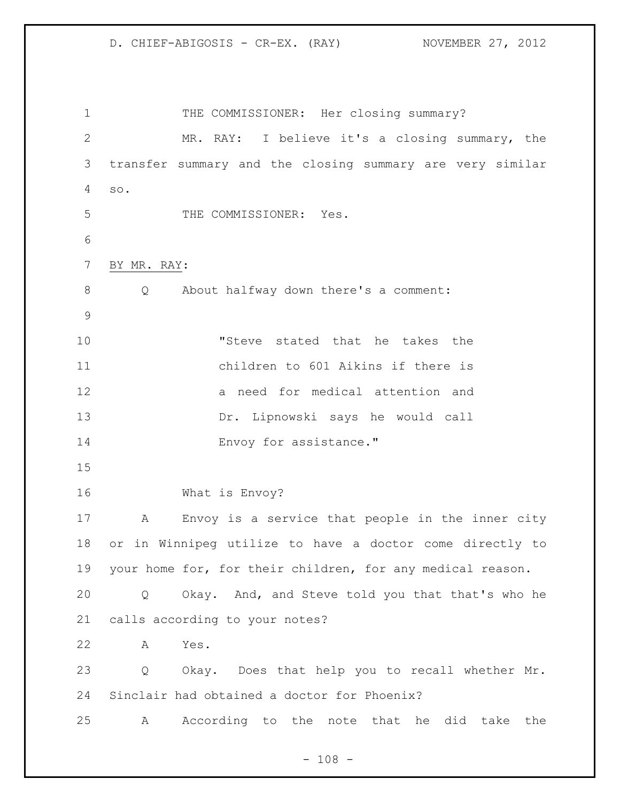1 THE COMMISSIONER: Her closing summary? MR. RAY: I believe it's a closing summary, the transfer summary and the closing summary are very similar so. THE COMMISSIONER: Yes. BY MR. RAY: Q About halfway down there's a comment: "Steve stated that he takes the children to 601 Aikins if there is a need for medical attention and Dr. Lipnowski says he would call 14 Envoy for assistance." What is Envoy? A Envoy is a service that people in the inner city or in Winnipeg utilize to have a doctor come directly to your home for, for their children, for any medical reason. Q Okay. And, and Steve told you that that's who he calls according to your notes? A Yes. Q Okay. Does that help you to recall whether Mr. Sinclair had obtained a doctor for Phoenix? A According to the note that he did take the

 $- 108 -$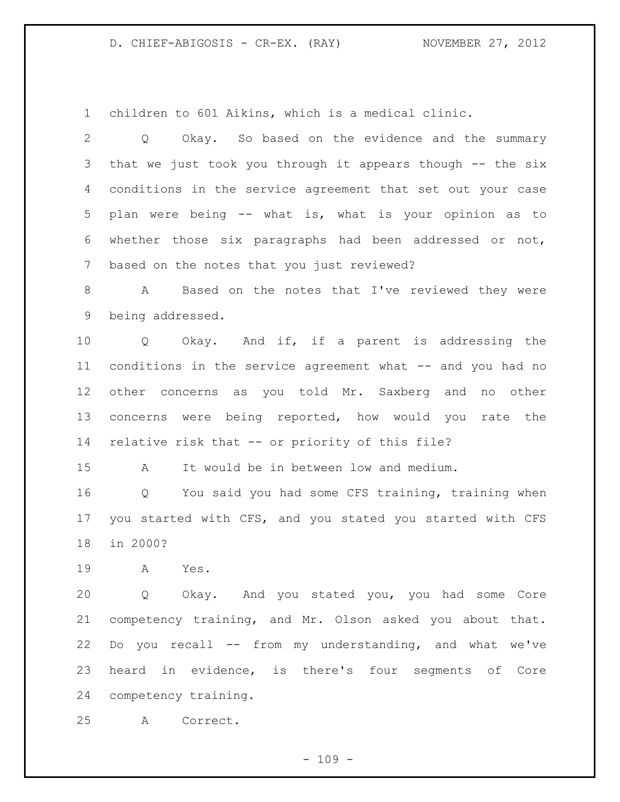children to 601 Aikins, which is a medical clinic.

 Q Okay. So based on the evidence and the summary that we just took you through it appears though -- the six conditions in the service agreement that set out your case plan were being -- what is, what is your opinion as to whether those six paragraphs had been addressed or not, based on the notes that you just reviewed?

 A Based on the notes that I've reviewed they were being addressed.

 Q Okay. And if, if a parent is addressing the conditions in the service agreement what -- and you had no other concerns as you told Mr. Saxberg and no other concerns were being reported, how would you rate the relative risk that -- or priority of this file?

A It would be in between low and medium.

 Q You said you had some CFS training, training when you started with CFS, and you stated you started with CFS in 2000?

A Yes.

 Q Okay. And you stated you, you had some Core competency training, and Mr. Olson asked you about that. Do you recall -- from my understanding, and what we've heard in evidence, is there's four segments of Core competency training.

A Correct.

 $- 109 -$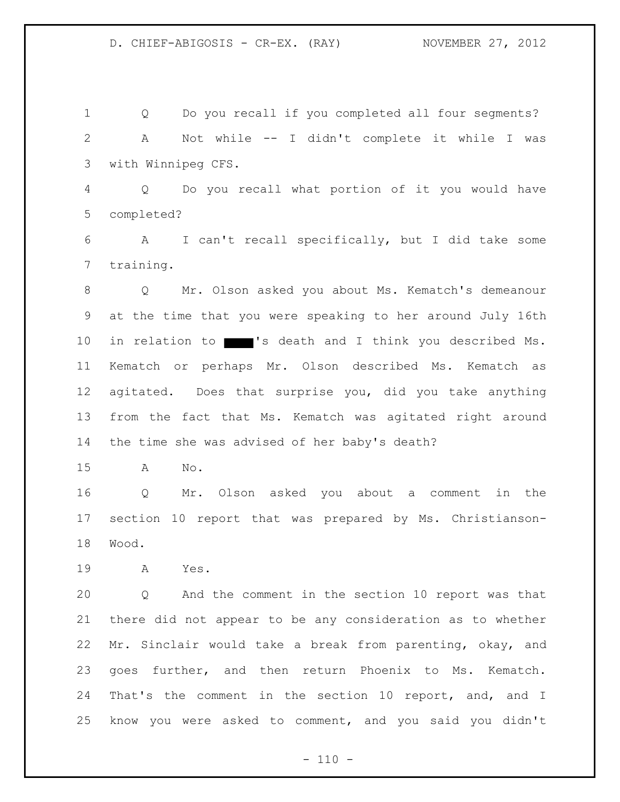Q Do you recall if you completed all four segments? A Not while -- I didn't complete it while I was with Winnipeg CFS.

 Q Do you recall what portion of it you would have completed?

 A I can't recall specifically, but I did take some training.

 Q Mr. Olson asked you about Ms. Kematch's demeanour at the time that you were speaking to her around July 16th 10 in relation to 's death and I think you described Ms. Kematch or perhaps Mr. Olson described Ms. Kematch as agitated. Does that surprise you, did you take anything from the fact that Ms. Kematch was agitated right around the time she was advised of her baby's death?

A No.

 Q Mr. Olson asked you about a comment in the section 10 report that was prepared by Ms. Christianson-Wood.

A Yes.

 Q And the comment in the section 10 report was that there did not appear to be any consideration as to whether Mr. Sinclair would take a break from parenting, okay, and goes further, and then return Phoenix to Ms. Kematch. That's the comment in the section 10 report, and, and I know you were asked to comment, and you said you didn't

 $- 110 -$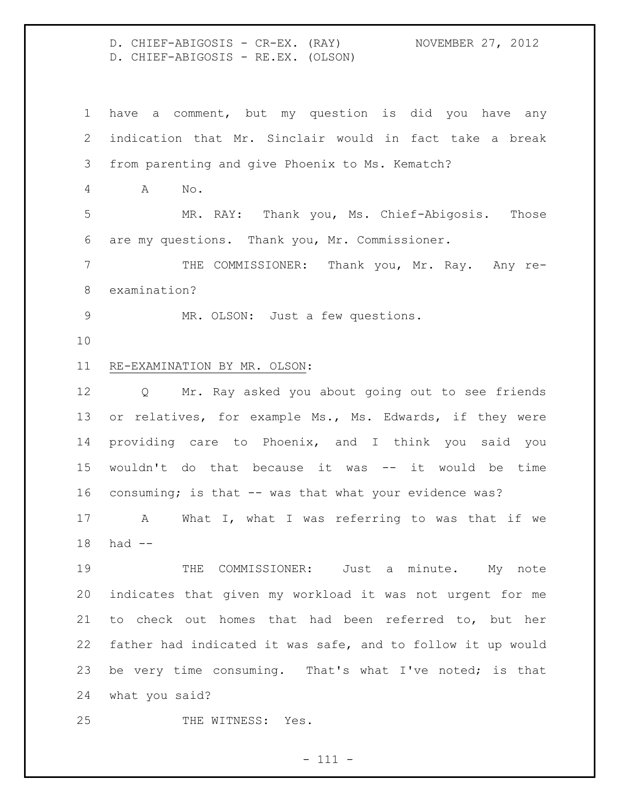D. CHIEF-ABIGOSIS - CR-EX. (RAY) NOVEMBER 27, 2012 D. CHIEF-ABIGOSIS - RE.EX. (OLSON)

 have a comment, but my question is did you have any indication that Mr. Sinclair would in fact take a break from parenting and give Phoenix to Ms. Kematch? A No. MR. RAY: Thank you, Ms. Chief-Abigosis. Those are my questions. Thank you, Mr. Commissioner. THE COMMISSIONER: Thank you, Mr. Ray. Any re- examination? MR. OLSON: Just a few questions. RE-EXAMINATION BY MR. OLSON: Q Mr. Ray asked you about going out to see friends or relatives, for example Ms., Ms. Edwards, if they were providing care to Phoenix, and I think you said you wouldn't do that because it was -- it would be time consuming; is that -- was that what your evidence was? A What I, what I was referring to was that if we had -- 19 THE COMMISSIONER: Just a minute. My note indicates that given my workload it was not urgent for me to check out homes that had been referred to, but her father had indicated it was safe, and to follow it up would be very time consuming. That's what I've noted; is that what you said? 25 THE WITNESS: Yes.

- 111 -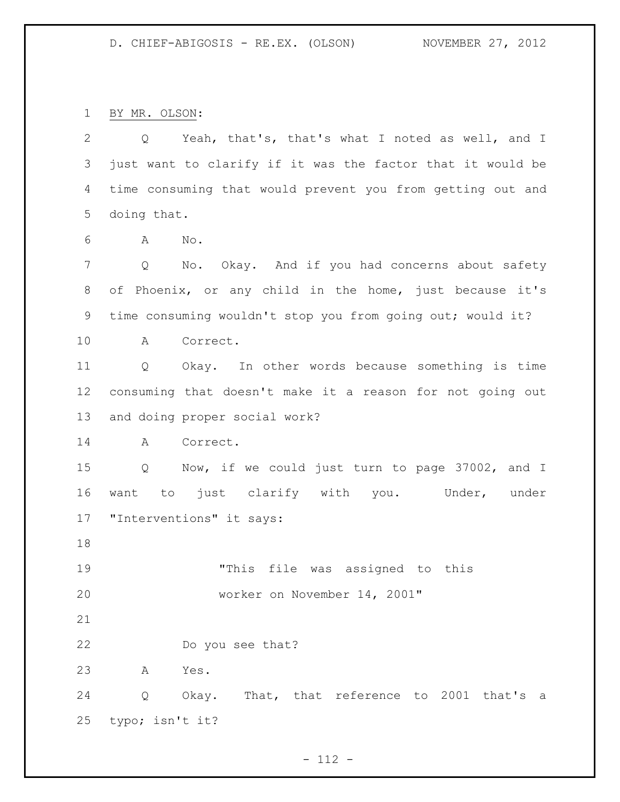BY MR. OLSON:

 Q Yeah, that's, that's what I noted as well, and I just want to clarify if it was the factor that it would be time consuming that would prevent you from getting out and doing that. A No. 7 Q No. Okay. And if you had concerns about safety of Phoenix, or any child in the home, just because it's time consuming wouldn't stop you from going out; would it? A Correct. Q Okay. In other words because something is time consuming that doesn't make it a reason for not going out and doing proper social work? A Correct. Q Now, if we could just turn to page 37002, and I want to just clarify with you. Under, under "Interventions" it says: "This file was assigned to this worker on November 14, 2001" Do you see that? A Yes. Q Okay. That, that reference to 2001 that's a typo; isn't it?

 $- 112 -$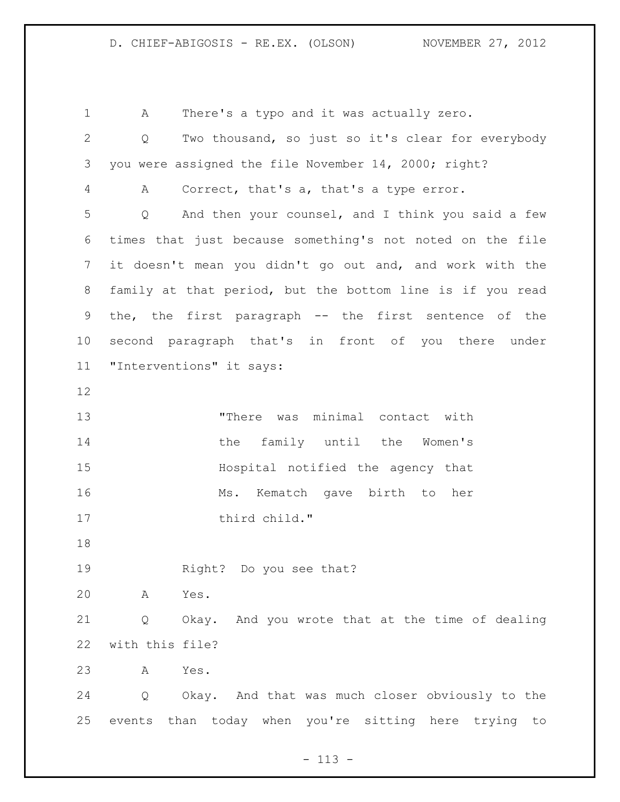A There's a typo and it was actually zero. Q Two thousand, so just so it's clear for everybody you were assigned the file November 14, 2000; right? A Correct, that's a, that's a type error. Q And then your counsel, and I think you said a few times that just because something's not noted on the file it doesn't mean you didn't go out and, and work with the family at that period, but the bottom line is if you read the, the first paragraph -- the first sentence of the second paragraph that's in front of you there under "Interventions" it says: "There was minimal contact with 14 the family until the Women's Hospital notified the agency that 16 Ms. Kematch gave birth to her 17 third child." Right? Do you see that? A Yes. Q Okay. And you wrote that at the time of dealing with this file? A Yes. Q Okay. And that was much closer obviously to the events than today when you're sitting here trying to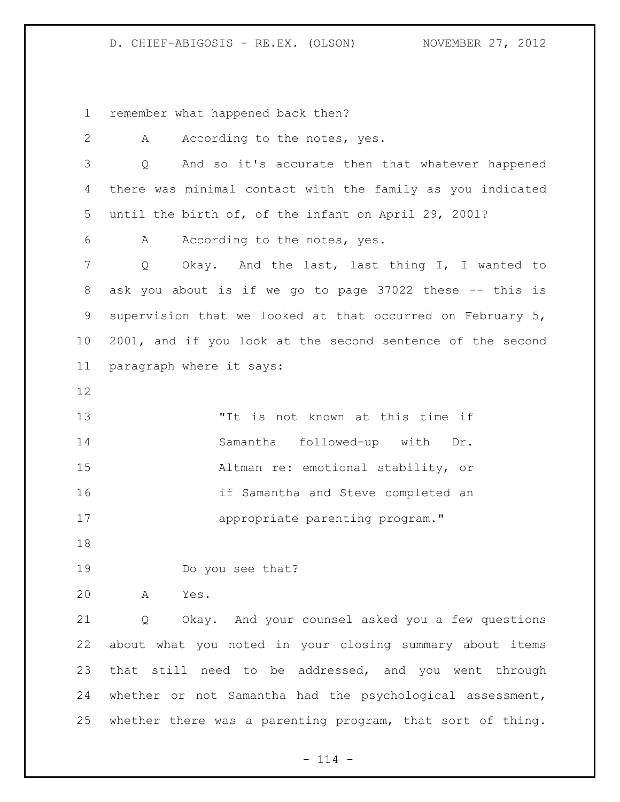## D. CHIEF-ABIGOSIS - RE.EX. (OLSON) NOVEMBER 27, 2012

remember what happened back then?

| $\overline{2}$ | According to the notes, yes.<br>A                          |
|----------------|------------------------------------------------------------|
| 3              | And so it's accurate then that whatever happened<br>Q      |
| 4              | there was minimal contact with the family as you indicated |
| 5              | until the birth of, of the infant on April 29, 2001?       |
| 6              | According to the notes, yes.<br>A                          |
| $\overline{7}$ | Okay. And the last, last thing I, I wanted to<br>Q         |
| 8              | ask you about is if we go to page 37022 these -- this is   |
| 9              | supervision that we looked at that occurred on February 5, |
| 10             | 2001, and if you look at the second sentence of the second |
| 11             | paragraph where it says:                                   |
| 12             |                                                            |
| 13             | "It is not known at this time if                           |
| 14             | Samantha followed-up with Dr.                              |
| 15             | Altman re: emotional stability, or                         |
| 16             | if Samantha and Steve completed an                         |
| 17             | appropriate parenting program."                            |
| 18             |                                                            |
| 19             | Do you see that?                                           |
| 20             | A<br>Yes.                                                  |
| 21             | Okay. And your counsel asked you a few questions<br>Q      |
| 22             | about what you noted in your closing summary about items   |
| 23             | that still need to be addressed, and you went through      |
| 24             | whether or not Samantha had the psychological assessment,  |
| 25             | whether there was a parenting program, that sort of thing. |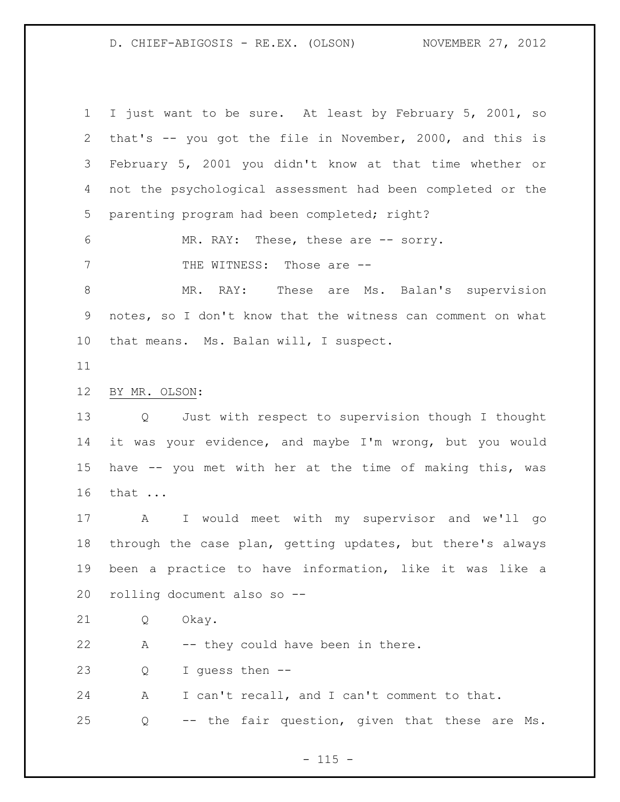D. CHIEF-ABIGOSIS - RE.EX. (OLSON) NOVEMBER 27, 2012

 I just want to be sure. At least by February 5, 2001, so that's -- you got the file in November, 2000, and this is February 5, 2001 you didn't know at that time whether or not the psychological assessment had been completed or the parenting program had been completed; right? MR. RAY: These, these are -- sorry. 7 THE WITNESS: Those are  $-$  MR. RAY: These are Ms. Balan's supervision notes, so I don't know that the witness can comment on what that means. Ms. Balan will, I suspect. BY MR. OLSON: Q Just with respect to supervision though I thought it was your evidence, and maybe I'm wrong, but you would have -- you met with her at the time of making this, was that ... A I would meet with my supervisor and we'll go through the case plan, getting updates, but there's always been a practice to have information, like it was like a rolling document also so -- Q Okay. A -- they could have been in there. Q I guess then -- A I can't recall, and I can't comment to that. Q -- the fair question, given that these are Ms.

 $- 115 -$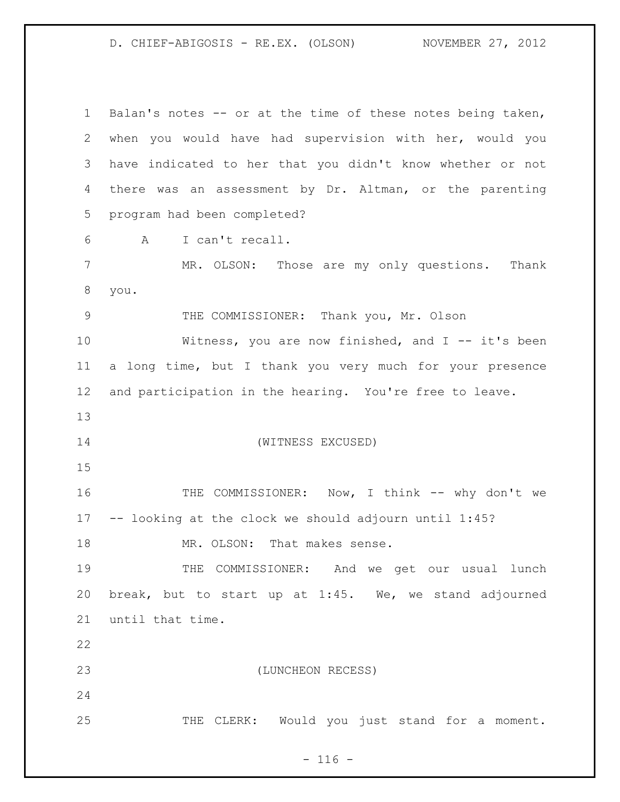D. CHIEF-ABIGOSIS - RE.EX. (OLSON) NOVEMBER 27, 2012

 Balan's notes -- or at the time of these notes being taken, when you would have had supervision with her, would you have indicated to her that you didn't know whether or not there was an assessment by Dr. Altman, or the parenting program had been completed? A I can't recall. MR. OLSON: Those are my only questions. Thank you. THE COMMISSIONER: Thank you, Mr. Olson Witness, you are now finished, and I -- it's been a long time, but I thank you very much for your presence and participation in the hearing. You're free to leave. (WITNESS EXCUSED) 16 THE COMMISSIONER: Now, I think -- why don't we -- looking at the clock we should adjourn until 1:45? 18 MR. OLSON: That makes sense. THE COMMISSIONER: And we get our usual lunch break, but to start up at 1:45. We, we stand adjourned until that time. (LUNCHEON RECESS) THE CLERK: Would you just stand for a moment.

 $- 116 -$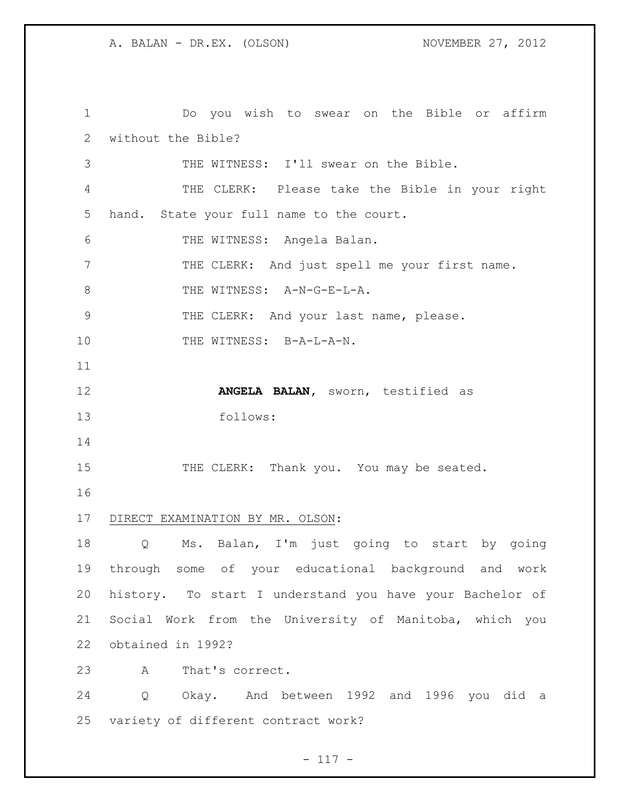Do you wish to swear on the Bible or affirm without the Bible? THE WITNESS: I'll swear on the Bible. THE CLERK: Please take the Bible in your right hand. State your full name to the court. THE WITNESS: Angela Balan. THE CLERK: And just spell me your first name. 8 THE WITNESS: A-N-G-E-L-A. THE CLERK: And your last name, please. 10 THE WITNESS: B-A-L-A-N. **ANGELA BALAN,** sworn, testified as follows: 15 THE CLERK: Thank you. You may be seated. DIRECT EXAMINATION BY MR. OLSON: Q Ms. Balan, I'm just going to start by going through some of your educational background and work history. To start I understand you have your Bachelor of Social Work from the University of Manitoba, which you obtained in 1992? A That's correct. Q Okay. And between 1992 and 1996 you did a variety of different contract work?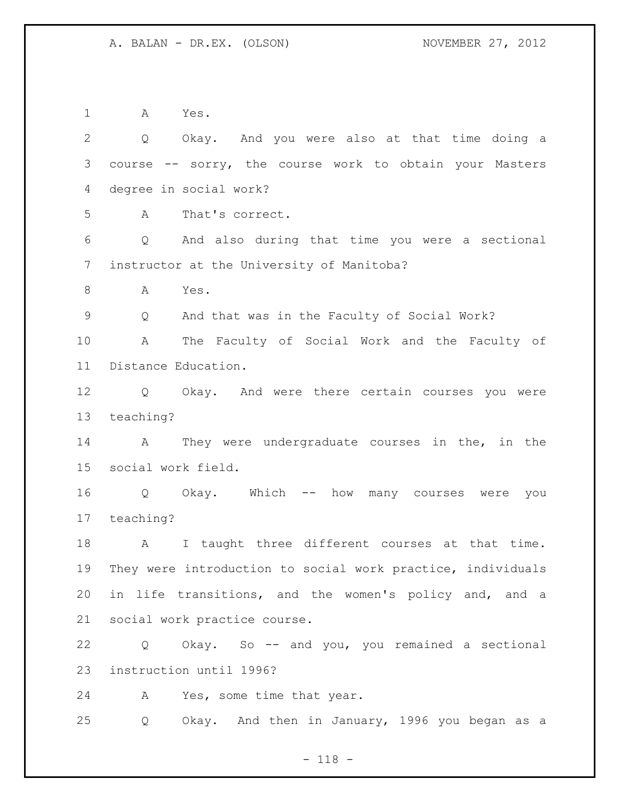A Yes.

 Q Okay. And you were also at that time doing a course -- sorry, the course work to obtain your Masters degree in social work? A That's correct. Q And also during that time you were a sectional instructor at the University of Manitoba? A Yes. Q And that was in the Faculty of Social Work? A The Faculty of Social Work and the Faculty of Distance Education. Q Okay. And were there certain courses you were teaching? A They were undergraduate courses in the, in the social work field. Q Okay. Which -- how many courses were you teaching? 18 A I taught three different courses at that time. They were introduction to social work practice, individuals in life transitions, and the women's policy and, and a social work practice course. Q Okay. So -- and you, you remained a sectional instruction until 1996? A Yes, some time that year. Q Okay. And then in January, 1996 you began as a

- 118 -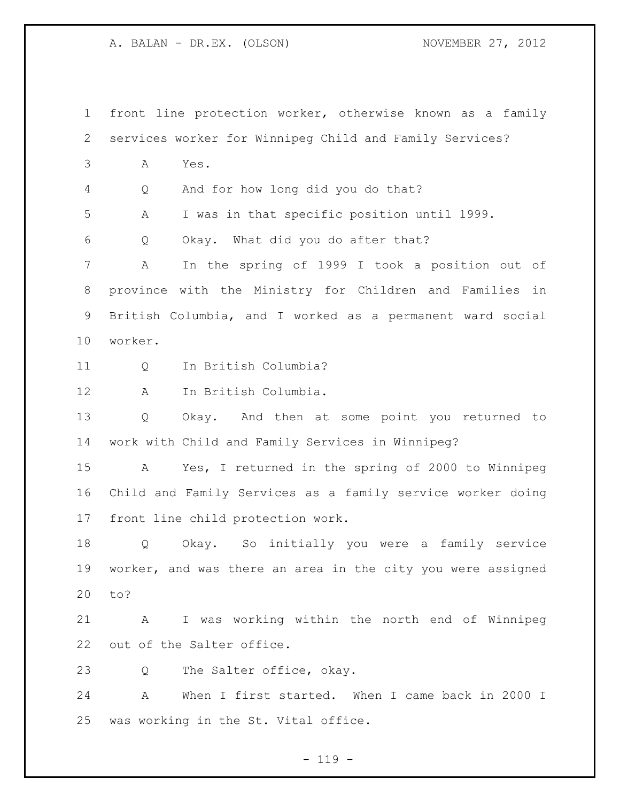front line protection worker, otherwise known as a family services worker for Winnipeg Child and Family Services? A Yes. Q And for how long did you do that? A I was in that specific position until 1999. Q Okay. What did you do after that? A In the spring of 1999 I took a position out of province with the Ministry for Children and Families in British Columbia, and I worked as a permanent ward social worker. Q In British Columbia? A In British Columbia. Q Okay. And then at some point you returned to work with Child and Family Services in Winnipeg? A Yes, I returned in the spring of 2000 to Winnipeg Child and Family Services as a family service worker doing front line child protection work. Q Okay. So initially you were a family service worker, and was there an area in the city you were assigned to? A I was working within the north end of Winnipeg out of the Salter office. 23 Q The Salter office, okay. A When I first started. When I came back in 2000 I was working in the St. Vital office.

 $- 119 -$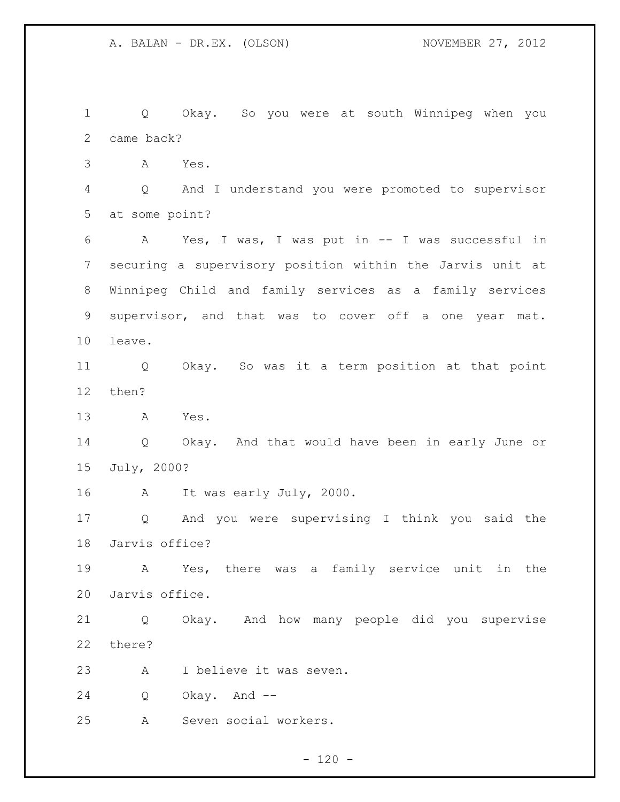Q Okay. So you were at south Winnipeg when you came back? A Yes. Q And I understand you were promoted to supervisor at some point? A Yes, I was, I was put in -- I was successful in securing a supervisory position within the Jarvis unit at Winnipeg Child and family services as a family services supervisor, and that was to cover off a one year mat. leave. Q Okay. So was it a term position at that point then? A Yes. Q Okay. And that would have been in early June or July, 2000? A It was early July, 2000. Q And you were supervising I think you said the Jarvis office? A Yes, there was a family service unit in the Jarvis office. Q Okay. And how many people did you supervise there? A I believe it was seven. Q Okay. And -- A Seven social workers.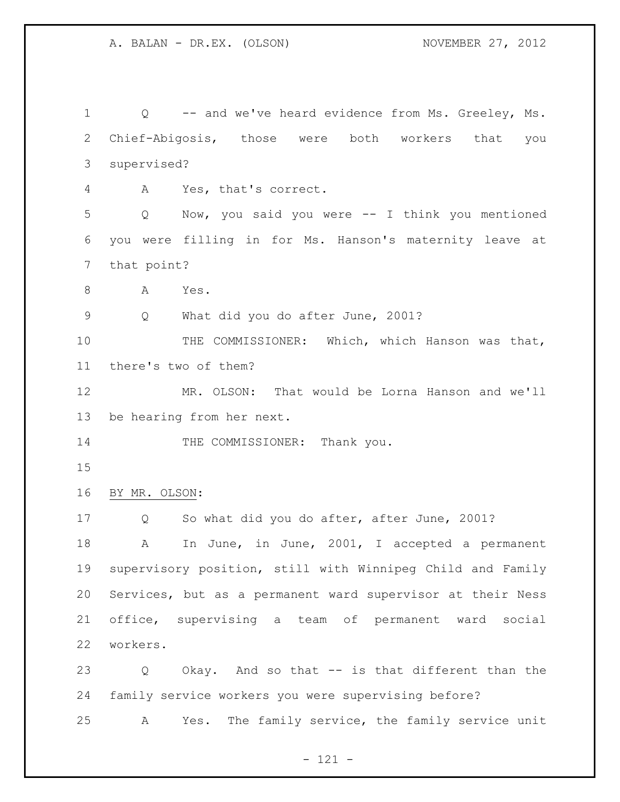Q -- and we've heard evidence from Ms. Greeley, Ms. Chief-Abigosis, those were both workers that you supervised? A Yes, that's correct. Q Now, you said you were -- I think you mentioned you were filling in for Ms. Hanson's maternity leave at that point? A Yes. Q What did you do after June, 2001? 10 THE COMMISSIONER: Which, which Hanson was that, there's two of them? MR. OLSON: That would be Lorna Hanson and we'll be hearing from her next. 14 THE COMMISSIONER: Thank you. BY MR. OLSON: Q So what did you do after, after June, 2001? 18 A In June, in June, 2001, I accepted a permanent supervisory position, still with Winnipeg Child and Family Services, but as a permanent ward supervisor at their Ness office, supervising a team of permanent ward social workers. Q Okay. And so that -- is that different than the family service workers you were supervising before? A Yes. The family service, the family service unit

- 121 -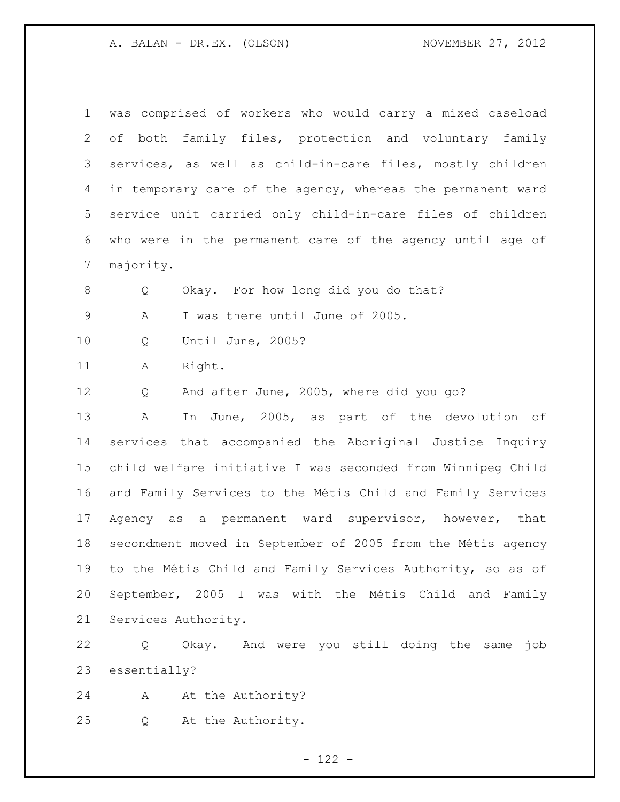| 1              | was comprised of workers who would carry a mixed caseload   |
|----------------|-------------------------------------------------------------|
| 2              | of both family files, protection and voluntary family       |
| 3              | services, as well as child-in-care files, mostly children   |
| 4              | in temporary care of the agency, whereas the permanent ward |
| 5              | service unit carried only child-in-care files of children   |
| 6              | who were in the permanent care of the agency until age of   |
| $7\phantom{.}$ | majority.                                                   |
| 8              | Okay. For how long did you do that?<br>Q                    |
| $\mathsf 9$    | I was there until June of 2005.<br>Α                        |
| 10             | Until June, 2005?<br>Q                                      |
| 11             | Right.<br>Α                                                 |
| 12             | And after June, 2005, where did you go?<br>Q                |
| 13             | In June, 2005, as part of the devolution of<br>Α            |
| 14             | services that accompanied the Aboriginal Justice Inquiry    |
| 15             | child welfare initiative I was seconded from Winnipeg Child |
| 16             | and Family Services to the Métis Child and Family Services  |
| 17             | Agency as a permanent ward supervisor, however, that        |
| 18             | secondment moved in September of 2005 from the Métis agency |
| 19             | to the Métis Child and Family Services Authority, so as of  |
| 20             | September, 2005 I was with the Métis Child and Family       |
| 21             | Services Authority.                                         |
| 22             | Okay. And were you still doing the same<br>job<br>Q         |
| 23             | essentially?                                                |
| 24             | At the Authority?<br>A                                      |
| 25             | At the Authority.<br>Q                                      |

- 122 -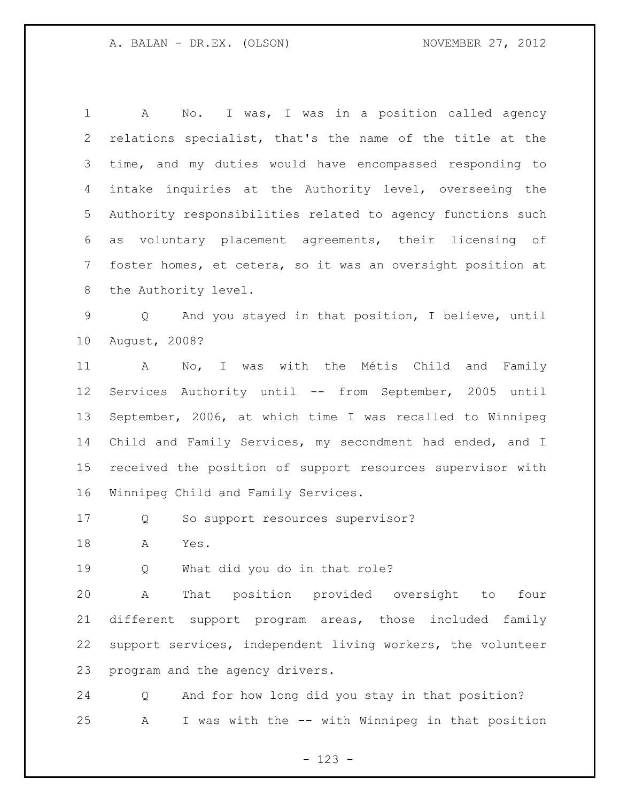A No. I was, I was in a position called agency relations specialist, that's the name of the title at the time, and my duties would have encompassed responding to intake inquiries at the Authority level, overseeing the Authority responsibilities related to agency functions such as voluntary placement agreements, their licensing of foster homes, et cetera, so it was an oversight position at the Authority level.

 Q And you stayed in that position, I believe, until August, 2008?

 A No, I was with the Métis Child and Family Services Authority until -- from September, 2005 until September, 2006, at which time I was recalled to Winnipeg Child and Family Services, my secondment had ended, and I received the position of support resources supervisor with Winnipeg Child and Family Services.

Q So support resources supervisor?

A Yes.

Q What did you do in that role?

 A That position provided oversight to four different support program areas, those included family support services, independent living workers, the volunteer program and the agency drivers.

 Q And for how long did you stay in that position? A I was with the -- with Winnipeg in that position

- 123 -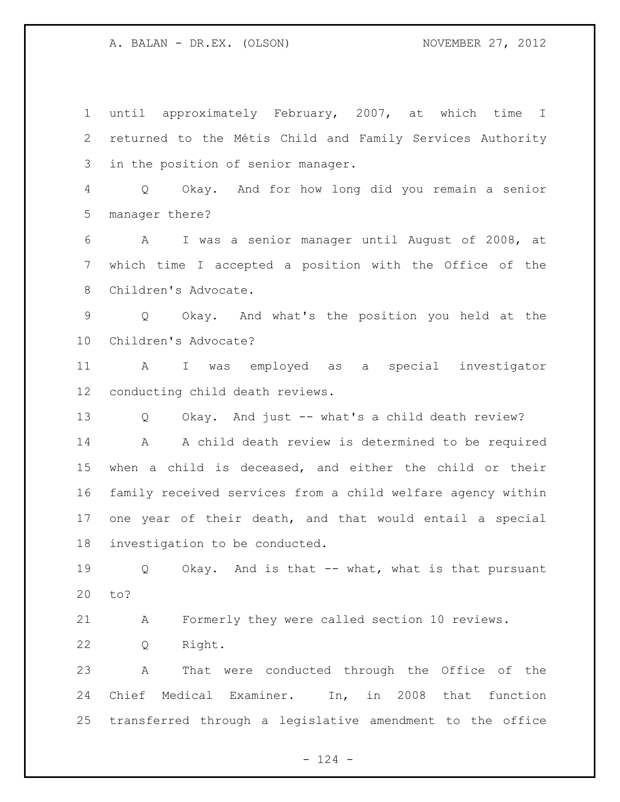until approximately February, 2007, at which time I returned to the Métis Child and Family Services Authority in the position of senior manager.

 Q Okay. And for how long did you remain a senior manager there?

 A I was a senior manager until August of 2008, at which time I accepted a position with the Office of the Children's Advocate.

 Q Okay. And what's the position you held at the Children's Advocate?

 A I was employed as a special investigator conducting child death reviews.

Q Okay. And just -- what's a child death review?

 A A child death review is determined to be required when a child is deceased, and either the child or their family received services from a child welfare agency within one year of their death, and that would entail a special investigation to be conducted.

 Q Okay. And is that -- what, what is that pursuant to?

A Formerly they were called section 10 reviews.

Q Right.

 A That were conducted through the Office of the Chief Medical Examiner. In, in 2008 that function transferred through a legislative amendment to the office

 $- 124 -$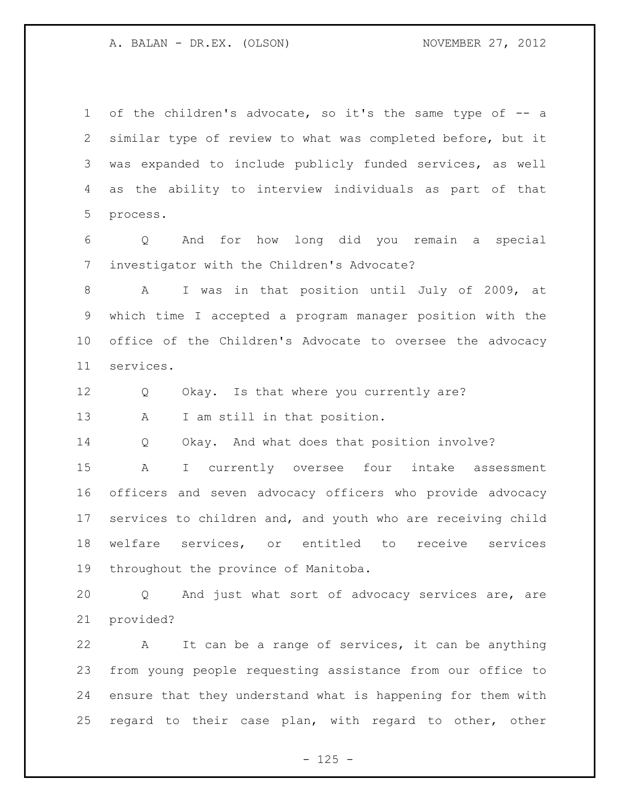of the children's advocate, so it's the same type of -- a similar type of review to what was completed before, but it was expanded to include publicly funded services, as well as the ability to interview individuals as part of that process.

 Q And for how long did you remain a special investigator with the Children's Advocate?

 A I was in that position until July of 2009, at which time I accepted a program manager position with the office of the Children's Advocate to oversee the advocacy services.

12 Q Okay. Is that where you currently are?

A I am still in that position.

Q Okay. And what does that position involve?

 A I currently oversee four intake assessment officers and seven advocacy officers who provide advocacy services to children and, and youth who are receiving child welfare services, or entitled to receive services throughout the province of Manitoba.

 Q And just what sort of advocacy services are, are provided?

 A It can be a range of services, it can be anything from young people requesting assistance from our office to ensure that they understand what is happening for them with regard to their case plan, with regard to other, other

 $- 125 -$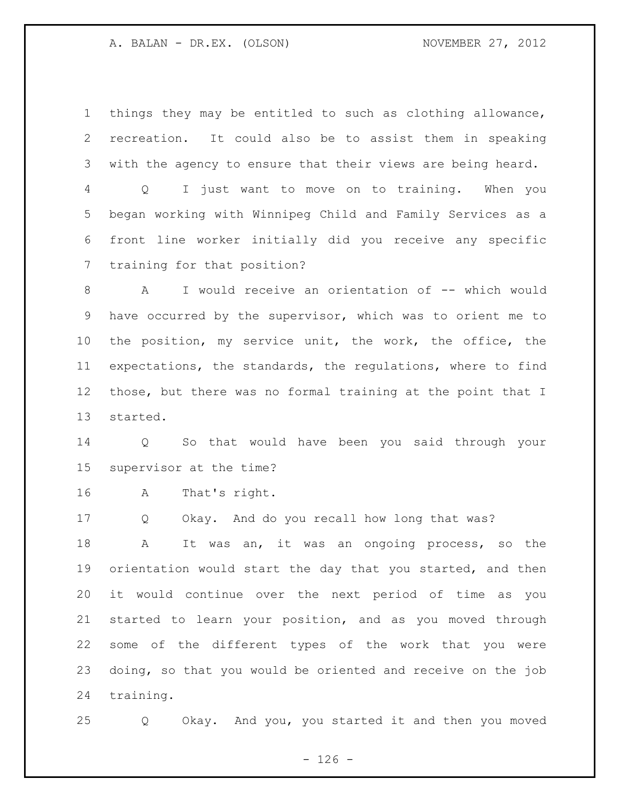things they may be entitled to such as clothing allowance, recreation. It could also be to assist them in speaking with the agency to ensure that their views are being heard.

 Q I just want to move on to training. When you began working with Winnipeg Child and Family Services as a front line worker initially did you receive any specific training for that position?

8 A I would receive an orientation of -- which would have occurred by the supervisor, which was to orient me to the position, my service unit, the work, the office, the expectations, the standards, the regulations, where to find those, but there was no formal training at the point that I started.

 Q So that would have been you said through your supervisor at the time?

A That's right.

Q Okay. And do you recall how long that was?

 A It was an, it was an ongoing process, so the orientation would start the day that you started, and then it would continue over the next period of time as you started to learn your position, and as you moved through some of the different types of the work that you were doing, so that you would be oriented and receive on the job training.

Q Okay. And you, you started it and then you moved

 $- 126 -$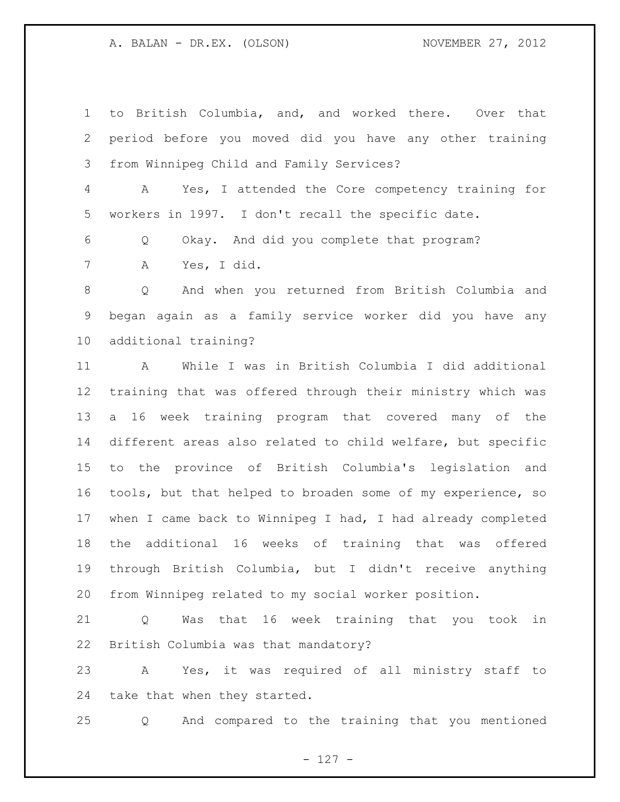to British Columbia, and, and worked there. Over that period before you moved did you have any other training from Winnipeg Child and Family Services? A Yes, I attended the Core competency training for workers in 1997. I don't recall the specific date. Q Okay. And did you complete that program? A Yes, I did. Q And when you returned from British Columbia and began again as a family service worker did you have any additional training? A While I was in British Columbia I did additional training that was offered through their ministry which was a 16 week training program that covered many of the different areas also related to child welfare, but specific to the province of British Columbia's legislation and tools, but that helped to broaden some of my experience, so when I came back to Winnipeg I had, I had already completed the additional 16 weeks of training that was offered through British Columbia, but I didn't receive anything from Winnipeg related to my social worker position.

 Q Was that 16 week training that you took in British Columbia was that mandatory?

 A Yes, it was required of all ministry staff to take that when they started.

Q And compared to the training that you mentioned

- 127 -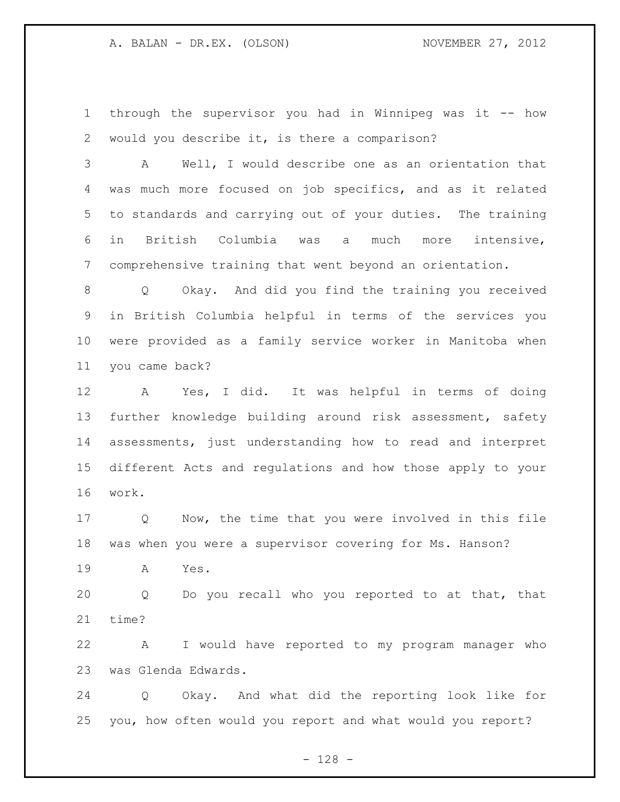through the supervisor you had in Winnipeg was it -- how would you describe it, is there a comparison?

 A Well, I would describe one as an orientation that was much more focused on job specifics, and as it related to standards and carrying out of your duties. The training in British Columbia was a much more intensive, comprehensive training that went beyond an orientation.

 Q Okay. And did you find the training you received in British Columbia helpful in terms of the services you were provided as a family service worker in Manitoba when you came back?

 A Yes, I did. It was helpful in terms of doing further knowledge building around risk assessment, safety assessments, just understanding how to read and interpret different Acts and regulations and how those apply to your work.

 Q Now, the time that you were involved in this file was when you were a supervisor covering for Ms. Hanson?

A Yes.

 Q Do you recall who you reported to at that, that time?

 A I would have reported to my program manager who was Glenda Edwards.

 Q Okay. And what did the reporting look like for you, how often would you report and what would you report?

- 128 -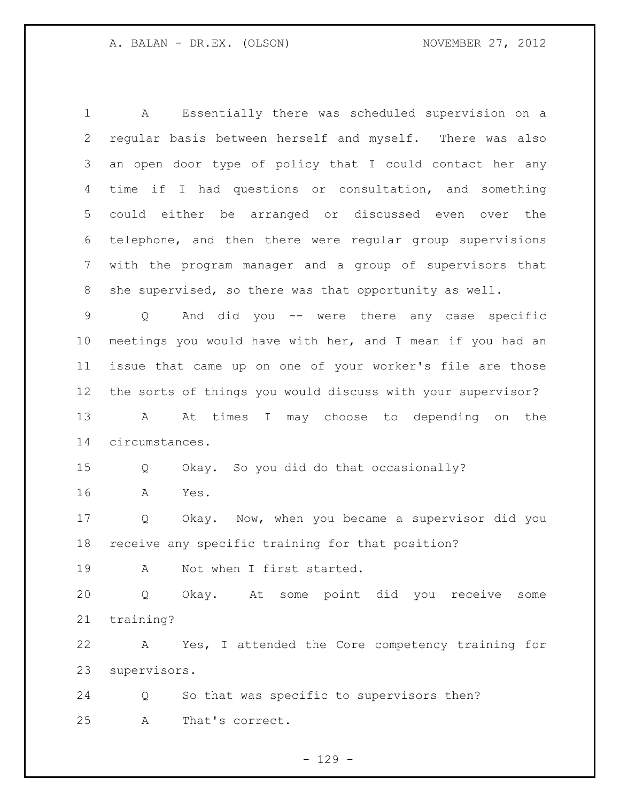A Essentially there was scheduled supervision on a regular basis between herself and myself. There was also an open door type of policy that I could contact her any time if I had questions or consultation, and something could either be arranged or discussed even over the telephone, and then there were regular group supervisions with the program manager and a group of supervisors that she supervised, so there was that opportunity as well.

 Q And did you -- were there any case specific meetings you would have with her, and I mean if you had an issue that came up on one of your worker's file are those the sorts of things you would discuss with your supervisor? A At times I may choose to depending on the

circumstances.

Q Okay. So you did do that occasionally?

A Yes.

 Q Okay. Now, when you became a supervisor did you receive any specific training for that position?

19 A Not when I first started.

 Q Okay. At some point did you receive some training?

 A Yes, I attended the Core competency training for supervisors.

 Q So that was specific to supervisors then? A That's correct.

 $- 129 -$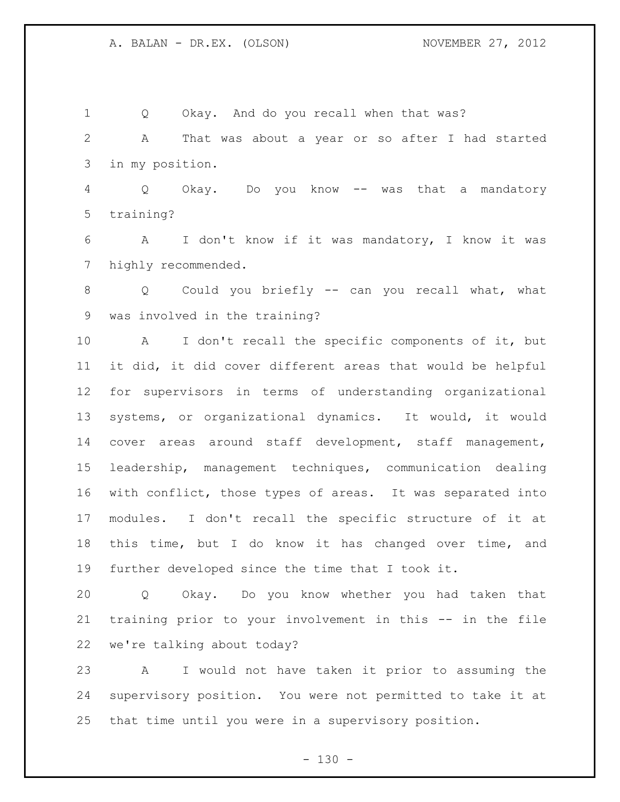Q Okay. And do you recall when that was? A That was about a year or so after I had started in my position. Q Okay. Do you know -- was that a mandatory training? A I don't know if it was mandatory, I know it was highly recommended. Q Could you briefly -- can you recall what, what was involved in the training? A I don't recall the specific components of it, but it did, it did cover different areas that would be helpful for supervisors in terms of understanding organizational systems, or organizational dynamics. It would, it would cover areas around staff development, staff management, leadership, management techniques, communication dealing with conflict, those types of areas. It was separated into modules. I don't recall the specific structure of it at this time, but I do know it has changed over time, and further developed since the time that I took it. Q Okay. Do you know whether you had taken that

 training prior to your involvement in this -- in the file we're talking about today?

 A I would not have taken it prior to assuming the supervisory position. You were not permitted to take it at that time until you were in a supervisory position.

 $- 130 -$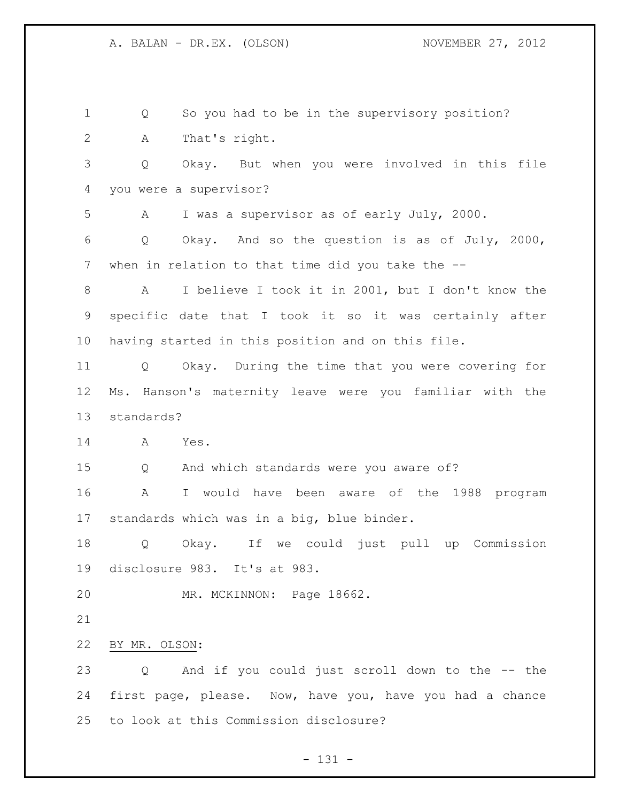Q So you had to be in the supervisory position? A That's right. Q Okay. But when you were involved in this file you were a supervisor? A I was a supervisor as of early July, 2000. Q Okay. And so the question is as of July, 2000, when in relation to that time did you take the -- A I believe I took it in 2001, but I don't know the specific date that I took it so it was certainly after having started in this position and on this file. Q Okay. During the time that you were covering for Ms. Hanson's maternity leave were you familiar with the standards? A Yes. Q And which standards were you aware of? A I would have been aware of the 1988 program standards which was in a big, blue binder. Q Okay. If we could just pull up Commission disclosure 983. It's at 983. MR. MCKINNON: Page 18662. BY MR. OLSON: Q And if you could just scroll down to the -- the first page, please. Now, have you, have you had a chance to look at this Commission disclosure?

- 131 -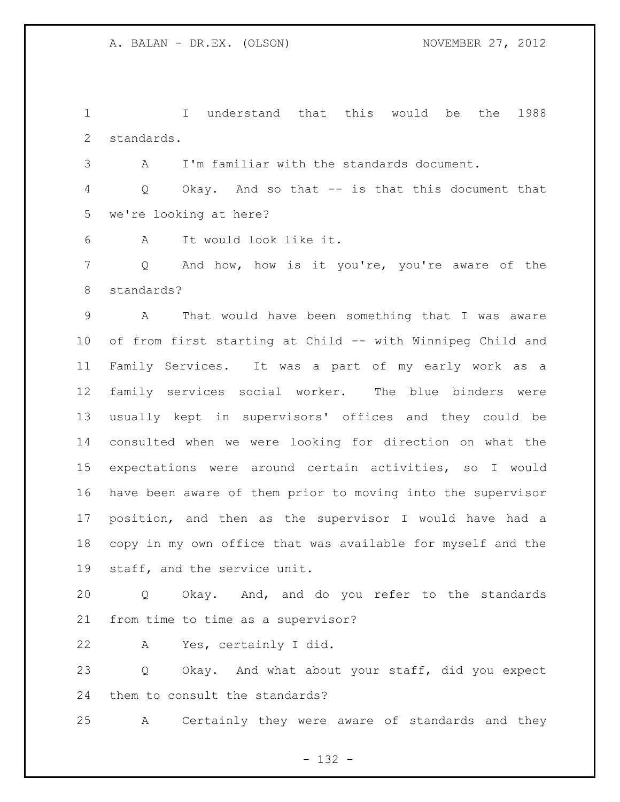I understand that this would be the 1988 standards.

A I'm familiar with the standards document.

 Q Okay. And so that -- is that this document that we're looking at here?

A It would look like it.

 Q And how, how is it you're, you're aware of the standards?

 A That would have been something that I was aware of from first starting at Child -- with Winnipeg Child and Family Services. It was a part of my early work as a family services social worker. The blue binders were usually kept in supervisors' offices and they could be consulted when we were looking for direction on what the expectations were around certain activities, so I would have been aware of them prior to moving into the supervisor position, and then as the supervisor I would have had a copy in my own office that was available for myself and the staff, and the service unit.

 Q Okay. And, and do you refer to the standards from time to time as a supervisor?

A Yes, certainly I did.

 Q Okay. And what about your staff, did you expect them to consult the standards?

A Certainly they were aware of standards and they

- 132 -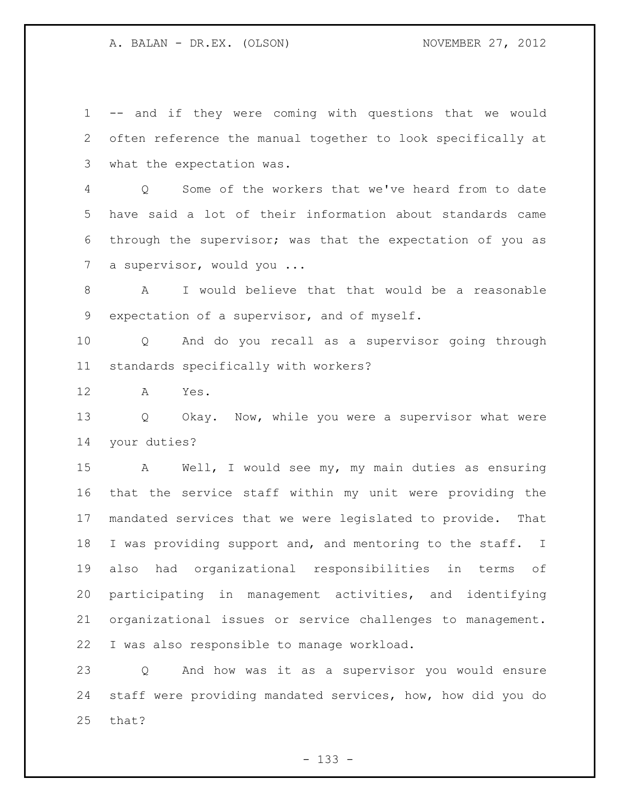-- and if they were coming with questions that we would often reference the manual together to look specifically at what the expectation was.

 Q Some of the workers that we've heard from to date have said a lot of their information about standards came through the supervisor; was that the expectation of you as 7 a supervisor, would you ...

 A I would believe that that would be a reasonable expectation of a supervisor, and of myself.

 Q And do you recall as a supervisor going through standards specifically with workers?

A Yes.

 Q Okay. Now, while you were a supervisor what were your duties?

 A Well, I would see my, my main duties as ensuring that the service staff within my unit were providing the mandated services that we were legislated to provide. That 18 I was providing support and, and mentoring to the staff. I also had organizational responsibilities in terms of participating in management activities, and identifying organizational issues or service challenges to management. I was also responsible to manage workload.

 Q And how was it as a supervisor you would ensure staff were providing mandated services, how, how did you do that?

- 133 -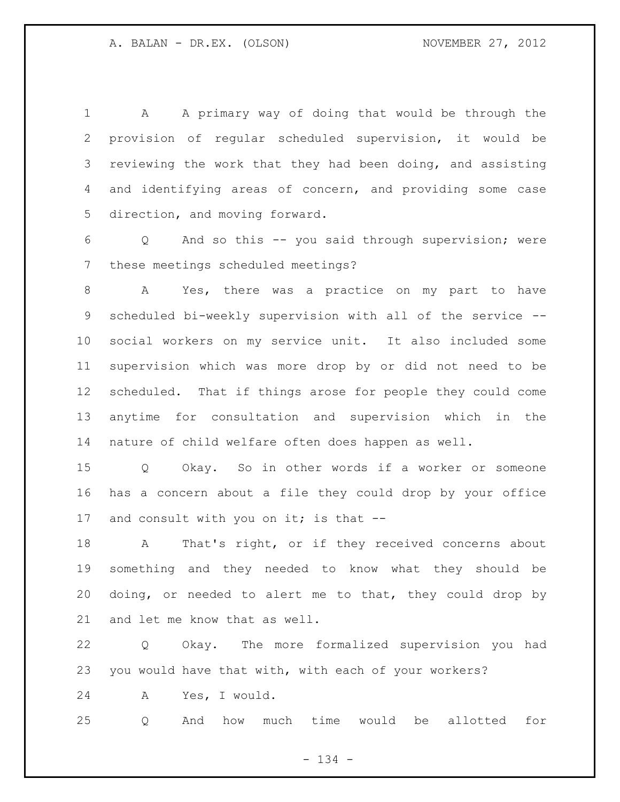A A primary way of doing that would be through the provision of regular scheduled supervision, it would be reviewing the work that they had been doing, and assisting and identifying areas of concern, and providing some case direction, and moving forward.

 Q And so this -- you said through supervision; were these meetings scheduled meetings?

 A Yes, there was a practice on my part to have scheduled bi-weekly supervision with all of the service -- social workers on my service unit. It also included some supervision which was more drop by or did not need to be scheduled. That if things arose for people they could come anytime for consultation and supervision which in the nature of child welfare often does happen as well.

 Q Okay. So in other words if a worker or someone has a concern about a file they could drop by your office 17 and consult with you on it; is that --

 A That's right, or if they received concerns about something and they needed to know what they should be doing, or needed to alert me to that, they could drop by and let me know that as well.

 Q Okay. The more formalized supervision you had you would have that with, with each of your workers?

A Yes, I would.

Q And how much time would be allotted for

- 134 -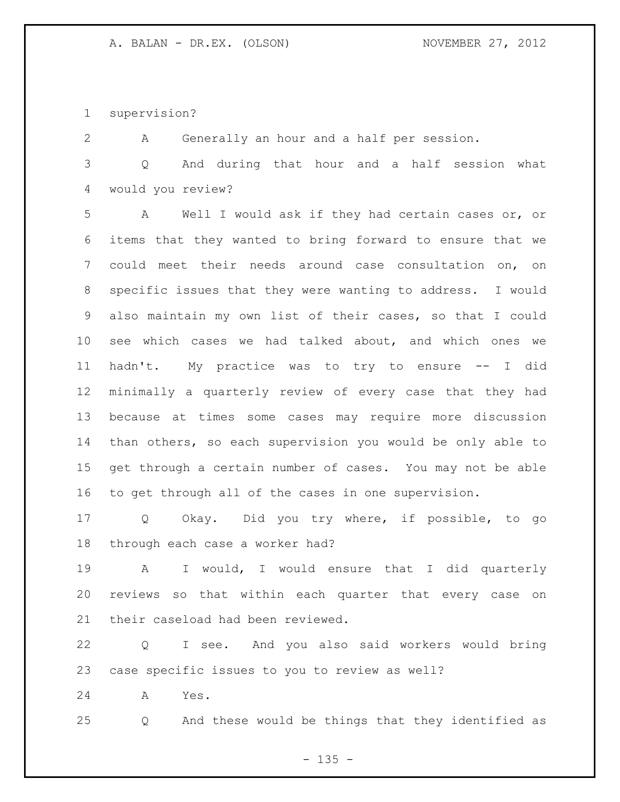supervision?

A Generally an hour and a half per session.

 Q And during that hour and a half session what would you review?

 A Well I would ask if they had certain cases or, or items that they wanted to bring forward to ensure that we could meet their needs around case consultation on, on specific issues that they were wanting to address. I would also maintain my own list of their cases, so that I could see which cases we had talked about, and which ones we hadn't. My practice was to try to ensure -- I did minimally a quarterly review of every case that they had because at times some cases may require more discussion than others, so each supervision you would be only able to get through a certain number of cases. You may not be able to get through all of the cases in one supervision.

 Q Okay. Did you try where, if possible, to go through each case a worker had?

 A I would, I would ensure that I did quarterly reviews so that within each quarter that every case on their caseload had been reviewed.

 Q I see. And you also said workers would bring case specific issues to you to review as well?

A Yes.

Q And these would be things that they identified as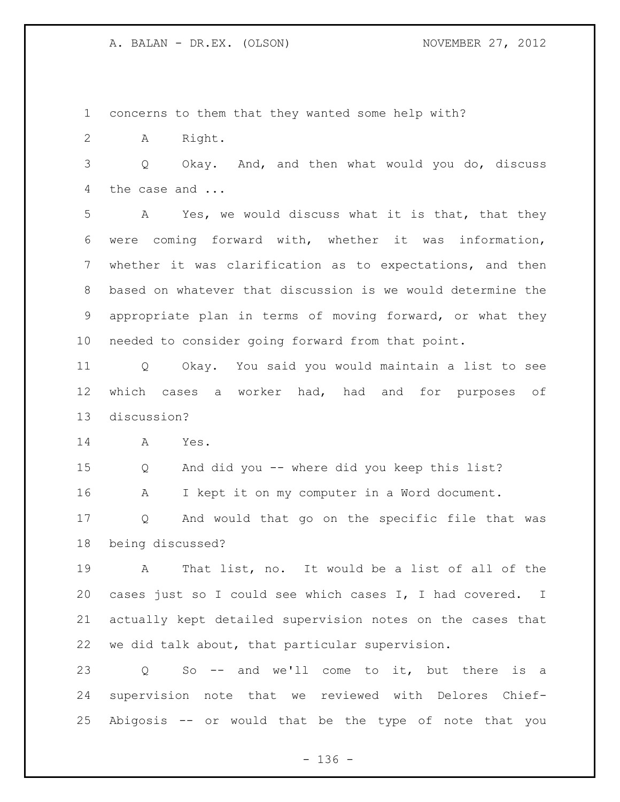concerns to them that they wanted some help with?

A Right.

 Q Okay. And, and then what would you do, discuss the case and ...

 A Yes, we would discuss what it is that, that they were coming forward with, whether it was information, whether it was clarification as to expectations, and then based on whatever that discussion is we would determine the appropriate plan in terms of moving forward, or what they needed to consider going forward from that point.

 Q Okay. You said you would maintain a list to see which cases a worker had, had and for purposes of discussion?

A Yes.

Q And did you -- where did you keep this list?

A I kept it on my computer in a Word document.

 Q And would that go on the specific file that was being discussed?

 A That list, no. It would be a list of all of the cases just so I could see which cases I, I had covered. I actually kept detailed supervision notes on the cases that we did talk about, that particular supervision.

 Q So -- and we'll come to it, but there is a supervision note that we reviewed with Delores Chief-Abigosis -- or would that be the type of note that you

- 136 -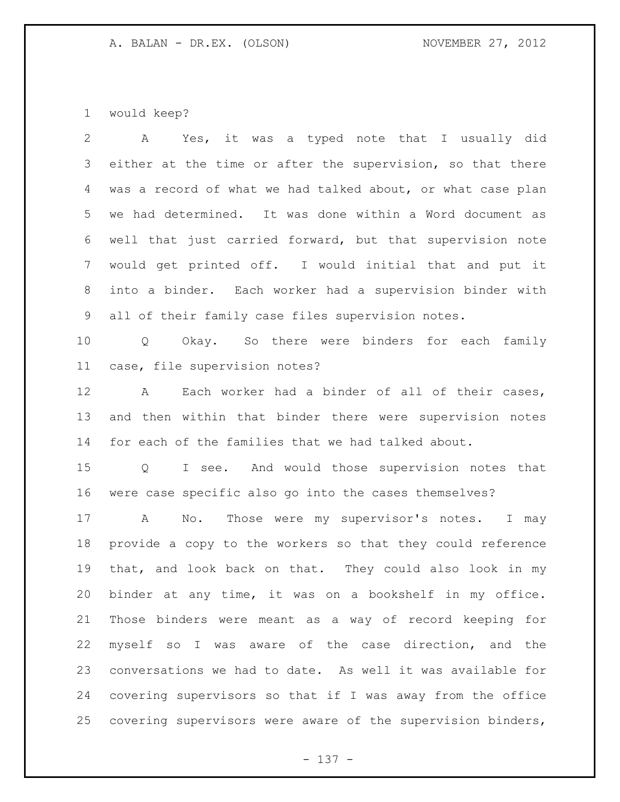would keep?

| $\mathbf{2}^{\prime}$ | Yes, it was a typed note that I usually did<br>$\mathbf{A}$     |
|-----------------------|-----------------------------------------------------------------|
| 3                     | either at the time or after the supervision, so that there      |
| 4                     | was a record of what we had talked about, or what case plan     |
| 5 <sup>5</sup>        | we had determined. It was done within a Word document as        |
| 6                     | well that just carried forward, but that supervision note       |
| $7\overline{ }$       | would get printed off. I would initial that and put it          |
| 8                     | into a binder. Each worker had a supervision binder with        |
| 9                     | all of their family case files supervision notes.               |
| 10 <sub>o</sub>       | Q Okay. So there were binders for each family                   |
| 11                    | case, file supervision notes?                                   |
| 12 <sup>°</sup>       | Each worker had a binder of all of their cases,<br>$\mathbf{A}$ |
| 13                    | and then within that binder there were supervision notes        |
| 14                    | for each of the families that we had talked about.              |
| 15                    | Q I see. And would those supervision notes that                 |
| 16                    | were case specific also go into the cases themselves?           |
| 17                    | No. Those were my supervisor's notes. I may<br>$\mathbf{A}$     |
| 18                    | provide a copy to the workers so that they could reference      |
| 19                    | that, and look back on that. They could also look in my         |
| 20                    | binder at any time, it was on a bookshelf in my office.         |
| 21                    | Those binders were meant as a way of record keeping for         |
| 22                    | myself so I was aware of the case direction, and the            |
| 23                    | conversations we had to date. As well it was available for      |
| 24                    | covering supervisors so that if I was away from the office      |
| 25                    | covering supervisors were aware of the supervision binders,     |

- 137 -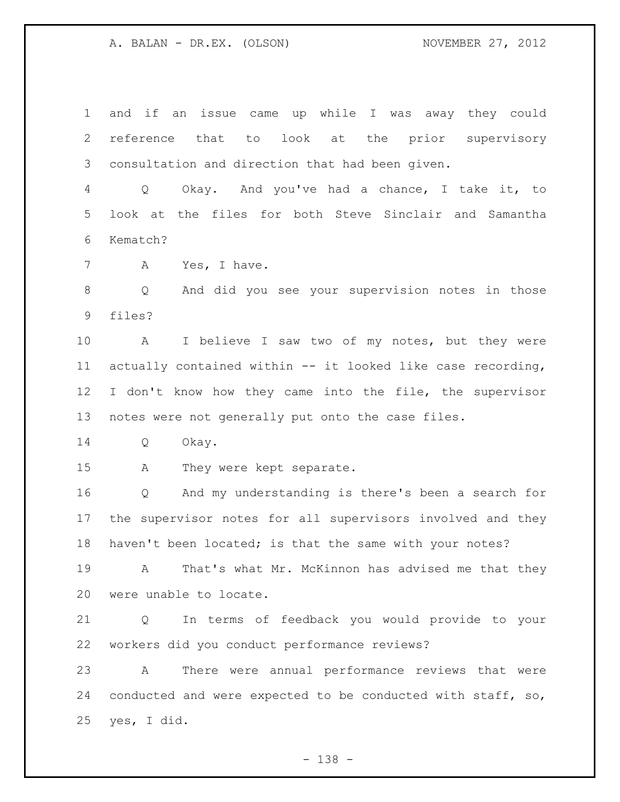and if an issue came up while I was away they could reference that to look at the prior supervisory consultation and direction that had been given.

 Q Okay. And you've had a chance, I take it, to look at the files for both Steve Sinclair and Samantha Kematch?

A Yes, I have.

 Q And did you see your supervision notes in those files?

 A I believe I saw two of my notes, but they were actually contained within -- it looked like case recording, I don't know how they came into the file, the supervisor notes were not generally put onto the case files.

Q Okay.

A They were kept separate.

 Q And my understanding is there's been a search for the supervisor notes for all supervisors involved and they 18 haven't been located; is that the same with your notes?

 A That's what Mr. McKinnon has advised me that they were unable to locate.

 Q In terms of feedback you would provide to your workers did you conduct performance reviews?

 A There were annual performance reviews that were conducted and were expected to be conducted with staff, so, yes, I did.

- 138 -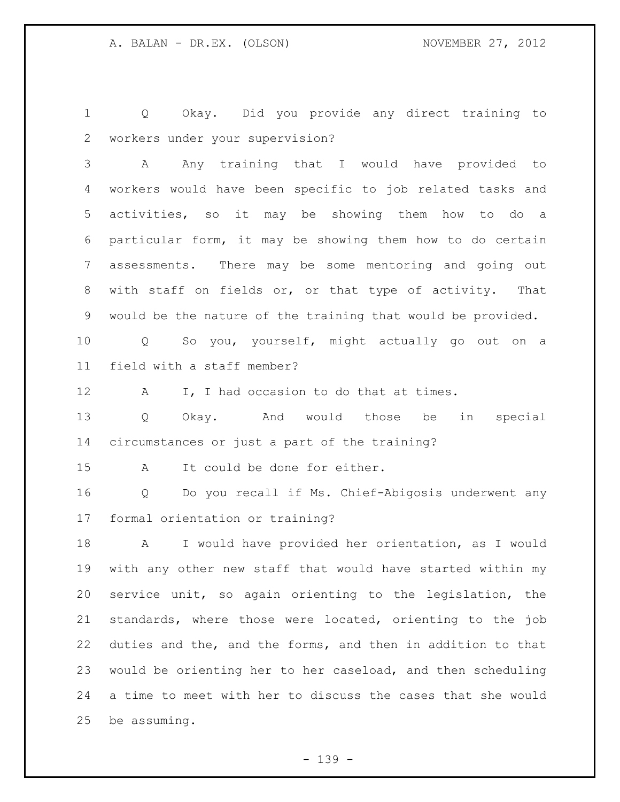Q Okay. Did you provide any direct training to workers under your supervision?

 A Any training that I would have provided to workers would have been specific to job related tasks and activities, so it may be showing them how to do a particular form, it may be showing them how to do certain assessments. There may be some mentoring and going out with staff on fields or, or that type of activity. That would be the nature of the training that would be provided.

 Q So you, yourself, might actually go out on a field with a staff member?

12 A I, I had occasion to do that at times.

 Q Okay. And would those be in special circumstances or just a part of the training?

A It could be done for either.

 Q Do you recall if Ms. Chief-Abigosis underwent any formal orientation or training?

 A I would have provided her orientation, as I would with any other new staff that would have started within my service unit, so again orienting to the legislation, the standards, where those were located, orienting to the job duties and the, and the forms, and then in addition to that would be orienting her to her caseload, and then scheduling a time to meet with her to discuss the cases that she would be assuming.

- 139 -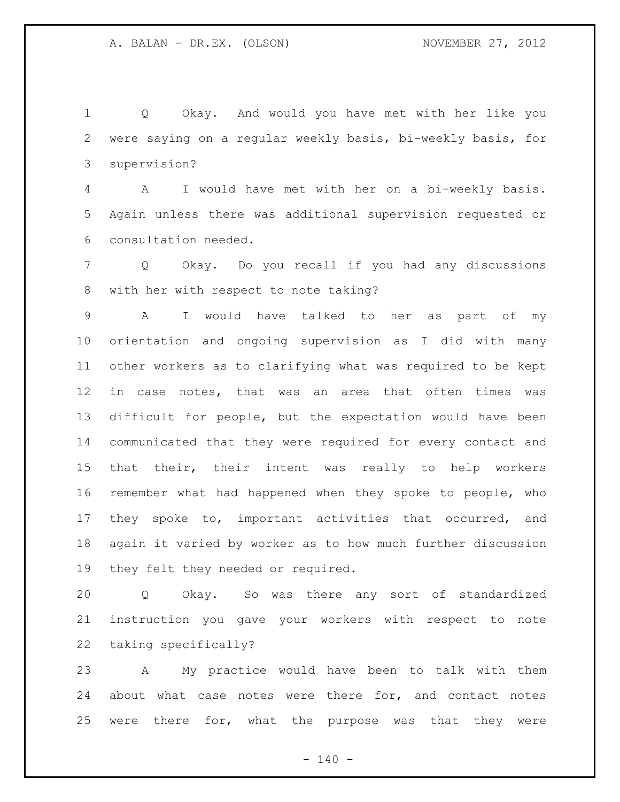Q Okay. And would you have met with her like you were saying on a regular weekly basis, bi-weekly basis, for supervision?

 A I would have met with her on a bi-weekly basis. Again unless there was additional supervision requested or consultation needed.

 Q Okay. Do you recall if you had any discussions with her with respect to note taking?

 A I would have talked to her as part of my orientation and ongoing supervision as I did with many other workers as to clarifying what was required to be kept in case notes, that was an area that often times was difficult for people, but the expectation would have been communicated that they were required for every contact and that their, their intent was really to help workers remember what had happened when they spoke to people, who they spoke to, important activities that occurred, and again it varied by worker as to how much further discussion they felt they needed or required.

 Q Okay. So was there any sort of standardized instruction you gave your workers with respect to note taking specifically?

 A My practice would have been to talk with them about what case notes were there for, and contact notes were there for, what the purpose was that they were

 $- 140 -$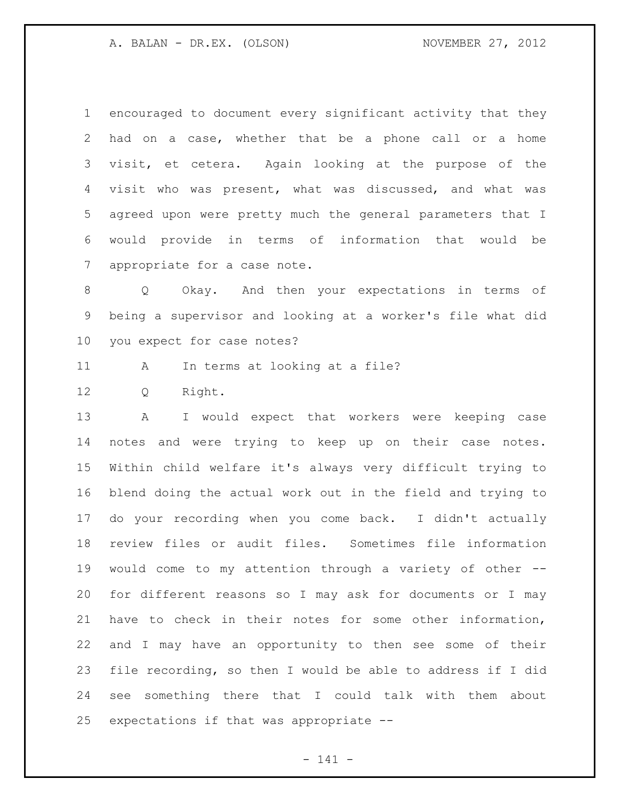encouraged to document every significant activity that they had on a case, whether that be a phone call or a home visit, et cetera. Again looking at the purpose of the visit who was present, what was discussed, and what was agreed upon were pretty much the general parameters that I would provide in terms of information that would be appropriate for a case note.

 Q Okay. And then your expectations in terms of being a supervisor and looking at a worker's file what did you expect for case notes?

A In terms at looking at a file?

Q Right.

 A I would expect that workers were keeping case notes and were trying to keep up on their case notes. Within child welfare it's always very difficult trying to blend doing the actual work out in the field and trying to do your recording when you come back. I didn't actually review files or audit files. Sometimes file information would come to my attention through a variety of other -- for different reasons so I may ask for documents or I may have to check in their notes for some other information, and I may have an opportunity to then see some of their file recording, so then I would be able to address if I did see something there that I could talk with them about expectations if that was appropriate --

- 141 -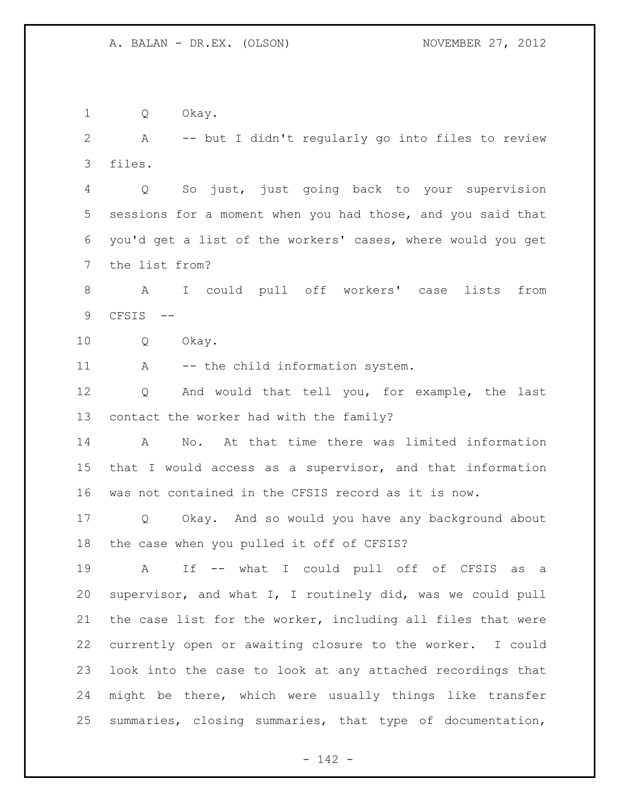Q Okay. A -- but I didn't regularly go into files to review files. Q So just, just going back to your supervision sessions for a moment when you had those, and you said that you'd get a list of the workers' cases, where would you get the list from? A I could pull off workers' case lists from CFSIS -- Q Okay. 11 A -- the child information system. Q And would that tell you, for example, the last contact the worker had with the family? A No. At that time there was limited information that I would access as a supervisor, and that information was not contained in the CFSIS record as it is now. Q Okay. And so would you have any background about the case when you pulled it off of CFSIS? A If -- what I could pull off of CFSIS as a supervisor, and what I, I routinely did, was we could pull the case list for the worker, including all files that were currently open or awaiting closure to the worker. I could look into the case to look at any attached recordings that might be there, which were usually things like transfer summaries, closing summaries, that type of documentation,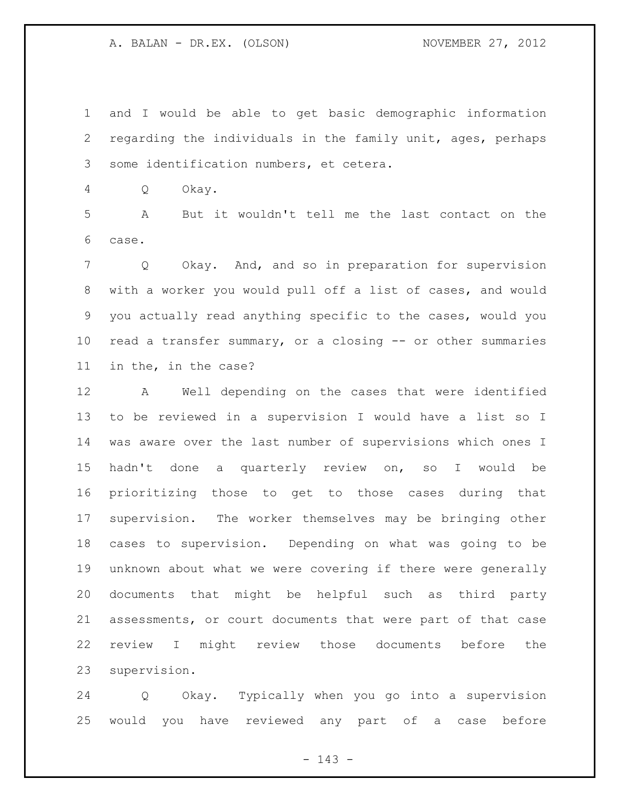and I would be able to get basic demographic information regarding the individuals in the family unit, ages, perhaps some identification numbers, et cetera.

Q Okay.

 A But it wouldn't tell me the last contact on the case.

 Q Okay. And, and so in preparation for supervision with a worker you would pull off a list of cases, and would you actually read anything specific to the cases, would you read a transfer summary, or a closing -- or other summaries in the, in the case?

 A Well depending on the cases that were identified to be reviewed in a supervision I would have a list so I was aware over the last number of supervisions which ones I hadn't done a quarterly review on, so I would be prioritizing those to get to those cases during that supervision. The worker themselves may be bringing other cases to supervision. Depending on what was going to be unknown about what we were covering if there were generally documents that might be helpful such as third party assessments, or court documents that were part of that case review I might review those documents before the supervision.

 Q Okay. Typically when you go into a supervision would you have reviewed any part of a case before

- 143 -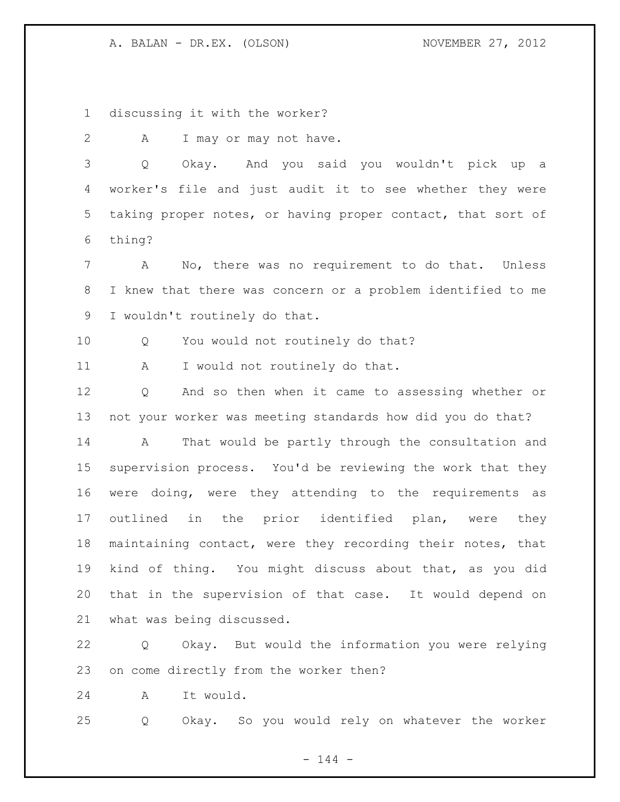discussing it with the worker?

2 A I may or may not have.

 Q Okay. And you said you wouldn't pick up a worker's file and just audit it to see whether they were taking proper notes, or having proper contact, that sort of thing?

 A No, there was no requirement to do that. Unless I knew that there was concern or a problem identified to me I wouldn't routinely do that.

Q You would not routinely do that?

11 A I would not routinely do that.

 Q And so then when it came to assessing whether or not your worker was meeting standards how did you do that?

 A That would be partly through the consultation and supervision process. You'd be reviewing the work that they were doing, were they attending to the requirements as outlined in the prior identified plan, were they maintaining contact, were they recording their notes, that kind of thing. You might discuss about that, as you did that in the supervision of that case. It would depend on what was being discussed.

 Q Okay. But would the information you were relying on come directly from the worker then?

A It would.

Q Okay. So you would rely on whatever the worker

 $- 144 -$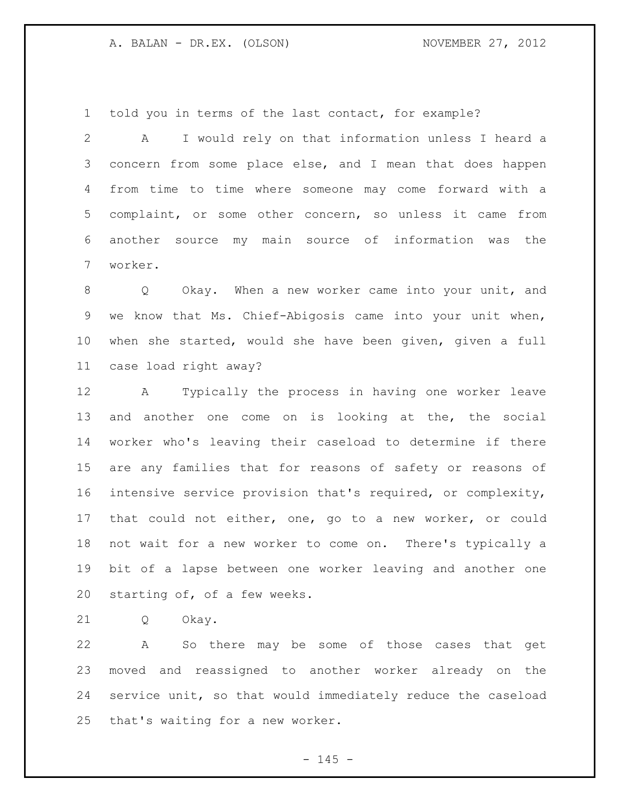told you in terms of the last contact, for example?

 A I would rely on that information unless I heard a concern from some place else, and I mean that does happen from time to time where someone may come forward with a complaint, or some other concern, so unless it came from another source my main source of information was the worker.

 Q Okay. When a new worker came into your unit, and we know that Ms. Chief-Abigosis came into your unit when, when she started, would she have been given, given a full case load right away?

 A Typically the process in having one worker leave and another one come on is looking at the, the social worker who's leaving their caseload to determine if there are any families that for reasons of safety or reasons of intensive service provision that's required, or complexity, that could not either, one, go to a new worker, or could not wait for a new worker to come on. There's typically a bit of a lapse between one worker leaving and another one starting of, of a few weeks.

Q Okay.

 A So there may be some of those cases that get moved and reassigned to another worker already on the service unit, so that would immediately reduce the caseload that's waiting for a new worker.

 $- 145 -$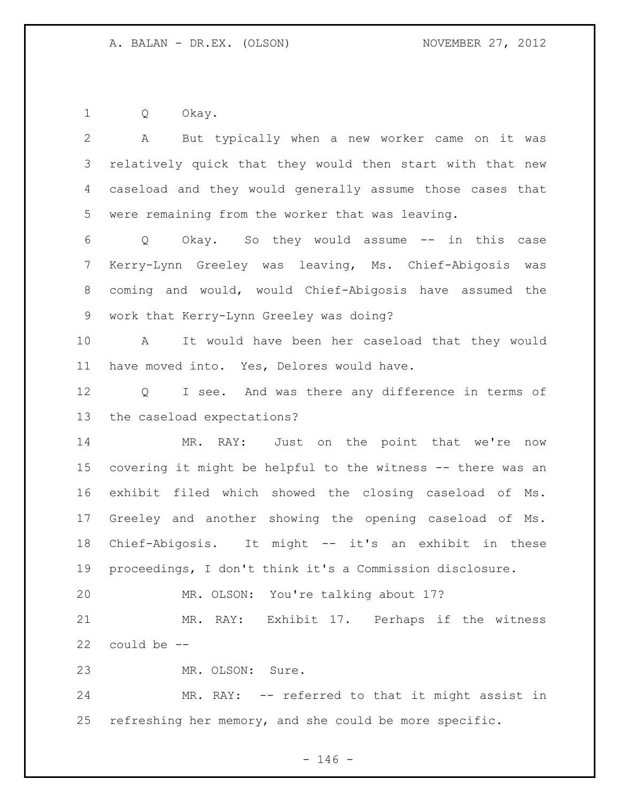Q Okay.

 A But typically when a new worker came on it was relatively quick that they would then start with that new caseload and they would generally assume those cases that were remaining from the worker that was leaving. Q Okay. So they would assume -- in this case Kerry-Lynn Greeley was leaving, Ms. Chief-Abigosis was coming and would, would Chief-Abigosis have assumed the work that Kerry-Lynn Greeley was doing? A It would have been her caseload that they would have moved into. Yes, Delores would have. Q I see. And was there any difference in terms of the caseload expectations? 14 MR. RAY: Just on the point that we're now covering it might be helpful to the witness -- there was an exhibit filed which showed the closing caseload of Ms. Greeley and another showing the opening caseload of Ms. Chief-Abigosis. It might -- it's an exhibit in these proceedings, I don't think it's a Commission disclosure. MR. OLSON: You're talking about 17? MR. RAY: Exhibit 17. Perhaps if the witness could be -- MR. OLSON: Sure. MR. RAY: -- referred to that it might assist in refreshing her memory, and she could be more specific.

 $- 146 -$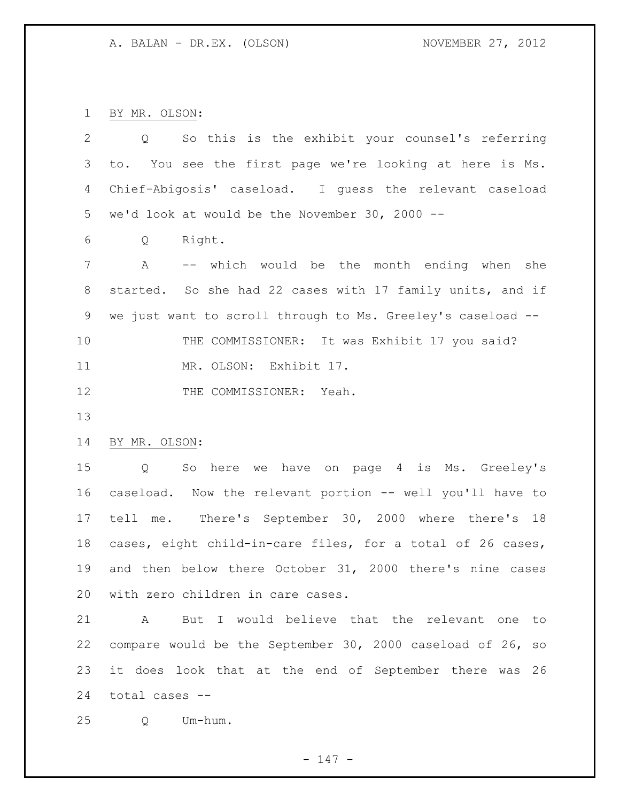BY MR. OLSON:

| $\overline{2}$ | So this is the exhibit your counsel's referring<br>Q          |
|----------------|---------------------------------------------------------------|
| 3              | You see the first page we're looking at here is Ms.<br>to.    |
| 4              | Chief-Abigosis' caseload. I guess the relevant caseload       |
| 5              | we'd look at would be the November 30, 2000 $-$ -             |
| 6              | Right.<br>Q                                                   |
| 7              | -- which would be the month ending when she<br>Α              |
| 8              | started. So she had 22 cases with 17 family units, and if     |
| 9              | we just want to scroll through to Ms. Greeley's caseload --   |
| 10             | THE COMMISSIONER: It was Exhibit 17 you said?                 |
| 11             | MR. OLSON: Exhibit 17.                                        |
| 12             | THE COMMISSIONER: Yeah.                                       |
| 13             |                                                               |
| 14             | BY MR. OLSON:                                                 |
| 15             | So here we have on page 4 is Ms. Greeley's<br>Q               |
| 16             | caseload. Now the relevant portion -- well you'll have to     |
| 17             | tell me. There's September 30, 2000 where there's 18          |
| 18             | cases, eight child-in-care files, for a total of 26 cases,    |
| 19             | and then below there October 31, 2000 there's nine cases      |
| 20             | with zero children in care cases.                             |
| 21             | But I would believe that the relevant one<br>A<br>to          |
| 22             | compare would be the September 30, 2000 caseload of 26,<br>SO |
| 23             | it does look that at the end of September there was<br>26     |
| 24             | total cases --                                                |
| 25             | Um-hum.<br>Q                                                  |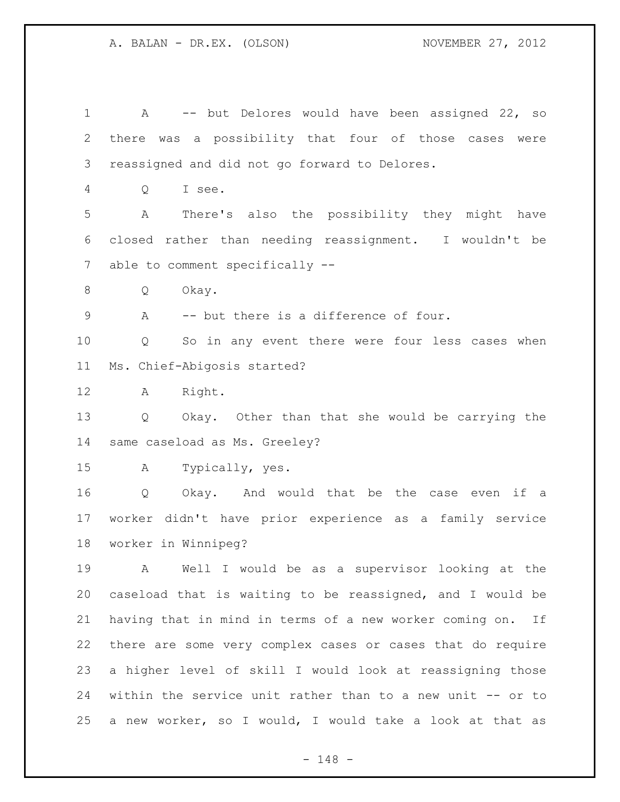A -- but Delores would have been assigned 22, so there was a possibility that four of those cases were reassigned and did not go forward to Delores. Q I see. A There's also the possibility they might have closed rather than needing reassignment. I wouldn't be able to comment specifically -- Q Okay. A -- but there is a difference of four. Q So in any event there were four less cases when Ms. Chief-Abigosis started? A Right. Q Okay. Other than that she would be carrying the same caseload as Ms. Greeley? A Typically, yes. Q Okay. And would that be the case even if a worker didn't have prior experience as a family service worker in Winnipeg? A Well I would be as a supervisor looking at the caseload that is waiting to be reassigned, and I would be having that in mind in terms of a new worker coming on. If there are some very complex cases or cases that do require a higher level of skill I would look at reassigning those within the service unit rather than to a new unit -- or to a new worker, so I would, I would take a look at that as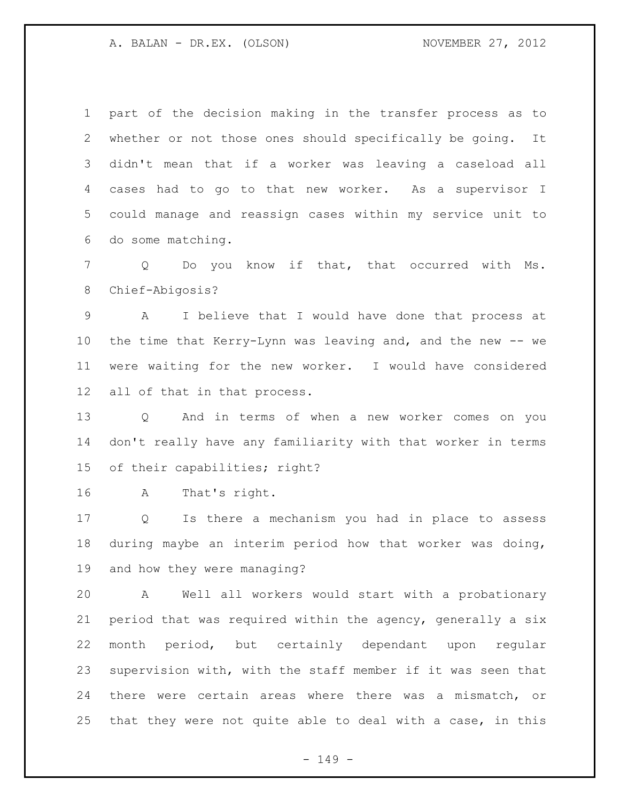part of the decision making in the transfer process as to whether or not those ones should specifically be going. It didn't mean that if a worker was leaving a caseload all cases had to go to that new worker. As a supervisor I could manage and reassign cases within my service unit to do some matching.

 Q Do you know if that, that occurred with Ms. Chief-Abigosis?

 A I believe that I would have done that process at the time that Kerry-Lynn was leaving and, and the new -- we were waiting for the new worker. I would have considered all of that in that process.

 Q And in terms of when a new worker comes on you don't really have any familiarity with that worker in terms of their capabilities; right?

A That's right.

 Q Is there a mechanism you had in place to assess during maybe an interim period how that worker was doing, and how they were managing?

 A Well all workers would start with a probationary period that was required within the agency, generally a six month period, but certainly dependant upon regular supervision with, with the staff member if it was seen that there were certain areas where there was a mismatch, or that they were not quite able to deal with a case, in this

- 149 -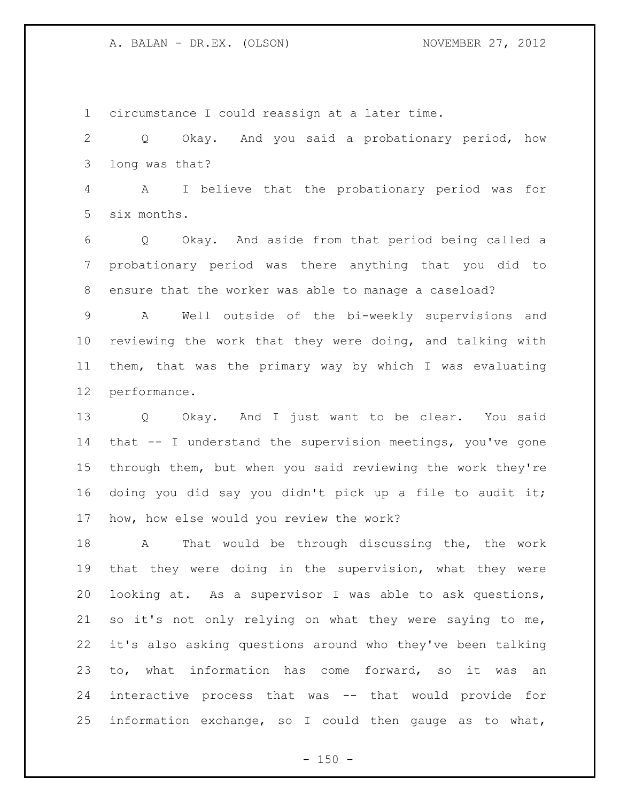circumstance I could reassign at a later time. Q Okay. And you said a probationary period, how long was that? A I believe that the probationary period was for six months. Q Okay. And aside from that period being called a probationary period was there anything that you did to ensure that the worker was able to manage a caseload? A Well outside of the bi-weekly supervisions and reviewing the work that they were doing, and talking with them, that was the primary way by which I was evaluating performance.

 Q Okay. And I just want to be clear. You said that -- I understand the supervision meetings, you've gone through them, but when you said reviewing the work they're doing you did say you didn't pick up a file to audit it; how, how else would you review the work?

 A That would be through discussing the, the work that they were doing in the supervision, what they were looking at. As a supervisor I was able to ask questions, so it's not only relying on what they were saying to me, it's also asking questions around who they've been talking to, what information has come forward, so it was an interactive process that was -- that would provide for information exchange, so I could then gauge as to what,

 $- 150 -$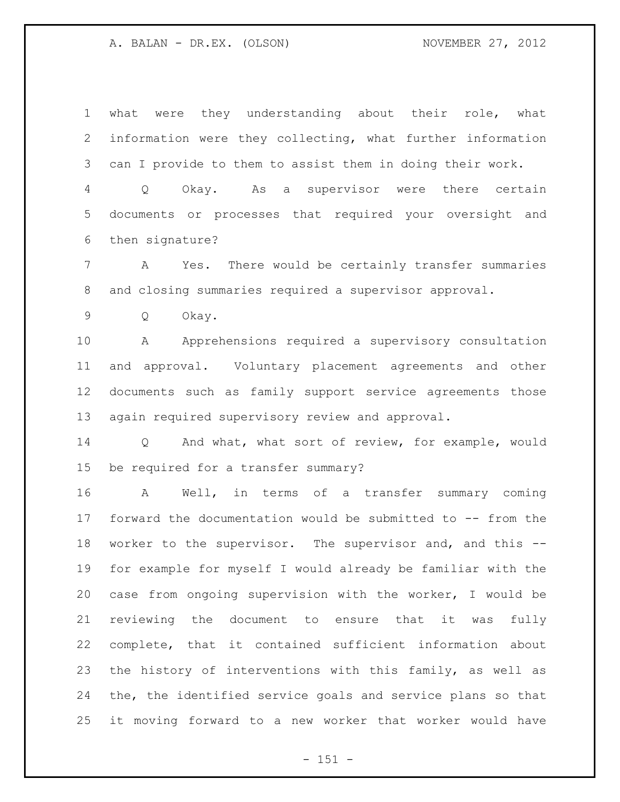what were they understanding about their role, what information were they collecting, what further information can I provide to them to assist them in doing their work.

 Q Okay. As a supervisor were there certain documents or processes that required your oversight and then signature?

 A Yes. There would be certainly transfer summaries and closing summaries required a supervisor approval.

Q Okay.

 A Apprehensions required a supervisory consultation and approval. Voluntary placement agreements and other documents such as family support service agreements those again required supervisory review and approval.

 Q And what, what sort of review, for example, would be required for a transfer summary?

 A Well, in terms of a transfer summary coming forward the documentation would be submitted to -- from the worker to the supervisor. The supervisor and, and this -- for example for myself I would already be familiar with the case from ongoing supervision with the worker, I would be reviewing the document to ensure that it was fully complete, that it contained sufficient information about 23 the history of interventions with this family, as well as the, the identified service goals and service plans so that it moving forward to a new worker that worker would have

 $- 151 -$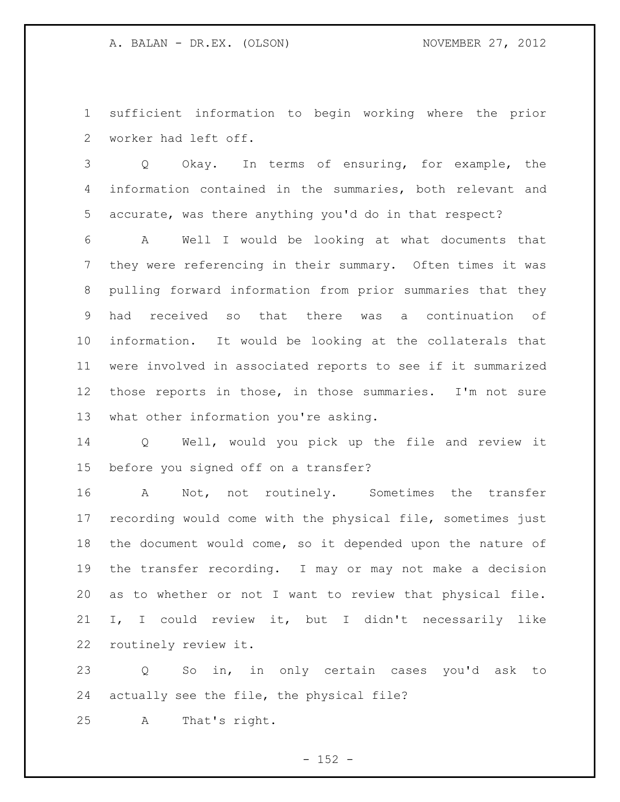sufficient information to begin working where the prior worker had left off.

 Q Okay. In terms of ensuring, for example, the information contained in the summaries, both relevant and accurate, was there anything you'd do in that respect?

 A Well I would be looking at what documents that they were referencing in their summary. Often times it was pulling forward information from prior summaries that they had received so that there was a continuation of information. It would be looking at the collaterals that were involved in associated reports to see if it summarized those reports in those, in those summaries. I'm not sure what other information you're asking.

 Q Well, would you pick up the file and review it before you signed off on a transfer?

 A Not, not routinely. Sometimes the transfer recording would come with the physical file, sometimes just the document would come, so it depended upon the nature of the transfer recording. I may or may not make a decision as to whether or not I want to review that physical file. I, I could review it, but I didn't necessarily like routinely review it.

 Q So in, in only certain cases you'd ask to actually see the file, the physical file?

A That's right.

 $- 152 -$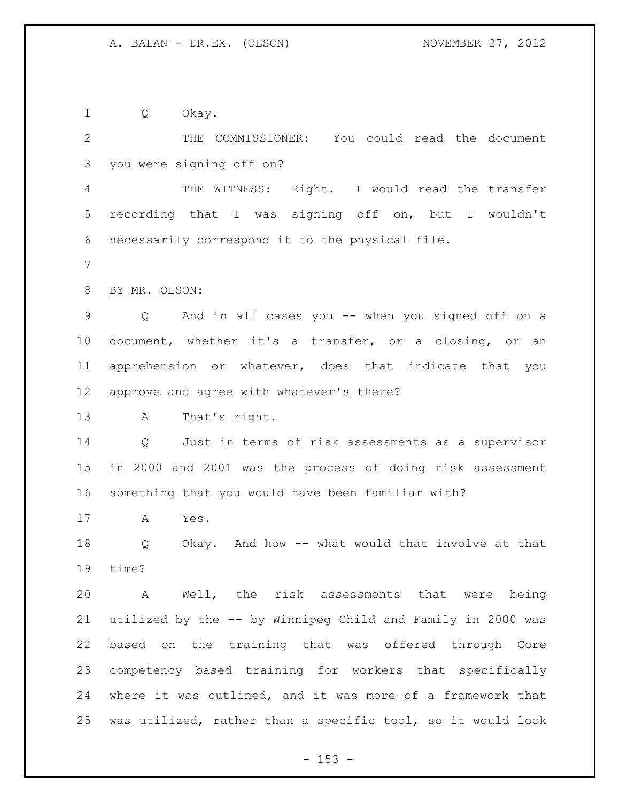Q Okay.

 THE COMMISSIONER: You could read the document you were signing off on?

 THE WITNESS: Right. I would read the transfer recording that I was signing off on, but I wouldn't necessarily correspond it to the physical file.

BY MR. OLSON:

 Q And in all cases you -- when you signed off on a document, whether it's a transfer, or a closing, or an apprehension or whatever, does that indicate that you approve and agree with whatever's there?

A That's right.

 Q Just in terms of risk assessments as a supervisor in 2000 and 2001 was the process of doing risk assessment something that you would have been familiar with?

A Yes.

 Q Okay. And how -- what would that involve at that time?

 A Well, the risk assessments that were being utilized by the -- by Winnipeg Child and Family in 2000 was based on the training that was offered through Core competency based training for workers that specifically where it was outlined, and it was more of a framework that was utilized, rather than a specific tool, so it would look

 $- 153 -$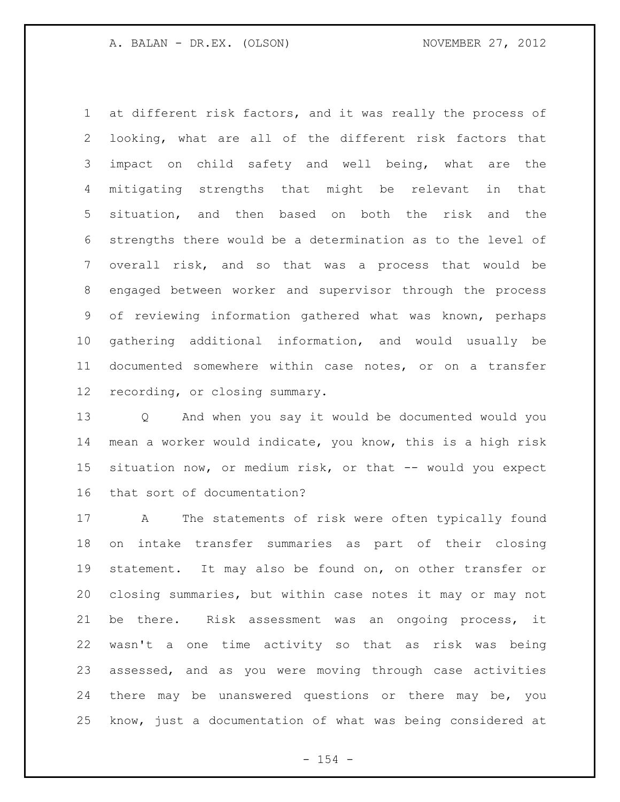at different risk factors, and it was really the process of looking, what are all of the different risk factors that impact on child safety and well being, what are the mitigating strengths that might be relevant in that situation, and then based on both the risk and the strengths there would be a determination as to the level of overall risk, and so that was a process that would be engaged between worker and supervisor through the process of reviewing information gathered what was known, perhaps gathering additional information, and would usually be documented somewhere within case notes, or on a transfer recording, or closing summary.

 Q And when you say it would be documented would you mean a worker would indicate, you know, this is a high risk situation now, or medium risk, or that -- would you expect that sort of documentation?

 A The statements of risk were often typically found on intake transfer summaries as part of their closing statement. It may also be found on, on other transfer or closing summaries, but within case notes it may or may not be there. Risk assessment was an ongoing process, it wasn't a one time activity so that as risk was being assessed, and as you were moving through case activities there may be unanswered questions or there may be, you know, just a documentation of what was being considered at

 $- 154 -$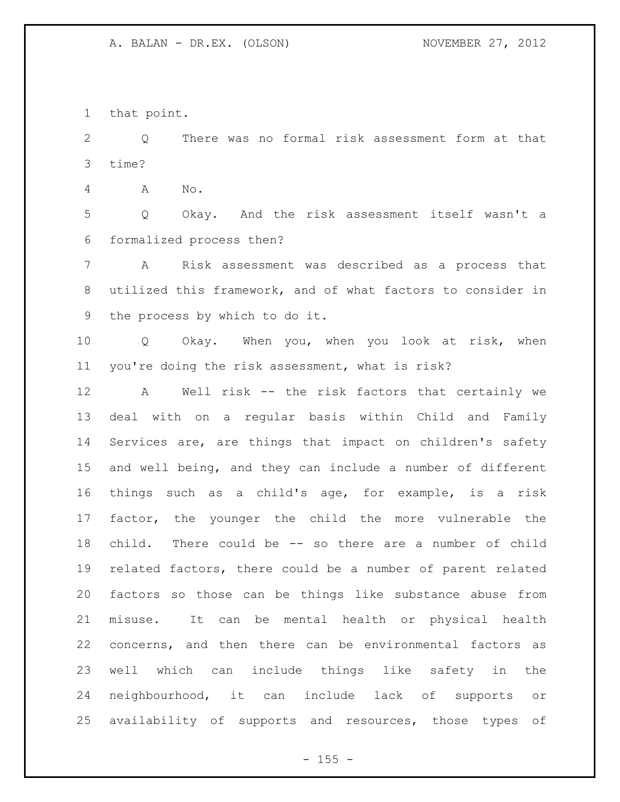that point.

 Q There was no formal risk assessment form at that time?

A No.

 Q Okay. And the risk assessment itself wasn't a formalized process then?

 A Risk assessment was described as a process that utilized this framework, and of what factors to consider in the process by which to do it.

 Q Okay. When you, when you look at risk, when you're doing the risk assessment, what is risk?

 A Well risk -- the risk factors that certainly we deal with on a regular basis within Child and Family Services are, are things that impact on children's safety and well being, and they can include a number of different things such as a child's age, for example, is a risk factor, the younger the child the more vulnerable the child. There could be -- so there are a number of child related factors, there could be a number of parent related factors so those can be things like substance abuse from misuse. It can be mental health or physical health concerns, and then there can be environmental factors as well which can include things like safety in the neighbourhood, it can include lack of supports or availability of supports and resources, those types of

 $- 155 -$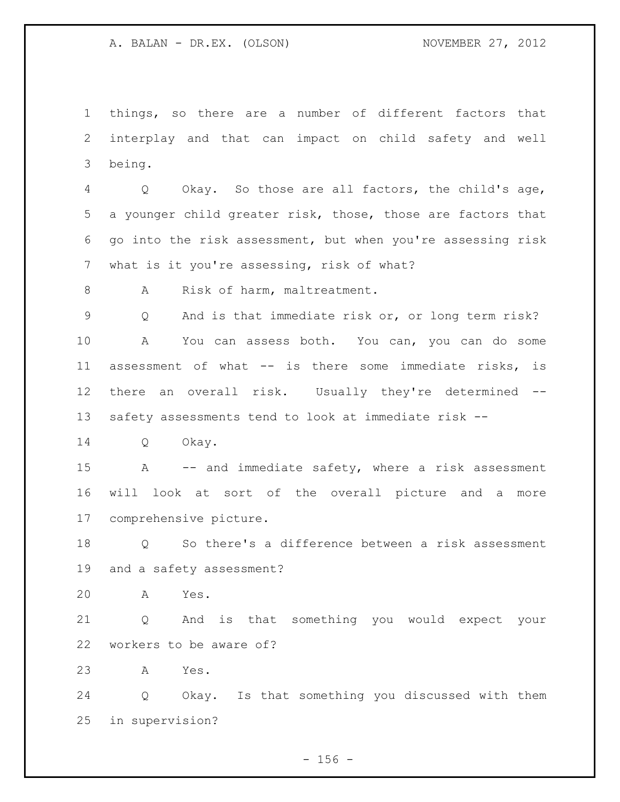things, so there are a number of different factors that interplay and that can impact on child safety and well being.

 Q Okay. So those are all factors, the child's age, a younger child greater risk, those, those are factors that go into the risk assessment, but when you're assessing risk what is it you're assessing, risk of what?

8 A Risk of harm, maltreatment.

 Q And is that immediate risk or, or long term risk? A You can assess both. You can, you can do some assessment of what -- is there some immediate risks, is there an overall risk. Usually they're determined -- safety assessments tend to look at immediate risk --

Q Okay.

 A -- and immediate safety, where a risk assessment will look at sort of the overall picture and a more comprehensive picture.

 Q So there's a difference between a risk assessment and a safety assessment?

A Yes.

 Q And is that something you would expect your workers to be aware of?

A Yes.

 Q Okay. Is that something you discussed with them in supervision?

 $- 156 -$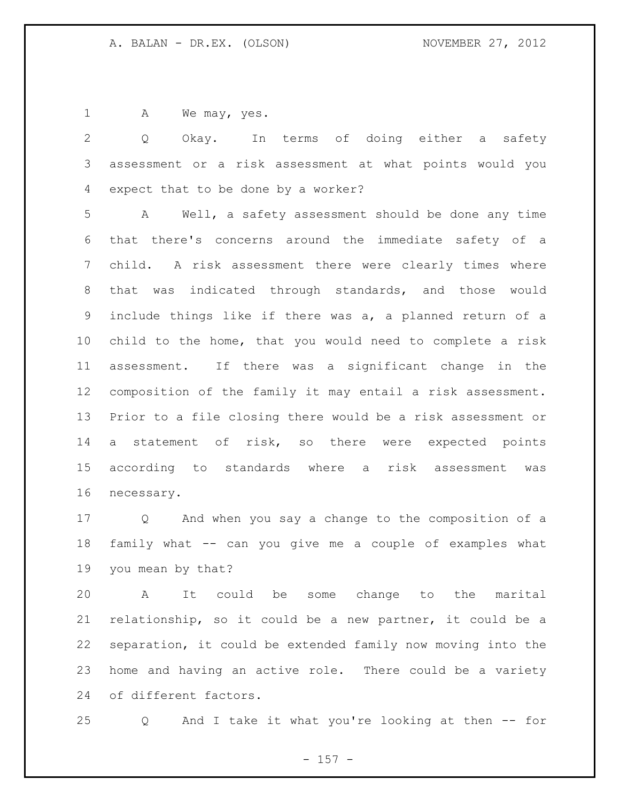1 A We may, yes.

 Q Okay. In terms of doing either a safety assessment or a risk assessment at what points would you expect that to be done by a worker?

 A Well, a safety assessment should be done any time that there's concerns around the immediate safety of a child. A risk assessment there were clearly times where that was indicated through standards, and those would include things like if there was a, a planned return of a child to the home, that you would need to complete a risk assessment. If there was a significant change in the composition of the family it may entail a risk assessment. Prior to a file closing there would be a risk assessment or a statement of risk, so there were expected points according to standards where a risk assessment was necessary.

 Q And when you say a change to the composition of a family what -- can you give me a couple of examples what you mean by that?

 A It could be some change to the marital relationship, so it could be a new partner, it could be a separation, it could be extended family now moving into the home and having an active role. There could be a variety of different factors.

Q And I take it what you're looking at then -- for

- 157 -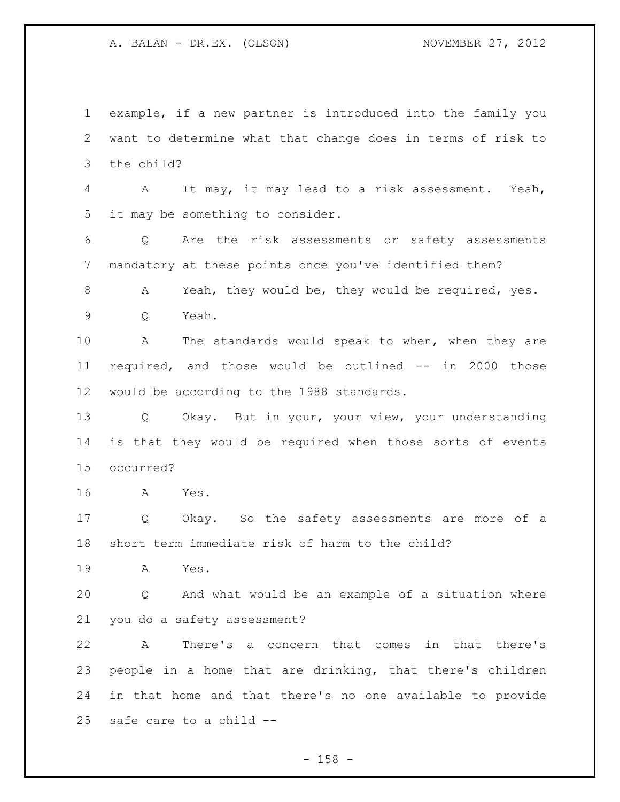example, if a new partner is introduced into the family you want to determine what that change does in terms of risk to the child? A It may, it may lead to a risk assessment. Yeah, it may be something to consider. Q Are the risk assessments or safety assessments mandatory at these points once you've identified them? 8 A Yeah, they would be, they would be required, yes. Q Yeah. A The standards would speak to when, when they are required, and those would be outlined -- in 2000 those would be according to the 1988 standards. Q Okay. But in your, your view, your understanding is that they would be required when those sorts of events occurred? A Yes. Q Okay. So the safety assessments are more of a short term immediate risk of harm to the child? A Yes. Q And what would be an example of a situation where you do a safety assessment? A There's a concern that comes in that there's people in a home that are drinking, that there's children in that home and that there's no one available to provide

safe care to a child --

- 158 -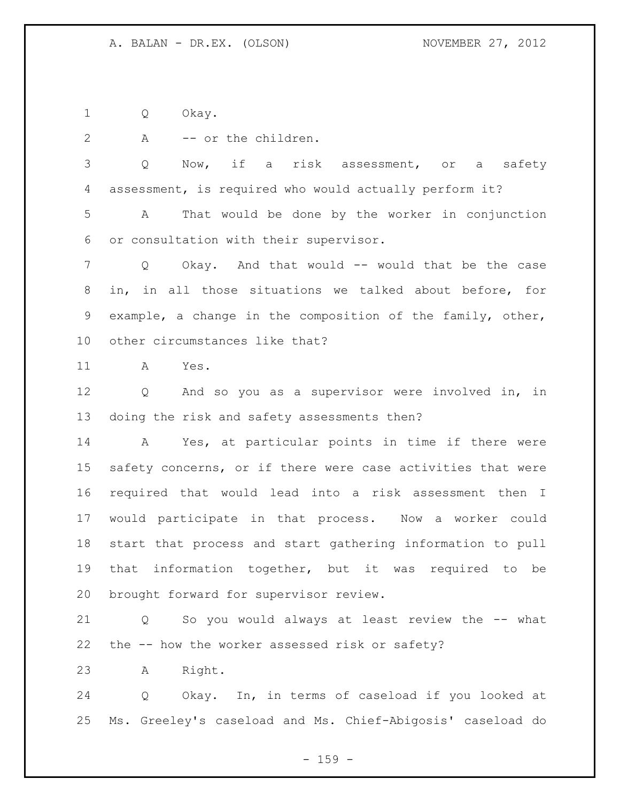Q Okay.

2 A -- or the children.

 Q Now, if a risk assessment, or a safety assessment, is required who would actually perform it?

 A That would be done by the worker in conjunction or consultation with their supervisor.

7 Q Okay. And that would -- would that be the case in, in all those situations we talked about before, for example, a change in the composition of the family, other, other circumstances like that?

A Yes.

 Q And so you as a supervisor were involved in, in doing the risk and safety assessments then?

 A Yes, at particular points in time if there were safety concerns, or if there were case activities that were required that would lead into a risk assessment then I would participate in that process. Now a worker could start that process and start gathering information to pull that information together, but it was required to be brought forward for supervisor review.

 Q So you would always at least review the -- what the -- how the worker assessed risk or safety?

A Right.

 Q Okay. In, in terms of caseload if you looked at Ms. Greeley's caseload and Ms. Chief-Abigosis' caseload do

 $- 159 -$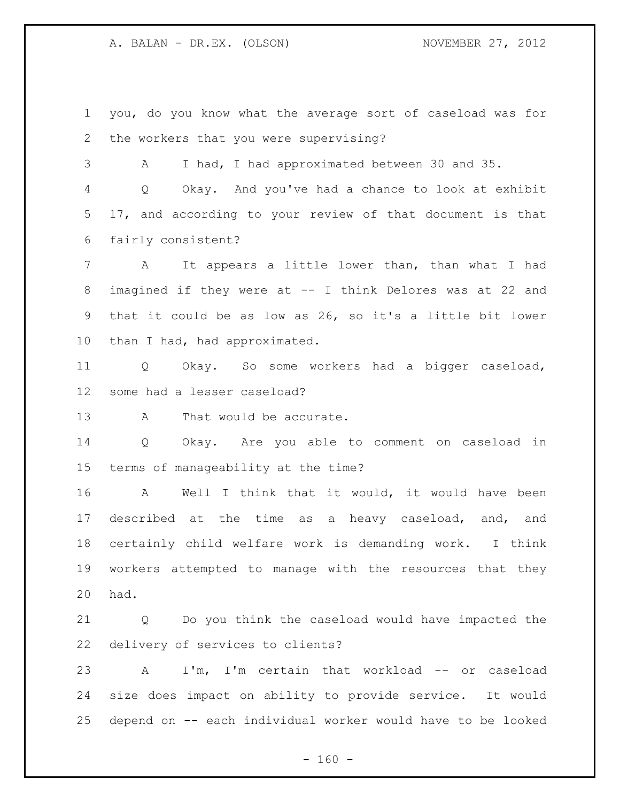you, do you know what the average sort of caseload was for the workers that you were supervising?

A I had, I had approximated between 30 and 35.

 Q Okay. And you've had a chance to look at exhibit 17, and according to your review of that document is that fairly consistent?

 A It appears a little lower than, than what I had imagined if they were at -- I think Delores was at 22 and that it could be as low as 26, so it's a little bit lower 10 than I had, had approximated.

 Q Okay. So some workers had a bigger caseload, some had a lesser caseload?

13 A That would be accurate.

 Q Okay. Are you able to comment on caseload in terms of manageability at the time?

 A Well I think that it would, it would have been described at the time as a heavy caseload, and, and certainly child welfare work is demanding work. I think workers attempted to manage with the resources that they had.

 Q Do you think the caseload would have impacted the delivery of services to clients?

 A I'm, I'm certain that workload -- or caseload size does impact on ability to provide service. It would depend on -- each individual worker would have to be looked

 $- 160 -$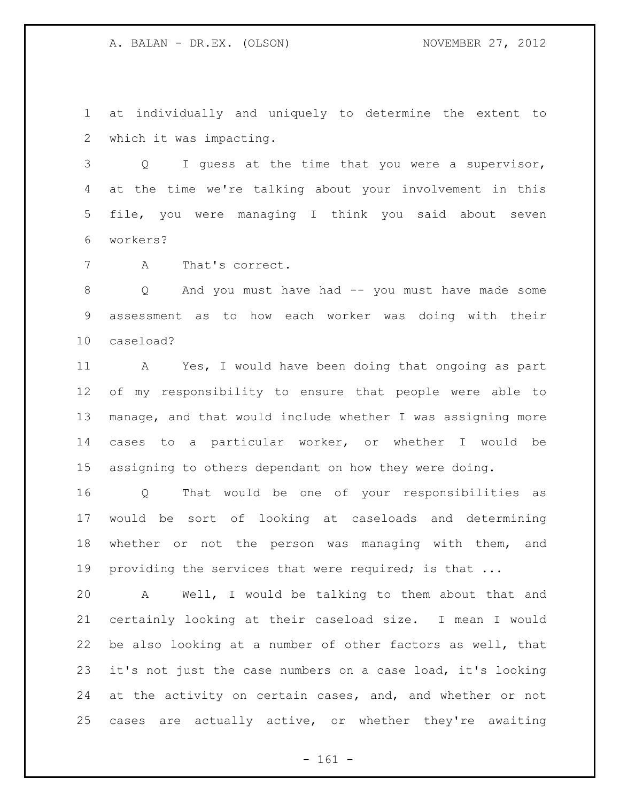at individually and uniquely to determine the extent to which it was impacting.

 Q I guess at the time that you were a supervisor, at the time we're talking about your involvement in this file, you were managing I think you said about seven workers?

A That's correct.

 Q And you must have had -- you must have made some assessment as to how each worker was doing with their caseload?

 A Yes, I would have been doing that ongoing as part of my responsibility to ensure that people were able to manage, and that would include whether I was assigning more cases to a particular worker, or whether I would be assigning to others dependant on how they were doing.

 Q That would be one of your responsibilities as would be sort of looking at caseloads and determining whether or not the person was managing with them, and 19 providing the services that were required; is that ...

 A Well, I would be talking to them about that and certainly looking at their caseload size. I mean I would be also looking at a number of other factors as well, that it's not just the case numbers on a case load, it's looking at the activity on certain cases, and, and whether or not cases are actually active, or whether they're awaiting

- 161 -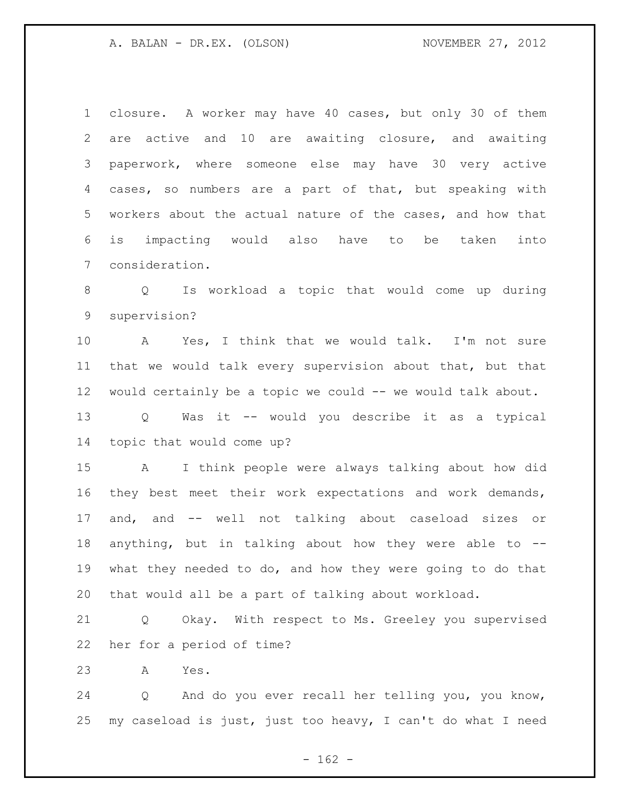closure. A worker may have 40 cases, but only 30 of them are active and 10 are awaiting closure, and awaiting paperwork, where someone else may have 30 very active cases, so numbers are a part of that, but speaking with workers about the actual nature of the cases, and how that is impacting would also have to be taken into consideration.

 Q Is workload a topic that would come up during supervision?

 A Yes, I think that we would talk. I'm not sure that we would talk every supervision about that, but that would certainly be a topic we could -- we would talk about.

 Q Was it -- would you describe it as a typical topic that would come up?

 A I think people were always talking about how did they best meet their work expectations and work demands, and, and -- well not talking about caseload sizes or anything, but in talking about how they were able to -- what they needed to do, and how they were going to do that that would all be a part of talking about workload.

 Q Okay. With respect to Ms. Greeley you supervised her for a period of time?

A Yes.

 Q And do you ever recall her telling you, you know, my caseload is just, just too heavy, I can't do what I need

 $- 162 -$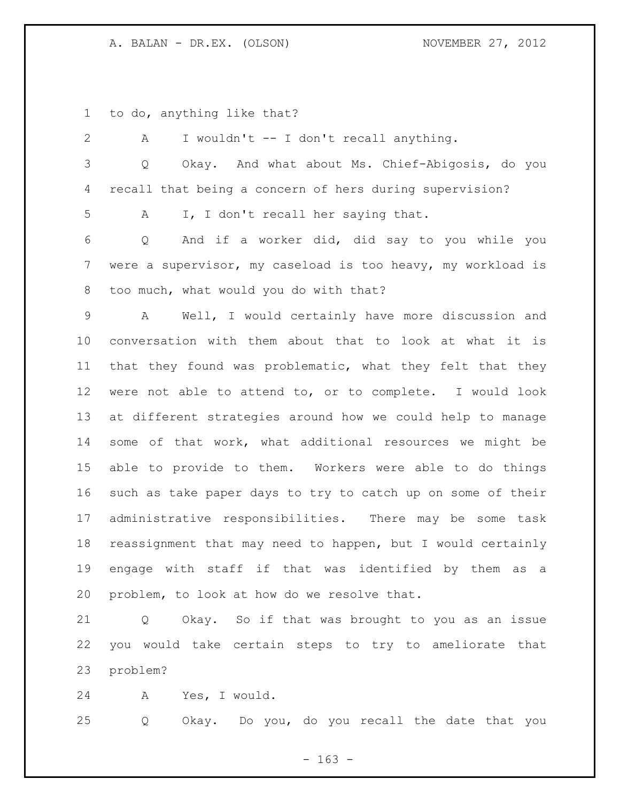to do, anything like that?

 A I wouldn't -- I don't recall anything. Q Okay. And what about Ms. Chief-Abigosis, do you recall that being a concern of hers during supervision? A I, I don't recall her saying that. Q And if a worker did, did say to you while you were a supervisor, my caseload is too heavy, my workload is too much, what would you do with that? A Well, I would certainly have more discussion and conversation with them about that to look at what it is that they found was problematic, what they felt that they were not able to attend to, or to complete. I would look at different strategies around how we could help to manage some of that work, what additional resources we might be able to provide to them. Workers were able to do things such as take paper days to try to catch up on some of their administrative responsibilities. There may be some task reassignment that may need to happen, but I would certainly engage with staff if that was identified by them as a problem, to look at how do we resolve that.

 Q Okay. So if that was brought to you as an issue you would take certain steps to try to ameliorate that problem?

A Yes, I would.

Q Okay. Do you, do you recall the date that you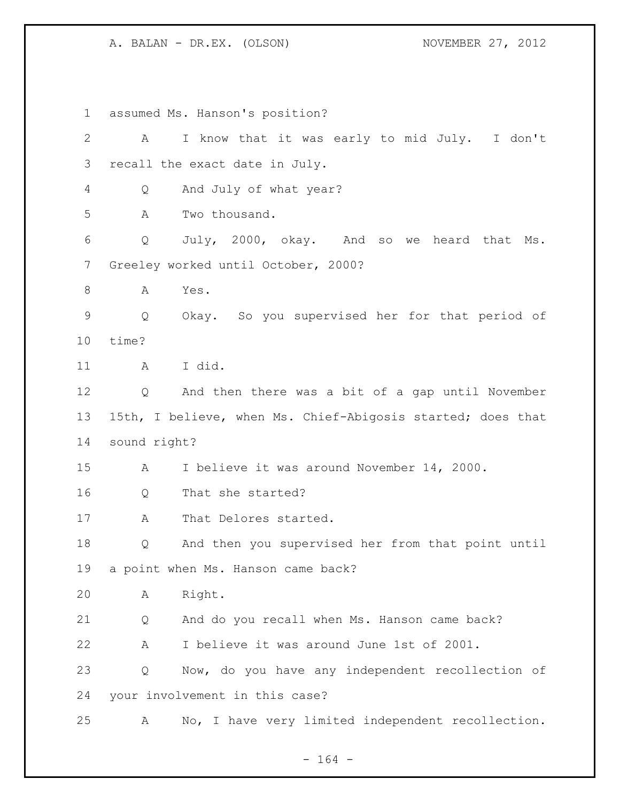assumed Ms. Hanson's position? A I know that it was early to mid July. I don't recall the exact date in July. Q And July of what year? A Two thousand. Q July, 2000, okay. And so we heard that Ms. Greeley worked until October, 2000? 8 A Yes. Q Okay. So you supervised her for that period of time? A I did. Q And then there was a bit of a gap until November 15th, I believe, when Ms. Chief-Abigosis started; does that sound right? A I believe it was around November 14, 2000. Q That she started? 17 A That Delores started. Q And then you supervised her from that point until a point when Ms. Hanson came back? A Right. Q And do you recall when Ms. Hanson came back? A I believe it was around June 1st of 2001. Q Now, do you have any independent recollection of your involvement in this case? A No, I have very limited independent recollection.

- 164 -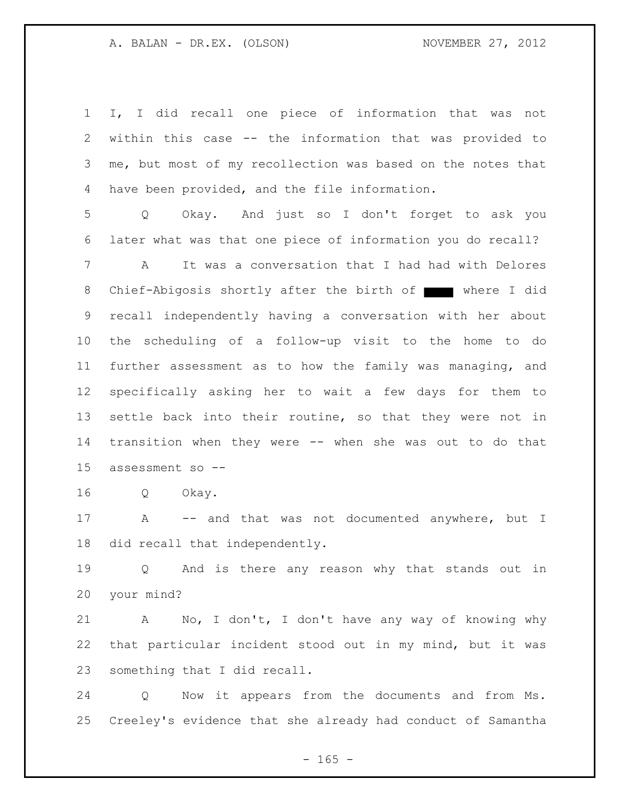I, I did recall one piece of information that was not within this case -- the information that was provided to me, but most of my recollection was based on the notes that have been provided, and the file information.

 Q Okay. And just so I don't forget to ask you later what was that one piece of information you do recall?

 A It was a conversation that I had had with Delores 8 Chief-Abigosis shortly after the birth of where I did recall independently having a conversation with her about the scheduling of a follow-up visit to the home to do further assessment as to how the family was managing, and specifically asking her to wait a few days for them to settle back into their routine, so that they were not in transition when they were -- when she was out to do that assessment so --

Q Okay.

 A -- and that was not documented anywhere, but I did recall that independently.

 Q And is there any reason why that stands out in your mind?

 A No, I don't, I don't have any way of knowing why that particular incident stood out in my mind, but it was something that I did recall.

 Q Now it appears from the documents and from Ms. Creeley's evidence that she already had conduct of Samantha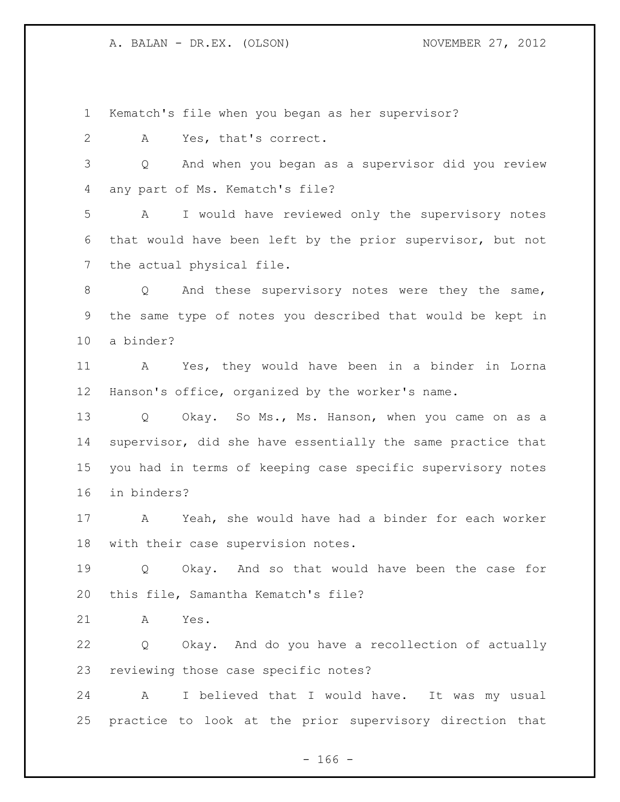Kematch's file when you began as her supervisor?

A Yes, that's correct.

 Q And when you began as a supervisor did you review any part of Ms. Kematch's file?

 A I would have reviewed only the supervisory notes that would have been left by the prior supervisor, but not the actual physical file.

8 Q And these supervisory notes were they the same, the same type of notes you described that would be kept in a binder?

 A Yes, they would have been in a binder in Lorna Hanson's office, organized by the worker's name.

 Q Okay. So Ms., Ms. Hanson, when you came on as a supervisor, did she have essentially the same practice that you had in terms of keeping case specific supervisory notes in binders?

 A Yeah, she would have had a binder for each worker with their case supervision notes.

 Q Okay. And so that would have been the case for this file, Samantha Kematch's file?

A Yes.

 Q Okay. And do you have a recollection of actually reviewing those case specific notes?

 A I believed that I would have. It was my usual practice to look at the prior supervisory direction that

 $- 166 -$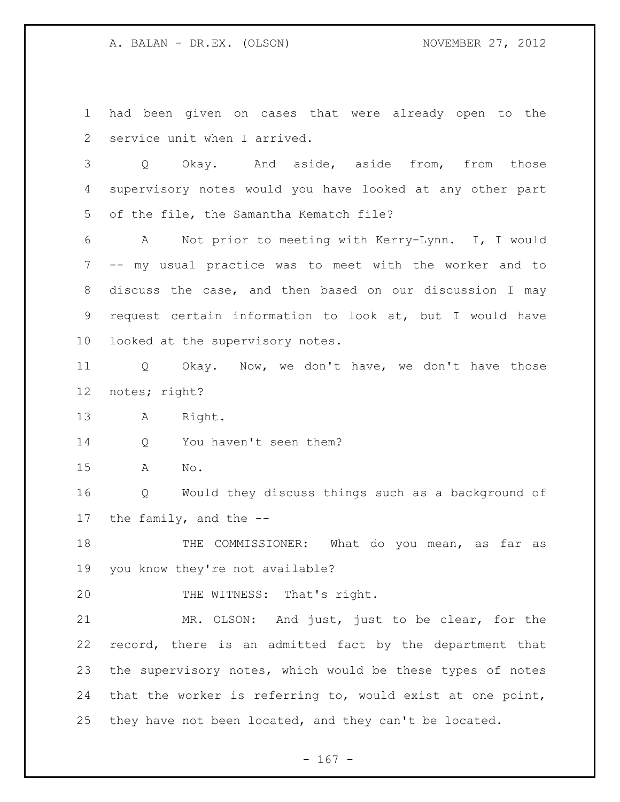had been given on cases that were already open to the service unit when I arrived.

 Q Okay. And aside, aside from, from those supervisory notes would you have looked at any other part of the file, the Samantha Kematch file?

 A Not prior to meeting with Kerry-Lynn. I, I would -- my usual practice was to meet with the worker and to discuss the case, and then based on our discussion I may request certain information to look at, but I would have looked at the supervisory notes.

 Q Okay. Now, we don't have, we don't have those notes; right?

A Right.

14 Q You haven't seen them?

A No.

 Q Would they discuss things such as a background of the family, and the --

 THE COMMISSIONER: What do you mean, as far as you know they're not available?

20 THE WITNESS: That's right.

 MR. OLSON: And just, just to be clear, for the record, there is an admitted fact by the department that the supervisory notes, which would be these types of notes that the worker is referring to, would exist at one point, they have not been located, and they can't be located.

- 167 -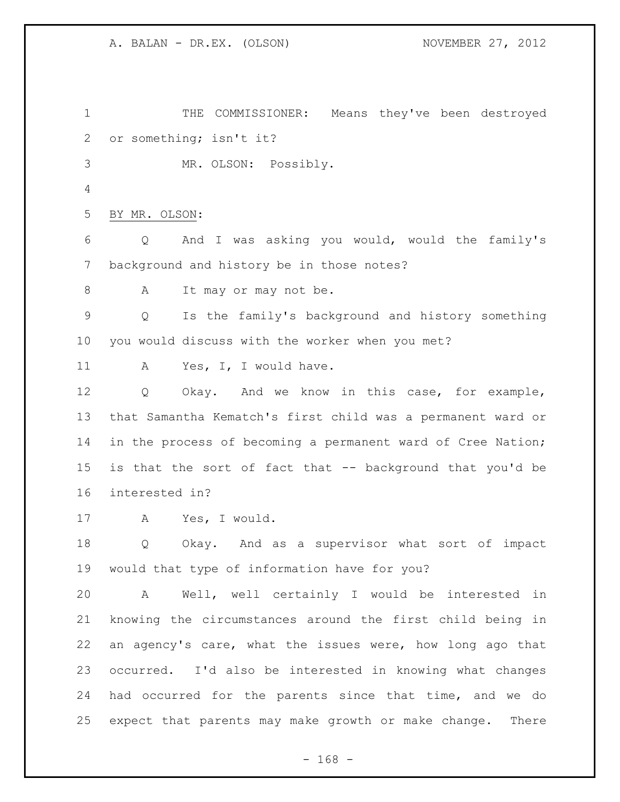THE COMMISSIONER: Means they've been destroyed or something; isn't it? MR. OLSON: Possibly. BY MR. OLSON: Q And I was asking you would, would the family's background and history be in those notes? 8 A It may or may not be. Q Is the family's background and history something you would discuss with the worker when you met? 11 A Yes, I, I would have. Q Okay. And we know in this case, for example, that Samantha Kematch's first child was a permanent ward or in the process of becoming a permanent ward of Cree Nation; is that the sort of fact that -- background that you'd be interested in? A Yes, I would. Q Okay. And as a supervisor what sort of impact would that type of information have for you? A Well, well certainly I would be interested in knowing the circumstances around the first child being in an agency's care, what the issues were, how long ago that occurred. I'd also be interested in knowing what changes had occurred for the parents since that time, and we do expect that parents may make growth or make change. There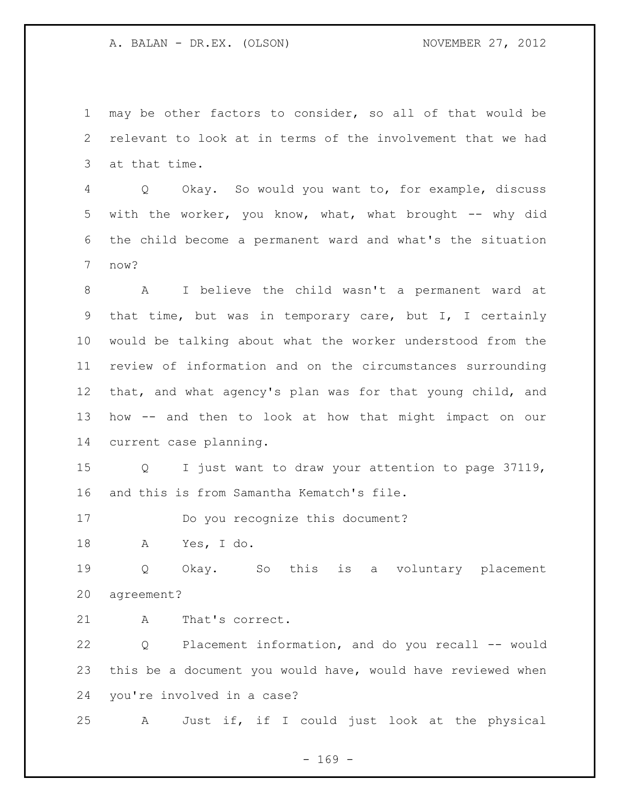may be other factors to consider, so all of that would be relevant to look at in terms of the involvement that we had at that time.

 Q Okay. So would you want to, for example, discuss with the worker, you know, what, what brought -- why did the child become a permanent ward and what's the situation now?

 A I believe the child wasn't a permanent ward at that time, but was in temporary care, but I, I certainly would be talking about what the worker understood from the review of information and on the circumstances surrounding that, and what agency's plan was for that young child, and how -- and then to look at how that might impact on our current case planning.

 Q I just want to draw your attention to page 37119, and this is from Samantha Kematch's file.

Do you recognize this document?

A Yes, I do.

 Q Okay. So this is a voluntary placement agreement?

A That's correct.

 Q Placement information, and do you recall -- would this be a document you would have, would have reviewed when you're involved in a case?

A Just if, if I could just look at the physical

- 169 -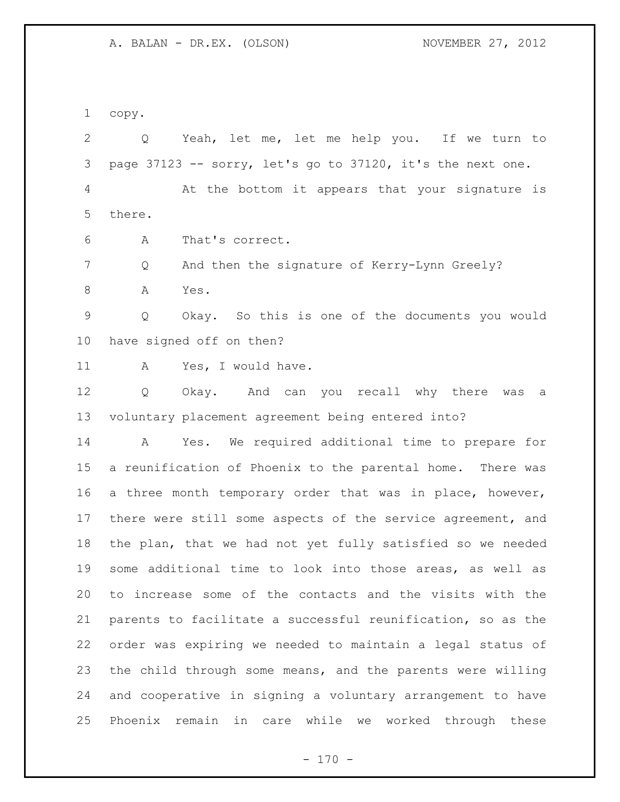copy.

 Q Yeah, let me, let me help you. If we turn to page 37123 -- sorry, let's go to 37120, it's the next one. At the bottom it appears that your signature is there. A That's correct. 7 Q And then the signature of Kerry-Lynn Greely? 8 A Yes. Q Okay. So this is one of the documents you would have signed off on then? 11 A Yes, I would have. Q Okay. And can you recall why there was a voluntary placement agreement being entered into? A Yes. We required additional time to prepare for a reunification of Phoenix to the parental home. There was a three month temporary order that was in place, however, there were still some aspects of the service agreement, and the plan, that we had not yet fully satisfied so we needed some additional time to look into those areas, as well as to increase some of the contacts and the visits with the parents to facilitate a successful reunification, so as the order was expiring we needed to maintain a legal status of the child through some means, and the parents were willing and cooperative in signing a voluntary arrangement to have Phoenix remain in care while we worked through these

 $- 170 -$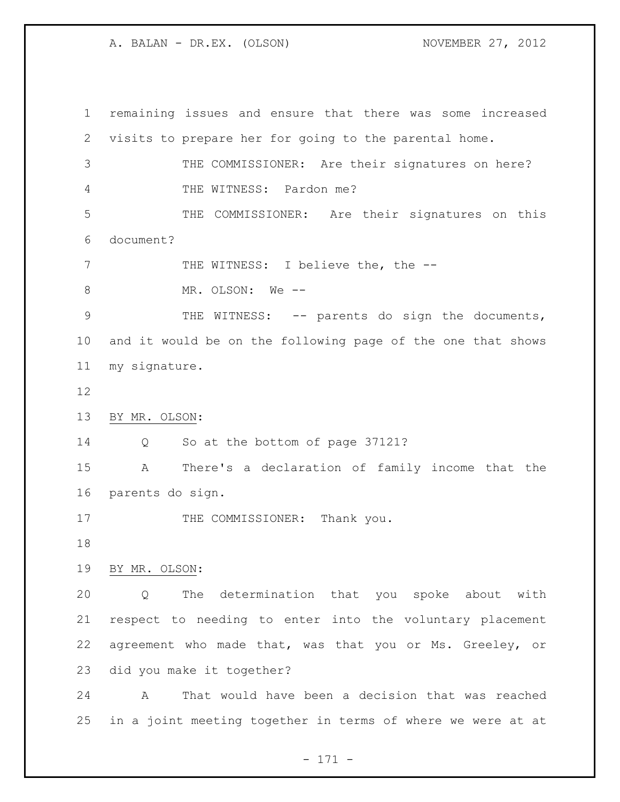remaining issues and ensure that there was some increased visits to prepare her for going to the parental home. THE COMMISSIONER: Are their signatures on here? THE WITNESS: Pardon me? THE COMMISSIONER: Are their signatures on this document? 7 THE WITNESS: I believe the, the --8 MR. OLSON: We --9 THE WITNESS: -- parents do sign the documents, and it would be on the following page of the one that shows my signature. BY MR. OLSON: 14 Q So at the bottom of page 37121? A There's a declaration of family income that the parents do sign. 17 THE COMMISSIONER: Thank you. BY MR. OLSON: Q The determination that you spoke about with respect to needing to enter into the voluntary placement agreement who made that, was that you or Ms. Greeley, or did you make it together? A That would have been a decision that was reached in a joint meeting together in terms of where we were at at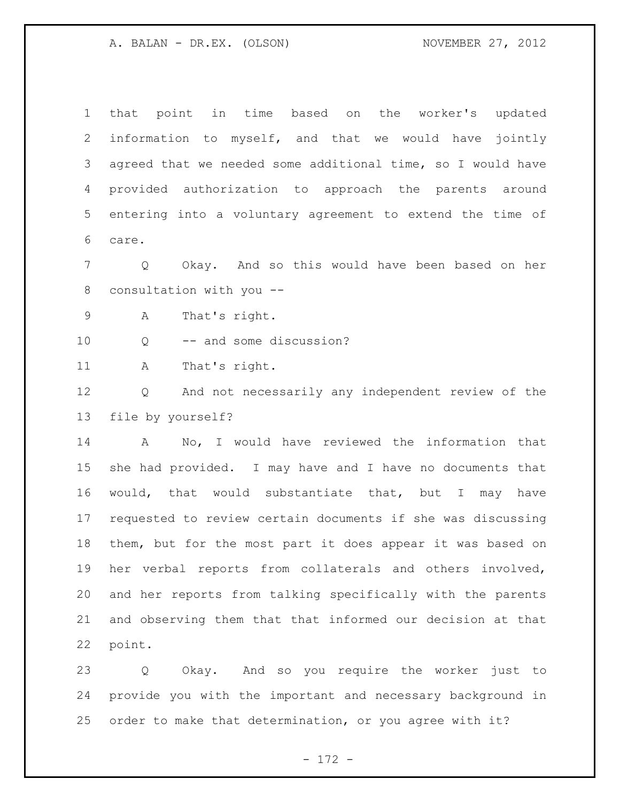that point in time based on the worker's updated information to myself, and that we would have jointly agreed that we needed some additional time, so I would have provided authorization to approach the parents around entering into a voluntary agreement to extend the time of care.

 Q Okay. And so this would have been based on her consultation with you --

A That's right.

Q -- and some discussion?

A That's right.

 Q And not necessarily any independent review of the file by yourself?

 A No, I would have reviewed the information that she had provided. I may have and I have no documents that would, that would substantiate that, but I may have requested to review certain documents if she was discussing them, but for the most part it does appear it was based on her verbal reports from collaterals and others involved, and her reports from talking specifically with the parents and observing them that that informed our decision at that point.

 Q Okay. And so you require the worker just to provide you with the important and necessary background in order to make that determination, or you agree with it?

- 172 -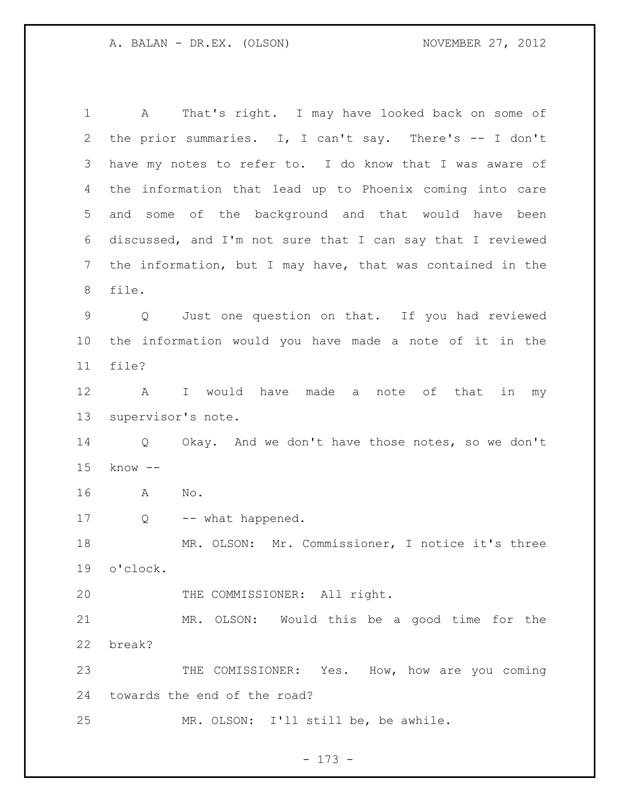A That's right. I may have looked back on some of the prior summaries. I, I can't say. There's -- I don't have my notes to refer to. I do know that I was aware of the information that lead up to Phoenix coming into care and some of the background and that would have been discussed, and I'm not sure that I can say that I reviewed the information, but I may have, that was contained in the file. Q Just one question on that. If you had reviewed the information would you have made a note of it in the file? A I would have made a note of that in my supervisor's note. Q Okay. And we don't have those notes, so we don't know -- A No. 17 Q -- what happened. MR. OLSON: Mr. Commissioner, I notice it's three o'clock. 20 THE COMMISSIONER: All right. MR. OLSON: Would this be a good time for the break? 23 THE COMISSIONER: Yes. How, how are you coming towards the end of the road? MR. OLSON: I'll still be, be awhile.

- 173 -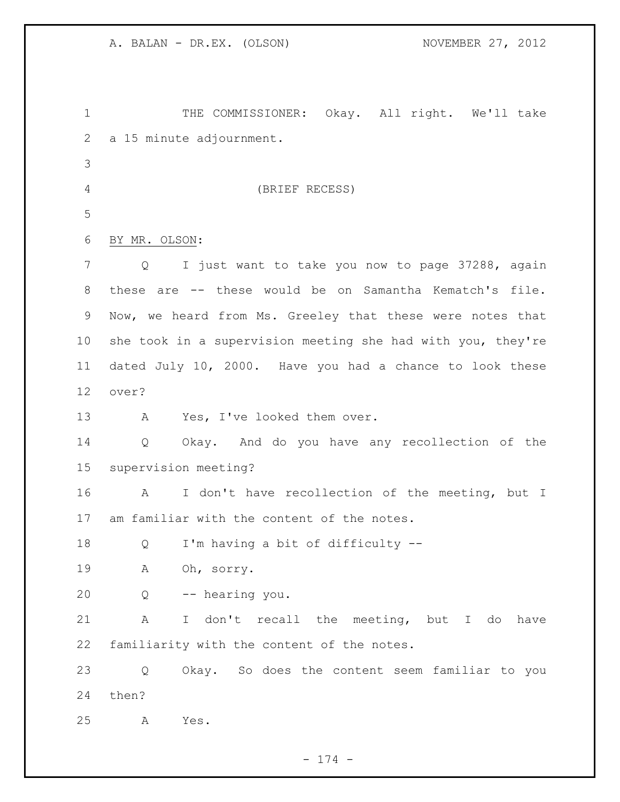| $\mathbf 1$     | THE COMMISSIONER: Okay. All right. We'll take               |
|-----------------|-------------------------------------------------------------|
| 2               | a 15 minute adjournment.                                    |
| 3               |                                                             |
| $\overline{4}$  | (BRIEF RECESS)                                              |
| 5               |                                                             |
| 6               | BY MR. OLSON:                                               |
| $7\phantom{.}$  | I just want to take you now to page 37288, again<br>Q       |
| 8               | these are -- these would be on Samantha Kematch's file.     |
| 9               | Now, we heard from Ms. Greeley that these were notes that   |
| 10 <sub>o</sub> | she took in a supervision meeting she had with you, they're |
| 11              | dated July 10, 2000. Have you had a chance to look these    |
| 12              | over?                                                       |
| 13              | Yes, I've looked them over.<br>Α                            |
| 14              | Okay. And do you have any recollection of the<br>Q          |
| 15              | supervision meeting?                                        |
| 16              | I don't have recollection of the meeting, but I<br>A        |
| 17              | am familiar with the content of the notes.                  |
| 18              | I'm having a bit of difficulty --<br>Q                      |
| 19              | A<br>Oh, sorry.                                             |
| 20              | -- hearing you.<br>$Q \qquad \qquad$                        |
| 21              | A<br>I don't recall the meeting, but I do<br>have           |
| 22              | familiarity with the content of the notes.                  |
| 23              | Okay. So does the content seem familiar to you<br>Q         |
| 24              | then?                                                       |
| 25              | Yes.<br>Α                                                   |

- 174 -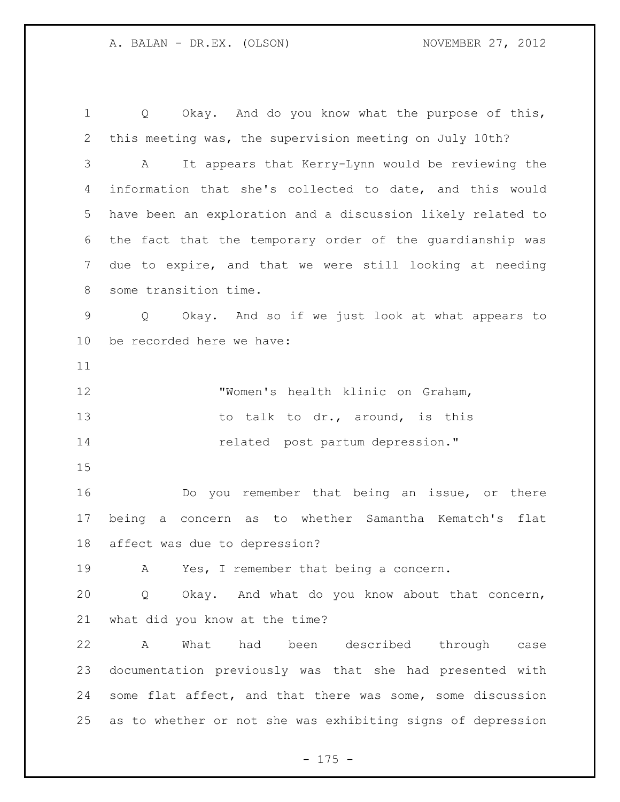Q Okay. And do you know what the purpose of this, this meeting was, the supervision meeting on July 10th? A It appears that Kerry-Lynn would be reviewing the information that she's collected to date, and this would have been an exploration and a discussion likely related to the fact that the temporary order of the guardianship was due to expire, and that we were still looking at needing some transition time. Q Okay. And so if we just look at what appears to be recorded here we have: "Women's health klinic on Graham, 13 to talk to dr., around, is this **14** related post partum depression." Do you remember that being an issue, or there being a concern as to whether Samantha Kematch's flat affect was due to depression? A Yes, I remember that being a concern. Q Okay. And what do you know about that concern,

what did you know at the time?

 A What had been described through case documentation previously was that she had presented with some flat affect, and that there was some, some discussion as to whether or not she was exhibiting signs of depression

- 175 -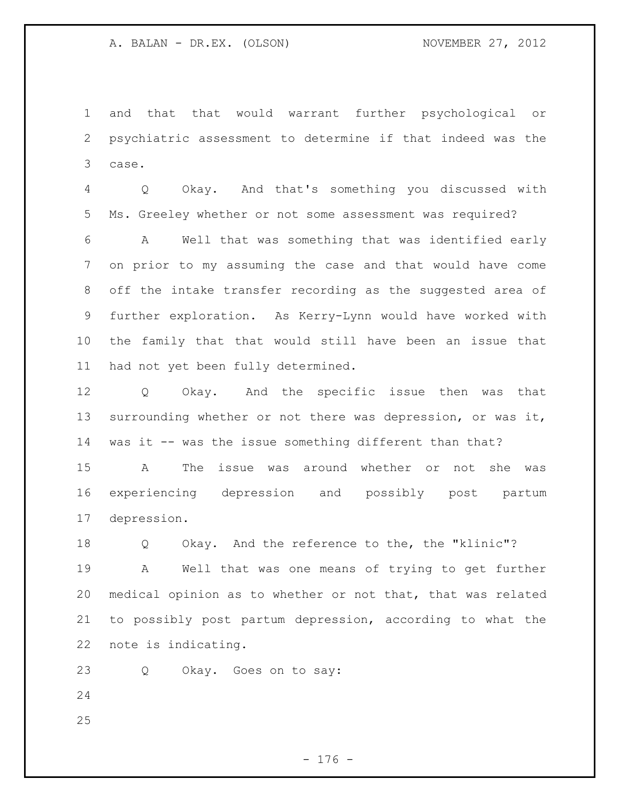and that that would warrant further psychological or psychiatric assessment to determine if that indeed was the case.

 Q Okay. And that's something you discussed with Ms. Greeley whether or not some assessment was required?

 A Well that was something that was identified early on prior to my assuming the case and that would have come off the intake transfer recording as the suggested area of further exploration. As Kerry-Lynn would have worked with the family that that would still have been an issue that had not yet been fully determined.

 Q Okay. And the specific issue then was that surrounding whether or not there was depression, or was it, was it -- was the issue something different than that?

 A The issue was around whether or not she was experiencing depression and possibly post partum depression.

 Q Okay. And the reference to the, the "klinic"? A Well that was one means of trying to get further medical opinion as to whether or not that, that was related to possibly post partum depression, according to what the note is indicating.

Q Okay. Goes on to say:

- 
-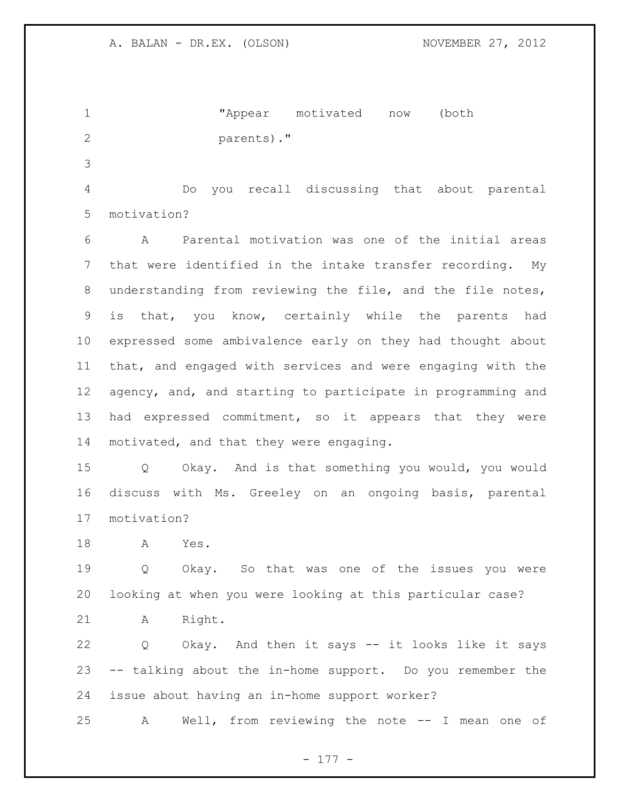"Appear motivated now (both parents)."

 Do you recall discussing that about parental motivation?

 A Parental motivation was one of the initial areas that were identified in the intake transfer recording. My understanding from reviewing the file, and the file notes, is that, you know, certainly while the parents had expressed some ambivalence early on they had thought about that, and engaged with services and were engaging with the agency, and, and starting to participate in programming and had expressed commitment, so it appears that they were motivated, and that they were engaging.

 Q Okay. And is that something you would, you would discuss with Ms. Greeley on an ongoing basis, parental motivation?

A Yes.

 Q Okay. So that was one of the issues you were looking at when you were looking at this particular case?

A Right.

 Q Okay. And then it says -- it looks like it says -- talking about the in-home support. Do you remember the issue about having an in-home support worker?

A Well, from reviewing the note -- I mean one of

- 177 -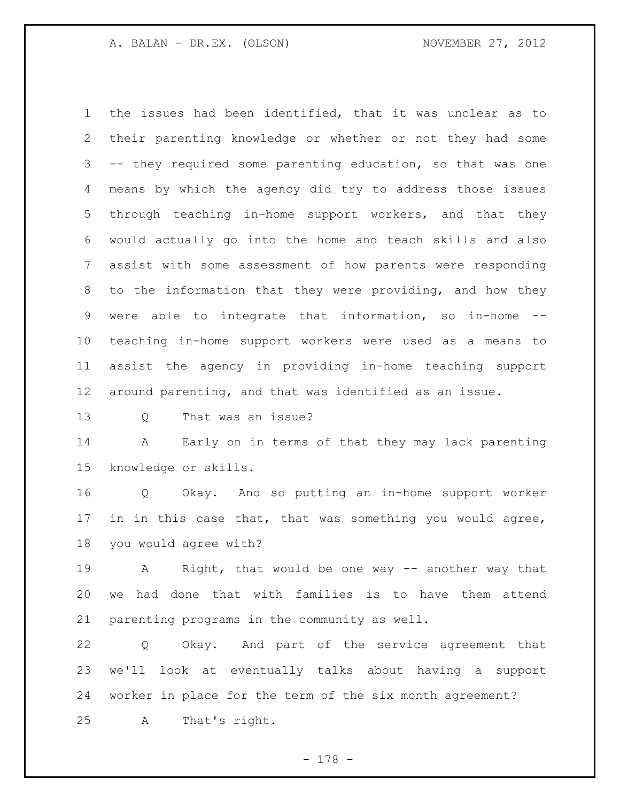the issues had been identified, that it was unclear as to their parenting knowledge or whether or not they had some -- they required some parenting education, so that was one means by which the agency did try to address those issues through teaching in-home support workers, and that they would actually go into the home and teach skills and also assist with some assessment of how parents were responding to the information that they were providing, and how they were able to integrate that information, so in-home -- teaching in-home support workers were used as a means to assist the agency in providing in-home teaching support around parenting, and that was identified as an issue.

Q That was an issue?

 A Early on in terms of that they may lack parenting knowledge or skills.

 Q Okay. And so putting an in-home support worker in in this case that, that was something you would agree, you would agree with?

 A Right, that would be one way -- another way that we had done that with families is to have them attend parenting programs in the community as well.

 Q Okay. And part of the service agreement that we'll look at eventually talks about having a support worker in place for the term of the six month agreement? A That's right.

- 178 -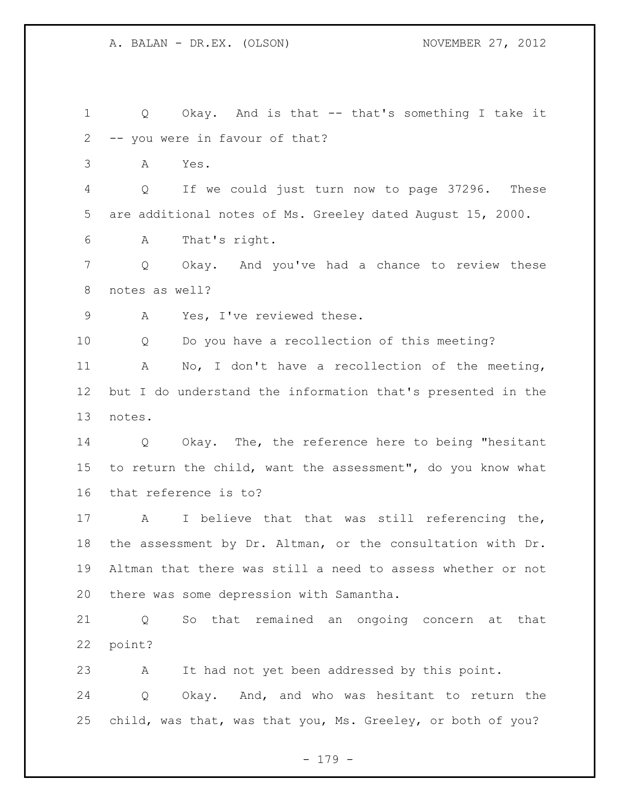Q Okay. And is that -- that's something I take it -- you were in favour of that? A Yes. Q If we could just turn now to page 37296. These are additional notes of Ms. Greeley dated August 15, 2000. A That's right. Q Okay. And you've had a chance to review these notes as well? A Yes, I've reviewed these. Q Do you have a recollection of this meeting? A No, I don't have a recollection of the meeting, but I do understand the information that's presented in the notes. Q Okay. The, the reference here to being "hesitant to return the child, want the assessment", do you know what that reference is to? A I believe that that was still referencing the, the assessment by Dr. Altman, or the consultation with Dr. Altman that there was still a need to assess whether or not there was some depression with Samantha. Q So that remained an ongoing concern at that point? A It had not yet been addressed by this point. Q Okay. And, and who was hesitant to return the child, was that, was that you, Ms. Greeley, or both of you?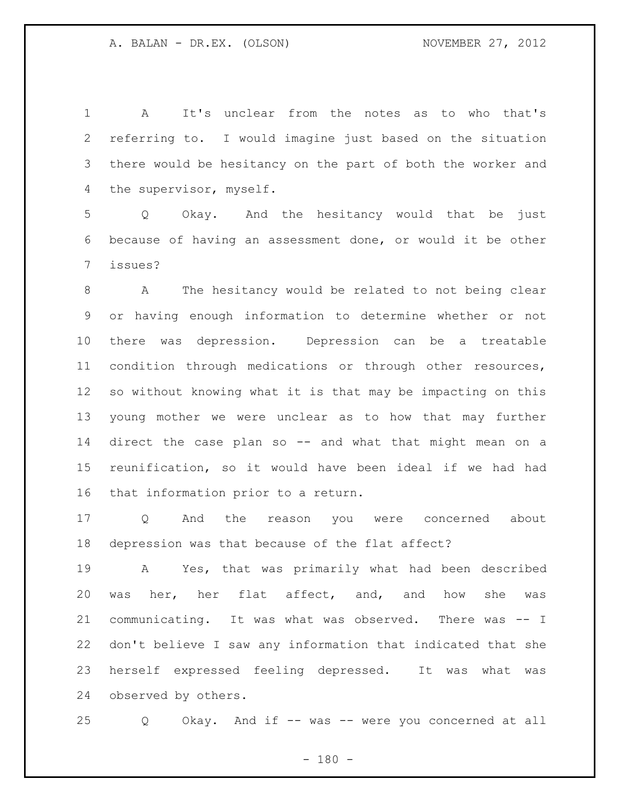A It's unclear from the notes as to who that's referring to. I would imagine just based on the situation there would be hesitancy on the part of both the worker and the supervisor, myself.

 Q Okay. And the hesitancy would that be just because of having an assessment done, or would it be other issues?

 A The hesitancy would be related to not being clear or having enough information to determine whether or not there was depression. Depression can be a treatable condition through medications or through other resources, so without knowing what it is that may be impacting on this young mother we were unclear as to how that may further direct the case plan so -- and what that might mean on a reunification, so it would have been ideal if we had had that information prior to a return.

 Q And the reason you were concerned about depression was that because of the flat affect?

 A Yes, that was primarily what had been described was her, her flat affect, and, and how she was communicating. It was what was observed. There was -- I don't believe I saw any information that indicated that she herself expressed feeling depressed. It was what was observed by others.

Q Okay. And if -- was -- were you concerned at all

 $- 180 -$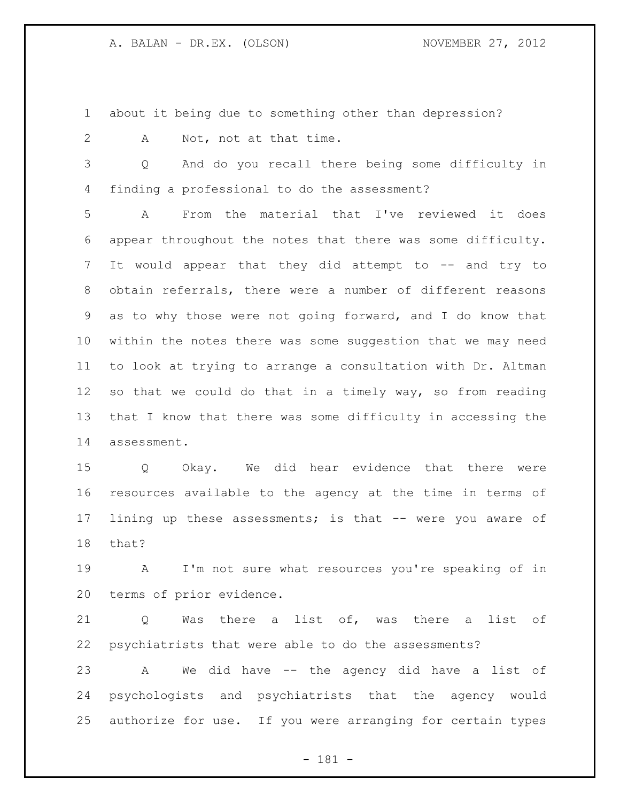about it being due to something other than depression?

A Not, not at that time.

 Q And do you recall there being some difficulty in finding a professional to do the assessment?

 A From the material that I've reviewed it does appear throughout the notes that there was some difficulty. It would appear that they did attempt to -- and try to obtain referrals, there were a number of different reasons as to why those were not going forward, and I do know that within the notes there was some suggestion that we may need to look at trying to arrange a consultation with Dr. Altman so that we could do that in a timely way, so from reading that I know that there was some difficulty in accessing the assessment.

 Q Okay. We did hear evidence that there were resources available to the agency at the time in terms of lining up these assessments; is that -- were you aware of that?

 A I'm not sure what resources you're speaking of in terms of prior evidence.

 Q Was there a list of, was there a list of psychiatrists that were able to do the assessments?

 A We did have -- the agency did have a list of psychologists and psychiatrists that the agency would authorize for use. If you were arranging for certain types

- 181 -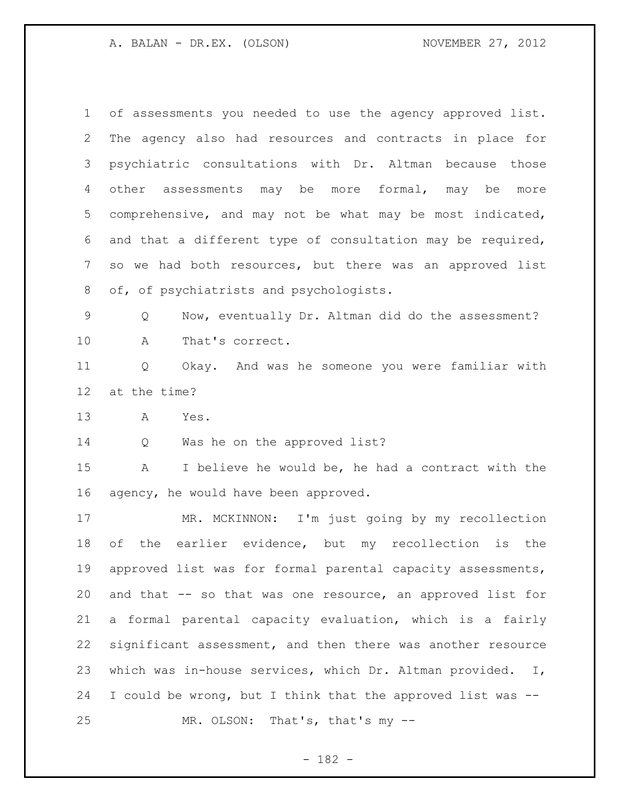of assessments you needed to use the agency approved list. The agency also had resources and contracts in place for psychiatric consultations with Dr. Altman because those other assessments may be more formal, may be more comprehensive, and may not be what may be most indicated, and that a different type of consultation may be required, so we had both resources, but there was an approved list of, of psychiatrists and psychologists.

 Q Now, eventually Dr. Altman did do the assessment? A That's correct.

 Q Okay. And was he someone you were familiar with at the time?

A Yes.

14 Q Was he on the approved list?

 A I believe he would be, he had a contract with the agency, he would have been approved.

 MR. MCKINNON: I'm just going by my recollection of the earlier evidence, but my recollection is the approved list was for formal parental capacity assessments, 20 and that -- so that was one resource, an approved list for a formal parental capacity evaluation, which is a fairly significant assessment, and then there was another resource which was in-house services, which Dr. Altman provided. I, I could be wrong, but I think that the approved list was -- MR. OLSON: That's, that's my --

- 182 -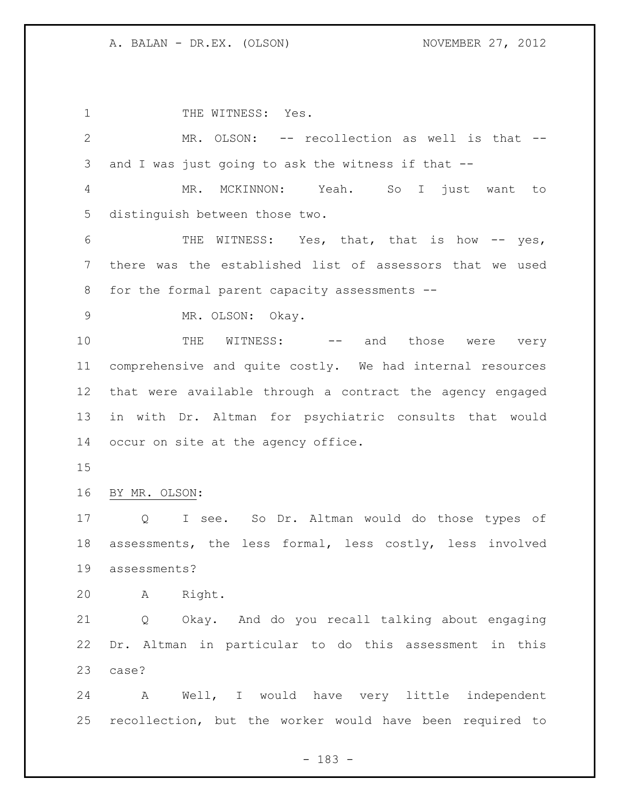1 THE WITNESS: Yes. MR. OLSON: -- recollection as well is that -- and I was just going to ask the witness if that -- MR. MCKINNON: Yeah. So I just want to distinguish between those two. 6 THE WITNESS: Yes, that, that is how -- yes, there was the established list of assessors that we used for the formal parent capacity assessments -- MR. OLSON: Okay. 10 THE WITNESS: -- and those were very comprehensive and quite costly. We had internal resources that were available through a contract the agency engaged in with Dr. Altman for psychiatric consults that would occur on site at the agency office. BY MR. OLSON: Q I see. So Dr. Altman would do those types of assessments, the less formal, less costly, less involved assessments? A Right. Q Okay. And do you recall talking about engaging Dr. Altman in particular to do this assessment in this case? A Well, I would have very little independent recollection, but the worker would have been required to

- 183 -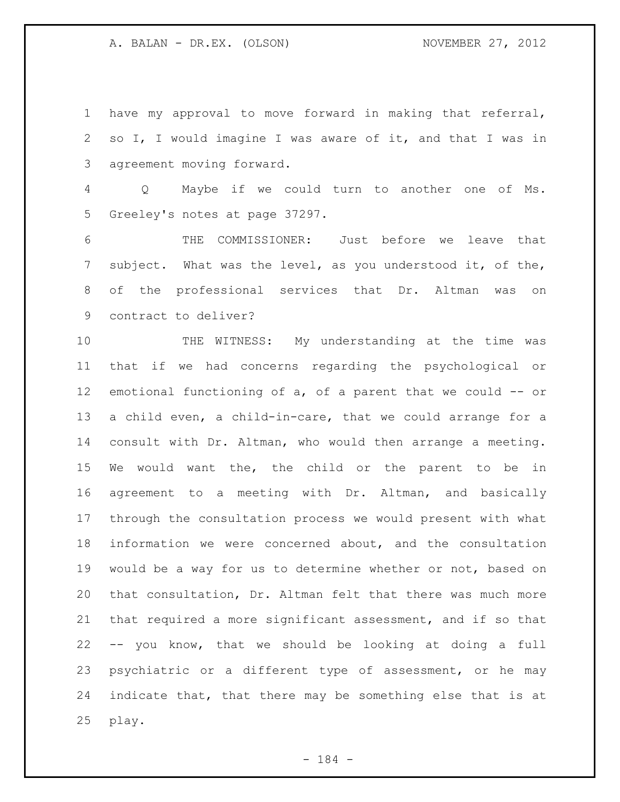have my approval to move forward in making that referral, so I, I would imagine I was aware of it, and that I was in agreement moving forward.

 Q Maybe if we could turn to another one of Ms. Greeley's notes at page 37297.

 THE COMMISSIONER: Just before we leave that subject. What was the level, as you understood it, of the, of the professional services that Dr. Altman was on contract to deliver?

 THE WITNESS: My understanding at the time was that if we had concerns regarding the psychological or emotional functioning of a, of a parent that we could -- or a child even, a child-in-care, that we could arrange for a consult with Dr. Altman, who would then arrange a meeting. We would want the, the child or the parent to be in agreement to a meeting with Dr. Altman, and basically through the consultation process we would present with what information we were concerned about, and the consultation would be a way for us to determine whether or not, based on that consultation, Dr. Altman felt that there was much more that required a more significant assessment, and if so that -- you know, that we should be looking at doing a full psychiatric or a different type of assessment, or he may indicate that, that there may be something else that is at play.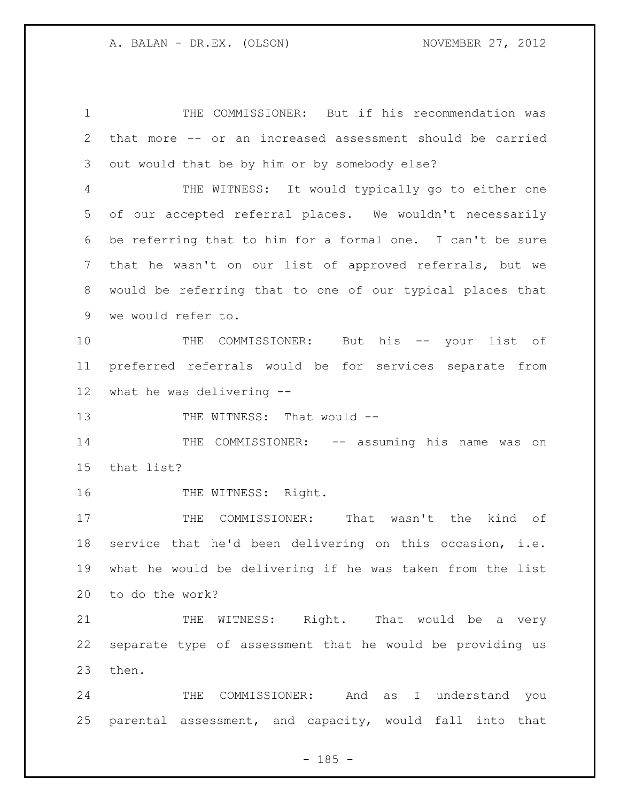THE COMMISSIONER: But if his recommendation was that more -- or an increased assessment should be carried out would that be by him or by somebody else? THE WITNESS: It would typically go to either one of our accepted referral places. We wouldn't necessarily be referring that to him for a formal one. I can't be sure that he wasn't on our list of approved referrals, but we would be referring that to one of our typical places that we would refer to. 10 THE COMMISSIONER: But his -- your list of preferred referrals would be for services separate from what he was delivering -- 13 THE WITNESS: That would -- THE COMMISSIONER: -- assuming his name was on that list? 16 THE WITNESS: Right. 17 THE COMMISSIONER: That wasn't the kind of service that he'd been delivering on this occasion, i.e. what he would be delivering if he was taken from the list to do the work? 21 THE WITNESS: Right. That would be a very separate type of assessment that he would be providing us then.

 THE COMMISSIONER: And as I understand you parental assessment, and capacity, would fall into that

 $- 185 -$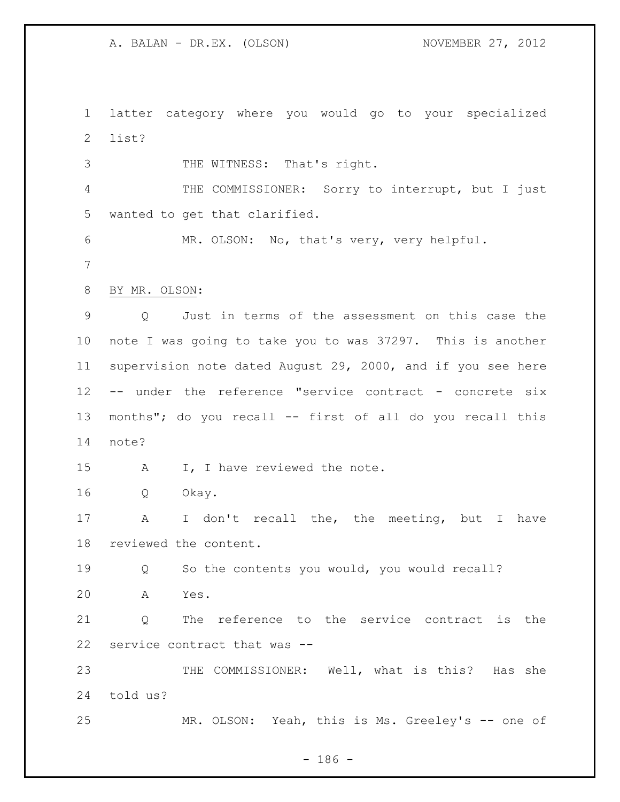latter category where you would go to your specialized list?

 THE WITNESS: That's right. 4 THE COMMISSIONER: Sorry to interrupt, but I just wanted to get that clarified. MR. OLSON: No, that's very, very helpful. BY MR. OLSON: Q Just in terms of the assessment on this case the note I was going to take you to was 37297. This is another supervision note dated August 29, 2000, and if you see here -- under the reference "service contract - concrete six 13 months"; do you recall -- first of all do you recall this note? 15 A I, I have reviewed the note. Q Okay. A I don't recall the, the meeting, but I have reviewed the content.

Q So the contents you would, you would recall?

A Yes.

 Q The reference to the service contract is the service contract that was --

 THE COMMISSIONER: Well, what is this? Has she told us?

MR. OLSON: Yeah, this is Ms. Greeley's -- one of

- 186 -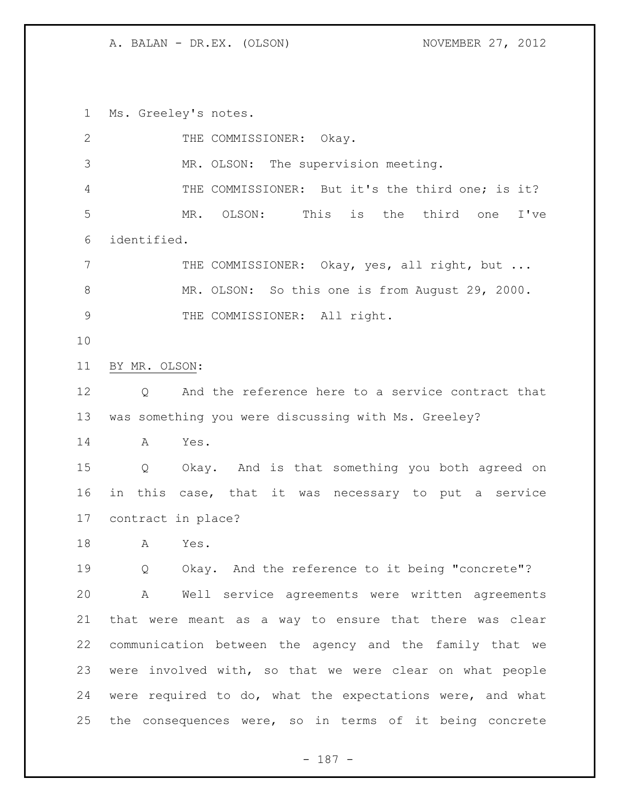Ms. Greeley's notes.

| $\mathbf{2}$ | THE COMMISSIONER: Okay.                                   |
|--------------|-----------------------------------------------------------|
| 3            | MR. OLSON: The supervision meeting.                       |
| 4            | THE COMMISSIONER: But it's the third one; is it?          |
| 5            | MR. OLSON: This is the third one<br>I've                  |
| 6            | identified.                                               |
| 7            | THE COMMISSIONER: Okay, yes, all right, but               |
| $8\,$        | MR. OLSON: So this one is from August 29, 2000.           |
| $\mathsf 9$  | THE COMMISSIONER: All right.                              |
| 10           |                                                           |
| 11           | BY MR. OLSON:                                             |
| 12           | And the reference here to a service contract that<br>Q    |
| 13           | was something you were discussing with Ms. Greeley?       |
| 14           | Yes.<br>A                                                 |
| 15           | Q Okay. And is that something you both agreed on          |
| 16           | in this case, that it was necessary to put a service      |
| 17           | contract in place?                                        |
| 18           | Yes.<br>A                                                 |
| 19           | Okay. And the reference to it being "concrete"?<br>Q      |
| 20           | A Well service agreements were written agreements         |
| 21           | that were meant as a way to ensure that there was clear   |
| 22           | communication between the agency and the family that we   |
| 23           | were involved with, so that we were clear on what people  |
| 24           | were required to do, what the expectations were, and what |
| 25           | the consequences were, so in terms of it being concrete   |

- 187 -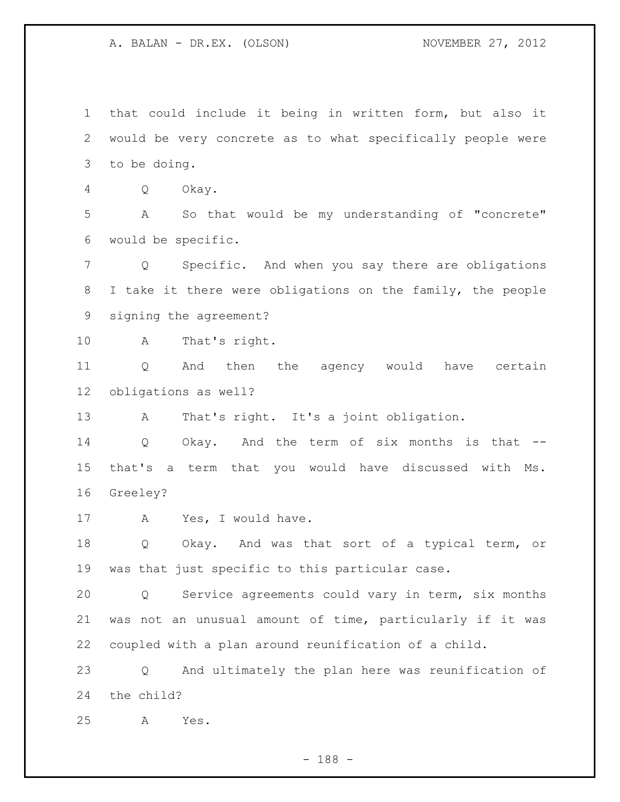that could include it being in written form, but also it would be very concrete as to what specifically people were to be doing. Q Okay. A So that would be my understanding of "concrete" would be specific. Q Specific. And when you say there are obligations I take it there were obligations on the family, the people signing the agreement? A That's right. Q And then the agency would have certain obligations as well? A That's right. It's a joint obligation. Q Okay. And the term of six months is that -- that's a term that you would have discussed with Ms. Greeley? 17 A Yes, I would have. Q Okay. And was that sort of a typical term, or was that just specific to this particular case. Q Service agreements could vary in term, six months was not an unusual amount of time, particularly if it was coupled with a plan around reunification of a child. Q And ultimately the plan here was reunification of the child? A Yes.

- 188 -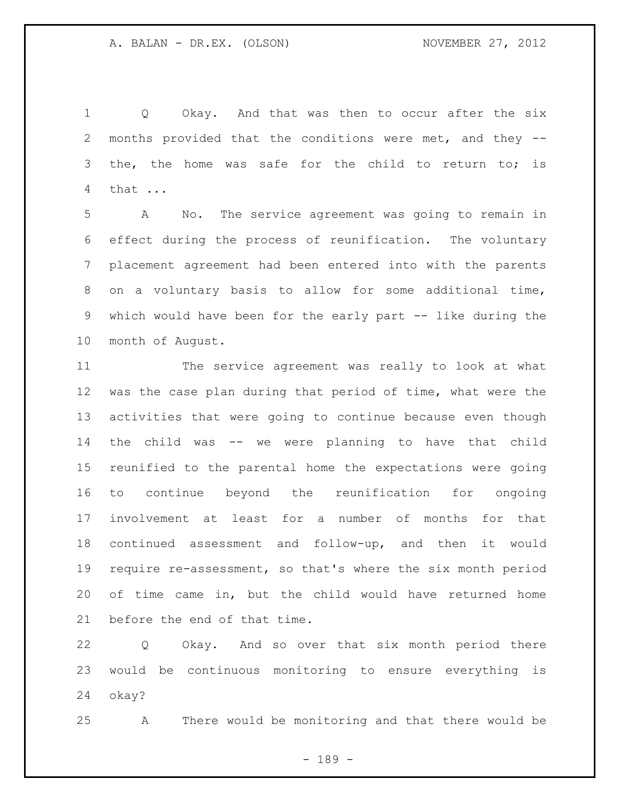1 Q Okay. And that was then to occur after the six months provided that the conditions were met, and they -- 3 the, the home was safe for the child to return to; is that ...

 A No. The service agreement was going to remain in effect during the process of reunification. The voluntary placement agreement had been entered into with the parents on a voluntary basis to allow for some additional time, which would have been for the early part -- like during the month of August.

 The service agreement was really to look at what was the case plan during that period of time, what were the activities that were going to continue because even though the child was -- we were planning to have that child reunified to the parental home the expectations were going to continue beyond the reunification for ongoing involvement at least for a number of months for that continued assessment and follow-up, and then it would require re-assessment, so that's where the six month period of time came in, but the child would have returned home before the end of that time.

 Q Okay. And so over that six month period there would be continuous monitoring to ensure everything is okay?

A There would be monitoring and that there would be

- 189 -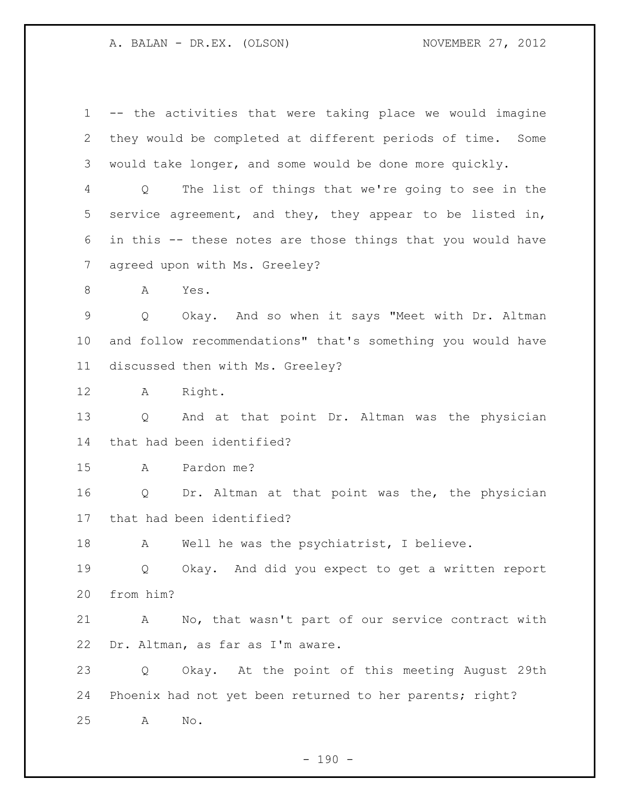-- the activities that were taking place we would imagine they would be completed at different periods of time. Some would take longer, and some would be done more quickly. Q The list of things that we're going to see in the service agreement, and they, they appear to be listed in, in this -- these notes are those things that you would have agreed upon with Ms. Greeley? 8 A Yes. Q Okay. And so when it says "Meet with Dr. Altman and follow recommendations" that's something you would have discussed then with Ms. Greeley? A Right. Q And at that point Dr. Altman was the physician that had been identified? A Pardon me? Q Dr. Altman at that point was the, the physician that had been identified? 18 A Well he was the psychiatrist, I believe. Q Okay. And did you expect to get a written report from him? A No, that wasn't part of our service contract with Dr. Altman, as far as I'm aware. Q Okay. At the point of this meeting August 29th Phoenix had not yet been returned to her parents; right? A No.

 $- 190 -$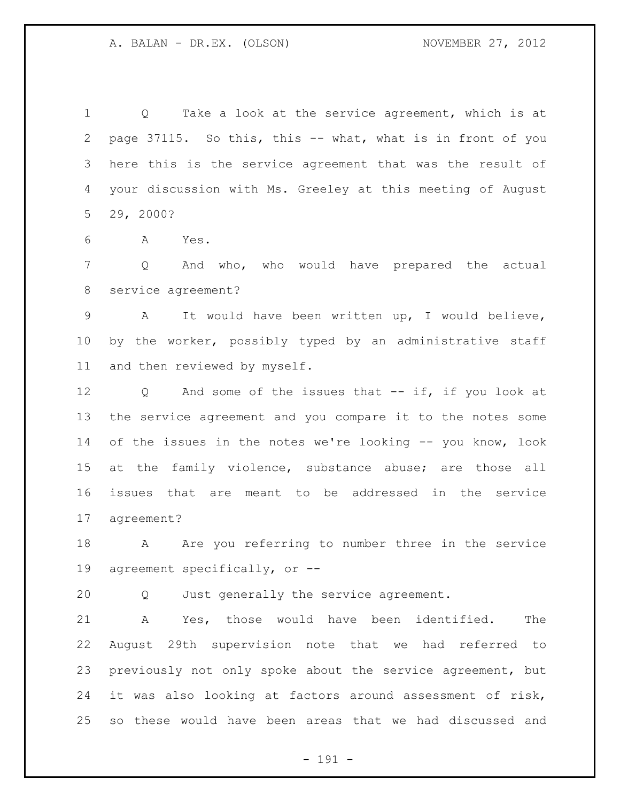1 0 Take a look at the service agreement, which is at page 37115. So this, this -- what, what is in front of you here this is the service agreement that was the result of your discussion with Ms. Greeley at this meeting of August 29, 2000?

A Yes.

 Q And who, who would have prepared the actual service agreement?

 A It would have been written up, I would believe, by the worker, possibly typed by an administrative staff and then reviewed by myself.

 Q And some of the issues that -- if, if you look at the service agreement and you compare it to the notes some of the issues in the notes we're looking -- you know, look 15 at the family violence, substance abuse; are those all issues that are meant to be addressed in the service agreement?

18 A Are you referring to number three in the service agreement specifically, or --

Q Just generally the service agreement.

 A Yes, those would have been identified. The August 29th supervision note that we had referred to previously not only spoke about the service agreement, but it was also looking at factors around assessment of risk, so these would have been areas that we had discussed and

- 191 -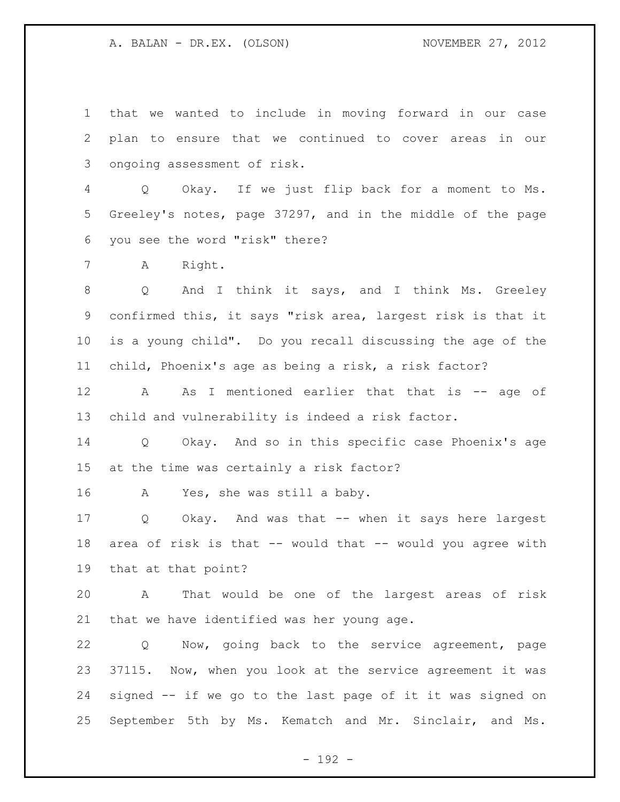that we wanted to include in moving forward in our case plan to ensure that we continued to cover areas in our ongoing assessment of risk.

 Q Okay. If we just flip back for a moment to Ms. Greeley's notes, page 37297, and in the middle of the page you see the word "risk" there?

A Right.

 Q And I think it says, and I think Ms. Greeley confirmed this, it says "risk area, largest risk is that it is a young child". Do you recall discussing the age of the child, Phoenix's age as being a risk, a risk factor?

 A As I mentioned earlier that that is -- age of child and vulnerability is indeed a risk factor.

 Q Okay. And so in this specific case Phoenix's age at the time was certainly a risk factor?

A Yes, she was still a baby.

 Q Okay. And was that -- when it says here largest area of risk is that -- would that -- would you agree with that at that point?

 A That would be one of the largest areas of risk that we have identified was her young age.

 Q Now, going back to the service agreement, page 37115. Now, when you look at the service agreement it was signed -- if we go to the last page of it it was signed on September 5th by Ms. Kematch and Mr. Sinclair, and Ms.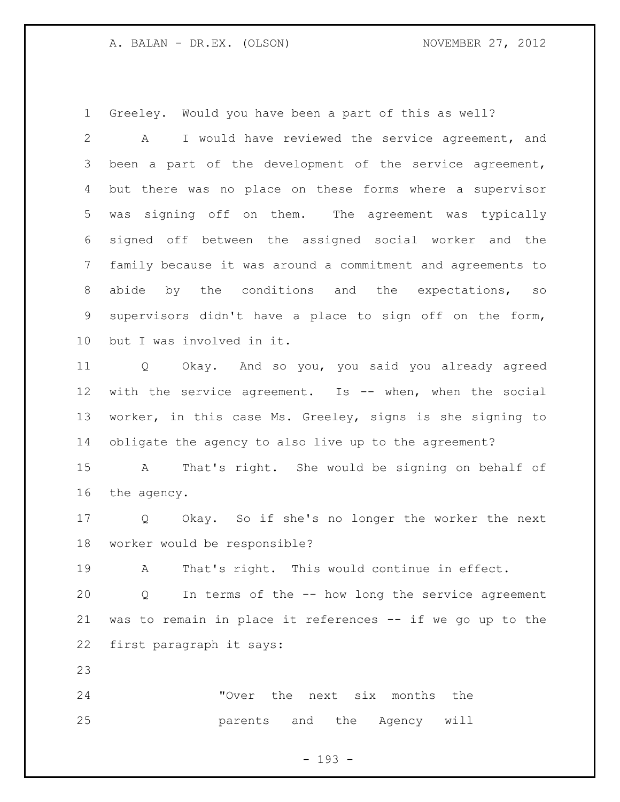Greeley. Would you have been a part of this as well?

 A I would have reviewed the service agreement, and been a part of the development of the service agreement, but there was no place on these forms where a supervisor was signing off on them. The agreement was typically signed off between the assigned social worker and the family because it was around a commitment and agreements to 8 abide by the conditions and the expectations, so supervisors didn't have a place to sign off on the form, but I was involved in it.

 Q Okay. And so you, you said you already agreed with the service agreement. Is -- when, when the social worker, in this case Ms. Greeley, signs is she signing to obligate the agency to also live up to the agreement?

 A That's right. She would be signing on behalf of the agency.

 Q Okay. So if she's no longer the worker the next worker would be responsible?

A That's right. This would continue in effect.

 Q In terms of the -- how long the service agreement was to remain in place it references -- if we go up to the first paragraph it says:

 "Over the next six months the parents and the Agency will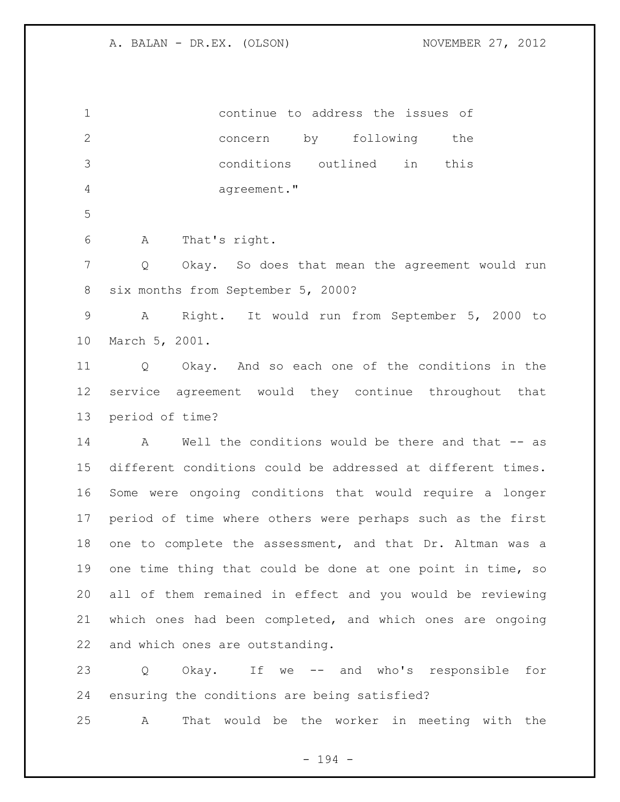continue to address the issues of concern by following the conditions outlined in this agreement." A That's right. Q Okay. So does that mean the agreement would run six months from September 5, 2000? A Right. It would run from September 5, 2000 to March 5, 2001. Q Okay. And so each one of the conditions in the service agreement would they continue throughout that period of time? 14 A Well the conditions would be there and that -- as different conditions could be addressed at different times. Some were ongoing conditions that would require a longer period of time where others were perhaps such as the first one to complete the assessment, and that Dr. Altman was a one time thing that could be done at one point in time, so all of them remained in effect and you would be reviewing which ones had been completed, and which ones are ongoing and which ones are outstanding. Q Okay. If we -- and who's responsible for ensuring the conditions are being satisfied?

A That would be the worker in meeting with the

- 194 -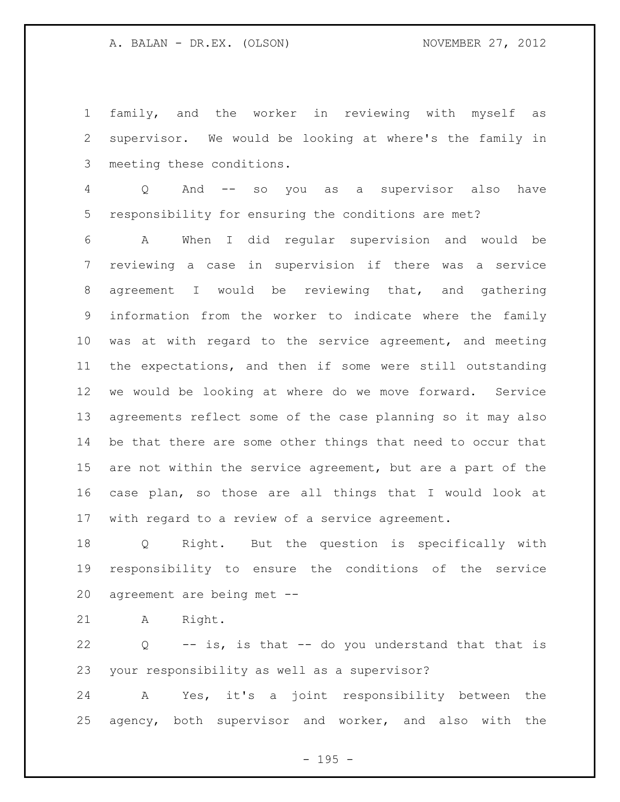family, and the worker in reviewing with myself as supervisor. We would be looking at where's the family in meeting these conditions.

 Q And -- so you as a supervisor also have responsibility for ensuring the conditions are met?

 A When I did regular supervision and would be reviewing a case in supervision if there was a service agreement I would be reviewing that, and gathering information from the worker to indicate where the family was at with regard to the service agreement, and meeting the expectations, and then if some were still outstanding we would be looking at where do we move forward. Service agreements reflect some of the case planning so it may also be that there are some other things that need to occur that are not within the service agreement, but are a part of the case plan, so those are all things that I would look at with regard to a review of a service agreement.

 Q Right. But the question is specifically with responsibility to ensure the conditions of the service agreement are being met --

A Right.

 Q -- is, is that -- do you understand that that is your responsibility as well as a supervisor?

 A Yes, it's a joint responsibility between the agency, both supervisor and worker, and also with the

- 195 -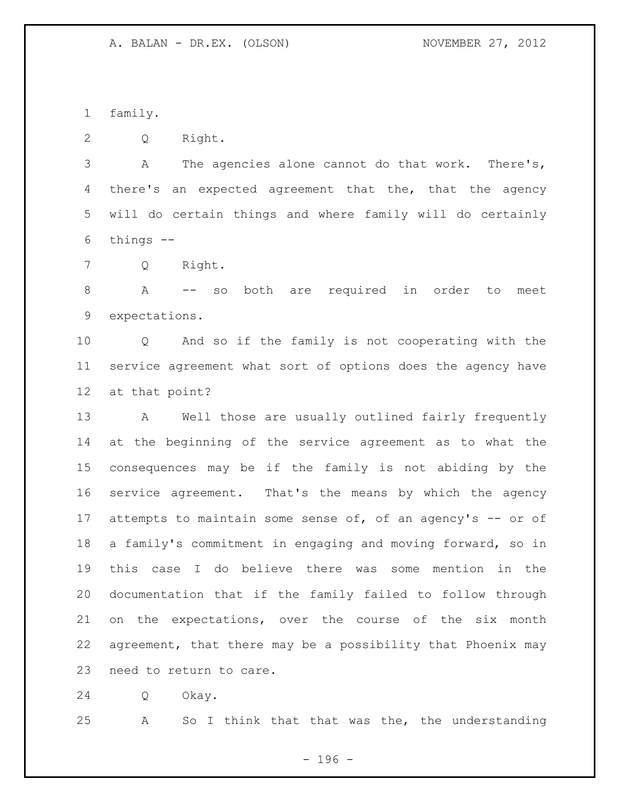family.

Q Right.

 A The agencies alone cannot do that work. There's, 4 there's an expected agreement that the, that the agency will do certain things and where family will do certainly things --

Q Right.

 A -- so both are required in order to meet expectations.

 Q And so if the family is not cooperating with the service agreement what sort of options does the agency have at that point?

 A Well those are usually outlined fairly frequently at the beginning of the service agreement as to what the consequences may be if the family is not abiding by the service agreement. That's the means by which the agency 17 attempts to maintain some sense of, of an agency's -- or of a family's commitment in engaging and moving forward, so in this case I do believe there was some mention in the documentation that if the family failed to follow through on the expectations, over the course of the six month agreement, that there may be a possibility that Phoenix may need to return to care.

Q Okay.

A So I think that that was the, the understanding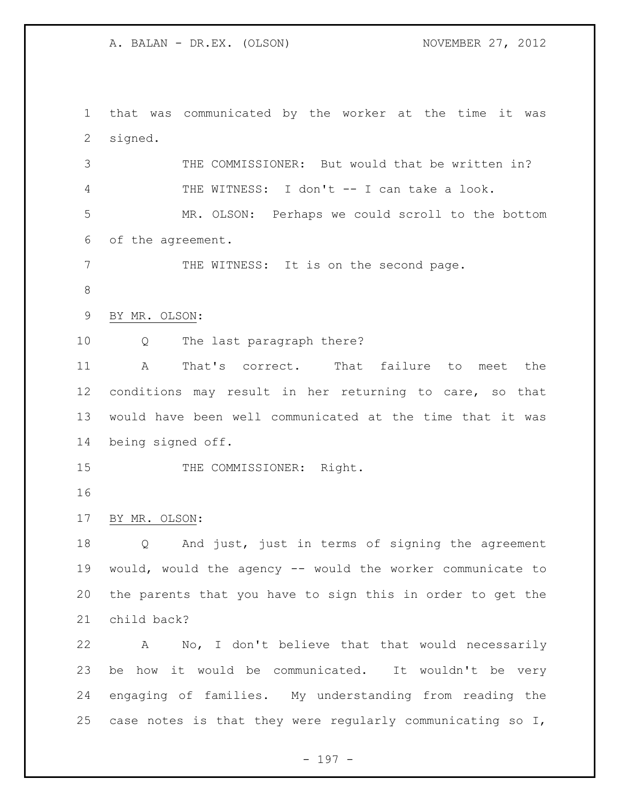that was communicated by the worker at the time it was signed.

 THE COMMISSIONER: But would that be written in? THE WITNESS: I don't -- I can take a look.

 MR. OLSON: Perhaps we could scroll to the bottom of the agreement.

7 THE WITNESS: It is on the second page.

BY MR. OLSON:

Q The last paragraph there?

 A That's correct. That failure to meet the conditions may result in her returning to care, so that would have been well communicated at the time that it was being signed off.

15 THE COMMISSIONER: Right.

BY MR. OLSON:

 Q And just, just in terms of signing the agreement would, would the agency -- would the worker communicate to the parents that you have to sign this in order to get the child back?

 A No, I don't believe that that would necessarily be how it would be communicated. It wouldn't be very engaging of families. My understanding from reading the case notes is that they were regularly communicating so I,

- 197 -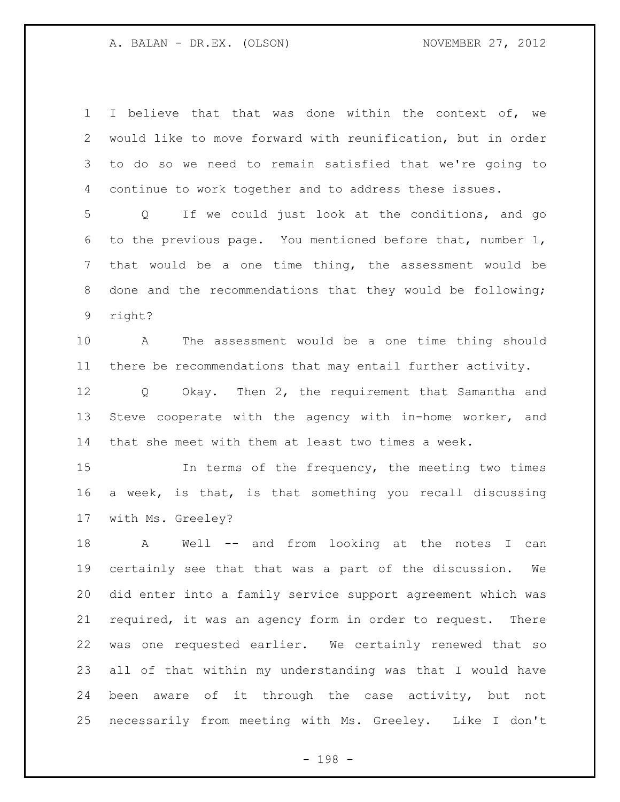I believe that that was done within the context of, we would like to move forward with reunification, but in order to do so we need to remain satisfied that we're going to continue to work together and to address these issues.

 Q If we could just look at the conditions, and go to the previous page. You mentioned before that, number 1, that would be a one time thing, the assessment would be done and the recommendations that they would be following; right?

 A The assessment would be a one time thing should there be recommendations that may entail further activity.

 Q Okay. Then 2, the requirement that Samantha and Steve cooperate with the agency with in-home worker, and that she meet with them at least two times a week.

 In terms of the frequency, the meeting two times a week, is that, is that something you recall discussing with Ms. Greeley?

 A Well -- and from looking at the notes I can certainly see that that was a part of the discussion. We did enter into a family service support agreement which was required, it was an agency form in order to request. There was one requested earlier. We certainly renewed that so all of that within my understanding was that I would have been aware of it through the case activity, but not necessarily from meeting with Ms. Greeley. Like I don't

- 198 -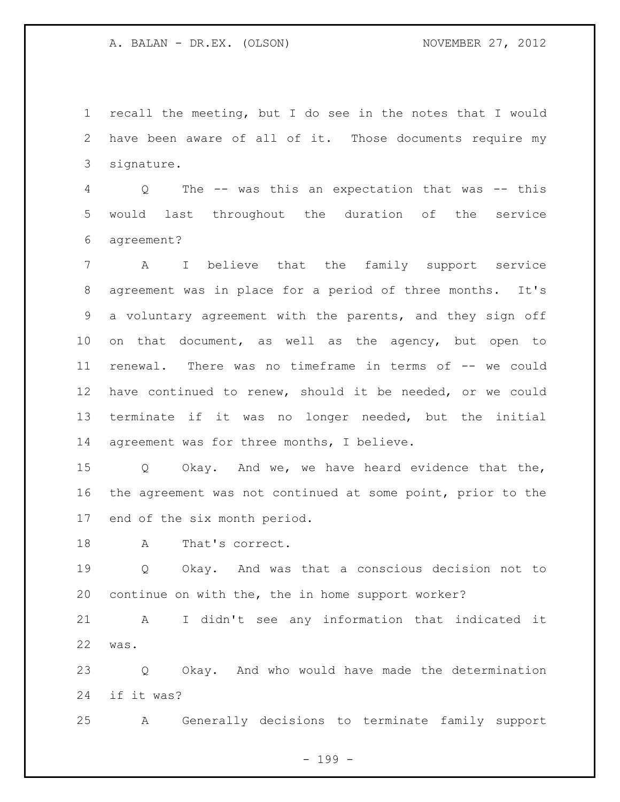recall the meeting, but I do see in the notes that I would have been aware of all of it. Those documents require my signature.

 Q The -- was this an expectation that was -- this would last throughout the duration of the service agreement?

 A I believe that the family support service agreement was in place for a period of three months. It's a voluntary agreement with the parents, and they sign off on that document, as well as the agency, but open to renewal. There was no timeframe in terms of -- we could have continued to renew, should it be needed, or we could terminate if it was no longer needed, but the initial agreement was for three months, I believe.

 Q Okay. And we, we have heard evidence that the, the agreement was not continued at some point, prior to the end of the six month period.

A That's correct.

 Q Okay. And was that a conscious decision not to continue on with the, the in home support worker?

 A I didn't see any information that indicated it was.

 Q Okay. And who would have made the determination if it was?

A Generally decisions to terminate family support

- 199 -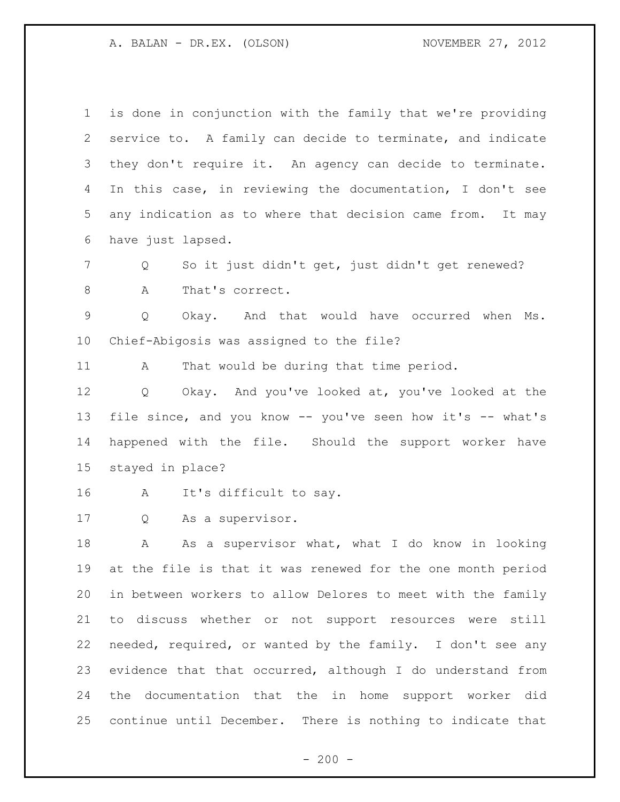| $\mathbf 1$ | is done in conjunction with the family that we're providing |
|-------------|-------------------------------------------------------------|
| 2           | service to. A family can decide to terminate, and indicate  |
| 3           | they don't require it. An agency can decide to terminate.   |
| 4           | In this case, in reviewing the documentation, I don't see   |
| 5           | any indication as to where that decision came from. It may  |
| 6           | have just lapsed.                                           |
| 7           | So it just didn't get, just didn't get renewed?<br>Q        |
| 8           | Α<br>That's correct.                                        |
| 9           | Okay. And that would have occurred when<br>Q<br>Ms.         |
| 10          | Chief-Abigosis was assigned to the file?                    |
| 11          | That would be during that time period.<br>A                 |
| 12          | Okay. And you've looked at, you've looked at the<br>Q       |
| 13          | file since, and you know -- you've seen how it's -- what's  |
| 14          | happened with the file. Should the support worker have      |
| 15          | stayed in place?                                            |
| 16          | It's difficult to say.<br>A                                 |
| 17          | As a supervisor.<br>Q                                       |
| 18          | As a supervisor what, what I do know in looking<br>А        |
| 19          | at the file is that it was renewed for the one month period |
| 20          | in between workers to allow Delores to meet with the family |
| 21          | to discuss whether or not support resources were still      |
| 22          | needed, required, or wanted by the family. I don't see any  |
| 23          | evidence that that occurred, although I do understand from  |
| 24          | documentation that the in home support worker did<br>the    |
| 25          | continue until December. There is nothing to indicate that  |

- 200 -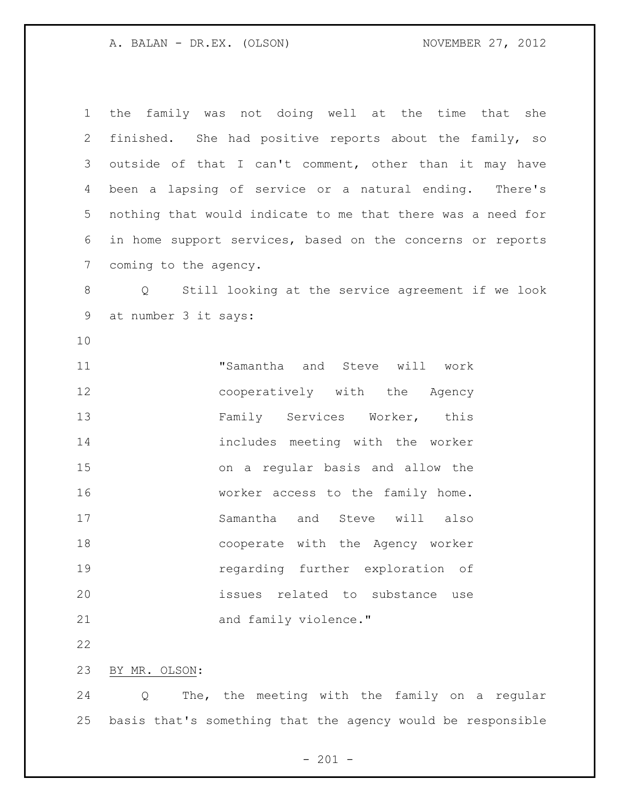| $\mathbf 1$    | the family was not doing well at the time that she                 |
|----------------|--------------------------------------------------------------------|
| $\overline{2}$ | finished. She had positive reports about the family, so            |
| 3              | outside of that I can't comment, other than it may have            |
| 4              | been a lapsing of service or a natural ending. There's             |
| 5              | nothing that would indicate to me that there was a need for        |
| 6              | in home support services, based on the concerns or reports         |
| $\overline{7}$ | coming to the agency.                                              |
| 8              | Q Still looking at the service agreement if we look                |
| 9              | at number 3 it says:                                               |
| 10             |                                                                    |
| 11             | "Samantha and Steve will work                                      |
| 12             | cooperatively with the Agency                                      |
| 13             | Family Services Worker, this                                       |
| 14             | includes meeting with the worker                                   |
| 15             | on a regular basis and allow the                                   |
| 16             | worker access to the family home.                                  |
| 17             | Samantha and Steve will also                                       |
| 18             | cooperate with the Agency worker                                   |
| 19             | regarding further exploration of                                   |
| 20             | issues related to substance use                                    |
| 21             | and family violence."                                              |
| 22             |                                                                    |
| 23             | BY MR. OLSON:                                                      |
| 24             | The, the meeting with the family on a regular<br>$Q \qquad \qquad$ |
| 25             | basis that's something that the agency would be responsible        |

- 201 -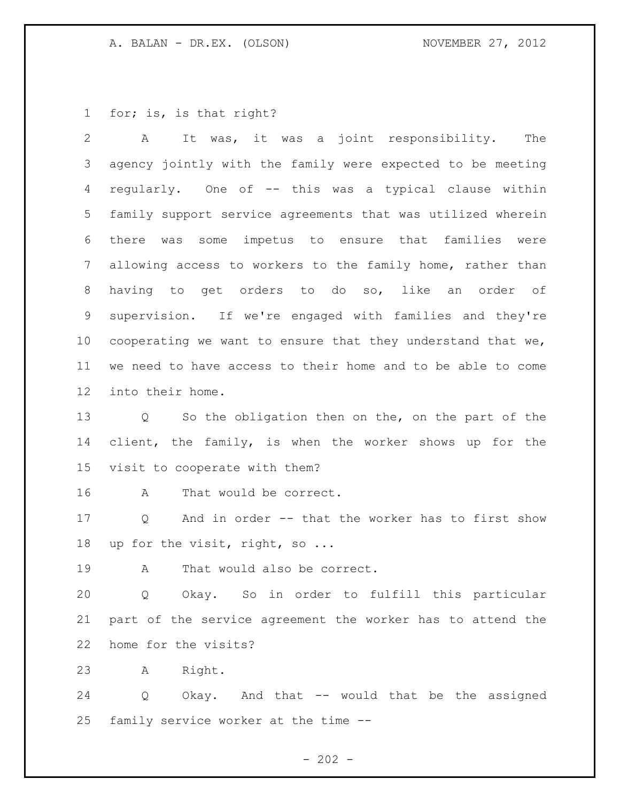for; is, is that right?

 A It was, it was a joint responsibility. The agency jointly with the family were expected to be meeting regularly. One of -- this was a typical clause within family support service agreements that was utilized wherein there was some impetus to ensure that families were allowing access to workers to the family home, rather than having to get orders to do so, like an order of supervision. If we're engaged with families and they're 10 cooperating we want to ensure that they understand that we, we need to have access to their home and to be able to come into their home. Q So the obligation then on the, on the part of the client, the family, is when the worker shows up for the visit to cooperate with them? A That would be correct. Q And in order -- that the worker has to first show up for the visit, right, so ... A That would also be correct. Q Okay. So in order to fulfill this particular part of the service agreement the worker has to attend the home for the visits? A Right. Q Okay. And that -- would that be the assigned family service worker at the time --

 $- 202 -$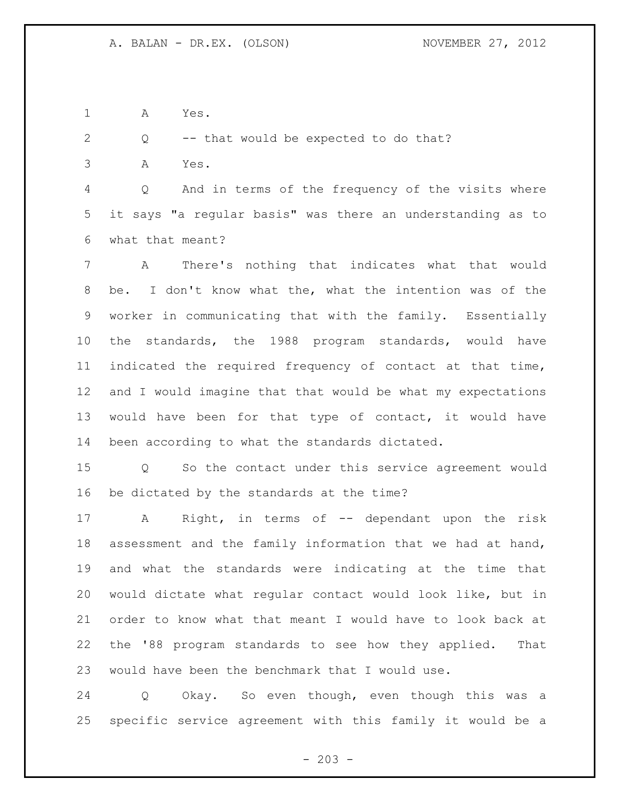A Yes.

Q -- that would be expected to do that?

A Yes.

 Q And in terms of the frequency of the visits where it says "a regular basis" was there an understanding as to what that meant?

 A There's nothing that indicates what that would be. I don't know what the, what the intention was of the worker in communicating that with the family. Essentially the standards, the 1988 program standards, would have indicated the required frequency of contact at that time, and I would imagine that that would be what my expectations would have been for that type of contact, it would have been according to what the standards dictated.

 Q So the contact under this service agreement would be dictated by the standards at the time?

 A Right, in terms of -- dependant upon the risk assessment and the family information that we had at hand, and what the standards were indicating at the time that would dictate what regular contact would look like, but in order to know what that meant I would have to look back at the '88 program standards to see how they applied. That would have been the benchmark that I would use.

 Q Okay. So even though, even though this was a specific service agreement with this family it would be a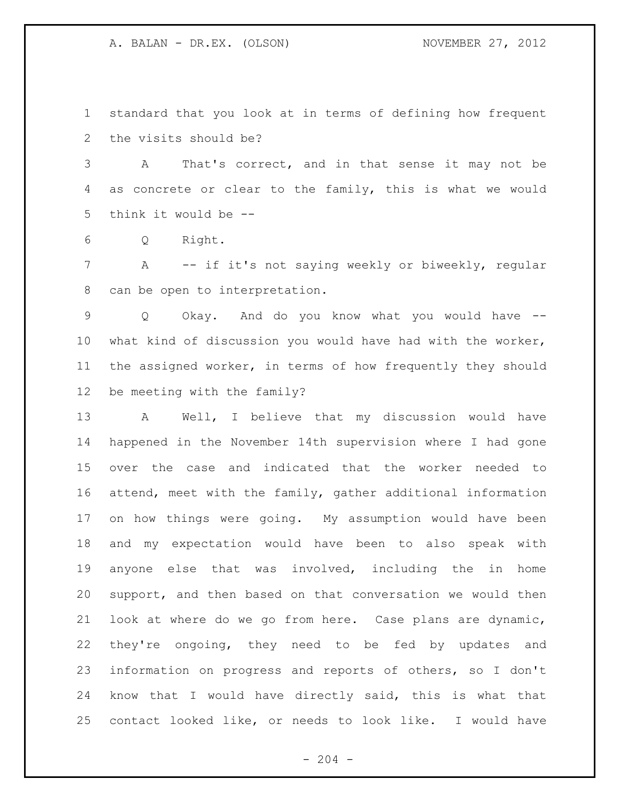standard that you look at in terms of defining how frequent the visits should be?

 A That's correct, and in that sense it may not be as concrete or clear to the family, this is what we would think it would be --

Q Right.

 A -- if it's not saying weekly or biweekly, regular can be open to interpretation.

 Q Okay. And do you know what you would have -- what kind of discussion you would have had with the worker, the assigned worker, in terms of how frequently they should be meeting with the family?

 A Well, I believe that my discussion would have happened in the November 14th supervision where I had gone over the case and indicated that the worker needed to attend, meet with the family, gather additional information on how things were going. My assumption would have been and my expectation would have been to also speak with anyone else that was involved, including the in home support, and then based on that conversation we would then look at where do we go from here. Case plans are dynamic, they're ongoing, they need to be fed by updates and information on progress and reports of others, so I don't know that I would have directly said, this is what that contact looked like, or needs to look like. I would have

 $-204 -$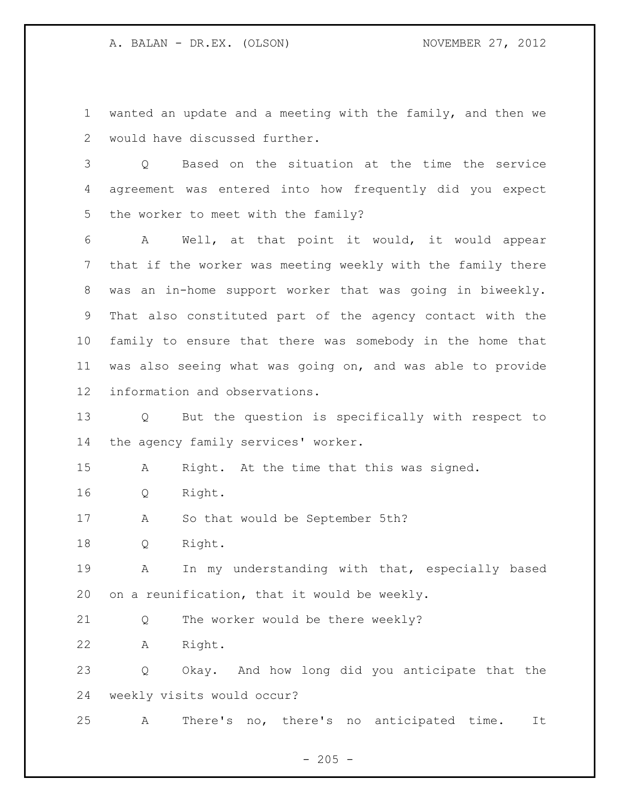wanted an update and a meeting with the family, and then we would have discussed further.

 Q Based on the situation at the time the service agreement was entered into how frequently did you expect the worker to meet with the family?

 A Well, at that point it would, it would appear that if the worker was meeting weekly with the family there was an in-home support worker that was going in biweekly. That also constituted part of the agency contact with the family to ensure that there was somebody in the home that was also seeing what was going on, and was able to provide information and observations.

 Q But the question is specifically with respect to the agency family services' worker.

A Right. At the time that this was signed.

Q Right.

A So that would be September 5th?

Q Right.

 A In my understanding with that, especially based on a reunification, that it would be weekly.

Q The worker would be there weekly?

A Right.

 Q Okay. And how long did you anticipate that the weekly visits would occur?

A There's no, there's no anticipated time. It

 $- 205 -$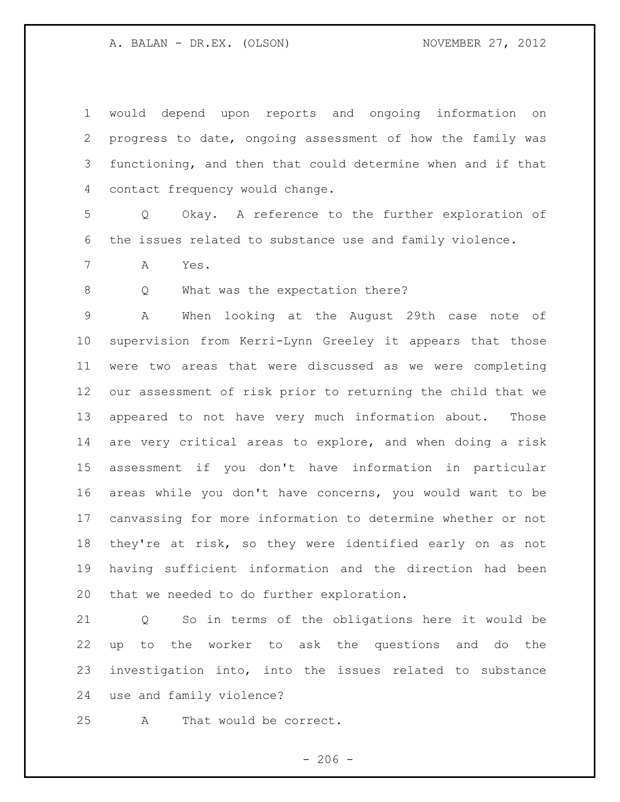would depend upon reports and ongoing information on progress to date, ongoing assessment of how the family was functioning, and then that could determine when and if that contact frequency would change.

 Q Okay. A reference to the further exploration of the issues related to substance use and family violence.

A Yes.

8 Q What was the expectation there?

 A When looking at the August 29th case note of supervision from Kerri-Lynn Greeley it appears that those were two areas that were discussed as we were completing our assessment of risk prior to returning the child that we appeared to not have very much information about. Those are very critical areas to explore, and when doing a risk assessment if you don't have information in particular areas while you don't have concerns, you would want to be canvassing for more information to determine whether or not they're at risk, so they were identified early on as not having sufficient information and the direction had been that we needed to do further exploration.

 Q So in terms of the obligations here it would be up to the worker to ask the questions and do the investigation into, into the issues related to substance use and family violence?

A That would be correct.

 $-206 -$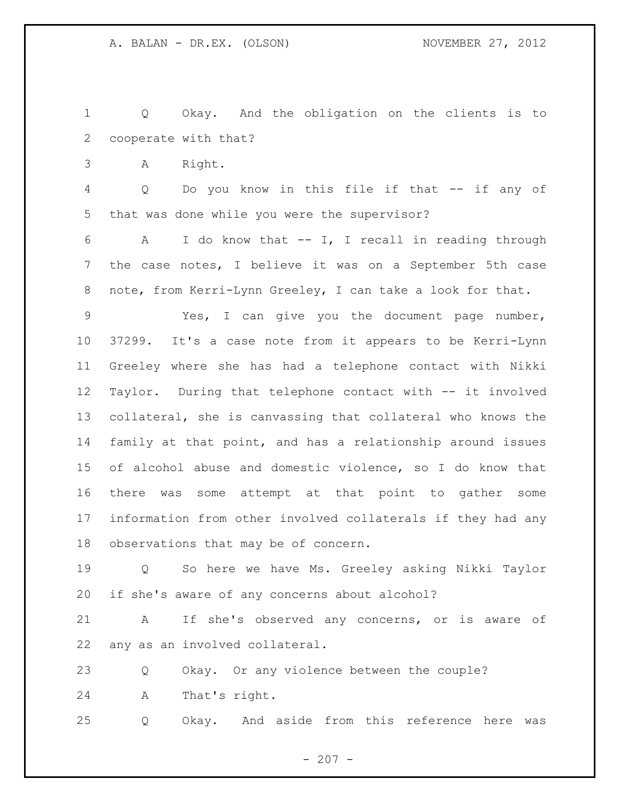Q Okay. And the obligation on the clients is to cooperate with that?

A Right.

 Q Do you know in this file if that -- if any of that was done while you were the supervisor?

 A I do know that -- I, I recall in reading through the case notes, I believe it was on a September 5th case 8 note, from Kerri-Lynn Greeley, I can take a look for that.

 Yes, I can give you the document page number, 37299. It's a case note from it appears to be Kerri-Lynn Greeley where she has had a telephone contact with Nikki Taylor. During that telephone contact with -- it involved collateral, she is canvassing that collateral who knows the family at that point, and has a relationship around issues of alcohol abuse and domestic violence, so I do know that there was some attempt at that point to gather some information from other involved collaterals if they had any observations that may be of concern.

 Q So here we have Ms. Greeley asking Nikki Taylor if she's aware of any concerns about alcohol?

 A If she's observed any concerns, or is aware of any as an involved collateral.

Q Okay. Or any violence between the couple?

A That's right.

Q Okay. And aside from this reference here was

 $-207 -$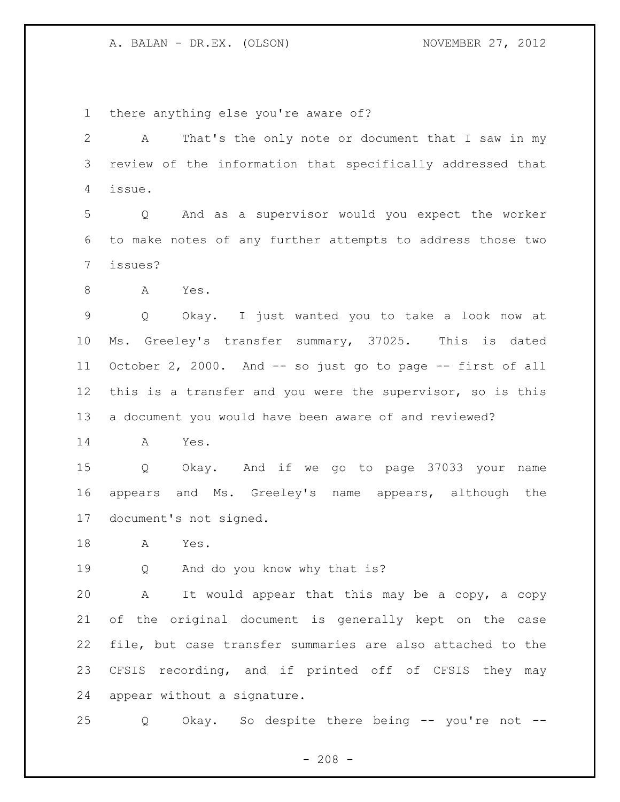there anything else you're aware of?

 A That's the only note or document that I saw in my review of the information that specifically addressed that issue.

 Q And as a supervisor would you expect the worker to make notes of any further attempts to address those two issues?

A Yes.

 Q Okay. I just wanted you to take a look now at Ms. Greeley's transfer summary, 37025. This is dated October 2, 2000. And -- so just go to page -- first of all this is a transfer and you were the supervisor, so is this a document you would have been aware of and reviewed?

A Yes.

 Q Okay. And if we go to page 37033 your name appears and Ms. Greeley's name appears, although the document's not signed.

A Yes.

Q And do you know why that is?

 A It would appear that this may be a copy, a copy of the original document is generally kept on the case file, but case transfer summaries are also attached to the CFSIS recording, and if printed off of CFSIS they may appear without a signature.

Q Okay. So despite there being -- you're not --

 $- 208 -$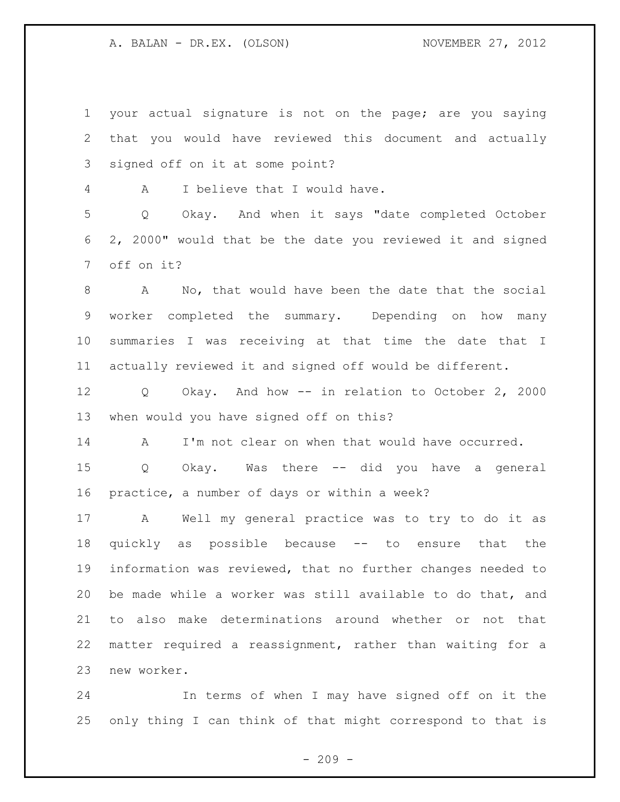your actual signature is not on the page; are you saying that you would have reviewed this document and actually signed off on it at some point? A I believe that I would have. Q Okay. And when it says "date completed October 2, 2000" would that be the date you reviewed it and signed off on it? A No, that would have been the date that the social

 worker completed the summary. Depending on how many summaries I was receiving at that time the date that I actually reviewed it and signed off would be different.

 Q Okay. And how -- in relation to October 2, 2000 when would you have signed off on this?

A I'm not clear on when that would have occurred.

 Q Okay. Was there -- did you have a general practice, a number of days or within a week?

 A Well my general practice was to try to do it as quickly as possible because -- to ensure that the information was reviewed, that no further changes needed to be made while a worker was still available to do that, and to also make determinations around whether or not that matter required a reassignment, rather than waiting for a new worker.

 In terms of when I may have signed off on it the only thing I can think of that might correspond to that is

 $-209 -$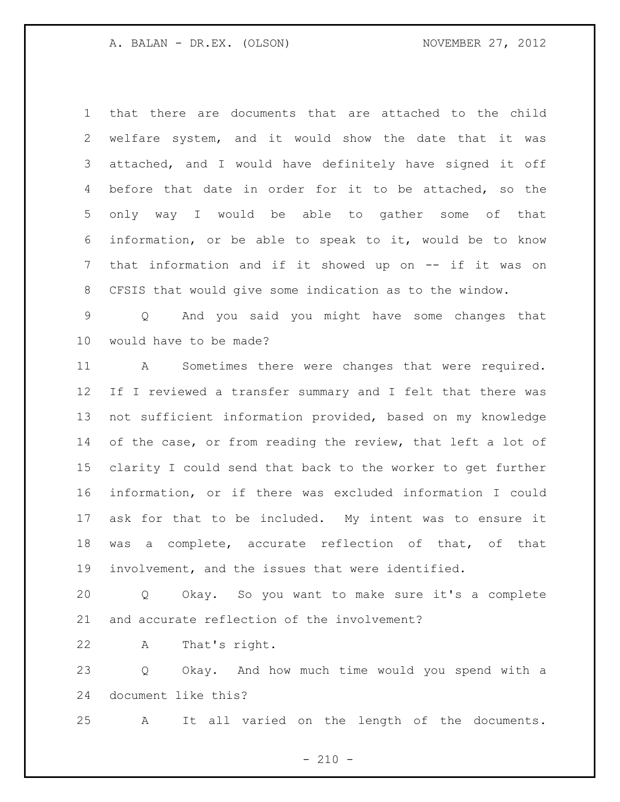that there are documents that are attached to the child welfare system, and it would show the date that it was attached, and I would have definitely have signed it off before that date in order for it to be attached, so the only way I would be able to gather some of that information, or be able to speak to it, would be to know that information and if it showed up on -- if it was on CFSIS that would give some indication as to the window.

 Q And you said you might have some changes that would have to be made?

 A Sometimes there were changes that were required. If I reviewed a transfer summary and I felt that there was not sufficient information provided, based on my knowledge 14 of the case, or from reading the review, that left a lot of clarity I could send that back to the worker to get further information, or if there was excluded information I could ask for that to be included. My intent was to ensure it was a complete, accurate reflection of that, of that involvement, and the issues that were identified.

 Q Okay. So you want to make sure it's a complete and accurate reflection of the involvement?

A That's right.

 Q Okay. And how much time would you spend with a document like this?

A It all varied on the length of the documents.

 $- 210 -$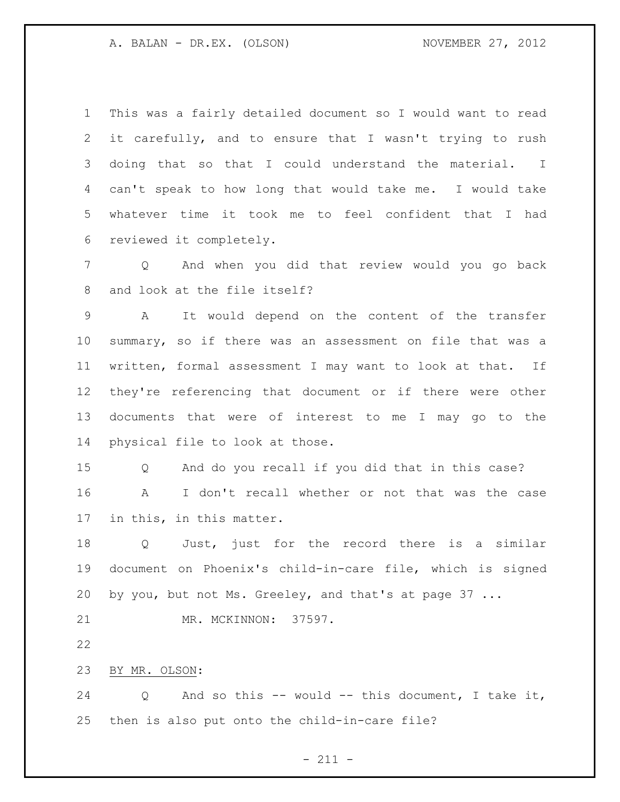This was a fairly detailed document so I would want to read it carefully, and to ensure that I wasn't trying to rush doing that so that I could understand the material. I can't speak to how long that would take me. I would take whatever time it took me to feel confident that I had reviewed it completely.

 Q And when you did that review would you go back and look at the file itself?

 A It would depend on the content of the transfer summary, so if there was an assessment on file that was a written, formal assessment I may want to look at that. If they're referencing that document or if there were other documents that were of interest to me I may go to the physical file to look at those.

 Q And do you recall if you did that in this case? A I don't recall whether or not that was the case in this, in this matter.

 Q Just, just for the record there is a similar document on Phoenix's child-in-care file, which is signed by you, but not Ms. Greeley, and that's at page 37 ...

MR. MCKINNON: 37597.

BY MR. OLSON:

 Q And so this -- would -- this document, I take it, then is also put onto the child-in-care file?

- 211 -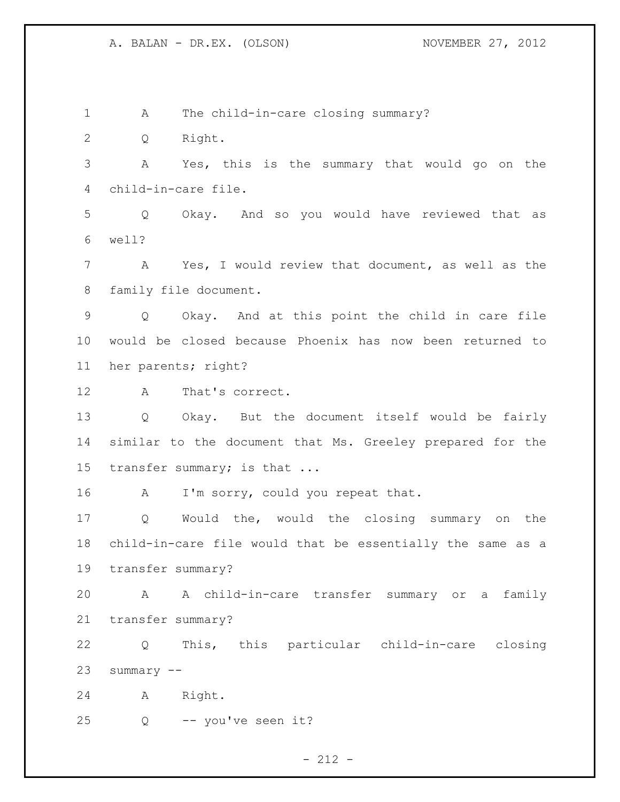A The child-in-care closing summary? Q Right. A Yes, this is the summary that would go on the child-in-care file. Q Okay. And so you would have reviewed that as well? A Yes, I would review that document, as well as the family file document. Q Okay. And at this point the child in care file would be closed because Phoenix has now been returned to her parents; right? A That's correct. Q Okay. But the document itself would be fairly similar to the document that Ms. Greeley prepared for the 15 transfer summary; is that ... 16 A I'm sorry, could you repeat that. Q Would the, would the closing summary on the child-in-care file would that be essentially the same as a transfer summary? A A child-in-care transfer summary or a family transfer summary? Q This, this particular child-in-care closing summary -- A Right. Q -- you've seen it?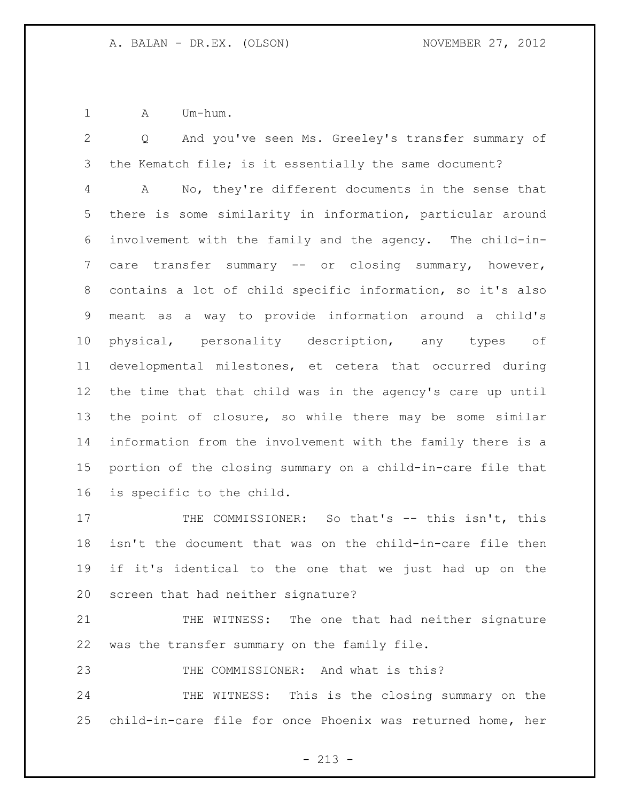A Um-hum.

 Q And you've seen Ms. Greeley's transfer summary of the Kematch file; is it essentially the same document? A No, they're different documents in the sense that there is some similarity in information, particular around involvement with the family and the agency. The child-in-7 care transfer summary -- or closing summary, however, contains a lot of child specific information, so it's also meant as a way to provide information around a child's physical, personality description, any types of developmental milestones, et cetera that occurred during the time that that child was in the agency's care up until the point of closure, so while there may be some similar information from the involvement with the family there is a portion of the closing summary on a child-in-care file that is specific to the child.

17 THE COMMISSIONER: So that's -- this isn't, this isn't the document that was on the child-in-care file then if it's identical to the one that we just had up on the screen that had neither signature?

21 THE WITNESS: The one that had neither signature was the transfer summary on the family file.

THE COMMISSIONER: And what is this?

 THE WITNESS: This is the closing summary on the child-in-care file for once Phoenix was returned home, her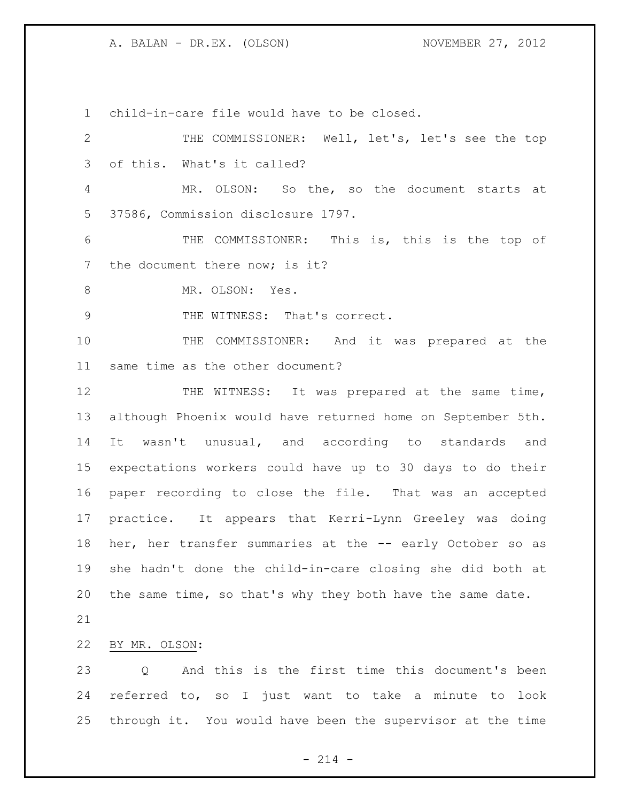child-in-care file would have to be closed.

 THE COMMISSIONER: Well, let's, let's see the top of this. What's it called? MR. OLSON: So the, so the document starts at 37586, Commission disclosure 1797. THE COMMISSIONER: This is, this is the top of 7 the document there now; is it? 8 MR. OLSON: Yes. 9 THE WITNESS: That's correct. THE COMMISSIONER: And it was prepared at the same time as the other document? 12 THE WITNESS: It was prepared at the same time, although Phoenix would have returned home on September 5th. It wasn't unusual, and according to standards and expectations workers could have up to 30 days to do their paper recording to close the file. That was an accepted practice. It appears that Kerri-Lynn Greeley was doing 18 her, her transfer summaries at the -- early October so as she hadn't done the child-in-care closing she did both at the same time, so that's why they both have the same date. BY MR. OLSON: Q And this is the first time this document's been referred to, so I just want to take a minute to look through it. You would have been the supervisor at the time

 $- 214 -$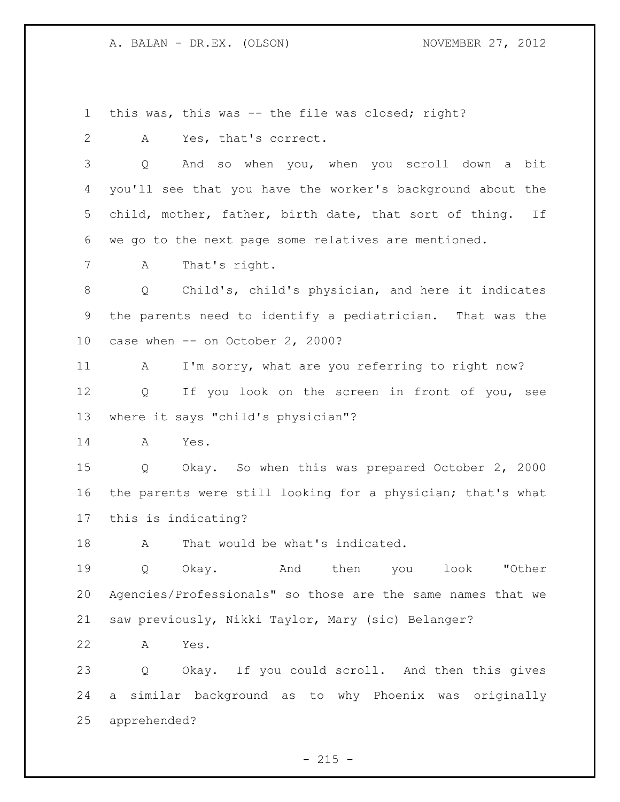this was, this was -- the file was closed; right?

A Yes, that's correct.

 Q And so when you, when you scroll down a bit you'll see that you have the worker's background about the child, mother, father, birth date, that sort of thing. If we go to the next page some relatives are mentioned.

A That's right.

 Q Child's, child's physician, and here it indicates the parents need to identify a pediatrician. That was the case when -- on October 2, 2000?

 A I'm sorry, what are you referring to right now? 12 Q If you look on the screen in front of you, see where it says "child's physician"?

A Yes.

 Q Okay. So when this was prepared October 2, 2000 the parents were still looking for a physician; that's what this is indicating?

18 A That would be what's indicated.

 Q Okay. And then you look "Other Agencies/Professionals" so those are the same names that we saw previously, Nikki Taylor, Mary (sic) Belanger?

A Yes.

 Q Okay. If you could scroll. And then this gives a similar background as to why Phoenix was originally apprehended?

 $- 215 -$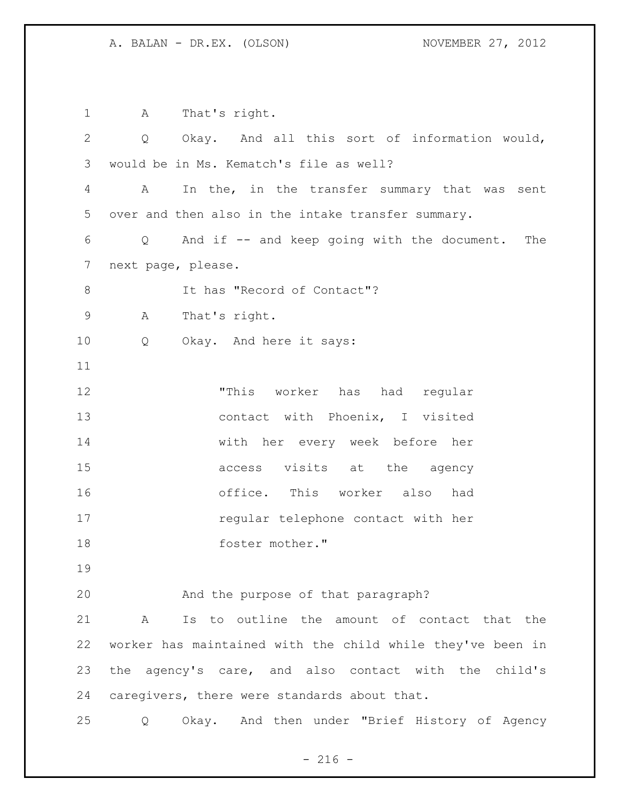| $\mathbf 1$    | That's right.<br>A                                           |
|----------------|--------------------------------------------------------------|
| 2              | Okay. And all this sort of information would,<br>Q           |
| 3              | would be in Ms. Kematch's file as well?                      |
| 4              | In the, in the transfer summary that was sent<br>A           |
| 5              | over and then also in the intake transfer summary.           |
| 6              | Q And if -- and keep going with the document. The            |
| $7\phantom{.}$ | next page, please.                                           |
| 8              | It has "Record of Contact"?                                  |
| $\mathsf 9$    | That's right.<br>A                                           |
| 10             | Okay. And here it says:<br>Q                                 |
| 11             |                                                              |
| 12             | "This worker has had regular                                 |
| 13             | contact with Phoenix, I visited                              |
| 14             | with her every week before her                               |
| 15             | access visits at the agency                                  |
| 16             | office. This worker also had                                 |
| 17             | regular telephone contact with her                           |
| 18             | foster mother."                                              |
| 19             |                                                              |
| 20             | And the purpose of that paragraph?                           |
| 21             | Is to outline the amount of contact that the<br>$\mathbf{A}$ |
| 22             | worker has maintained with the child while they've been in   |
| 23             | the agency's care, and also contact with the child's         |
| 24             | caregivers, there were standards about that.                 |
| 25             | Q Okay. And then under "Brief History of Agency              |

- 216 -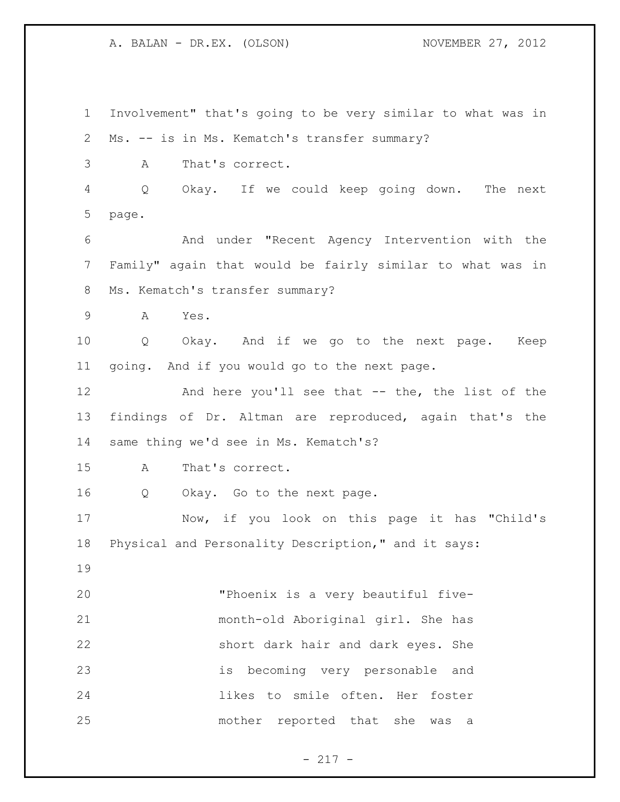Involvement" that's going to be very similar to what was in Ms. -- is in Ms. Kematch's transfer summary? A That's correct. Q Okay. If we could keep going down. The next page. And under "Recent Agency Intervention with the Family" again that would be fairly similar to what was in Ms. Kematch's transfer summary? A Yes. Q Okay. And if we go to the next page. Keep going. And if you would go to the next page. And here you'll see that -- the, the list of the findings of Dr. Altman are reproduced, again that's the same thing we'd see in Ms. Kematch's? A That's correct. Q Okay. Go to the next page. Now, if you look on this page it has "Child's Physical and Personality Description," and it says: "Phoenix is a very beautiful five- month-old Aboriginal girl. She has short dark hair and dark eyes. She is becoming very personable and likes to smile often. Her foster mother reported that she was a

- 217 -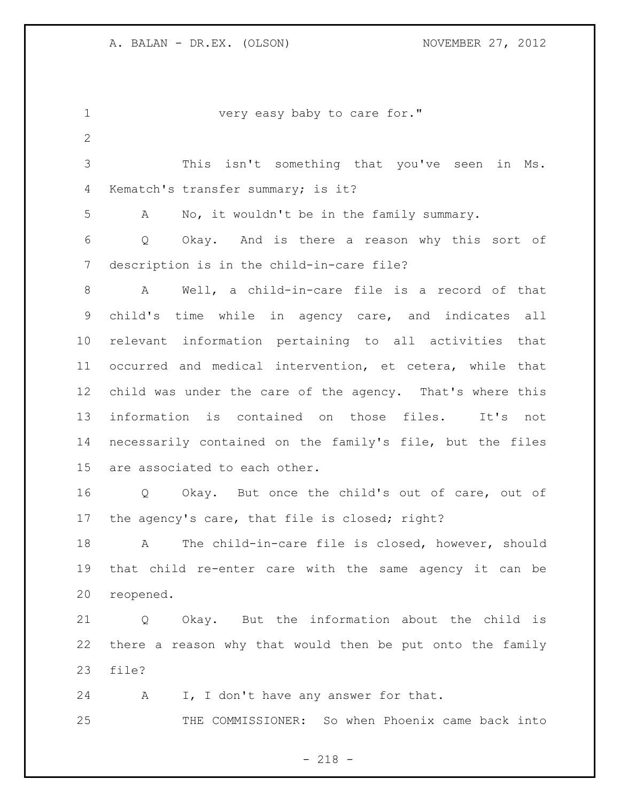| $\mathbf 1$  | very easy baby to care for."                                      |
|--------------|-------------------------------------------------------------------|
| $\mathbf{2}$ |                                                                   |
| 3            | This isn't something that you've seen<br>in Ms.                   |
| 4            | Kematch's transfer summary; is it?                                |
| 5            | No, it wouldn't be in the family summary.<br>A                    |
| 6            | Okay. And is there a reason why this sort of<br>$Q \qquad \qquad$ |
| 7            | description is in the child-in-care file?                         |
| 8            | Well, a child-in-care file is a record of that<br>$\mathbf{A}$    |
| 9            | child's time while in agency care, and indicates all              |
| 10           | relevant information pertaining to all activities that            |
| 11           | occurred and medical intervention, et cetera, while that          |
| 12           | child was under the care of the agency. That's where this         |
| 13           | information is contained on those files. It's not                 |
| 14           | necessarily contained on the family's file, but the files         |
| 15           | are associated to each other.                                     |
| 16           | Q Okay. But once the child's out of care, out of                  |
| 17           | the agency's care, that file is closed; right?                    |
| 18           | The child-in-care file is closed, however, should<br>A            |
| 19           | that child re-enter care with the same agency it can be           |
| 20           | reopened.                                                         |
| 21           | Q Okay. But the information about the child is                    |
| 22           | there a reason why that would then be put onto the family         |
| 23           | file?                                                             |
| 24           | I, I don't have any answer for that.<br>$\mathbf{A}$              |
| 25           | THE COMMISSIONER: So when Phoenix came back into                  |

- 218 -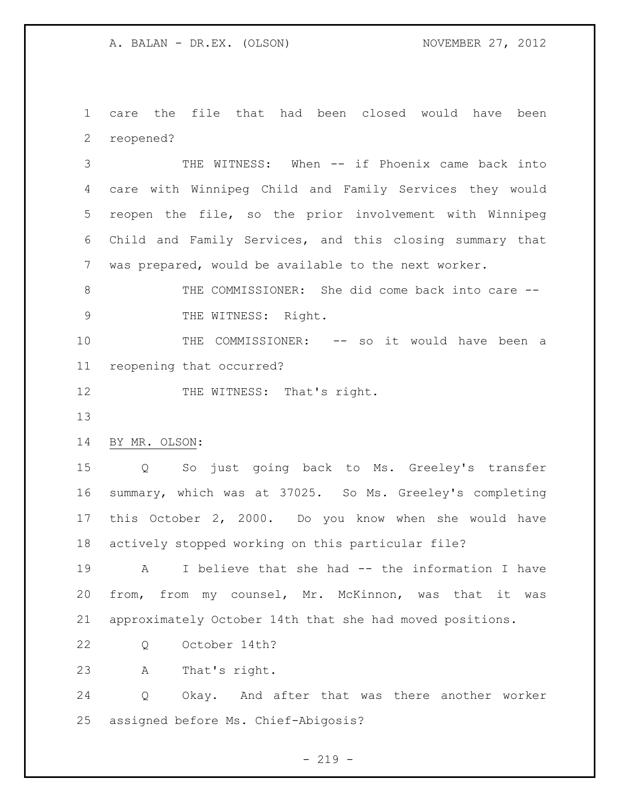care the file that had been closed would have been reopened?

 THE WITNESS: When -- if Phoenix came back into care with Winnipeg Child and Family Services they would reopen the file, so the prior involvement with Winnipeg Child and Family Services, and this closing summary that was prepared, would be available to the next worker.

 THE COMMISSIONER: She did come back into care -- THE WITNESS: Right.

 THE COMMISSIONER: -- so it would have been a reopening that occurred?

12 THE WITNESS: That's right.

BY MR. OLSON:

 Q So just going back to Ms. Greeley's transfer summary, which was at 37025. So Ms. Greeley's completing this October 2, 2000. Do you know when she would have actively stopped working on this particular file?

 A I believe that she had -- the information I have from, from my counsel, Mr. McKinnon, was that it was approximately October 14th that she had moved positions.

Q October 14th?

A That's right.

 Q Okay. And after that was there another worker assigned before Ms. Chief-Abigosis?

 $- 219 -$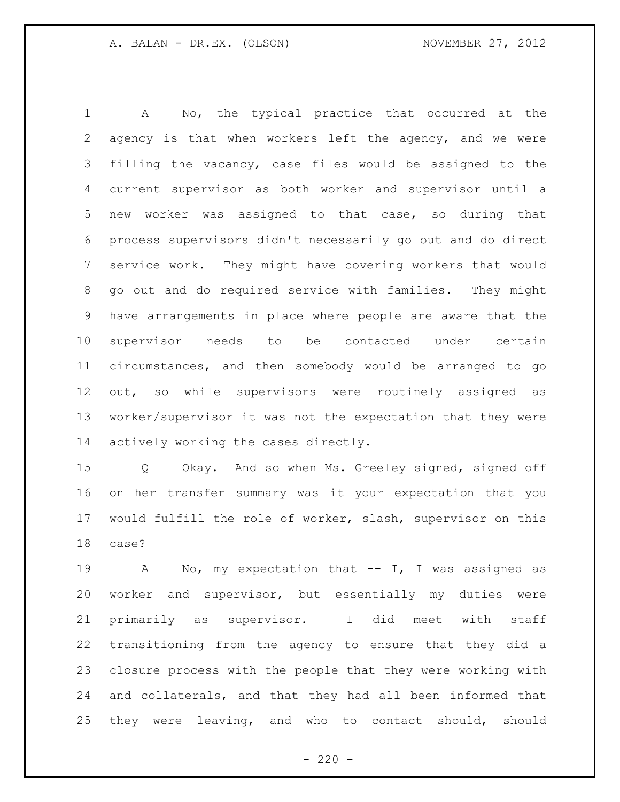A No, the typical practice that occurred at the agency is that when workers left the agency, and we were filling the vacancy, case files would be assigned to the current supervisor as both worker and supervisor until a new worker was assigned to that case, so during that process supervisors didn't necessarily go out and do direct service work. They might have covering workers that would go out and do required service with families. They might have arrangements in place where people are aware that the supervisor needs to be contacted under certain circumstances, and then somebody would be arranged to go out, so while supervisors were routinely assigned as worker/supervisor it was not the expectation that they were actively working the cases directly.

 Q Okay. And so when Ms. Greeley signed, signed off on her transfer summary was it your expectation that you would fulfill the role of worker, slash, supervisor on this case?

 A No, my expectation that -- I, I was assigned as worker and supervisor, but essentially my duties were primarily as supervisor. I did meet with staff transitioning from the agency to ensure that they did a closure process with the people that they were working with and collaterals, and that they had all been informed that they were leaving, and who to contact should, should

 $- 220 -$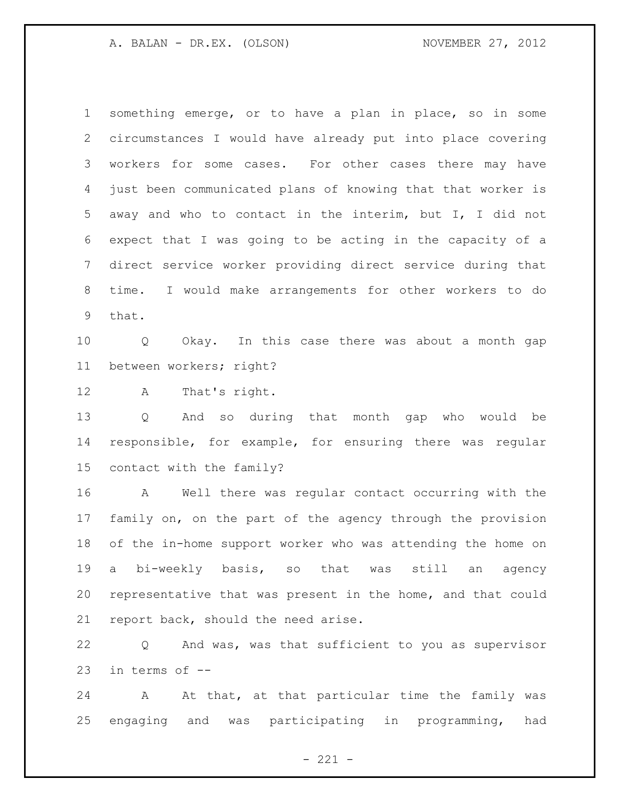something emerge, or to have a plan in place, so in some circumstances I would have already put into place covering workers for some cases. For other cases there may have just been communicated plans of knowing that that worker is away and who to contact in the interim, but I, I did not expect that I was going to be acting in the capacity of a direct service worker providing direct service during that time. I would make arrangements for other workers to do that.

 Q Okay. In this case there was about a month gap between workers; right?

A That's right.

 Q And so during that month gap who would be responsible, for example, for ensuring there was regular contact with the family?

 A Well there was regular contact occurring with the family on, on the part of the agency through the provision of the in-home support worker who was attending the home on a bi-weekly basis, so that was still an agency representative that was present in the home, and that could report back, should the need arise.

 Q And was, was that sufficient to you as supervisor in terms of --

24 A At that, at that particular time the family was engaging and was participating in programming, had

 $- 221 -$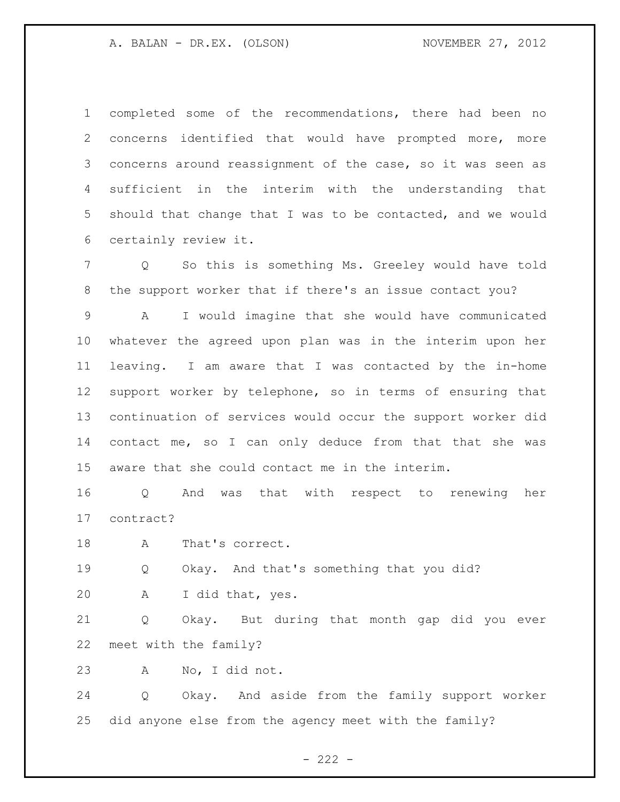completed some of the recommendations, there had been no concerns identified that would have prompted more, more concerns around reassignment of the case, so it was seen as sufficient in the interim with the understanding that should that change that I was to be contacted, and we would certainly review it.

 Q So this is something Ms. Greeley would have told the support worker that if there's an issue contact you?

 A I would imagine that she would have communicated whatever the agreed upon plan was in the interim upon her leaving. I am aware that I was contacted by the in-home support worker by telephone, so in terms of ensuring that continuation of services would occur the support worker did contact me, so I can only deduce from that that she was aware that she could contact me in the interim.

 Q And was that with respect to renewing her contract?

A That's correct.

Q Okay. And that's something that you did?

A I did that, yes.

 Q Okay. But during that month gap did you ever meet with the family?

A No, I did not.

 Q Okay. And aside from the family support worker did anyone else from the agency meet with the family?

 $- 222 -$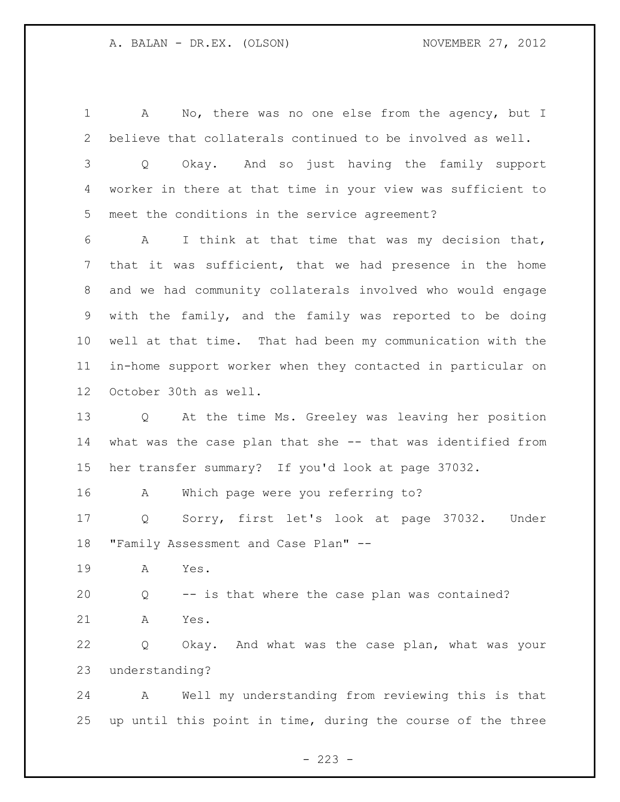A No, there was no one else from the agency, but I believe that collaterals continued to be involved as well. Q Okay. And so just having the family support worker in there at that time in your view was sufficient to meet the conditions in the service agreement? A I think at that time that was my decision that, that it was sufficient, that we had presence in the home and we had community collaterals involved who would engage with the family, and the family was reported to be doing well at that time. That had been my communication with the in-home support worker when they contacted in particular on October 30th as well. Q At the time Ms. Greeley was leaving her position what was the case plan that she -- that was identified from her transfer summary? If you'd look at page 37032. A Which page were you referring to? Q Sorry, first let's look at page 37032. Under "Family Assessment and Case Plan" -- A Yes. Q -- is that where the case plan was contained? A Yes. Q Okay. And what was the case plan, what was your understanding? A Well my understanding from reviewing this is that up until this point in time, during the course of the three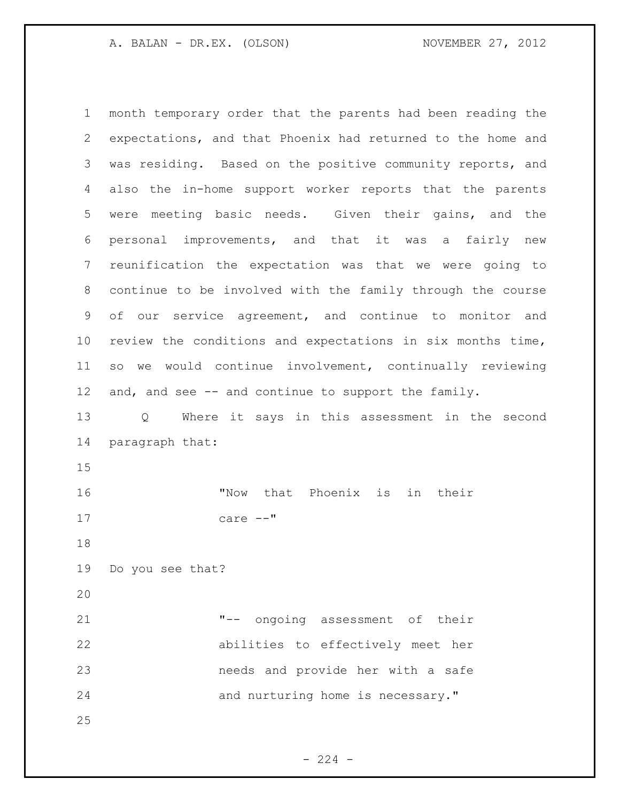month temporary order that the parents had been reading the expectations, and that Phoenix had returned to the home and was residing. Based on the positive community reports, and also the in-home support worker reports that the parents were meeting basic needs. Given their gains, and the personal improvements, and that it was a fairly new reunification the expectation was that we were going to continue to be involved with the family through the course of our service agreement, and continue to monitor and review the conditions and expectations in six months time, so we would continue involvement, continually reviewing and, and see -- and continue to support the family. Q Where it says in this assessment in the second paragraph that: "Now that Phoenix is in their care --" Do you see that? "-- ongoing assessment of their abilities to effectively meet her needs and provide her with a safe 24 and nurturing home is necessary." 

 $-224 -$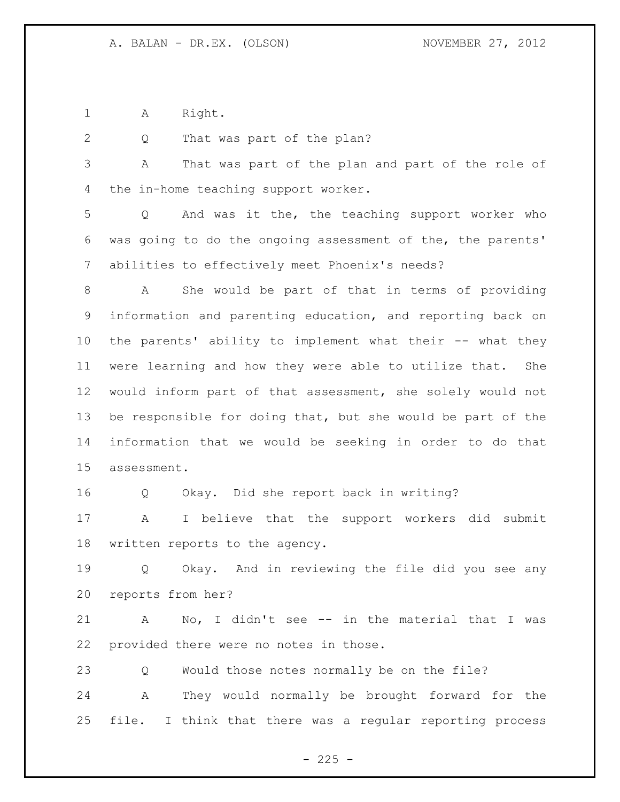A Right.

2 Q That was part of the plan?

 A That was part of the plan and part of the role of the in-home teaching support worker.

 Q And was it the, the teaching support worker who was going to do the ongoing assessment of the, the parents' abilities to effectively meet Phoenix's needs?

 A She would be part of that in terms of providing information and parenting education, and reporting back on the parents' ability to implement what their -- what they were learning and how they were able to utilize that. She would inform part of that assessment, she solely would not be responsible for doing that, but she would be part of the information that we would be seeking in order to do that assessment.

Q Okay. Did she report back in writing?

 A I believe that the support workers did submit written reports to the agency.

 Q Okay. And in reviewing the file did you see any reports from her?

 A No, I didn't see -- in the material that I was provided there were no notes in those.

Q Would those notes normally be on the file?

 A They would normally be brought forward for the file. I think that there was a regular reporting process

 $- 225 -$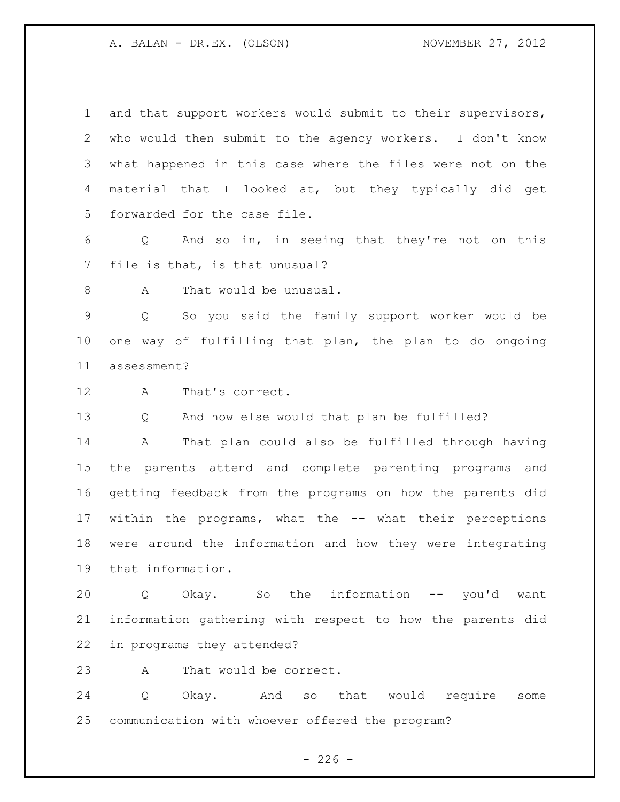and that support workers would submit to their supervisors, who would then submit to the agency workers. I don't know what happened in this case where the files were not on the material that I looked at, but they typically did get forwarded for the case file.

 Q And so in, in seeing that they're not on this file is that, is that unusual?

8 A That would be unusual.

 Q So you said the family support worker would be one way of fulfilling that plan, the plan to do ongoing assessment?

A That's correct.

Q And how else would that plan be fulfilled?

 A That plan could also be fulfilled through having the parents attend and complete parenting programs and getting feedback from the programs on how the parents did within the programs, what the -- what their perceptions were around the information and how they were integrating that information.

 Q Okay. So the information -- you'd want information gathering with respect to how the parents did in programs they attended?

A That would be correct.

 Q Okay. And so that would require some communication with whoever offered the program?

 $-226 -$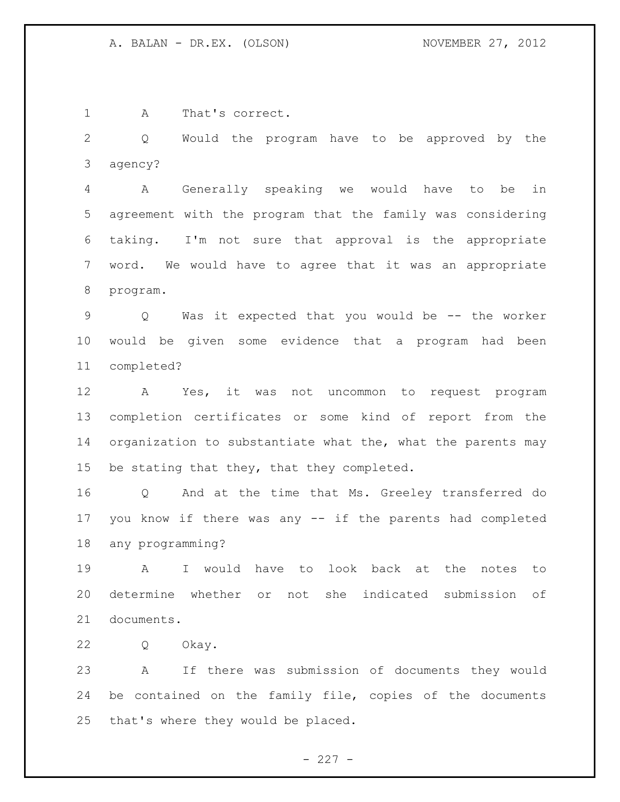A That's correct.

 Q Would the program have to be approved by the agency?

 A Generally speaking we would have to be in agreement with the program that the family was considering taking. I'm not sure that approval is the appropriate word. We would have to agree that it was an appropriate program.

 Q Was it expected that you would be -- the worker would be given some evidence that a program had been completed?

 A Yes, it was not uncommon to request program completion certificates or some kind of report from the 14 organization to substantiate what the, what the parents may be stating that they, that they completed.

 Q And at the time that Ms. Greeley transferred do you know if there was any -- if the parents had completed any programming?

 A I would have to look back at the notes to determine whether or not she indicated submission of documents.

Q Okay.

 A If there was submission of documents they would be contained on the family file, copies of the documents that's where they would be placed.

 $- 227 -$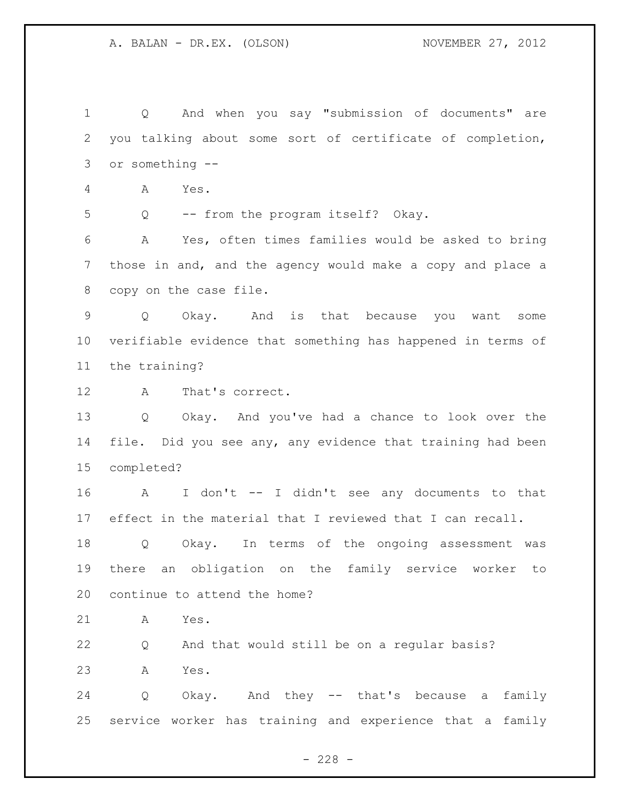Q And when you say "submission of documents" are you talking about some sort of certificate of completion, or something -- A Yes. Q -- from the program itself? Okay. A Yes, often times families would be asked to bring those in and, and the agency would make a copy and place a copy on the case file. Q Okay. And is that because you want some verifiable evidence that something has happened in terms of the training? A That's correct. Q Okay. And you've had a chance to look over the file. Did you see any, any evidence that training had been completed? A I don't -- I didn't see any documents to that effect in the material that I reviewed that I can recall. Q Okay. In terms of the ongoing assessment was there an obligation on the family service worker to continue to attend the home? A Yes. Q And that would still be on a regular basis? A Yes. Q Okay. And they -- that's because a family service worker has training and experience that a family

 $- 228 -$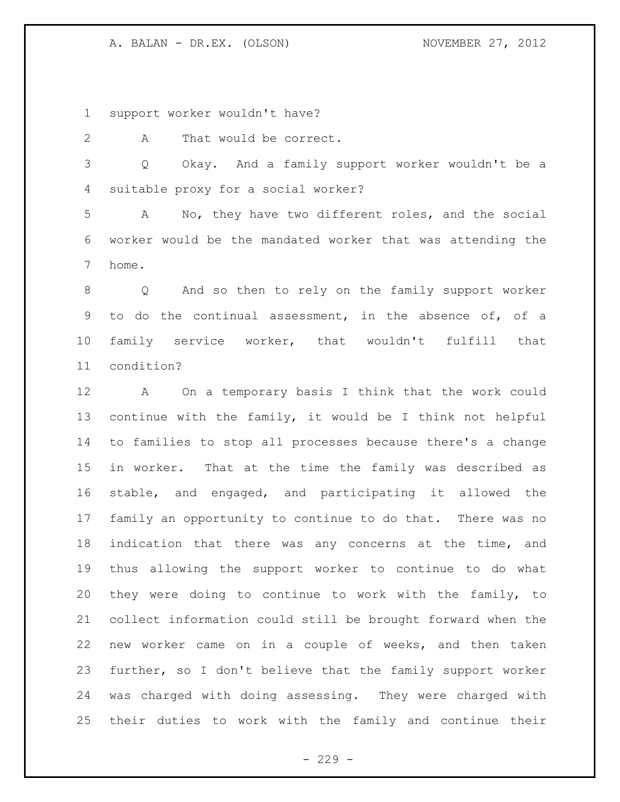support worker wouldn't have?

2 A That would be correct.

 Q Okay. And a family support worker wouldn't be a suitable proxy for a social worker?

 A No, they have two different roles, and the social worker would be the mandated worker that was attending the home.

 Q And so then to rely on the family support worker to do the continual assessment, in the absence of, of a family service worker, that wouldn't fulfill that condition?

 A On a temporary basis I think that the work could continue with the family, it would be I think not helpful to families to stop all processes because there's a change in worker. That at the time the family was described as stable, and engaged, and participating it allowed the family an opportunity to continue to do that. There was no indication that there was any concerns at the time, and thus allowing the support worker to continue to do what they were doing to continue to work with the family, to collect information could still be brought forward when the new worker came on in a couple of weeks, and then taken further, so I don't believe that the family support worker was charged with doing assessing. They were charged with their duties to work with the family and continue their

 $-229 -$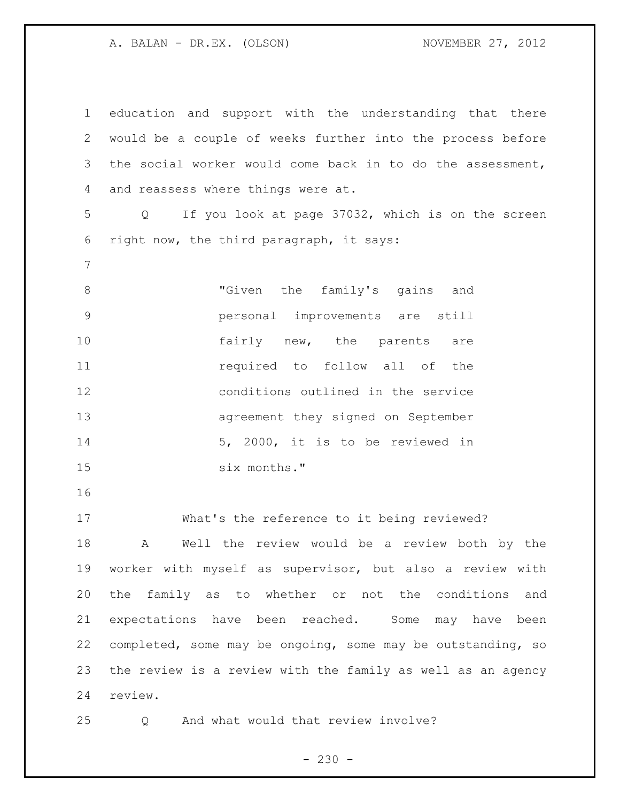education and support with the understanding that there would be a couple of weeks further into the process before the social worker would come back in to do the assessment, and reassess where things were at. Q If you look at page 37032, which is on the screen right now, the third paragraph, it says: 8 The family's gains and 8 personal improvements are still 10 fairly new, the parents are **11** required to follow all of the conditions outlined in the service agreement they signed on September 5, 2000, it is to be reviewed in six months." What's the reference to it being reviewed? A Well the review would be a review both by the worker with myself as supervisor, but also a review with the family as to whether or not the conditions and expectations have been reached. Some may have been completed, some may be ongoing, some may be outstanding, so the review is a review with the family as well as an agency review. Q And what would that review involve?

 $- 230 -$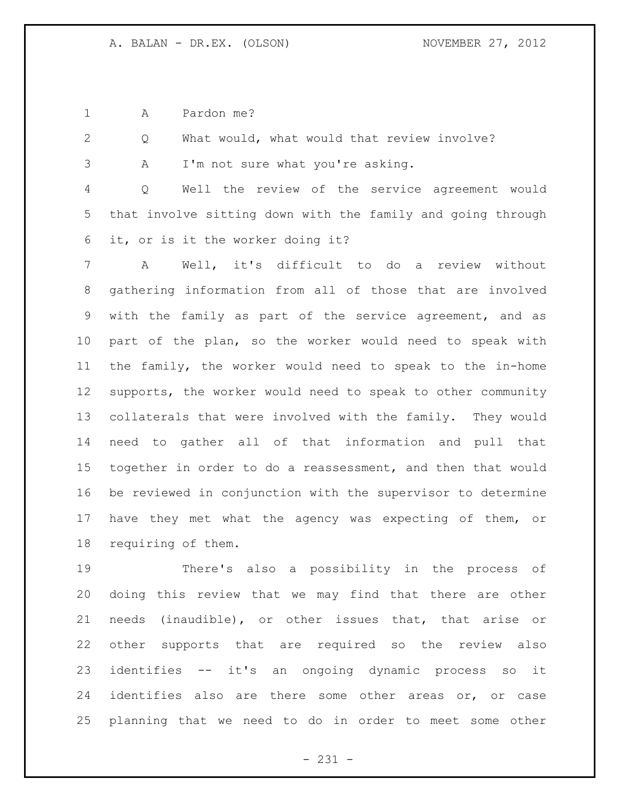A Pardon me?

Q What would, what would that review involve?

A I'm not sure what you're asking.

 Q Well the review of the service agreement would that involve sitting down with the family and going through it, or is it the worker doing it?

 A Well, it's difficult to do a review without gathering information from all of those that are involved with the family as part of the service agreement, and as part of the plan, so the worker would need to speak with the family, the worker would need to speak to the in-home supports, the worker would need to speak to other community collaterals that were involved with the family. They would need to gather all of that information and pull that together in order to do a reassessment, and then that would be reviewed in conjunction with the supervisor to determine have they met what the agency was expecting of them, or requiring of them.

 There's also a possibility in the process of doing this review that we may find that there are other needs (inaudible), or other issues that, that arise or other supports that are required so the review also identifies -- it's an ongoing dynamic process so it 24 identifies also are there some other areas or, or case planning that we need to do in order to meet some other

- 231 -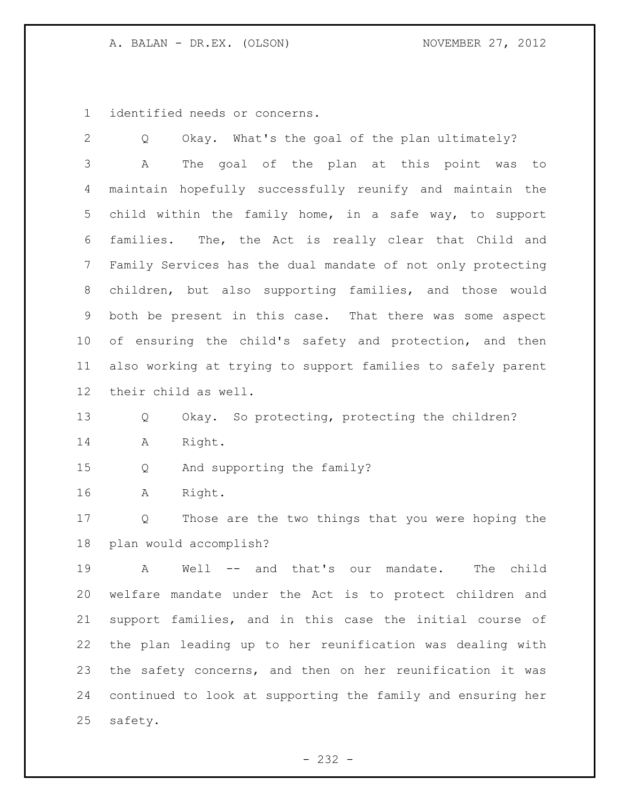identified needs or concerns.

 Q Okay. What's the goal of the plan ultimately? A The goal of the plan at this point was to maintain hopefully successfully reunify and maintain the child within the family home, in a safe way, to support families. The, the Act is really clear that Child and Family Services has the dual mandate of not only protecting children, but also supporting families, and those would both be present in this case. That there was some aspect of ensuring the child's safety and protection, and then also working at trying to support families to safely parent their child as well. Q Okay. So protecting, protecting the children? A Right. Q And supporting the family? A Right. Q Those are the two things that you were hoping the plan would accomplish? A Well -- and that's our mandate. The child welfare mandate under the Act is to protect children and support families, and in this case the initial course of the plan leading up to her reunification was dealing with the safety concerns, and then on her reunification it was continued to look at supporting the family and ensuring her safety.

- 232 -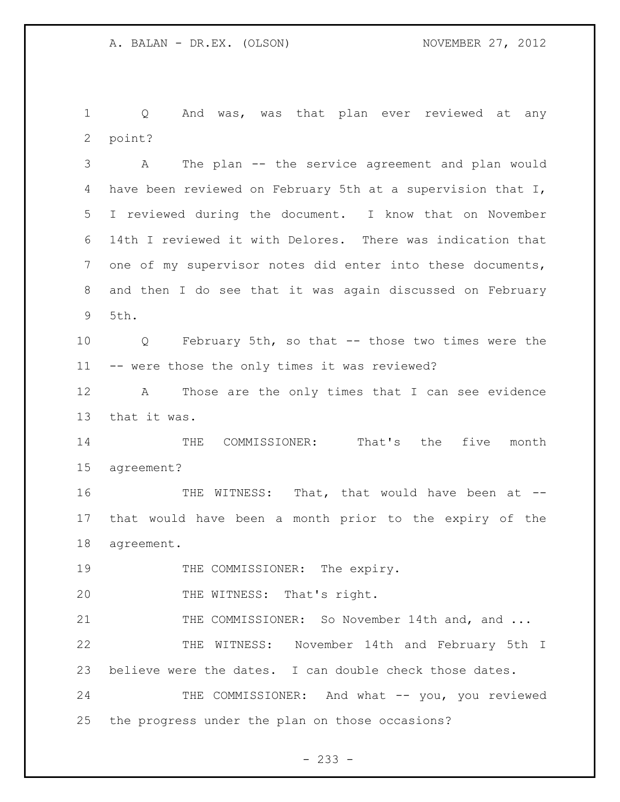Q And was, was that plan ever reviewed at any point?

 A The plan -- the service agreement and plan would have been reviewed on February 5th at a supervision that I, I reviewed during the document. I know that on November 14th I reviewed it with Delores. There was indication that one of my supervisor notes did enter into these documents, and then I do see that it was again discussed on February 5th.

 Q February 5th, so that -- those two times were the -- were those the only times it was reviewed?

 A Those are the only times that I can see evidence that it was.

 THE COMMISSIONER: That's the five month agreement?

16 THE WITNESS: That, that would have been at -- that would have been a month prior to the expiry of the agreement.

19 THE COMMISSIONER: The expiry.

20 THE WITNESS: That's right.

21 THE COMMISSIONER: So November 14th and, and ... THE WITNESS: November 14th and February 5th I believe were the dates. I can double check those dates.

24 THE COMMISSIONER: And what -- you, you reviewed the progress under the plan on those occasions?

- 233 -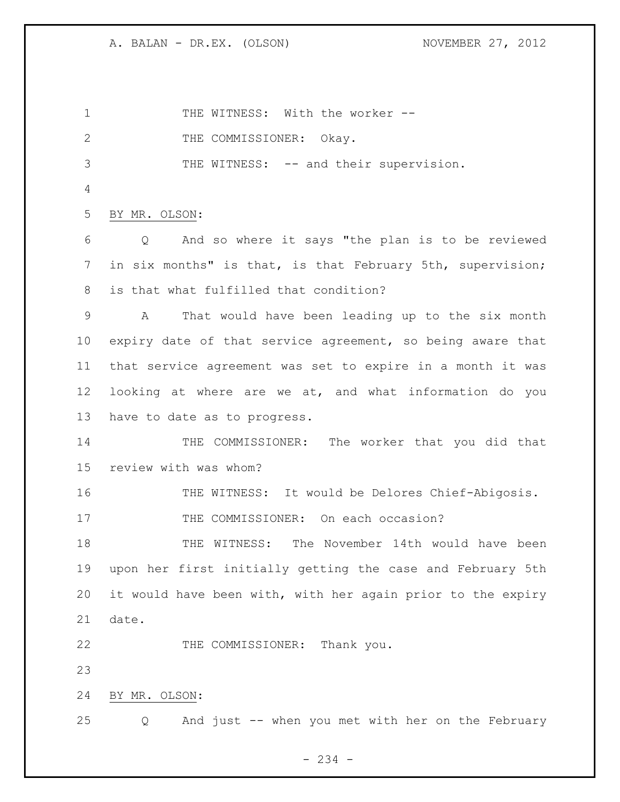1 THE WITNESS: With the worker --2 THE COMMISSIONER: Okay. THE WITNESS: -- and their supervision. BY MR. OLSON: Q And so where it says "the plan is to be reviewed in six months" is that, is that February 5th, supervision; is that what fulfilled that condition? A That would have been leading up to the six month expiry date of that service agreement, so being aware that that service agreement was set to expire in a month it was looking at where are we at, and what information do you have to date as to progress. 14 THE COMMISSIONER: The worker that you did that review with was whom? 16 THE WITNESS: It would be Delores Chief-Abigosis. 17 THE COMMISSIONER: On each occasion? THE WITNESS: The November 14th would have been upon her first initially getting the case and February 5th it would have been with, with her again prior to the expiry date. 22 THE COMMISSIONER: Thank you. BY MR. OLSON: Q And just -- when you met with her on the February